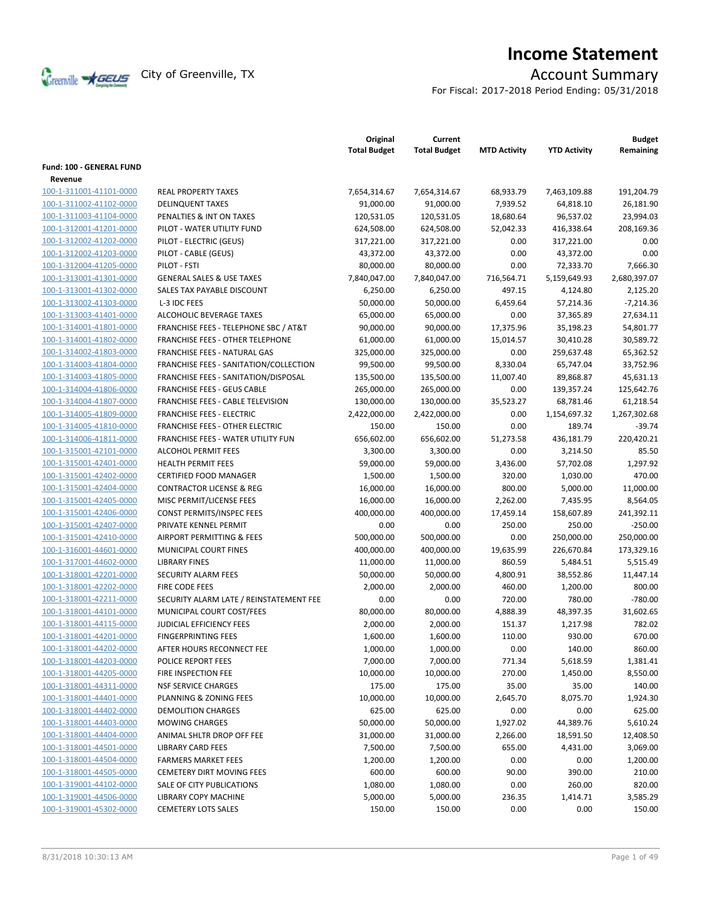

# **Income Statement**

For Fiscal: 2017-2018 Period Ending: 05/31/2018

|                                     |                                                  | Original<br><b>Total Budget</b> | Current<br><b>Total Budget</b> | <b>MTD Activity</b> | <b>YTD Activity</b> | <b>Budget</b><br>Remaining |
|-------------------------------------|--------------------------------------------------|---------------------------------|--------------------------------|---------------------|---------------------|----------------------------|
| Fund: 100 - GENERAL FUND<br>Revenue |                                                  |                                 |                                |                     |                     |                            |
| 100-1-311001-41101-0000             | <b>REAL PROPERTY TAXES</b>                       | 7,654,314.67                    | 7,654,314.67                   | 68,933.79           | 7,463,109.88        | 191,204.79                 |
| 100-1-311002-41102-0000             | <b>DELINQUENT TAXES</b>                          | 91,000.00                       | 91,000.00                      | 7,939.52            | 64,818.10           | 26,181.90                  |
| 100-1-311003-41104-0000             | PENALTIES & INT ON TAXES                         | 120,531.05                      | 120,531.05                     | 18,680.64           | 96,537.02           | 23,994.03                  |
| 100-1-312001-41201-0000             | PILOT - WATER UTILITY FUND                       | 624,508.00                      | 624,508.00                     | 52,042.33           | 416,338.64          | 208,169.36                 |
| 100-1-312002-41202-0000             | PILOT - ELECTRIC (GEUS)                          | 317,221.00                      | 317,221.00                     | 0.00                | 317,221.00          | 0.00                       |
| 100-1-312002-41203-0000             | PILOT - CABLE (GEUS)                             | 43,372.00                       | 43,372.00                      | 0.00                | 43,372.00           | 0.00                       |
| 100-1-312004-41205-0000             | PILOT - FSTI                                     | 80,000.00                       | 80,000.00                      | 0.00                | 72,333.70           | 7,666.30                   |
| 100-1-313001-41301-0000             | <b>GENERAL SALES &amp; USE TAXES</b>             | 7,840,047.00                    | 7,840,047.00                   | 716,564.71          | 5,159,649.93        | 2,680,397.07               |
| 100-1-313001-41302-0000             | SALES TAX PAYABLE DISCOUNT                       | 6,250.00                        | 6,250.00                       | 497.15              | 4,124.80            | 2,125.20                   |
| 100-1-313002-41303-0000             | L-3 IDC FEES                                     | 50,000.00                       | 50,000.00                      | 6,459.64            | 57,214.36           | $-7,214.36$                |
| 100-1-313003-41401-0000             | ALCOHOLIC BEVERAGE TAXES                         | 65,000.00                       | 65,000.00                      | 0.00                | 37,365.89           | 27,634.11                  |
| 100-1-314001-41801-0000             | <b>FRANCHISE FEES - TELEPHONE SBC / AT&amp;T</b> | 90,000.00                       | 90,000.00                      | 17,375.96           | 35,198.23           | 54,801.77                  |
| 100-1-314001-41802-0000             | <b>FRANCHISE FEES - OTHER TELEPHONE</b>          | 61,000.00                       | 61,000.00                      | 15,014.57           | 30,410.28           | 30,589.72                  |
| 100-1-314002-41803-0000             | FRANCHISE FEES - NATURAL GAS                     | 325,000.00                      | 325,000.00                     | 0.00                | 259,637.48          | 65,362.52                  |
| 100-1-314003-41804-0000             | FRANCHISE FEES - SANITATION/COLLECTION           | 99,500.00                       | 99,500.00                      | 8,330.04            | 65,747.04           | 33,752.96                  |
| 100-1-314003-41805-0000             | FRANCHISE FEES - SANITATION/DISPOSAL             | 135,500.00                      | 135,500.00                     | 11,007.40           | 89,868.87           | 45,631.13                  |
| 100-1-314004-41806-0000             | <b>FRANCHISE FEES - GEUS CABLE</b>               | 265,000.00                      | 265,000.00                     | 0.00                | 139,357.24          | 125,642.76                 |
| 100-1-314004-41807-0000             | FRANCHISE FEES - CABLE TELEVISION                | 130,000.00                      | 130,000.00                     | 35,523.27           | 68,781.46           | 61,218.54                  |
| 100-1-314005-41809-0000             | <b>FRANCHISE FEES - ELECTRIC</b>                 | 2,422,000.00                    | 2,422,000.00                   | 0.00                | 1,154,697.32        | 1,267,302.68               |
| 100-1-314005-41810-0000             | <b>FRANCHISE FEES - OTHER ELECTRIC</b>           | 150.00                          | 150.00                         | 0.00                | 189.74              | $-39.74$                   |
| 100-1-314006-41811-0000             | FRANCHISE FEES - WATER UTILITY FUN               | 656,602.00                      | 656,602.00                     | 51,273.58           | 436,181.79          | 220,420.21                 |
| 100-1-315001-42101-0000             | <b>ALCOHOL PERMIT FEES</b>                       | 3,300.00                        | 3,300.00                       | 0.00                | 3,214.50            | 85.50                      |
| 100-1-315001-42401-0000             | <b>HEALTH PERMIT FEES</b>                        | 59,000.00                       | 59,000.00                      | 3,436.00            | 57,702.08           | 1,297.92                   |
| 100-1-315001-42402-0000             | <b>CERTIFIED FOOD MANAGER</b>                    | 1,500.00                        | 1,500.00                       | 320.00              | 1,030.00            | 470.00                     |
| 100-1-315001-42404-0000             | <b>CONTRACTOR LICENSE &amp; REG</b>              | 16,000.00                       | 16,000.00                      | 800.00              | 5,000.00            | 11,000.00                  |
| 100-1-315001-42405-0000             | MISC PERMIT/LICENSE FEES                         | 16,000.00                       | 16,000.00                      | 2,262.00            | 7,435.95            | 8,564.05                   |
| 100-1-315001-42406-0000             | CONST PERMITS/INSPEC FEES                        | 400,000.00                      | 400,000.00                     | 17,459.14           | 158,607.89          | 241,392.11                 |
| 100-1-315001-42407-0000             | PRIVATE KENNEL PERMIT                            | 0.00                            | 0.00                           | 250.00              | 250.00              | $-250.00$                  |
| 100-1-315001-42410-0000             | AIRPORT PERMITTING & FEES                        | 500,000.00                      | 500,000.00                     | 0.00                | 250,000.00          | 250,000.00                 |
| 100-1-316001-44601-0000             | MUNICIPAL COURT FINES                            | 400,000.00                      | 400,000.00                     | 19,635.99           | 226,670.84          | 173,329.16                 |
| 100-1-317001-44602-0000             | <b>LIBRARY FINES</b>                             | 11,000.00                       | 11,000.00                      | 860.59              | 5,484.51            | 5,515.49                   |
| 100-1-318001-42201-0000             | SECURITY ALARM FEES                              | 50,000.00                       | 50,000.00                      | 4,800.91            | 38,552.86           | 11,447.14                  |
| 100-1-318001-42202-0000             | FIRE CODE FEES                                   | 2,000.00                        | 2,000.00                       | 460.00              | 1,200.00            | 800.00                     |
| 100-1-318001-42211-0000             | SECURITY ALARM LATE / REINSTATEMENT FEE          | 0.00                            | 0.00                           | 720.00              | 780.00              | $-780.00$                  |
| 100-1-318001-44101-0000             | MUNICIPAL COURT COST/FEES                        | 80,000.00                       | 80,000.00                      | 4,888.39            | 48,397.35           | 31,602.65                  |
| 100-1-318001-44115-0000             | JUDICIAL EFFICIENCY FEES                         | 2,000.00                        | 2,000.00                       | 151.37              | 1,217.98            | 782.02                     |
| 100-1-318001-44201-0000             | <b>FINGERPRINTING FEES</b>                       | 1,600.00                        | 1,600.00                       | 110.00              | 930.00              | 670.00                     |
| 100-1-318001-44202-0000             | AFTER HOURS RECONNECT FEE                        | 1,000.00                        | 1,000.00                       | 0.00                | 140.00              | 860.00                     |
| 100-1-318001-44203-0000             | POLICE REPORT FEES                               | 7,000.00                        | 7,000.00                       | 771.34              | 5,618.59            | 1,381.41                   |
| 100-1-318001-44205-0000             | FIRE INSPECTION FEE                              | 10,000.00                       | 10,000.00                      | 270.00              | 1,450.00            | 8,550.00                   |
| 100-1-318001-44311-0000             | <b>NSF SERVICE CHARGES</b>                       | 175.00                          | 175.00                         | 35.00               | 35.00               | 140.00                     |
| 100-1-318001-44401-0000             | PLANNING & ZONING FEES                           | 10,000.00                       | 10,000.00                      | 2,645.70            | 8,075.70            | 1,924.30                   |
| 100-1-318001-44402-0000             | DEMOLITION CHARGES                               | 625.00                          | 625.00                         | 0.00                | 0.00                | 625.00                     |
| 100-1-318001-44403-0000             | <b>MOWING CHARGES</b>                            | 50,000.00                       | 50,000.00                      | 1,927.02            | 44,389.76           | 5,610.24                   |
| 100-1-318001-44404-0000             | ANIMAL SHLTR DROP OFF FEE                        | 31,000.00                       | 31,000.00                      | 2,266.00            | 18,591.50           | 12,408.50                  |
| 100-1-318001-44501-0000             | <b>LIBRARY CARD FEES</b>                         | 7,500.00                        | 7,500.00                       | 655.00              | 4,431.00            | 3,069.00                   |
| 100-1-318001-44504-0000             | <b>FARMERS MARKET FEES</b>                       | 1,200.00                        | 1,200.00                       | 0.00                | 0.00                | 1,200.00                   |
| 100-1-318001-44505-0000             | <b>CEMETERY DIRT MOVING FEES</b>                 | 600.00                          | 600.00                         | 90.00               | 390.00              | 210.00                     |
| 100-1-319001-44102-0000             | SALE OF CITY PUBLICATIONS                        | 1,080.00                        | 1,080.00                       | 0.00                | 260.00              | 820.00                     |
| 100-1-319001-44506-0000             | LIBRARY COPY MACHINE                             | 5,000.00                        | 5,000.00                       | 236.35              | 1,414.71            | 3,585.29                   |
| 100-1-319001-45302-0000             | <b>CEMETERY LOTS SALES</b>                       | 150.00                          | 150.00                         | 0.00                | 0.00                | 150.00                     |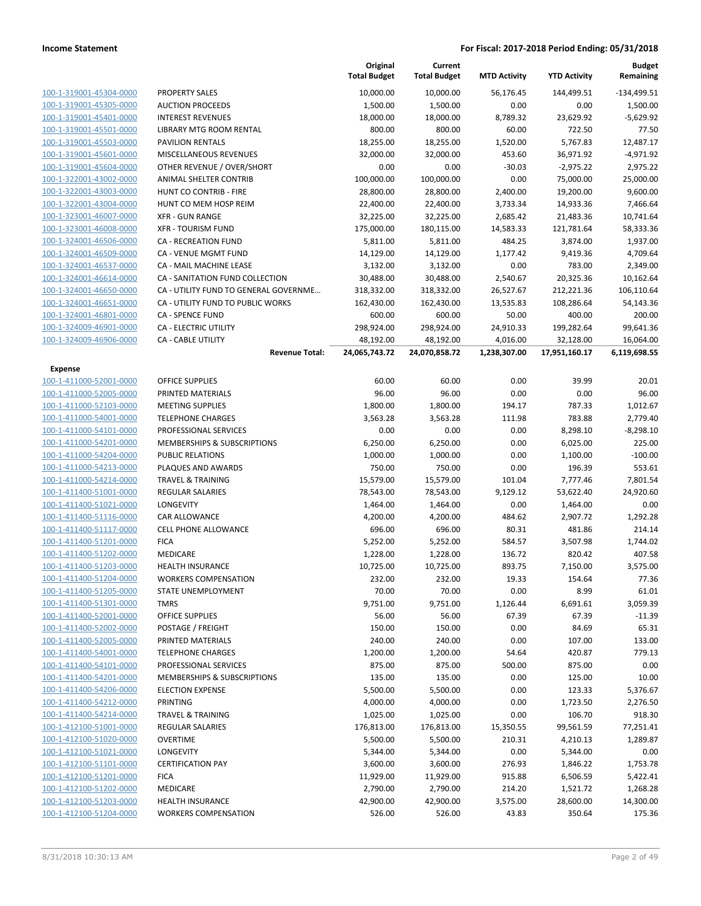**Budget**

|                         |                                            | Original<br><b>Total Budget</b> | Current<br><b>Total Budget</b> | <b>MTD Activity</b> | <b>YTD Activity</b> | Budget<br>Remaining   |
|-------------------------|--------------------------------------------|---------------------------------|--------------------------------|---------------------|---------------------|-----------------------|
| 100-1-319001-45304-0000 | <b>PROPERTY SALES</b>                      | 10,000.00                       | 10,000.00                      | 56,176.45           | 144,499.51          | $-134,499.51$         |
| 100-1-319001-45305-0000 | <b>AUCTION PROCEEDS</b>                    | 1,500.00                        | 1,500.00                       | 0.00                | 0.00                | 1,500.00              |
| 100-1-319001-45401-0000 | <b>INTEREST REVENUES</b>                   | 18,000.00                       | 18,000.00                      | 8,789.32            | 23,629.92           | $-5,629.92$           |
| 100-1-319001-45501-0000 | <b>LIBRARY MTG ROOM RENTAL</b>             | 800.00                          | 800.00                         | 60.00               | 722.50              | 77.50                 |
| 100-1-319001-45503-0000 | <b>PAVILION RENTALS</b>                    | 18,255.00                       | 18,255.00                      | 1,520.00            | 5,767.83            | 12,487.17             |
| 100-1-319001-45601-0000 | MISCELLANEOUS REVENUES                     | 32,000.00                       | 32,000.00                      | 453.60              | 36,971.92           | $-4,971.92$           |
| 100-1-319001-45604-0000 | OTHER REVENUE / OVER/SHORT                 | 0.00                            | 0.00                           | $-30.03$            | $-2,975.22$         | 2,975.22              |
| 100-1-322001-43002-0000 | ANIMAL SHELTER CONTRIB                     | 100,000.00                      | 100,000.00                     | 0.00                | 75,000.00           | 25,000.00             |
| 100-1-322001-43003-0000 | HUNT CO CONTRIB - FIRE                     | 28,800.00                       | 28,800.00                      | 2,400.00            | 19,200.00           | 9,600.00              |
| 100-1-322001-43004-0000 | HUNT CO MEM HOSP REIM                      | 22,400.00                       | 22,400.00                      | 3,733.34            | 14,933.36           | 7,466.64              |
| 100-1-323001-46007-0000 | <b>XFR - GUN RANGE</b>                     | 32,225.00                       | 32,225.00                      | 2,685.42            | 21,483.36           | 10,741.64             |
| 100-1-323001-46008-0000 | <b>XFR - TOURISM FUND</b>                  | 175,000.00                      | 180,115.00                     | 14,583.33           | 121,781.64          | 58,333.36             |
| 100-1-324001-46506-0000 | <b>CA - RECREATION FUND</b>                | 5,811.00                        | 5,811.00                       | 484.25              | 3,874.00            | 1,937.00              |
| 100-1-324001-46509-0000 | CA - VENUE MGMT FUND                       | 14,129.00                       | 14,129.00                      | 1,177.42            | 9,419.36            | 4,709.64              |
| 100-1-324001-46537-0000 | CA - MAIL MACHINE LEASE                    | 3,132.00                        | 3,132.00                       | 0.00                | 783.00              | 2,349.00              |
| 100-1-324001-46614-0000 | CA - SANITATION FUND COLLECTION            | 30,488.00                       | 30,488.00                      | 2,540.67            | 20,325.36           | 10,162.64             |
| 100-1-324001-46650-0000 | CA - UTILITY FUND TO GENERAL GOVERNME      | 318,332.00                      | 318,332.00                     | 26,527.67           | 212,221.36          | 106,110.64            |
| 100-1-324001-46651-0000 | CA - UTILITY FUND TO PUBLIC WORKS          | 162,430.00                      | 162,430.00                     | 13,535.83           | 108,286.64          | 54,143.36             |
| 100-1-324001-46801-0000 | <b>CA - SPENCE FUND</b>                    | 600.00                          | 600.00                         | 50.00               | 400.00              | 200.00                |
| 100-1-324009-46901-0000 | CA - ELECTRIC UTILITY                      | 298,924.00                      | 298,924.00                     | 24,910.33           | 199,282.64          | 99,641.36             |
| 100-1-324009-46906-0000 | CA - CABLE UTILITY                         | 48,192.00                       | 48,192.00                      | 4,016.00            | 32,128.00           | 16,064.00             |
|                         | <b>Revenue Total:</b>                      | 24,065,743.72                   | 24,070,858.72                  | 1,238,307.00        | 17,951,160.17       | 6,119,698.55          |
| Expense                 |                                            |                                 |                                |                     |                     |                       |
| 100-1-411000-52001-0000 | <b>OFFICE SUPPLIES</b>                     | 60.00                           | 60.00                          | 0.00                | 39.99               | 20.01                 |
| 100-1-411000-52005-0000 | PRINTED MATERIALS                          | 96.00                           | 96.00                          | 0.00                | 0.00                | 96.00                 |
| 100-1-411000-52103-0000 | <b>MEETING SUPPLIES</b>                    | 1,800.00                        | 1,800.00                       | 194.17              | 787.33              | 1,012.67              |
| 100-1-411000-54001-0000 | <b>TELEPHONE CHARGES</b>                   | 3,563.28                        | 3,563.28                       | 111.98              | 783.88              | 2,779.40              |
| 100-1-411000-54101-0000 | PROFESSIONAL SERVICES                      | 0.00                            | 0.00                           | 0.00                | 8,298.10            | $-8,298.10$           |
| 100-1-411000-54201-0000 | MEMBERSHIPS & SUBSCRIPTIONS                | 6,250.00                        | 6,250.00                       | 0.00                | 6,025.00            | 225.00                |
| 100-1-411000-54204-0000 | PUBLIC RELATIONS                           | 1,000.00                        | 1,000.00                       | 0.00                | 1,100.00            | $-100.00$             |
| 100-1-411000-54213-0000 | PLAQUES AND AWARDS                         | 750.00                          | 750.00                         | 0.00                | 196.39              | 553.61                |
| 100-1-411000-54214-0000 | <b>TRAVEL &amp; TRAINING</b>               | 15,579.00                       | 15,579.00                      | 101.04              | 7,777.46            | 7,801.54              |
| 100-1-411400-51001-0000 | <b>REGULAR SALARIES</b>                    | 78,543.00                       | 78,543.00                      | 9,129.12            | 53,622.40           | 24,920.60             |
| 100-1-411400-51021-0000 | LONGEVITY                                  | 1,464.00                        | 1,464.00                       | 0.00                | 1,464.00            | 0.00                  |
| 100-1-411400-51116-0000 | CAR ALLOWANCE                              | 4,200.00                        | 4,200.00                       | 484.62              | 2,907.72            | 1,292.28              |
| 100-1-411400-51117-0000 | <b>CELL PHONE ALLOWANCE</b>                | 696.00                          | 696.00                         | 80.31               | 481.86              | 214.14                |
| 100-1-411400-51201-0000 | <b>FICA</b>                                | 5,252.00                        | 5,252.00                       | 584.57              | 3,507.98            | 1,744.02              |
| 100-1-411400-51202-0000 | MEDICARE                                   | 1,228.00                        | 1,228.00                       | 136.72              | 820.42              | 407.58                |
| 100-1-411400-51203-0000 | <b>HEALTH INSURANCE</b>                    | 10,725.00                       | 10,725.00                      | 893.75              | 7,150.00            | 3,575.00              |
| 100-1-411400-51204-0000 | <b>WORKERS COMPENSATION</b>                | 232.00                          | 232.00                         | 19.33               | 154.64              | 77.36                 |
| 100-1-411400-51205-0000 | STATE UNEMPLOYMENT                         | 70.00                           | 70.00                          | 0.00                | 8.99                | 61.01                 |
| 100-1-411400-51301-0000 | <b>TMRS</b>                                | 9,751.00                        | 9,751.00                       | 1,126.44            | 6,691.61            | 3,059.39              |
| 100-1-411400-52001-0000 | OFFICE SUPPLIES                            | 56.00                           | 56.00                          | 67.39               | 67.39               | $-11.39$              |
| 100-1-411400-52002-0000 | POSTAGE / FREIGHT                          | 150.00                          | 150.00                         | 0.00                | 84.69               | 65.31                 |
| 100-1-411400-52005-0000 | PRINTED MATERIALS                          | 240.00                          | 240.00                         | 0.00                | 107.00              | 133.00                |
| 100-1-411400-54001-0000 | <b>TELEPHONE CHARGES</b>                   | 1,200.00                        | 1,200.00                       | 54.64               | 420.87              | 779.13                |
| 100-1-411400-54101-0000 | PROFESSIONAL SERVICES                      | 875.00                          | 875.00                         | 500.00              | 875.00              | 0.00                  |
| 100-1-411400-54201-0000 | MEMBERSHIPS & SUBSCRIPTIONS                | 135.00                          | 135.00                         | 0.00                | 125.00              | 10.00                 |
| 100-1-411400-54206-0000 | <b>ELECTION EXPENSE</b>                    | 5,500.00                        | 5,500.00                       | 0.00                | 123.33              | 5,376.67              |
| 100-1-411400-54212-0000 | <b>PRINTING</b>                            | 4,000.00                        | 4,000.00                       | 0.00                | 1,723.50            | 2,276.50              |
| 100-1-411400-54214-0000 | <b>TRAVEL &amp; TRAINING</b>               | 1,025.00                        | 1,025.00                       | 0.00                | 106.70              | 918.30                |
| 100-1-412100-51001-0000 |                                            |                                 |                                |                     |                     |                       |
| 100-1-412100-51020-0000 | <b>REGULAR SALARIES</b><br><b>OVERTIME</b> | 176,813.00                      | 176,813.00                     | 15,350.55<br>210.31 | 99,561.59           | 77,251.41<br>1,289.87 |
|                         |                                            | 5,500.00                        | 5,500.00                       |                     | 4,210.13            |                       |
| 100-1-412100-51021-0000 | LONGEVITY                                  | 5,344.00                        | 5,344.00                       | 0.00                | 5,344.00            | 0.00                  |
| 100-1-412100-51101-0000 | <b>CERTIFICATION PAY</b>                   | 3,600.00                        | 3,600.00                       | 276.93              | 1,846.22            | 1,753.78              |
| 100-1-412100-51201-0000 | <b>FICA</b>                                | 11,929.00                       | 11,929.00                      | 915.88              | 6,506.59            | 5,422.41              |
| 100-1-412100-51202-0000 | MEDICARE                                   | 2,790.00                        | 2,790.00                       | 214.20              | 1,521.72            | 1,268.28              |
| 100-1-412100-51203-0000 | <b>HEALTH INSURANCE</b>                    | 42,900.00                       | 42,900.00                      | 3,575.00            | 28,600.00           | 14,300.00             |
| 100-1-412100-51204-0000 | <b>WORKERS COMPENSATION</b>                | 526.00                          | 526.00                         | 43.83               | 350.64              | 175.36                |

**Original**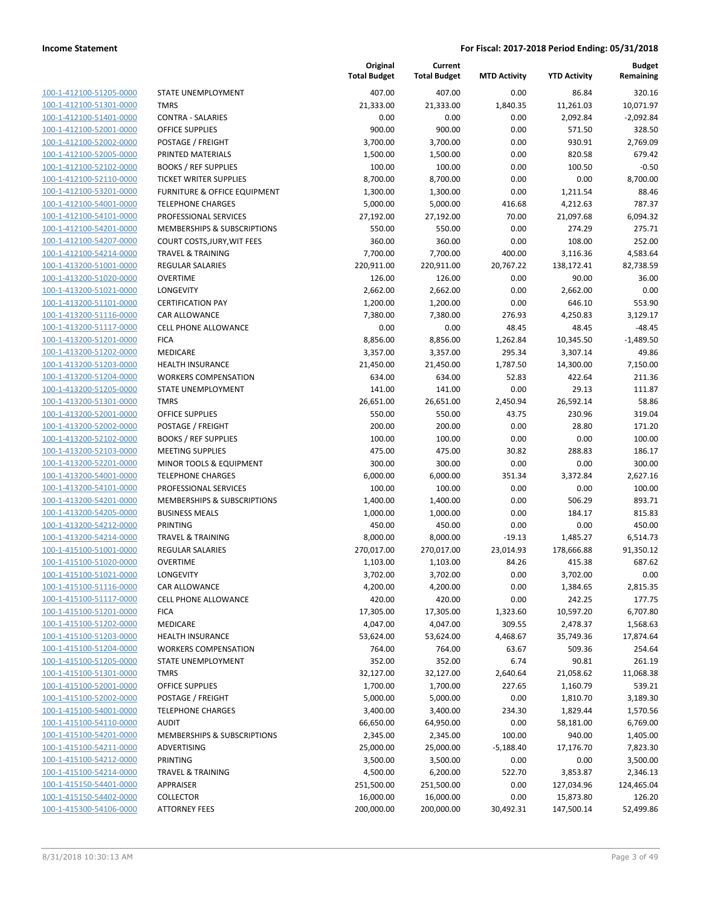| 100-1-412100-51205-0000                                   |
|-----------------------------------------------------------|
| 100-1-412100-51301-0000                                   |
| 100-1-412100-51401-0000                                   |
| <u>100-1-412100-52001-0000</u>                            |
| <u>100-1-412100-52002-0000</u>                            |
| 100-1-412100-52005-0000                                   |
| 100-1-412100-52102-0000                                   |
| 100-1-412100-52110-0000                                   |
| 100-1-412100-53201-0000                                   |
| <u>100-1-412100-54001-0000</u>                            |
| 100-1-412100-54101-0000                                   |
| 100-1-412100-54201-0000                                   |
| 100-1-412100-54207-0000                                   |
| <u>100-1-412100-54214-0000</u>                            |
| <u>100-1-413200-51001-0000</u>                            |
| <u>100-1-413200-51020-0000</u>                            |
| 100-1-413200-51021-0000                                   |
| 100-1-413200-51101-0000                                   |
| 100-1-413200-51116-0000                                   |
| <u>100-1-413200-51117-0000</u>                            |
| 100-1-413200-51201-0000                                   |
| 100-1-413200-51202-0000                                   |
| 100-1-413200-51203-0000                                   |
| <u>100-1-413200-51204-0000</u>                            |
| 100-1-413200-51205-0000                                   |
| 100-1-413200-51301-0000                                   |
| 100-1-413200-52001-0000                                   |
| 100-1-413200-52002-0000                                   |
| 100-1-413200-52102-0000<br><u>100-1-413200-52103-0000</u> |
| 100-1-413200-52201-0000                                   |
| 100-1-413200-54001-0000                                   |
| 100-1-413200-54101-0000                                   |
| 100-1-413200-54201-0000                                   |
| 100-1-413200-54205-0000                                   |
| 100-1-413200-54212-0000                                   |
| 100-1-413200-54214-0000                                   |
| 100-1-415100-51001-0000                                   |
| 100-1-415100-51020-0000                                   |
| <u>100-1-415100-51021-0000</u>                            |
| 100-1-415100-51116-0000                                   |
| 100-1-415100-51117-0000                                   |
| 100-1-415100-51201-0000                                   |
| 100-1-415100-51202-0000                                   |
| <u>100-1-415100-51203-0000</u>                            |
| 100-1-415100-51204-0000                                   |
| 100-1-415100-51205-0000                                   |
| 100-1-415100-51301-0000                                   |
| <u>100-1-415100-52001-0000</u>                            |
| <u>100-1-415100-52002-0000</u>                            |
| <u>100-1-415100-54001-0000</u>                            |
| 100-1-415100-54110-0000                                   |
| 100-1-415100-54201-0000                                   |
| 100-1-415100-54211-0000                                   |
| <u>100-1-415100-54212-0000</u>                            |
| 100-1-415100-54214-0000                                   |
| 100-1-415150-54401-0000                                   |
| 100-1-415150-54402-0000                                   |
| 100-1-415300-54106-0000                                   |
|                                                           |

|                                                    |                                                    | Original<br><b>Total Budget</b> | Current<br><b>Total Budget</b> | <b>MTD Activity</b> | <b>YTD Activity</b> | <b>Budget</b><br>Remaining |
|----------------------------------------------------|----------------------------------------------------|---------------------------------|--------------------------------|---------------------|---------------------|----------------------------|
| 100-1-412100-51205-0000                            | STATE UNEMPLOYMENT                                 | 407.00                          | 407.00                         | 0.00                | 86.84               | 320.16                     |
| 100-1-412100-51301-0000                            | <b>TMRS</b>                                        | 21,333.00                       | 21,333.00                      | 1,840.35            | 11,261.03           | 10,071.97                  |
| 100-1-412100-51401-0000                            | <b>CONTRA - SALARIES</b>                           | 0.00                            | 0.00                           | 0.00                | 2,092.84            | $-2,092.84$                |
| 100-1-412100-52001-0000                            | <b>OFFICE SUPPLIES</b>                             | 900.00                          | 900.00                         | 0.00                | 571.50              | 328.50                     |
| 100-1-412100-52002-0000                            | POSTAGE / FREIGHT                                  | 3,700.00                        | 3,700.00                       | 0.00                | 930.91              | 2,769.09                   |
| 100-1-412100-52005-0000                            | PRINTED MATERIALS                                  | 1,500.00                        | 1,500.00                       | 0.00                | 820.58              | 679.42                     |
| 100-1-412100-52102-0000                            | <b>BOOKS / REF SUPPLIES</b>                        | 100.00                          | 100.00                         | 0.00                | 100.50              | $-0.50$                    |
| 100-1-412100-52110-0000                            | <b>TICKET WRITER SUPPLIES</b>                      | 8,700.00                        | 8,700.00                       | 0.00                | 0.00                | 8,700.00                   |
| 100-1-412100-53201-0000                            | <b>FURNITURE &amp; OFFICE EQUIPMENT</b>            | 1,300.00                        | 1,300.00                       | 0.00                | 1,211.54            | 88.46                      |
| 100-1-412100-54001-0000                            | <b>TELEPHONE CHARGES</b>                           | 5,000.00                        | 5,000.00                       | 416.68              | 4,212.63            | 787.37                     |
| 100-1-412100-54101-0000                            | PROFESSIONAL SERVICES                              | 27,192.00                       | 27,192.00                      | 70.00               | 21,097.68           | 6,094.32                   |
| 100-1-412100-54201-0000                            | MEMBERSHIPS & SUBSCRIPTIONS                        | 550.00                          | 550.00                         | 0.00                | 274.29              | 275.71                     |
| 100-1-412100-54207-0000                            | COURT COSTS, JURY, WIT FEES                        | 360.00                          | 360.00                         | 0.00                | 108.00              | 252.00                     |
| 100-1-412100-54214-0000                            | <b>TRAVEL &amp; TRAINING</b>                       | 7,700.00                        | 7,700.00                       | 400.00              | 3,116.36            | 4,583.64                   |
| 100-1-413200-51001-0000                            | <b>REGULAR SALARIES</b>                            | 220,911.00                      | 220,911.00                     | 20,767.22           | 138,172.41          | 82,738.59                  |
| 100-1-413200-51020-0000                            | <b>OVERTIME</b>                                    | 126.00                          | 126.00                         | 0.00                | 90.00               | 36.00                      |
| 100-1-413200-51021-0000                            | <b>LONGEVITY</b>                                   | 2,662.00                        | 2,662.00                       | 0.00                | 2,662.00            | 0.00                       |
| 100-1-413200-51101-0000                            | <b>CERTIFICATION PAY</b>                           | 1,200.00                        | 1,200.00                       | 0.00                | 646.10              | 553.90                     |
| 100-1-413200-51116-0000                            | <b>CAR ALLOWANCE</b>                               | 7,380.00                        | 7,380.00                       | 276.93              | 4,250.83            | 3,129.17                   |
| 100-1-413200-51117-0000                            | <b>CELL PHONE ALLOWANCE</b>                        | 0.00                            | 0.00                           | 48.45               | 48.45               | $-48.45$                   |
| 100-1-413200-51201-0000                            | <b>FICA</b>                                        | 8,856.00                        | 8,856.00                       | 1,262.84            | 10,345.50           | $-1,489.50$                |
| 100-1-413200-51202-0000                            | MEDICARE                                           | 3,357.00                        | 3,357.00                       | 295.34              | 3,307.14            | 49.86                      |
| 100-1-413200-51203-0000                            | <b>HEALTH INSURANCE</b>                            | 21,450.00                       | 21,450.00                      | 1,787.50            | 14,300.00           | 7,150.00                   |
| 100-1-413200-51204-0000                            | <b>WORKERS COMPENSATION</b>                        | 634.00                          | 634.00                         | 52.83               | 422.64              | 211.36                     |
| 100-1-413200-51205-0000                            | STATE UNEMPLOYMENT                                 | 141.00                          | 141.00                         | 0.00                | 29.13               | 111.87                     |
| 100-1-413200-51301-0000                            | <b>TMRS</b>                                        | 26,651.00                       | 26,651.00                      | 2,450.94            | 26,592.14           | 58.86                      |
| 100-1-413200-52001-0000                            | OFFICE SUPPLIES                                    | 550.00                          | 550.00                         | 43.75               | 230.96              | 319.04                     |
| 100-1-413200-52002-0000                            | POSTAGE / FREIGHT                                  | 200.00                          | 200.00                         | 0.00                | 28.80               | 171.20                     |
| 100-1-413200-52102-0000<br>100-1-413200-52103-0000 | <b>BOOKS / REF SUPPLIES</b>                        | 100.00<br>475.00                | 100.00<br>475.00               | 0.00<br>30.82       | 0.00<br>288.83      | 100.00<br>186.17           |
| 100-1-413200-52201-0000                            | <b>MEETING SUPPLIES</b><br>MINOR TOOLS & EQUIPMENT | 300.00                          | 300.00                         | 0.00                | 0.00                | 300.00                     |
| 100-1-413200-54001-0000                            | <b>TELEPHONE CHARGES</b>                           | 6,000.00                        | 6,000.00                       | 351.34              | 3,372.84            | 2,627.16                   |
| 100-1-413200-54101-0000                            | PROFESSIONAL SERVICES                              | 100.00                          | 100.00                         | 0.00                | 0.00                | 100.00                     |
| 100-1-413200-54201-0000                            | MEMBERSHIPS & SUBSCRIPTIONS                        | 1,400.00                        | 1,400.00                       | 0.00                | 506.29              | 893.71                     |
| 100-1-413200-54205-0000                            | <b>BUSINESS MEALS</b>                              | 1,000.00                        | 1,000.00                       | 0.00                | 184.17              | 815.83                     |
| 100-1-413200-54212-0000                            | PRINTING                                           | 450.00                          | 450.00                         | 0.00                | 0.00                | 450.00                     |
| 100-1-413200-54214-0000                            | <b>TRAVEL &amp; TRAINING</b>                       | 8,000.00                        | 8,000.00                       | $-19.13$            | 1,485.27            | 6,514.73                   |
| 100-1-415100-51001-0000                            | <b>REGULAR SALARIES</b>                            | 270,017.00                      | 270,017.00                     | 23,014.93           | 178,666.88          | 91,350.12                  |
| 100-1-415100-51020-0000                            | <b>OVERTIME</b>                                    | 1,103.00                        | 1,103.00                       | 84.26               | 415.38              | 687.62                     |
| 100-1-415100-51021-0000                            | LONGEVITY                                          | 3,702.00                        | 3,702.00                       | 0.00                | 3,702.00            | 0.00                       |
| 100-1-415100-51116-0000                            | CAR ALLOWANCE                                      | 4,200.00                        | 4,200.00                       | 0.00                | 1,384.65            | 2,815.35                   |
| 100-1-415100-51117-0000                            | CELL PHONE ALLOWANCE                               | 420.00                          | 420.00                         | 0.00                | 242.25              | 177.75                     |
| 100-1-415100-51201-0000                            | <b>FICA</b>                                        | 17,305.00                       | 17,305.00                      | 1,323.60            | 10,597.20           | 6,707.80                   |
| 100-1-415100-51202-0000                            | MEDICARE                                           | 4,047.00                        | 4,047.00                       | 309.55              | 2,478.37            | 1,568.63                   |
| 100-1-415100-51203-0000                            | <b>HEALTH INSURANCE</b>                            | 53,624.00                       | 53,624.00                      | 4,468.67            | 35,749.36           | 17,874.64                  |
| 100-1-415100-51204-0000                            | <b>WORKERS COMPENSATION</b>                        | 764.00                          | 764.00                         | 63.67               | 509.36              | 254.64                     |
| 100-1-415100-51205-0000                            | STATE UNEMPLOYMENT                                 | 352.00                          | 352.00                         | 6.74                | 90.81               | 261.19                     |
| 100-1-415100-51301-0000                            | <b>TMRS</b>                                        | 32,127.00                       | 32,127.00                      | 2,640.64            | 21,058.62           | 11,068.38                  |
| 100-1-415100-52001-0000                            | OFFICE SUPPLIES                                    | 1,700.00                        | 1,700.00                       | 227.65              | 1,160.79            | 539.21                     |
| 100-1-415100-52002-0000                            | POSTAGE / FREIGHT                                  | 5,000.00                        | 5,000.00                       | 0.00                | 1,810.70            | 3,189.30                   |
| 100-1-415100-54001-0000                            | <b>TELEPHONE CHARGES</b>                           | 3,400.00                        | 3,400.00                       | 234.30              | 1,829.44            | 1,570.56                   |
| 100-1-415100-54110-0000                            | <b>AUDIT</b>                                       | 66,650.00                       | 64,950.00                      | 0.00                | 58,181.00           | 6,769.00                   |
| 100-1-415100-54201-0000                            | MEMBERSHIPS & SUBSCRIPTIONS                        | 2,345.00                        | 2,345.00                       | 100.00              | 940.00              | 1,405.00                   |
| 100-1-415100-54211-0000                            | ADVERTISING                                        | 25,000.00                       | 25,000.00                      | $-5,188.40$         | 17,176.70           | 7,823.30                   |
| 100-1-415100-54212-0000                            | PRINTING                                           | 3,500.00                        | 3,500.00                       | 0.00                | 0.00                | 3,500.00                   |
| 100-1-415100-54214-0000                            | <b>TRAVEL &amp; TRAINING</b>                       | 4,500.00                        | 6,200.00                       | 522.70              | 3,853.87            | 2,346.13                   |
| 100-1-415150-54401-0000                            | APPRAISER                                          | 251,500.00                      | 251,500.00                     | 0.00                | 127,034.96          | 124,465.04                 |
| 100-1-415150-54402-0000                            | <b>COLLECTOR</b>                                   | 16,000.00                       | 16,000.00                      | 0.00                | 15,873.80           | 126.20                     |
| 100-1-415300-54106-0000                            | <b>ATTORNEY FEES</b>                               | 200,000.00                      | 200,000.00                     | 30,492.31           | 147,500.14          | 52,499.86                  |
|                                                    |                                                    |                                 |                                |                     |                     |                            |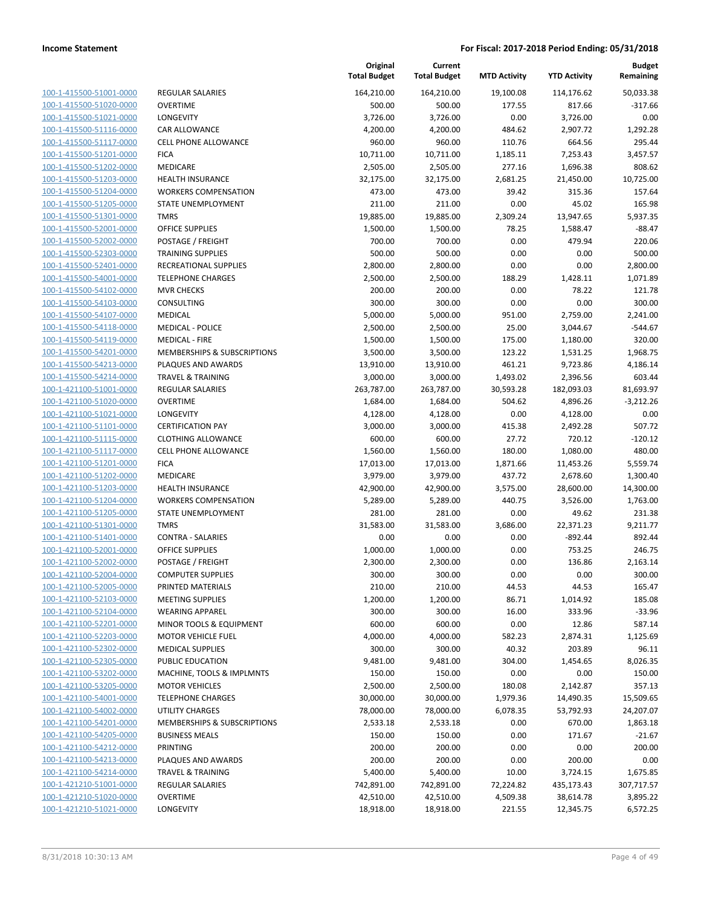| 100-1-415500-51001-0000        |
|--------------------------------|
| 100-1-415500-51020-0000        |
| 100-1-415500-51021-0000        |
| 100-1-415500-51116-0000        |
| 100-1-415500-51117-0000        |
| 100-1-415500-51201-0000        |
|                                |
| 100-1-415500-51202-0000        |
| 100-1-415500-51203-0000        |
| 100-1-415500-51204-0000        |
| 100-1-415500-51205-0000        |
| 100-1-415500-51301-0000        |
| 100-1-415500-52001-0000        |
| 100-1-415500-52002-0000        |
| 100-1-415500-52303-0000        |
|                                |
| 100-1-415500-52401-0000        |
| 100-1-415500-54001-0000        |
| 100-1-415500-54102-0000        |
| 100-1-415500-54103-0000        |
| 100-1-415500-54107-0000        |
| 100-1-415500-54118-0000        |
| 100-1-415500-54119-0000        |
| 100-1-415500-54201-0000        |
| 100-1-415500-54213-0000        |
|                                |
| 100-1-415500-54214-0000        |
| 100-1-421100-51001-0000        |
| 100-1-421100-51020-0000        |
| 100-1-421100-51021-0000        |
| 100-1-421100-51101-0000        |
| 100-1-421100-51115-0000        |
| 100-1-421100-51117-0000        |
| 100-1-421100-51201-0000        |
| 100-1-421100-51202-0000        |
| 100-1-421100-51203-0000        |
|                                |
| 100-1-421100-51204-0000        |
| 100-1-421100-51205-0000        |
| 100-1-421100-51301-0000        |
| 100-1-421100-51401-0000        |
| 100-1-421100-52001-0000        |
| 100-1-421100-52002-0000        |
| 100-1-421100-52004-0000        |
| 100-1-421100-52005-0000        |
| 100-1-421100-52103-0000        |
|                                |
| <u>100-1-421100-52104-0000</u> |
| <u>100-1-421100-52201-0000</u> |
| 100-1-421100-52203-0000        |
| 100-1-421100-52302-0000        |
| 100-1-421100-52305-0000        |
| 100-1-421100-53202-0000        |
| <u>100-1-421100-53205-0000</u> |
| 100-1-421100-54001-0000        |
| 100-1-421100-54002-0000        |
| 100-1-421100-54201-0000        |
|                                |
| <u>100-1-421100-54205-0000</u> |
| <u>100-1-421100-54212-0000</u> |
| <u>100-1-421100-54213-0000</u> |
| 100-1-421100-54214-0000        |
| <u>100-1-421210-51001-0000</u> |
| <u>100-1-421210-51020-0000</u> |
| <u>100-1-421210-51021-0000</u> |
|                                |

|                         |                              | Original<br><b>Total Budget</b> | Current<br><b>Total Budget</b> | <b>MTD Activity</b> | <b>YTD Activity</b> | <b>Budget</b><br>Remaining |
|-------------------------|------------------------------|---------------------------------|--------------------------------|---------------------|---------------------|----------------------------|
| 100-1-415500-51001-0000 | <b>REGULAR SALARIES</b>      | 164,210.00                      | 164,210.00                     | 19,100.08           | 114,176.62          | 50,033.38                  |
| 100-1-415500-51020-0000 | <b>OVERTIME</b>              | 500.00                          | 500.00                         | 177.55              | 817.66              | $-317.66$                  |
| 100-1-415500-51021-0000 | <b>LONGEVITY</b>             | 3,726.00                        | 3,726.00                       | 0.00                | 3,726.00            | 0.00                       |
| 100-1-415500-51116-0000 | <b>CAR ALLOWANCE</b>         | 4,200.00                        | 4,200.00                       | 484.62              | 2,907.72            | 1,292.28                   |
| 100-1-415500-51117-0000 | <b>CELL PHONE ALLOWANCE</b>  | 960.00                          | 960.00                         | 110.76              | 664.56              | 295.44                     |
| 100-1-415500-51201-0000 | <b>FICA</b>                  | 10,711.00                       | 10,711.00                      | 1,185.11            | 7,253.43            | 3,457.57                   |
| 100-1-415500-51202-0000 | MEDICARE                     | 2,505.00                        | 2,505.00                       | 277.16              | 1,696.38            | 808.62                     |
| 100-1-415500-51203-0000 | <b>HEALTH INSURANCE</b>      | 32,175.00                       | 32,175.00                      | 2,681.25            | 21,450.00           | 10,725.00                  |
| 100-1-415500-51204-0000 | <b>WORKERS COMPENSATION</b>  | 473.00                          | 473.00                         | 39.42               | 315.36              | 157.64                     |
| 100-1-415500-51205-0000 | STATE UNEMPLOYMENT           | 211.00                          | 211.00                         | 0.00                | 45.02               | 165.98                     |
| 100-1-415500-51301-0000 | <b>TMRS</b>                  | 19,885.00                       | 19,885.00                      | 2,309.24            | 13,947.65           | 5,937.35                   |
| 100-1-415500-52001-0000 | OFFICE SUPPLIES              | 1,500.00                        | 1,500.00                       | 78.25               | 1,588.47            | $-88.47$                   |
| 100-1-415500-52002-0000 | POSTAGE / FREIGHT            | 700.00                          | 700.00                         | 0.00                | 479.94              | 220.06                     |
| 100-1-415500-52303-0000 | <b>TRAINING SUPPLIES</b>     | 500.00                          | 500.00                         | 0.00                | 0.00                | 500.00                     |
| 100-1-415500-52401-0000 | RECREATIONAL SUPPLIES        | 2,800.00                        | 2,800.00                       | 0.00                | 0.00                | 2,800.00                   |
| 100-1-415500-54001-0000 | <b>TELEPHONE CHARGES</b>     | 2,500.00                        | 2,500.00                       | 188.29              | 1,428.11            | 1,071.89                   |
| 100-1-415500-54102-0000 | <b>MVR CHECKS</b>            | 200.00                          | 200.00                         | 0.00                | 78.22               | 121.78                     |
| 100-1-415500-54103-0000 | CONSULTING                   | 300.00                          | 300.00                         | 0.00                | 0.00                | 300.00                     |
| 100-1-415500-54107-0000 | <b>MEDICAL</b>               | 5,000.00                        | 5,000.00                       | 951.00              | 2,759.00            | 2,241.00                   |
| 100-1-415500-54118-0000 | <b>MEDICAL - POLICE</b>      | 2,500.00                        | 2,500.00                       | 25.00               | 3,044.67            | $-544.67$                  |
| 100-1-415500-54119-0000 | <b>MEDICAL - FIRE</b>        | 1,500.00                        | 1,500.00                       | 175.00              | 1,180.00            | 320.00                     |
| 100-1-415500-54201-0000 | MEMBERSHIPS & SUBSCRIPTIONS  | 3,500.00                        | 3,500.00                       | 123.22              | 1,531.25            | 1,968.75                   |
| 100-1-415500-54213-0000 | PLAQUES AND AWARDS           | 13,910.00                       | 13,910.00                      | 461.21              | 9,723.86            | 4,186.14                   |
| 100-1-415500-54214-0000 | <b>TRAVEL &amp; TRAINING</b> | 3,000.00                        | 3,000.00                       | 1,493.02            | 2,396.56            | 603.44                     |
| 100-1-421100-51001-0000 | <b>REGULAR SALARIES</b>      | 263,787.00                      | 263,787.00                     | 30,593.28           | 182,093.03          | 81,693.97                  |
| 100-1-421100-51020-0000 | <b>OVERTIME</b>              | 1,684.00                        | 1,684.00                       | 504.62              | 4,896.26            | $-3,212.26$                |
| 100-1-421100-51021-0000 | <b>LONGEVITY</b>             | 4,128.00                        | 4,128.00                       | 0.00                | 4,128.00            | 0.00                       |
| 100-1-421100-51101-0000 | <b>CERTIFICATION PAY</b>     | 3,000.00                        | 3,000.00                       | 415.38              | 2,492.28            | 507.72                     |
| 100-1-421100-51115-0000 | <b>CLOTHING ALLOWANCE</b>    | 600.00                          | 600.00                         | 27.72               | 720.12              | $-120.12$                  |
| 100-1-421100-51117-0000 | <b>CELL PHONE ALLOWANCE</b>  | 1,560.00                        | 1,560.00                       | 180.00              | 1,080.00            | 480.00                     |
| 100-1-421100-51201-0000 | <b>FICA</b>                  | 17,013.00                       | 17,013.00                      | 1,871.66            | 11,453.26           | 5,559.74                   |
| 100-1-421100-51202-0000 | MEDICARE                     | 3,979.00                        | 3,979.00                       | 437.72              | 2,678.60            | 1,300.40                   |
| 100-1-421100-51203-0000 | HEALTH INSURANCE             | 42,900.00                       | 42,900.00                      | 3,575.00            | 28,600.00           | 14,300.00                  |
| 100-1-421100-51204-0000 | <b>WORKERS COMPENSATION</b>  | 5,289.00                        | 5,289.00                       | 440.75              | 3,526.00            | 1,763.00                   |
| 100-1-421100-51205-0000 | STATE UNEMPLOYMENT           | 281.00                          | 281.00                         | 0.00                | 49.62               | 231.38                     |
| 100-1-421100-51301-0000 | <b>TMRS</b>                  | 31,583.00                       | 31,583.00                      | 3,686.00            | 22,371.23           | 9,211.77                   |
| 100-1-421100-51401-0000 | <b>CONTRA - SALARIES</b>     | 0.00                            | 0.00                           | 0.00                | $-892.44$           | 892.44                     |
| 100-1-421100-52001-0000 | OFFICE SUPPLIES              | 1,000.00                        | 1,000.00                       | 0.00                | 753.25              | 246.75                     |
| 100-1-421100-52002-0000 | POSTAGE / FREIGHT            | 2,300.00                        | 2,300.00                       | 0.00                | 136.86              | 2,163.14                   |
| 100-1-421100-52004-0000 | <b>COMPUTER SUPPLIES</b>     | 300.00                          | 300.00                         | 0.00                | 0.00                | 300.00                     |
| 100-1-421100-52005-0000 | PRINTED MATERIALS            | 210.00                          | 210.00                         | 44.53               | 44.53               | 165.47                     |
| 100-1-421100-52103-0000 | <b>MEETING SUPPLIES</b>      | 1,200.00                        | 1,200.00                       | 86.71               | 1,014.92            | 185.08                     |
| 100-1-421100-52104-0000 | <b>WEARING APPAREL</b>       | 300.00                          | 300.00                         | 16.00               | 333.96              | $-33.96$                   |
| 100-1-421100-52201-0000 | MINOR TOOLS & EQUIPMENT      | 600.00                          | 600.00                         | 0.00                | 12.86               | 587.14                     |
| 100-1-421100-52203-0000 | <b>MOTOR VEHICLE FUEL</b>    | 4,000.00                        | 4,000.00                       | 582.23              | 2,874.31            | 1,125.69                   |
| 100-1-421100-52302-0000 | <b>MEDICAL SUPPLIES</b>      | 300.00                          | 300.00                         | 40.32               | 203.89              | 96.11                      |
| 100-1-421100-52305-0000 | PUBLIC EDUCATION             | 9,481.00                        | 9,481.00                       | 304.00              | 1,454.65            | 8,026.35                   |
| 100-1-421100-53202-0000 | MACHINE, TOOLS & IMPLMNTS    | 150.00                          | 150.00                         | 0.00                | 0.00                | 150.00                     |
| 100-1-421100-53205-0000 | <b>MOTOR VEHICLES</b>        | 2,500.00                        | 2,500.00                       | 180.08              | 2,142.87            | 357.13                     |
| 100-1-421100-54001-0000 | <b>TELEPHONE CHARGES</b>     | 30,000.00                       | 30,000.00                      | 1,979.36            | 14,490.35           | 15,509.65                  |
| 100-1-421100-54002-0000 | UTILITY CHARGES              | 78,000.00                       | 78,000.00                      | 6,078.35            | 53,792.93           | 24,207.07                  |
| 100-1-421100-54201-0000 | MEMBERSHIPS & SUBSCRIPTIONS  | 2,533.18                        | 2,533.18                       | 0.00                | 670.00              | 1,863.18                   |
| 100-1-421100-54205-0000 | <b>BUSINESS MEALS</b>        | 150.00                          | 150.00                         | 0.00                | 171.67              | $-21.67$                   |
| 100-1-421100-54212-0000 | PRINTING                     | 200.00                          | 200.00                         | 0.00                | 0.00                | 200.00                     |
| 100-1-421100-54213-0000 | PLAQUES AND AWARDS           | 200.00                          | 200.00                         | 0.00                | 200.00              | 0.00                       |
| 100-1-421100-54214-0000 | <b>TRAVEL &amp; TRAINING</b> | 5,400.00                        | 5,400.00                       | 10.00               | 3,724.15            | 1,675.85                   |
| 100-1-421210-51001-0000 | <b>REGULAR SALARIES</b>      | 742,891.00                      | 742,891.00                     | 72,224.82           | 435,173.43          | 307,717.57                 |
| 100-1-421210-51020-0000 | <b>OVERTIME</b>              | 42,510.00                       | 42,510.00                      | 4,509.38            | 38,614.78           | 3,895.22                   |
| 100-1-421210-51021-0000 | LONGEVITY                    | 18,918.00                       | 18,918.00                      | 221.55              | 12,345.75           | 6,572.25                   |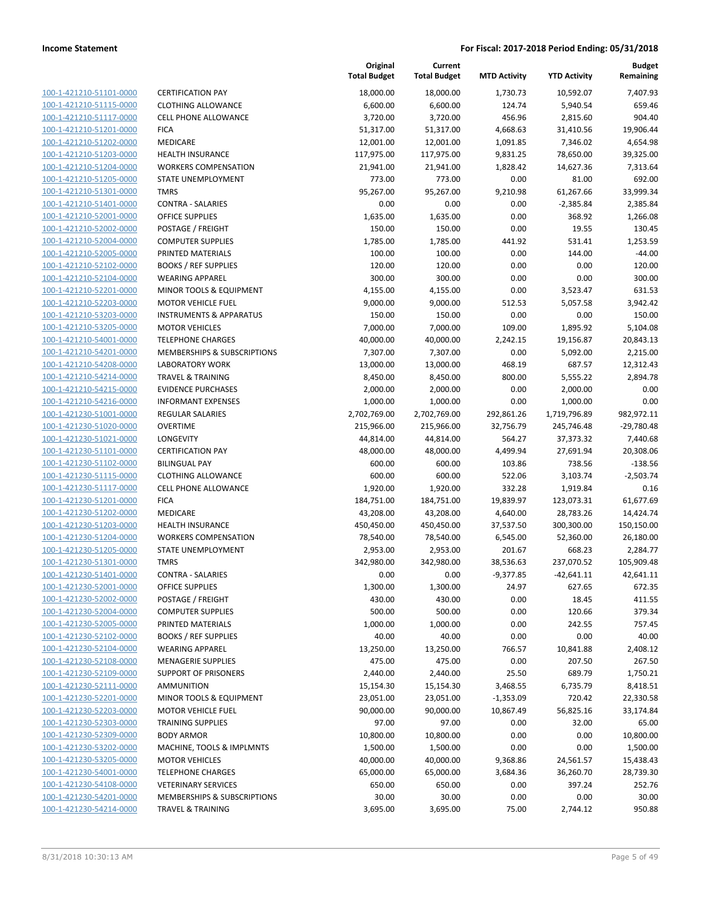| 100-1-421210-51101-0000                                   |
|-----------------------------------------------------------|
| 100-1-421210-51115-0000                                   |
| 100-1-421210-51117-0000                                   |
| 100-1-421210-51201-0000                                   |
| 100-1-421210-51202-0000                                   |
| <u>100-1-421210-51203-0000</u>                            |
| 100-1-421210-51204-0000                                   |
| 100-1-421210-51205-0000                                   |
| 100-1-421210-51301-0000                                   |
| 100-1-421210-51401-0000                                   |
| <u>100-1-421210-52001-0000</u>                            |
| 100-1-421210-52002-0000                                   |
| -421210-52004-0000<br>$100 - 1$                           |
| 100-1-421210-52005-0000                                   |
| 100-1-421210-52102-0000                                   |
| <u>100-1-421210-52104-0000</u>                            |
| 100-1-421210-52201-0000                                   |
| 100-1-421210-52203-0000                                   |
| 100-1-421210-53203-0000                                   |
| 100-1-421210-53205-0000                                   |
| <u>100-1-421210-54001-0000</u>                            |
| 100-1-421210-54201-0000                                   |
| -421210-54208-0000<br>$100 - 1$                           |
| 100-1-421210-54214-0000                                   |
| 100-1-421210-54215-0000                                   |
| 100-1-421210-54216-0000                                   |
| 100-1-421230-51001-0000                                   |
| 100-1-421230-51020-0000                                   |
| 100-1-421230-51021-0000                                   |
| 100-1-421230-51101-0000                                   |
| <u>100-1-421230-51102-0000</u>                            |
| 100-1-421230-51115-0000                                   |
| 100-1-421230-51117-0000                                   |
| 100-1-421230-51201-0000                                   |
| 100-1-421230-51202-0000                                   |
| <u>100-1-421230-51203-0000</u>                            |
| 100-1-421230-51204-0000                                   |
| 100-1-421230-51205-0000                                   |
| 100-1-421230-51301-0000                                   |
| 100-1-421230-51401-0000                                   |
| 100-1-421230-52001-0000                                   |
| <u>100-1-421230-52002-0000</u><br>100-1-421230-52004-0000 |
| 100-1-421230-52005-0000                                   |
|                                                           |
| <u>100-1-421230-52102-0000</u>                            |
| <u>100-1-421230-52104-0000</u>                            |
| <u>100-1-421230-52108-0000</u><br>100-1-421230-52109-0000 |
| 100-1-421230-52111-0000                                   |
| <u>100-1-421230-52201-0000</u>                            |
| <u>100-1-421230-52203-0000</u>                            |
| 100-1-421230-52303-0000                                   |
| 100-1-421230-52309-0000                                   |
| 100-1-421230-53202-0000                                   |
| <u>100-1-421230-53205-0000</u>                            |
| <u>100-1-421230-54001-0000</u>                            |
| <u>100-1-421230-54108-0000</u>                            |
| <u>100-1-421230-54201-0000</u>                            |
| 100-1-421230-54214-0000                                   |
|                                                           |

| <b>ERTIFICATION PAY</b>                |
|----------------------------------------|
| LOTHING ALLOWANCE                      |
| ELL PHONE ALLOWANCE                    |
| ICA                                    |
| 1EDICARE                               |
| <b>EALTH INSURANCE</b>                 |
| VORKERS COMPENSATION                   |
| TATE UNEMPLOYMENT                      |
| MRS                                    |
| <b>ONTRA - SALARIES</b>                |
| <b>FFICE SUPPLIES</b>                  |
| OSTAGE / FREIGHT                       |
| OMPUTER SUPPLIES                       |
| RINTED MATERIALS                       |
| OOKS / REF SUPPLIES                    |
| VEARING APPAREL                        |
| 1INOR TOOLS & EQUIPMENT                |
| <b>1OTOR VEHICLE FUEL</b>              |
| <b>NSTRUMENTS &amp; APPARATUS</b>      |
| <b>1OTOR VEHICLES</b>                  |
| ELEPHONE CHARGES                       |
| <b>IEMBERSHIPS &amp; SUBSCRIPTIONS</b> |
| ABORATORY WORK                         |
| RAVEL & TRAINING                       |
| <b>VIDENCE PURCHASES</b>               |
| NFORMANT EXPENSES                      |
| <b>EGULAR SALARIES</b>                 |
| <b>VERTIME</b>                         |
| ONGEVITY                               |
| <b>ERTIFICATION PAY</b>                |
| ILINGUAL PAY                           |
| LOTHING ALLOWANCE                      |
| ELL PHONE ALLOWANCE                    |
| ICA                                    |
| 1EDICARE                               |
| IEALTH INSURANCE                       |
| VORKERS COMPENSATION                   |
| <b>TATE UNEMPLOYMENT</b>               |
| MRS                                    |
| ONTRA - SALARIES                       |
| <b>FFICE SUPPLIES</b>                  |
| <b>OSTAGE / FREIGHT</b>                |
| OMPUTER SUPPLIES                       |
| RINTED MATERIALS                       |
| OOKS / REF SUPPLIES                    |
| <b>VEARING APPAREL</b>                 |
| <b>IENAGERIE SUPPLIES</b>              |
| UPPORT OF PRISONERS                    |
| <b>MMUNITION</b>                       |
| <b>IINOR TOOLS &amp; EQUIPMENT</b>     |
| <b>IOTOR VEHICLE FUEL</b>              |
| RAINING SUPPLIES                       |
| <b>ODY ARMOR</b>                       |
| <b>AACHINE, TOOLS &amp; IMPLMNTS</b>   |
| <b>1OTOR VEHICLES</b>                  |
| ELEPHONE CHARGES                       |
|                                        |
| <b>ETERINARY SERVICES</b>              |

|                                                    |                                    | Original<br><b>Total Budget</b> | Current<br><b>Total Budget</b> | <b>MTD Activity</b> | <b>YTD Activity</b> | <b>Budget</b><br>Remaining |
|----------------------------------------------------|------------------------------------|---------------------------------|--------------------------------|---------------------|---------------------|----------------------------|
| 100-1-421210-51101-0000                            | <b>CERTIFICATION PAY</b>           | 18,000.00                       | 18,000.00                      | 1,730.73            | 10,592.07           | 7,407.93                   |
| 100-1-421210-51115-0000                            | <b>CLOTHING ALLOWANCE</b>          | 6,600.00                        | 6,600.00                       | 124.74              | 5,940.54            | 659.46                     |
| 100-1-421210-51117-0000                            | <b>CELL PHONE ALLOWANCE</b>        | 3,720.00                        | 3,720.00                       | 456.96              | 2,815.60            | 904.40                     |
| 100-1-421210-51201-0000                            | <b>FICA</b>                        | 51,317.00                       | 51,317.00                      | 4,668.63            | 31,410.56           | 19,906.44                  |
| 100-1-421210-51202-0000                            | MEDICARE                           | 12,001.00                       | 12,001.00                      | 1,091.85            | 7,346.02            | 4,654.98                   |
| 100-1-421210-51203-0000                            | <b>HEALTH INSURANCE</b>            | 117,975.00                      | 117,975.00                     | 9,831.25            | 78,650.00           | 39,325.00                  |
| 100-1-421210-51204-0000                            | <b>WORKERS COMPENSATION</b>        | 21,941.00                       | 21,941.00                      | 1,828.42            | 14,627.36           | 7,313.64                   |
| 100-1-421210-51205-0000                            | STATE UNEMPLOYMENT                 | 773.00                          | 773.00                         | 0.00                | 81.00               | 692.00                     |
| 100-1-421210-51301-0000                            | <b>TMRS</b>                        | 95,267.00                       | 95,267.00                      | 9,210.98            | 61,267.66           | 33,999.34                  |
| 100-1-421210-51401-0000                            | <b>CONTRA - SALARIES</b>           | 0.00                            | 0.00                           | 0.00                | $-2,385.84$         | 2,385.84                   |
| 100-1-421210-52001-0000                            | <b>OFFICE SUPPLIES</b>             | 1,635.00                        | 1,635.00                       | 0.00                | 368.92              | 1,266.08                   |
| 100-1-421210-52002-0000                            | POSTAGE / FREIGHT                  | 150.00                          | 150.00                         | 0.00                | 19.55               | 130.45                     |
| 100-1-421210-52004-0000                            | <b>COMPUTER SUPPLIES</b>           | 1,785.00                        | 1,785.00                       | 441.92              | 531.41              | 1,253.59                   |
| 100-1-421210-52005-0000                            | PRINTED MATERIALS                  | 100.00                          | 100.00                         | 0.00                | 144.00              | -44.00                     |
| 100-1-421210-52102-0000                            | <b>BOOKS / REF SUPPLIES</b>        | 120.00                          | 120.00                         | 0.00                | 0.00                | 120.00                     |
| 100-1-421210-52104-0000                            | <b>WEARING APPAREL</b>             | 300.00                          | 300.00                         | 0.00                | 0.00                | 300.00                     |
| 100-1-421210-52201-0000                            | MINOR TOOLS & EQUIPMENT            | 4,155.00                        | 4,155.00                       | 0.00                | 3,523.47            | 631.53                     |
| 100-1-421210-52203-0000                            | <b>MOTOR VEHICLE FUEL</b>          | 9,000.00                        | 9,000.00                       | 512.53              | 5,057.58            | 3,942.42                   |
| 100-1-421210-53203-0000                            | <b>INSTRUMENTS &amp; APPARATUS</b> | 150.00                          | 150.00                         | 0.00                | 0.00                | 150.00                     |
| 100-1-421210-53205-0000                            | <b>MOTOR VEHICLES</b>              | 7,000.00                        | 7,000.00                       | 109.00              | 1,895.92            | 5,104.08                   |
| 100-1-421210-54001-0000                            | <b>TELEPHONE CHARGES</b>           | 40,000.00                       | 40,000.00                      | 2,242.15            | 19,156.87           | 20,843.13                  |
| 100-1-421210-54201-0000                            | MEMBERSHIPS & SUBSCRIPTIONS        | 7,307.00                        | 7,307.00                       | 0.00                | 5,092.00            | 2,215.00                   |
| 100-1-421210-54208-0000                            | <b>LABORATORY WORK</b>             | 13,000.00                       | 13,000.00                      | 468.19              | 687.57              | 12,312.43                  |
| 100-1-421210-54214-0000                            | <b>TRAVEL &amp; TRAINING</b>       | 8,450.00                        | 8,450.00                       | 800.00              | 5,555.22            | 2,894.78                   |
| 100-1-421210-54215-0000                            | <b>EVIDENCE PURCHASES</b>          | 2,000.00                        | 2,000.00                       | 0.00                | 2,000.00            | 0.00                       |
| 100-1-421210-54216-0000                            | <b>INFORMANT EXPENSES</b>          | 1,000.00                        | 1,000.00                       | 0.00                | 1,000.00            | 0.00                       |
| 100-1-421230-51001-0000                            | <b>REGULAR SALARIES</b>            | 2,702,769.00                    | 2,702,769.00                   | 292,861.26          | 1,719,796.89        | 982,972.11                 |
| 100-1-421230-51020-0000                            | <b>OVERTIME</b>                    | 215,966.00                      | 215,966.00                     | 32,756.79           | 245,746.48          | $-29,780.48$               |
| 100-1-421230-51021-0000                            | LONGEVITY                          | 44,814.00                       | 44,814.00                      | 564.27              | 37,373.32           | 7,440.68                   |
| 100-1-421230-51101-0000                            | <b>CERTIFICATION PAY</b>           | 48,000.00                       | 48,000.00                      | 4,499.94            | 27,691.94           | 20,308.06                  |
| 100-1-421230-51102-0000                            | <b>BILINGUAL PAY</b>               | 600.00                          | 600.00                         | 103.86              | 738.56              | $-138.56$                  |
| 100-1-421230-51115-0000                            | <b>CLOTHING ALLOWANCE</b>          | 600.00                          | 600.00                         | 522.06              | 3,103.74            | $-2,503.74$                |
| 100-1-421230-51117-0000                            | <b>CELL PHONE ALLOWANCE</b>        | 1,920.00                        | 1,920.00                       | 332.28              | 1,919.84            | 0.16                       |
| 100-1-421230-51201-0000                            | <b>FICA</b>                        | 184,751.00                      | 184,751.00                     | 19,839.97           | 123,073.31          | 61,677.69                  |
| 100-1-421230-51202-0000                            | MEDICARE                           | 43,208.00                       | 43,208.00                      | 4,640.00            | 28,783.26           | 14,424.74                  |
| 100-1-421230-51203-0000                            | <b>HEALTH INSURANCE</b>            | 450,450.00                      | 450,450.00                     | 37,537.50           | 300,300.00          | 150,150.00                 |
| 100-1-421230-51204-0000                            | <b>WORKERS COMPENSATION</b>        | 78,540.00                       | 78,540.00                      | 6,545.00            | 52,360.00           | 26,180.00                  |
| 100-1-421230-51205-0000                            | STATE UNEMPLOYMENT                 | 2,953.00                        | 2,953.00                       | 201.67              | 668.23              | 2,284.77                   |
| 100-1-421230-51301-0000                            | <b>TMRS</b>                        | 342,980.00                      | 342,980.00                     | 38,536.63           | 237,070.52          | 105,909.48                 |
| 100-1-421230-51401-0000                            | <b>CONTRA - SALARIES</b>           | 0.00                            | 0.00                           | $-9,377.85$         | -42,641.11          | 42,641.11                  |
| 100-1-421230-52001-0000                            | <b>OFFICE SUPPLIES</b>             | 1,300.00                        | 1,300.00                       | 24.97               | 627.65              | 672.35                     |
| 100-1-421230-52002-0000                            | POSTAGE / FREIGHT                  | 430.00                          | 430.00                         | 0.00                | 18.45               | 411.55                     |
| 100-1-421230-52004-0000                            | <b>COMPUTER SUPPLIES</b>           | 500.00                          | 500.00                         | 0.00                | 120.66              | 379.34                     |
| 100-1-421230-52005-0000                            | PRINTED MATERIALS                  | 1,000.00                        | 1,000.00                       | 0.00                | 242.55              | 757.45                     |
| 100-1-421230-52102-0000                            | <b>BOOKS / REF SUPPLIES</b>        | 40.00                           | 40.00                          | 0.00                | 0.00                | 40.00                      |
| 100-1-421230-52104-0000                            | <b>WEARING APPAREL</b>             | 13,250.00                       | 13,250.00                      | 766.57              | 10,841.88           | 2,408.12                   |
| 100-1-421230-52108-0000                            | <b>MENAGERIE SUPPLIES</b>          | 475.00                          | 475.00                         | 0.00                | 207.50              | 267.50                     |
| 100-1-421230-52109-0000                            | <b>SUPPORT OF PRISONERS</b>        | 2,440.00                        | 2,440.00                       | 25.50               | 689.79              | 1,750.21                   |
| 100-1-421230-52111-0000                            | <b>AMMUNITION</b>                  | 15,154.30                       | 15,154.30                      | 3,468.55            | 6,735.79            | 8,418.51                   |
| 100-1-421230-52201-0000                            | MINOR TOOLS & EQUIPMENT            | 23,051.00                       | 23,051.00                      | $-1,353.09$         | 720.42              | 22,330.58                  |
| 100-1-421230-52203-0000                            | <b>MOTOR VEHICLE FUEL</b>          | 90,000.00                       | 90,000.00                      | 10,867.49           | 56,825.16           | 33,174.84                  |
| 100-1-421230-52303-0000                            | <b>TRAINING SUPPLIES</b>           | 97.00                           | 97.00                          | 0.00                | 32.00               | 65.00                      |
| 100-1-421230-52309-0000                            | <b>BODY ARMOR</b>                  | 10,800.00                       | 10,800.00                      | 0.00                | 0.00                | 10,800.00                  |
| 100-1-421230-53202-0000                            | MACHINE, TOOLS & IMPLMNTS          | 1,500.00                        | 1,500.00                       | 0.00                | 0.00                | 1,500.00                   |
| 100-1-421230-53205-0000                            | <b>MOTOR VEHICLES</b>              | 40,000.00                       | 40,000.00                      | 9,368.86            | 24,561.57           | 15,438.43                  |
| 100-1-421230-54001-0000                            | <b>TELEPHONE CHARGES</b>           | 65,000.00                       | 65,000.00                      | 3,684.36            | 36,260.70           | 28,739.30                  |
| 100-1-421230-54108-0000                            | <b>VETERINARY SERVICES</b>         | 650.00                          | 650.00                         | 0.00                | 397.24              | 252.76                     |
| 100-1-421230-54201-0000<br>100-1-421230-54214-0000 | MEMBERSHIPS & SUBSCRIPTIONS        | 30.00                           | 30.00                          | 0.00                | 0.00                | 30.00                      |
|                                                    | <b>TRAVEL &amp; TRAINING</b>       | 3,695.00                        | 3,695.00                       | 75.00               | 2,744.12            | 950.88                     |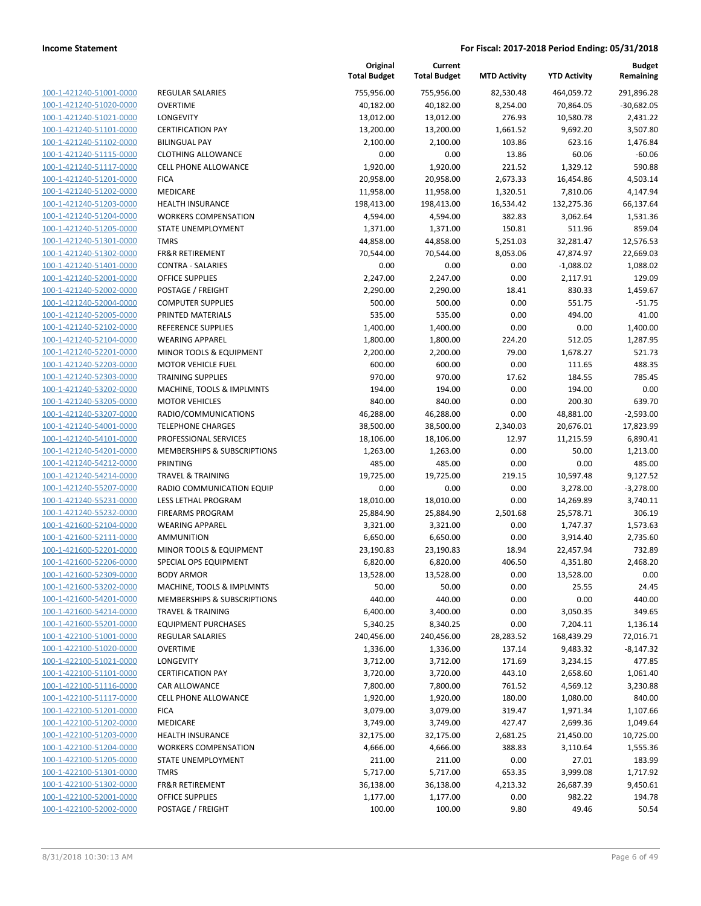| 100-1-421240-51001-0000        |
|--------------------------------|
| 100-1-421240-51020-0000        |
| 100-1-421240-51021-0000        |
| 100-1-421240-51101-0000        |
| <u>100-1-421240-51102-0000</u> |
| 100-1-421240-51115-0000        |
| 100-1-421240-51117-0000        |
| 100-1-421240-51201-0000        |
| 100-1-421240-51202-0000        |
| <u>100-1-421240-51203-0000</u> |
| 100-1-421240-51204-0000        |
| 100-1-421240-51205-0000        |
| 100-1-421240-51301-0000        |
| 100-1-421240-51302-0000        |
|                                |
| <u>100-1-421240-51401-0000</u> |
| 100-1-421240-52001-0000        |
| 100-1-421240-52002-0000        |
| 100-1-421240-52004-0000        |
| 100-1-421240-52005-0000        |
| <u>100-1-421240-52102-0000</u> |
| 100-1-421240-52104-0000        |
| 100-1-421240-52201-0000        |
| 100-1-421240-52203-0000        |
| 100-1-421240-52303-0000        |
| <u>100-1-421240-53202-0000</u> |
| 100-1-421240-53205-0000        |
| 100-1-421240-53207-0000        |
| 100-1-421240-54001-0000        |
| 100-1-421240-54101-0000        |
| <u>100-1-421240-54201-0000</u> |
| 100-1-421240-54212-0000        |
| 100-1-421240-54214-0000        |
|                                |
| 100-1-421240-55207-0000        |
| 100-1-421240-55231-0000        |
| <u>100-1-421240-55232-0000</u> |
| 100-1-421600-52104-0000        |
| 100-1-421600-52111-0000        |
| 100-1-421600-52201-0000        |
| 100-1-421600-52206-0000        |
| 100-1-421600-52309-0000        |
| 100-1-421600-53202-0000        |
| <u>100-1-421600-54201-0000</u> |
| 100-1-421600-54214-0000        |
| 100-1-421600-55201-0000        |
| 100-1-422100-51001-0000        |
| <u>100-1-422100-51020-0000</u> |
| 100-1-422100-51021-0000        |
| 100-1-422100-51101-0000        |
|                                |
| <u>100-1-422100-51116-0000</u> |
| <u>100-1-422100-51117-0000</u> |
| <u>100-1-422100-51201-0000</u> |
| 100-1-422100-51202-0000        |
| 100-1-422100-51203-0000        |
| <u>100-1-422100-51204-0000</u> |
| 100-1-422100-51205-0000        |
| <u>100-1-422100-51301-0000</u> |
| <u>100-1-422100-51302-0000</u> |
| 100-1-422100-52001-0000        |
| 100-1-422100-52002-0000        |
|                                |

|                                                    |                                               | Original<br><b>Total Budget</b> | Current<br><b>Total Budget</b> | <b>MTD Activity</b> | <b>YTD Activity</b>    | <b>Budget</b><br>Remaining |
|----------------------------------------------------|-----------------------------------------------|---------------------------------|--------------------------------|---------------------|------------------------|----------------------------|
| 100-1-421240-51001-0000                            | <b>REGULAR SALARIES</b>                       | 755,956.00                      | 755,956.00                     | 82,530.48           | 464,059.72             | 291,896.28                 |
| 100-1-421240-51020-0000                            | <b>OVERTIME</b>                               | 40,182.00                       | 40,182.00                      | 8,254.00            | 70,864.05              | $-30,682.05$               |
| 100-1-421240-51021-0000                            | <b>LONGEVITY</b>                              | 13,012.00                       | 13,012.00                      | 276.93              | 10,580.78              | 2,431.22                   |
| 100-1-421240-51101-0000                            | <b>CERTIFICATION PAY</b>                      | 13,200.00                       | 13,200.00                      | 1,661.52            | 9,692.20               | 3,507.80                   |
| 100-1-421240-51102-0000                            | <b>BILINGUAL PAY</b>                          | 2,100.00                        | 2,100.00                       | 103.86              | 623.16                 | 1,476.84                   |
| 100-1-421240-51115-0000                            | <b>CLOTHING ALLOWANCE</b>                     | 0.00                            | 0.00                           | 13.86               | 60.06                  | $-60.06$                   |
| 100-1-421240-51117-0000                            | <b>CELL PHONE ALLOWANCE</b>                   | 1,920.00                        | 1,920.00                       | 221.52              | 1,329.12               | 590.88                     |
| 100-1-421240-51201-0000                            | <b>FICA</b>                                   | 20,958.00                       | 20,958.00                      | 2,673.33            | 16,454.86              | 4,503.14                   |
| 100-1-421240-51202-0000                            | MEDICARE                                      | 11,958.00                       | 11,958.00                      | 1,320.51            | 7,810.06               | 4,147.94                   |
| 100-1-421240-51203-0000                            | <b>HEALTH INSURANCE</b>                       | 198,413.00                      | 198,413.00                     | 16,534.42           | 132,275.36             | 66,137.64                  |
| 100-1-421240-51204-0000                            | <b>WORKERS COMPENSATION</b>                   | 4,594.00                        | 4,594.00                       | 382.83              | 3,062.64               | 1,531.36                   |
| 100-1-421240-51205-0000                            | STATE UNEMPLOYMENT                            | 1,371.00                        | 1,371.00                       | 150.81              | 511.96                 | 859.04                     |
| 100-1-421240-51301-0000                            | <b>TMRS</b>                                   | 44,858.00                       | 44,858.00                      | 5,251.03            | 32,281.47              | 12,576.53                  |
| 100-1-421240-51302-0000                            | <b>FR&amp;R RETIREMENT</b>                    | 70,544.00                       | 70,544.00                      | 8,053.06            | 47,874.97              | 22,669.03                  |
| 100-1-421240-51401-0000                            | <b>CONTRA - SALARIES</b>                      | 0.00                            | 0.00                           | 0.00                | $-1,088.02$            | 1,088.02                   |
| 100-1-421240-52001-0000                            | OFFICE SUPPLIES                               | 2,247.00                        | 2,247.00                       | 0.00                | 2,117.91               | 129.09                     |
| 100-1-421240-52002-0000                            | POSTAGE / FREIGHT                             | 2,290.00                        | 2,290.00                       | 18.41               | 830.33                 | 1,459.67                   |
| 100-1-421240-52004-0000                            | <b>COMPUTER SUPPLIES</b>                      | 500.00                          | 500.00                         | 0.00                | 551.75                 | $-51.75$                   |
| 100-1-421240-52005-0000                            | PRINTED MATERIALS                             | 535.00                          | 535.00                         | 0.00                | 494.00                 | 41.00                      |
| 100-1-421240-52102-0000                            | REFERENCE SUPPLIES                            | 1,400.00                        | 1,400.00                       | 0.00                | 0.00                   | 1,400.00                   |
| 100-1-421240-52104-0000                            | <b>WEARING APPAREL</b>                        | 1,800.00                        | 1,800.00                       | 224.20              | 512.05                 | 1,287.95                   |
| 100-1-421240-52201-0000                            | MINOR TOOLS & EQUIPMENT                       | 2,200.00                        | 2,200.00                       | 79.00               | 1,678.27               | 521.73                     |
| 100-1-421240-52203-0000                            | <b>MOTOR VEHICLE FUEL</b>                     | 600.00                          | 600.00                         | 0.00                | 111.65                 | 488.35                     |
| 100-1-421240-52303-0000                            | <b>TRAINING SUPPLIES</b>                      | 970.00                          | 970.00                         | 17.62               | 184.55                 | 785.45                     |
| 100-1-421240-53202-0000                            | MACHINE, TOOLS & IMPLMNTS                     | 194.00                          | 194.00                         | 0.00                | 194.00                 | 0.00                       |
| 100-1-421240-53205-0000<br>100-1-421240-53207-0000 | <b>MOTOR VEHICLES</b><br>RADIO/COMMUNICATIONS | 840.00                          | 840.00                         | 0.00<br>0.00        | 200.30                 | 639.70<br>$-2,593.00$      |
| 100-1-421240-54001-0000                            | <b>TELEPHONE CHARGES</b>                      | 46,288.00<br>38,500.00          | 46,288.00<br>38,500.00         | 2,340.03            | 48,881.00<br>20,676.01 | 17,823.99                  |
| 100-1-421240-54101-0000                            | PROFESSIONAL SERVICES                         | 18,106.00                       | 18,106.00                      | 12.97               | 11,215.59              | 6,890.41                   |
| 100-1-421240-54201-0000                            | MEMBERSHIPS & SUBSCRIPTIONS                   | 1,263.00                        | 1,263.00                       | 0.00                | 50.00                  | 1,213.00                   |
| 100-1-421240-54212-0000                            | PRINTING                                      | 485.00                          | 485.00                         | 0.00                | 0.00                   | 485.00                     |
| 100-1-421240-54214-0000                            | <b>TRAVEL &amp; TRAINING</b>                  | 19,725.00                       | 19,725.00                      | 219.15              | 10,597.48              | 9,127.52                   |
| 100-1-421240-55207-0000                            | RADIO COMMUNICATION EQUIP                     | 0.00                            | 0.00                           | 0.00                | 3,278.00               | $-3,278.00$                |
| 100-1-421240-55231-0000                            | LESS LETHAL PROGRAM                           | 18,010.00                       | 18,010.00                      | 0.00                | 14,269.89              | 3,740.11                   |
| 100-1-421240-55232-0000                            | <b>FIREARMS PROGRAM</b>                       | 25,884.90                       | 25,884.90                      | 2,501.68            | 25,578.71              | 306.19                     |
| 100-1-421600-52104-0000                            | <b>WEARING APPAREL</b>                        | 3,321.00                        | 3,321.00                       | 0.00                | 1,747.37               | 1,573.63                   |
| 100-1-421600-52111-0000                            | AMMUNITION                                    | 6,650.00                        | 6,650.00                       | 0.00                | 3,914.40               | 2,735.60                   |
| 100-1-421600-52201-0000                            | MINOR TOOLS & EQUIPMENT                       | 23,190.83                       | 23,190.83                      | 18.94               | 22,457.94              | 732.89                     |
| 100-1-421600-52206-0000                            | SPECIAL OPS EQUIPMENT                         | 6,820.00                        | 6,820.00                       | 406.50              | 4,351.80               | 2,468.20                   |
| 100-1-421600-52309-0000                            | <b>BODY ARMOR</b>                             | 13,528.00                       | 13,528.00                      | 0.00                | 13,528.00              | 0.00                       |
| 100-1-421600-53202-0000                            | MACHINE, TOOLS & IMPLMNTS                     | 50.00                           | 50.00                          | 0.00                | 25.55                  | 24.45                      |
| 100-1-421600-54201-0000                            | MEMBERSHIPS & SUBSCRIPTIONS                   | 440.00                          | 440.00                         | 0.00                | 0.00                   | 440.00                     |
| 100-1-421600-54214-0000                            | <b>TRAVEL &amp; TRAINING</b>                  | 6,400.00                        | 3,400.00                       | 0.00                | 3,050.35               | 349.65                     |
| 100-1-421600-55201-0000                            | <b>EQUIPMENT PURCHASES</b>                    | 5,340.25                        | 8,340.25                       | 0.00                | 7,204.11               | 1,136.14                   |
| 100-1-422100-51001-0000                            | <b>REGULAR SALARIES</b>                       | 240,456.00                      | 240,456.00                     | 28,283.52           | 168,439.29             | 72,016.71                  |
| 100-1-422100-51020-0000                            | <b>OVERTIME</b>                               | 1,336.00                        | 1,336.00                       | 137.14              | 9,483.32               | $-8,147.32$                |
| 100-1-422100-51021-0000                            | LONGEVITY                                     | 3,712.00                        | 3,712.00                       | 171.69              | 3,234.15               | 477.85                     |
| 100-1-422100-51101-0000                            | <b>CERTIFICATION PAY</b>                      | 3,720.00                        | 3,720.00                       | 443.10              | 2,658.60               | 1,061.40                   |
| 100-1-422100-51116-0000                            | CAR ALLOWANCE                                 | 7,800.00                        | 7,800.00                       | 761.52              | 4,569.12               | 3,230.88                   |
| 100-1-422100-51117-0000                            | CELL PHONE ALLOWANCE                          | 1,920.00                        | 1,920.00                       | 180.00              | 1,080.00               | 840.00                     |
| 100-1-422100-51201-0000                            | <b>FICA</b>                                   | 3,079.00                        | 3,079.00                       | 319.47              | 1,971.34               | 1,107.66                   |
| 100-1-422100-51202-0000                            | MEDICARE                                      | 3,749.00                        | 3,749.00                       | 427.47              | 2,699.36               | 1,049.64                   |
| 100-1-422100-51203-0000                            | <b>HEALTH INSURANCE</b>                       | 32,175.00                       | 32,175.00                      | 2,681.25            | 21,450.00              | 10,725.00                  |
| 100-1-422100-51204-0000                            | <b>WORKERS COMPENSATION</b>                   | 4,666.00                        | 4,666.00                       | 388.83              | 3,110.64               | 1,555.36                   |
| 100-1-422100-51205-0000                            | STATE UNEMPLOYMENT                            | 211.00                          | 211.00                         | 0.00                | 27.01                  | 183.99                     |
| 100-1-422100-51301-0000                            | <b>TMRS</b>                                   | 5,717.00                        | 5,717.00                       | 653.35              | 3,999.08               | 1,717.92                   |
| 100-1-422100-51302-0000                            | FR&R RETIREMENT                               | 36,138.00                       | 36,138.00                      | 4,213.32            | 26,687.39              | 9,450.61                   |
| 100-1-422100-52001-0000                            | <b>OFFICE SUPPLIES</b>                        | 1,177.00                        | 1,177.00                       | 0.00                | 982.22                 | 194.78                     |
| 100-1-422100-52002-0000                            | POSTAGE / FREIGHT                             | 100.00                          | 100.00                         | 9.80                | 49.46                  | 50.54                      |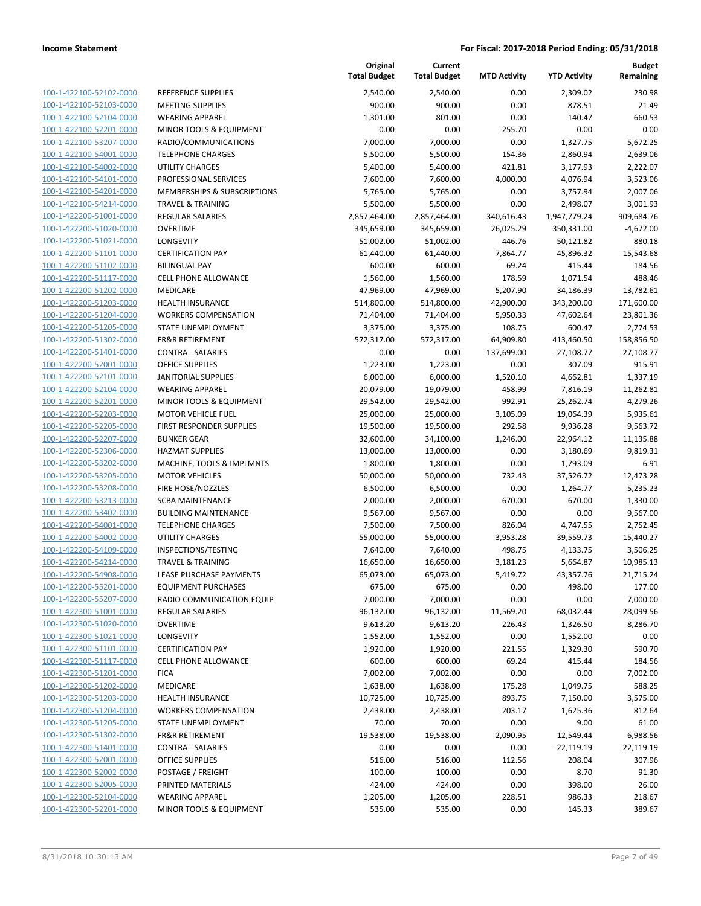| 100-1-422100-52102-0000        |
|--------------------------------|
| 100-1-422100-52103-0000        |
| 100-1-422100-52104-0000        |
| 100-1-422100-52201-0000        |
| 100-1-422100-53207-0000        |
| 100-1-422100-54001-0000        |
| 100-1-422100-54002-0000        |
| 100-1-422100-54101-0000        |
| 100-1-422100-54201-0000        |
| 100-1-422100-54214-0000        |
| 100-1-422200-51001-0000        |
| 100-1-422200-51020-0000        |
| 100-1-422200-51021-0000        |
| 100-1-422200-51101-0000        |
| 100-1-422200-51102-0000        |
| 100-1-422200-51117-0000        |
| 100-1-422200-51202-0000        |
| <u>100-1-422200-51203-0000</u> |
| 100-1-422200-51204-0000        |
| 100-1-422200-51205-0000        |
| 100-1-422200-51302-0000        |
| 100-1-422200-51401-0000        |
| 100-1-422200-52001-0000        |
| 100-1-422200-52101-0000        |
| 100-1-422200-52104-0000        |
| 100-1-422200-52201-0000        |
| 100-1-422200-52203-0000        |
| <u>100-1-422200-52205-0000</u> |
| 100-1-422200-52207-0000        |
| 100-1-422200-52306-0000        |
| 100-1-422200-53202-0000        |
| 100-1-422200-53205-0000        |
| 100-1-422200-53208-0000        |
| 100-1-422200-53213-0000        |
| 100-1-422200-53402-0000        |
| 100-1-422200-54001-0000        |
| 100-1-422200-54002-0000        |
|                                |
| 100-1-422200-54109-0000        |
| 100-1-422200-54214-0000        |
| 100-1-422200-54908-0000        |
| 100-1-422200-55201-0000        |
| 100-1-422200-55207-0000        |
| 100-1-422300-51001-0000        |
| <u>100-1-422300-51020-0000</u> |
| <u>100-1-422300-51021-0000</u> |
| 100-1-422300-51101-0000        |
| 100-1-422300-51117-0000        |
| <u>100-1-422300-51201-0000</u> |
| <u>100-1-422300-51202-0000</u> |
| <u>100-1-422300-51203-0000</u> |
| 100-1-422300-51204-0000        |
| 100-1-422300-51205-0000        |
| 100-1-422300-51302-0000        |
| <u>100-1-422300-51401-0000</u> |
| <u>100-1-422300-52001-0000</u> |
| <u>100-1-422300-52002-0000</u> |
| 100-1-422300-52005-0000        |
| <u>100-1-422300-52104-0000</u> |
| <u>100-1-422300-52201-0000</u> |
|                                |

| REFERENCE SUPPLIES                                   |
|------------------------------------------------------|
| <b>MEETING SUPPLIES</b>                              |
| <b>WEARING APPAREL</b>                               |
| <b>MINOR TOOLS &amp; EQUIPMENT</b>                   |
| RADIO/COMMUNICATIONS                                 |
| <b>TELEPHONE CHARGES</b>                             |
| UTILITY CHARGES                                      |
| PROFESSIONAL SERVICES                                |
| MEMBERSHIPS & SUBSCRIPTIONS                          |
| TRAVEL & TRAINING                                    |
| <b>REGULAR SALARIES</b>                              |
| <b>OVERTIME</b>                                      |
| LONGEVITY                                            |
| <b>CERTIFICATION PAY</b>                             |
| <b>BILINGUAL PAY</b>                                 |
| <b>CELL PHONE ALLOWANCE</b>                          |
| <b>MEDICARE</b>                                      |
| <b>HEALTH INSURANCE</b>                              |
| <b>WORKERS COMPENSATION</b>                          |
| STATE UNEMPLOYMENT                                   |
| <b>FR&amp;R RETIREMENT</b>                           |
| CONTRA - SALARIES                                    |
| <b>OFFICE SUPPLIES</b><br><b>JANITORIAL SUPPLIES</b> |
| <b>WEARING APPAREL</b>                               |
| <b>MINOR TOOLS &amp; EQUIPMENT</b>                   |
| <b>MOTOR VEHICLE FUEL</b>                            |
| FIRST RESPONDER SUPPLIES                             |
| <b>BUNKER GEAR</b>                                   |
| <b>HAZMAT SUPPLIES</b>                               |
| MACHINE, TOOLS & IMPLMNTS                            |
| <b>MOTOR VEHICLES</b>                                |
| FIRE HOSE/NOZZLES                                    |
| SCBA MAINTENANCE                                     |
| <b>BUILDING MAINTENANCE</b>                          |
| <b>TELEPHONE CHARGES</b>                             |
| <b>UTILITY CHARGES</b>                               |
| <b>INSPECTIONS/TESTING</b>                           |
| <b>TRAVEL &amp; TRAINING</b>                         |
| <b>LEASE PURCHASE PAYMENTS</b>                       |
| <b>EQUIPMENT PURCHASES</b>                           |
| RADIO COMMUNICATION EQUIP                            |
| <b>REGULAR SALARIES</b>                              |
| <b>OVERTIME</b>                                      |
| <b>LONGEVITY</b>                                     |
| <b>CERTIFICATION PAY</b>                             |
| <b>CELL PHONE ALLOWANCE</b>                          |
| <b>FICA</b>                                          |
| <b>MEDICARE</b>                                      |
| <b>HEALTH INSURANCE</b>                              |
| <b>WORKERS COMPENSATION</b>                          |
| <b>STATE UNEMPLOYMENT</b>                            |
| <b>FR&amp;R RETIREMENT</b>                           |
| <b>CONTRA - SALARIES</b><br><b>OFFICE SUPPLIES</b>   |
| POSTAGE / FREIGHT                                    |
| PRINTED MATERIALS                                    |
| <b>WEARING APPAREL</b>                               |
| MINOR TOOLS & EQUIPMENT                              |
|                                                      |

|                                                    |                                                        | Original<br><b>Total Budget</b> | Current<br><b>Total Budget</b> | <b>MTD Activity</b> | <b>YTD Activity</b> | <b>Budget</b><br>Remaining |
|----------------------------------------------------|--------------------------------------------------------|---------------------------------|--------------------------------|---------------------|---------------------|----------------------------|
| 100-1-422100-52102-0000                            | <b>REFERENCE SUPPLIES</b>                              | 2,540.00                        | 2,540.00                       | 0.00                | 2,309.02            | 230.98                     |
| 100-1-422100-52103-0000                            | <b>MEETING SUPPLIES</b>                                | 900.00                          | 900.00                         | 0.00                | 878.51              | 21.49                      |
| 100-1-422100-52104-0000                            | <b>WEARING APPAREL</b>                                 | 1,301.00                        | 801.00                         | 0.00                | 140.47              | 660.53                     |
| 100-1-422100-52201-0000                            | <b>MINOR TOOLS &amp; EQUIPMENT</b>                     | 0.00                            | 0.00                           | $-255.70$           | 0.00                | 0.00                       |
| 100-1-422100-53207-0000                            | RADIO/COMMUNICATIONS                                   | 7,000.00                        | 7,000.00                       | 0.00                | 1,327.75            | 5,672.25                   |
| 100-1-422100-54001-0000                            | <b>TELEPHONE CHARGES</b>                               | 5,500.00                        | 5,500.00                       | 154.36              | 2,860.94            | 2,639.06                   |
| 100-1-422100-54002-0000                            | <b>UTILITY CHARGES</b>                                 | 5,400.00                        | 5,400.00                       | 421.81              | 3,177.93            | 2,222.07                   |
| 100-1-422100-54101-0000                            | PROFESSIONAL SERVICES                                  | 7,600.00                        | 7,600.00                       | 4,000.00            | 4,076.94            | 3,523.06                   |
| 100-1-422100-54201-0000                            | MEMBERSHIPS & SUBSCRIPTIONS                            | 5,765.00                        | 5,765.00                       | 0.00                | 3,757.94            | 2,007.06                   |
| 100-1-422100-54214-0000                            | <b>TRAVEL &amp; TRAINING</b>                           | 5,500.00                        | 5,500.00                       | 0.00                | 2,498.07            | 3,001.93                   |
| 100-1-422200-51001-0000                            | <b>REGULAR SALARIES</b>                                | 2,857,464.00                    | 2,857,464.00                   | 340,616.43          | 1,947,779.24        | 909,684.76                 |
| 100-1-422200-51020-0000                            | <b>OVERTIME</b>                                        | 345,659.00                      | 345,659.00                     | 26,025.29           | 350,331.00          | $-4,672.00$                |
| 100-1-422200-51021-0000                            | LONGEVITY                                              | 51,002.00                       | 51,002.00                      | 446.76              | 50,121.82           | 880.18                     |
| 100-1-422200-51101-0000                            | <b>CERTIFICATION PAY</b>                               | 61,440.00                       | 61,440.00                      | 7,864.77            | 45,896.32           | 15,543.68                  |
| 100-1-422200-51102-0000                            | <b>BILINGUAL PAY</b>                                   | 600.00                          | 600.00                         | 69.24               | 415.44              | 184.56                     |
| 100-1-422200-51117-0000                            | <b>CELL PHONE ALLOWANCE</b>                            | 1,560.00                        | 1,560.00                       | 178.59              | 1,071.54            | 488.46                     |
| 100-1-422200-51202-0000                            | MEDICARE                                               | 47,969.00                       | 47,969.00                      | 5,207.90            | 34,186.39           | 13,782.61                  |
| 100-1-422200-51203-0000                            | <b>HEALTH INSURANCE</b>                                | 514,800.00                      | 514,800.00                     | 42,900.00           | 343,200.00          | 171,600.00                 |
| 100-1-422200-51204-0000                            | <b>WORKERS COMPENSATION</b>                            | 71,404.00                       | 71,404.00                      | 5,950.33            | 47,602.64           | 23,801.36                  |
| 100-1-422200-51205-0000                            | STATE UNEMPLOYMENT                                     | 3,375.00                        | 3,375.00                       | 108.75              | 600.47              | 2,774.53                   |
| 100-1-422200-51302-0000                            | <b>FR&amp;R RETIREMENT</b>                             | 572,317.00                      | 572,317.00                     | 64,909.80           | 413,460.50          | 158,856.50                 |
| 100-1-422200-51401-0000                            | <b>CONTRA - SALARIES</b>                               | 0.00                            | 0.00                           | 137,699.00          | $-27,108.77$        | 27,108.77                  |
| 100-1-422200-52001-0000                            | <b>OFFICE SUPPLIES</b>                                 | 1,223.00                        | 1,223.00                       | 0.00                | 307.09              | 915.91                     |
| 100-1-422200-52101-0000                            | <b>JANITORIAL SUPPLIES</b>                             | 6,000.00                        | 6,000.00                       | 1,520.10            | 4,662.81            | 1,337.19                   |
| 100-1-422200-52104-0000                            | <b>WEARING APPAREL</b>                                 | 20,079.00                       | 19,079.00                      | 458.99              | 7,816.19            | 11,262.81                  |
| 100-1-422200-52201-0000                            | MINOR TOOLS & EQUIPMENT                                | 29,542.00                       | 29,542.00                      | 992.91              | 25,262.74           | 4,279.26                   |
| 100-1-422200-52203-0000                            | <b>MOTOR VEHICLE FUEL</b>                              | 25,000.00                       | 25,000.00                      | 3,105.09            | 19,064.39           | 5,935.61                   |
| 100-1-422200-52205-0000                            | FIRST RESPONDER SUPPLIES                               | 19,500.00                       | 19,500.00                      | 292.58              | 9,936.28            | 9,563.72                   |
| 100-1-422200-52207-0000                            | <b>BUNKER GEAR</b>                                     | 32,600.00                       | 34,100.00                      | 1,246.00            | 22,964.12           | 11,135.88                  |
| 100-1-422200-52306-0000                            | <b>HAZMAT SUPPLIES</b>                                 | 13,000.00                       | 13,000.00                      | 0.00                | 3,180.69            | 9,819.31                   |
| 100-1-422200-53202-0000                            | MACHINE, TOOLS & IMPLMNTS                              | 1,800.00                        | 1,800.00                       | 0.00                | 1,793.09            | 6.91                       |
| 100-1-422200-53205-0000                            | <b>MOTOR VEHICLES</b>                                  | 50,000.00                       | 50,000.00                      | 732.43              | 37,526.72           | 12,473.28                  |
| 100-1-422200-53208-0000                            | FIRE HOSE/NOZZLES                                      | 6,500.00                        | 6,500.00                       | 0.00                | 1,264.77            | 5,235.23                   |
| 100-1-422200-53213-0000<br>100-1-422200-53402-0000 | <b>SCBA MAINTENANCE</b><br><b>BUILDING MAINTENANCE</b> | 2,000.00<br>9,567.00            | 2,000.00<br>9,567.00           | 670.00<br>0.00      | 670.00<br>0.00      | 1,330.00<br>9,567.00       |
| 100-1-422200-54001-0000                            | <b>TELEPHONE CHARGES</b>                               | 7,500.00                        | 7,500.00                       | 826.04              | 4,747.55            | 2,752.45                   |
| 100-1-422200-54002-0000                            | <b>UTILITY CHARGES</b>                                 | 55,000.00                       | 55,000.00                      | 3,953.28            | 39,559.73           | 15,440.27                  |
| 100-1-422200-54109-0000                            | INSPECTIONS/TESTING                                    | 7,640.00                        | 7,640.00                       | 498.75              | 4,133.75            | 3,506.25                   |
| 100-1-422200-54214-0000                            | <b>TRAVEL &amp; TRAINING</b>                           | 16,650.00                       | 16,650.00                      | 3,181.23            | 5,664.87            | 10,985.13                  |
| 100-1-422200-54908-0000                            | LEASE PURCHASE PAYMENTS                                | 65,073.00                       | 65,073.00                      | 5,419.72            | 43,357.76           | 21,715.24                  |
| 100-1-422200-55201-0000                            | <b>EQUIPMENT PURCHASES</b>                             | 675.00                          | 675.00                         | 0.00                | 498.00              | 177.00                     |
| 100-1-422200-55207-0000                            | RADIO COMMUNICATION EQUIP                              | 7,000.00                        | 7,000.00                       | 0.00                | 0.00                | 7,000.00                   |
| 100-1-422300-51001-0000                            | REGULAR SALARIES                                       | 96,132.00                       | 96,132.00                      | 11,569.20           | 68,032.44           | 28,099.56                  |
| 100-1-422300-51020-0000                            | <b>OVERTIME</b>                                        | 9,613.20                        | 9,613.20                       | 226.43              | 1,326.50            | 8,286.70                   |
| 100-1-422300-51021-0000                            | <b>LONGEVITY</b>                                       | 1,552.00                        | 1,552.00                       | 0.00                | 1,552.00            | 0.00                       |
| 100-1-422300-51101-0000                            | <b>CERTIFICATION PAY</b>                               | 1,920.00                        | 1,920.00                       | 221.55              | 1,329.30            | 590.70                     |
| 100-1-422300-51117-0000                            | <b>CELL PHONE ALLOWANCE</b>                            | 600.00                          | 600.00                         | 69.24               | 415.44              | 184.56                     |
| 100-1-422300-51201-0000                            | <b>FICA</b>                                            | 7,002.00                        | 7,002.00                       | 0.00                | 0.00                | 7,002.00                   |
| 100-1-422300-51202-0000                            | MEDICARE                                               | 1,638.00                        | 1,638.00                       | 175.28              | 1,049.75            | 588.25                     |
| 100-1-422300-51203-0000                            | <b>HEALTH INSURANCE</b>                                | 10,725.00                       | 10,725.00                      | 893.75              | 7,150.00            | 3,575.00                   |
| 100-1-422300-51204-0000                            | <b>WORKERS COMPENSATION</b>                            | 2,438.00                        | 2,438.00                       | 203.17              | 1,625.36            | 812.64                     |
| 100-1-422300-51205-0000                            | STATE UNEMPLOYMENT                                     | 70.00                           | 70.00                          | 0.00                | 9.00                | 61.00                      |
| 100-1-422300-51302-0000                            | <b>FR&amp;R RETIREMENT</b>                             | 19,538.00                       | 19,538.00                      | 2,090.95            | 12,549.44           | 6,988.56                   |
| 100-1-422300-51401-0000                            | <b>CONTRA - SALARIES</b>                               | 0.00                            | 0.00                           | 0.00                | $-22,119.19$        | 22,119.19                  |
| 100-1-422300-52001-0000                            | <b>OFFICE SUPPLIES</b>                                 | 516.00                          | 516.00                         | 112.56              | 208.04              | 307.96                     |
| 100-1-422300-52002-0000                            | POSTAGE / FREIGHT                                      | 100.00                          | 100.00                         | 0.00                | 8.70                | 91.30                      |
| 100-1-422300-52005-0000<br>100-1-422300-52104-0000 | PRINTED MATERIALS                                      | 424.00                          | 424.00                         | 0.00                | 398.00              | 26.00                      |
| 100-1-422300-52201-0000                            | <b>WEARING APPAREL</b><br>MINOR TOOLS & EQUIPMENT      | 1,205.00                        | 1,205.00                       | 228.51              | 986.33              | 218.67<br>389.67           |
|                                                    |                                                        | 535.00                          | 535.00                         | 0.00                | 145.33              |                            |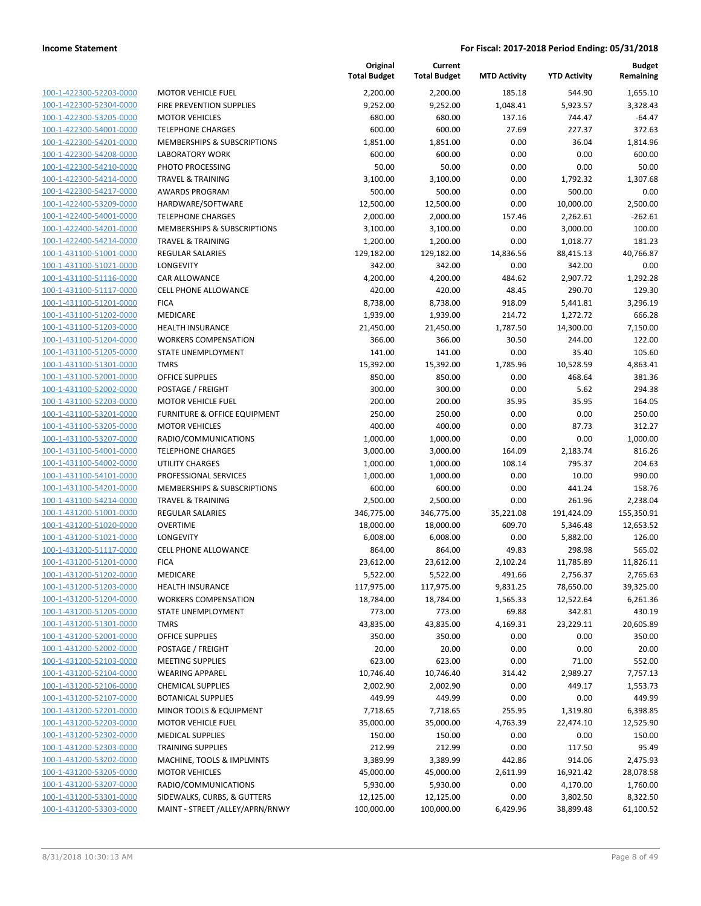| 100-1-422300-52203-0000        |
|--------------------------------|
| 100-1-422300-52304-0000        |
| 100-1-422300-53205-0000        |
| 100-1-422300-54001-0000        |
| 100-1-422300-54201-0000        |
| 100-1-422300-54208-0000        |
| 100-1-422300-54210-0000        |
| 100-1-422300-54214-0000        |
| 100-1-422300-54217-0000        |
| 100-1-422400-53209-0000        |
| 100-1-422400-54001-0000        |
| 100-1-422400-54201-0000        |
| 100-1-422400-54214-0000        |
| 100-1-431100-51001-0000        |
|                                |
| 100-1-431100-51021-0000        |
| 100-1-431100-51116-0000        |
| 100-1-431100-51117-0000        |
| 100-1-431100-51201-0000        |
| 100-1-431100-51202-0000        |
| 100-1-431100-51203-0000        |
| 100-1-431100-51204-0000        |
| 100-1-431100-51205-0000        |
| 100-1-431100-51301-0000        |
| 100-1-431100-52001-0000        |
| 100-1-431100-52002-0000        |
| 100-1-431100-52203-0000        |
| 100-1-431100-53201-0000        |
| 100-1-431100-53205-0000        |
| 100-1-431100-53207-0000        |
| 100-1-431100-54001-0000        |
| 100-1-431100-54002-0000        |
| 100-1-431100-54101-0000        |
| 100-1-431100-54201-0000        |
| 100-1-431100-54214-0000        |
| 100-1-431200-51001-0000        |
| 100-1-431200-51020-0000        |
|                                |
| 100-1-431200-51021-0000        |
| 100-1-431200-51117-0000        |
| 100-1-431200-51201-0000        |
| 100-1-431200-51202-0000        |
| 100-1-431200-51203-0000        |
| 100-1-431200-51204-0000        |
| <u>100-1-431200-51205-0000</u> |
| <u>100-1-431200-51301-0000</u> |
| 100-1-431200-52001-0000        |
| 100-1-431200-52002-0000        |
| 100-1-431200-52103-0000        |
| <u>100-1-431200-52104-0000</u> |
| <u>100-1-431200-52106-0000</u> |
| 100-1-431200-52107-0000        |
| 100-1-431200-52201-0000        |
| 100-1-431200-52203-0000        |
| <u>100-1-431200-52302-0000</u> |
| <u>100-1-431200-52303-0000</u> |
| <u>100-1-431200-53202-0000</u> |
| 100-1-431200-53205-0000        |
| 100-1-431200-53207-0000        |
| <u>100-1-431200-53301-0000</u> |
| 100-1-431200-53303-0000        |
|                                |

|                         |                                 | Original<br><b>Total Budget</b> | Current<br><b>Total Budget</b> | <b>MTD Activity</b> | <b>YTD Activity</b> | <b>Budget</b><br>Remaining |
|-------------------------|---------------------------------|---------------------------------|--------------------------------|---------------------|---------------------|----------------------------|
| 100-1-422300-52203-0000 | <b>MOTOR VEHICLE FUEL</b>       | 2,200.00                        | 2,200.00                       | 185.18              | 544.90              | 1,655.10                   |
| 100-1-422300-52304-0000 | FIRE PREVENTION SUPPLIES        | 9,252.00                        | 9,252.00                       | 1,048.41            | 5,923.57            | 3,328.43                   |
| 100-1-422300-53205-0000 | <b>MOTOR VEHICLES</b>           | 680.00                          | 680.00                         | 137.16              | 744.47              | $-64.47$                   |
| 100-1-422300-54001-0000 | <b>TELEPHONE CHARGES</b>        | 600.00                          | 600.00                         | 27.69               | 227.37              | 372.63                     |
| 100-1-422300-54201-0000 | MEMBERSHIPS & SUBSCRIPTIONS     | 1,851.00                        | 1,851.00                       | 0.00                | 36.04               | 1,814.96                   |
| 100-1-422300-54208-0000 | <b>LABORATORY WORK</b>          | 600.00                          | 600.00                         | 0.00                | 0.00                | 600.00                     |
| 100-1-422300-54210-0000 | PHOTO PROCESSING                | 50.00                           | 50.00                          | 0.00                | 0.00                | 50.00                      |
| 100-1-422300-54214-0000 | <b>TRAVEL &amp; TRAINING</b>    | 3,100.00                        | 3,100.00                       | 0.00                | 1,792.32            | 1,307.68                   |
| 100-1-422300-54217-0000 | <b>AWARDS PROGRAM</b>           | 500.00                          | 500.00                         | 0.00                | 500.00              | 0.00                       |
| 100-1-422400-53209-0000 | HARDWARE/SOFTWARE               | 12,500.00                       | 12,500.00                      | 0.00                | 10,000.00           | 2,500.00                   |
| 100-1-422400-54001-0000 | <b>TELEPHONE CHARGES</b>        | 2,000.00                        | 2,000.00                       | 157.46              | 2,262.61            | $-262.61$                  |
| 100-1-422400-54201-0000 | MEMBERSHIPS & SUBSCRIPTIONS     | 3,100.00                        | 3,100.00                       | 0.00                | 3,000.00            | 100.00                     |
| 100-1-422400-54214-0000 | <b>TRAVEL &amp; TRAINING</b>    | 1,200.00                        | 1,200.00                       | 0.00                | 1,018.77            | 181.23                     |
| 100-1-431100-51001-0000 | <b>REGULAR SALARIES</b>         | 129,182.00                      | 129,182.00                     | 14,836.56           | 88,415.13           | 40,766.87                  |
| 100-1-431100-51021-0000 | LONGEVITY                       | 342.00                          | 342.00                         | 0.00                | 342.00              | 0.00                       |
| 100-1-431100-51116-0000 | <b>CAR ALLOWANCE</b>            | 4,200.00                        | 4,200.00                       | 484.62              | 2,907.72            | 1,292.28                   |
| 100-1-431100-51117-0000 | <b>CELL PHONE ALLOWANCE</b>     | 420.00                          | 420.00                         | 48.45               | 290.70              | 129.30                     |
| 100-1-431100-51201-0000 | <b>FICA</b>                     | 8,738.00                        | 8,738.00                       | 918.09              | 5,441.81            | 3,296.19                   |
| 100-1-431100-51202-0000 | MEDICARE                        | 1,939.00                        | 1,939.00                       | 214.72              | 1,272.72            | 666.28                     |
| 100-1-431100-51203-0000 | <b>HEALTH INSURANCE</b>         | 21,450.00                       | 21,450.00                      | 1,787.50            | 14,300.00           | 7,150.00                   |
| 100-1-431100-51204-0000 | <b>WORKERS COMPENSATION</b>     | 366.00                          | 366.00                         | 30.50               | 244.00              | 122.00                     |
| 100-1-431100-51205-0000 | STATE UNEMPLOYMENT              | 141.00                          | 141.00                         | 0.00                | 35.40               | 105.60                     |
| 100-1-431100-51301-0000 | <b>TMRS</b>                     | 15,392.00                       | 15,392.00                      | 1,785.96            | 10,528.59           | 4,863.41                   |
| 100-1-431100-52001-0000 | <b>OFFICE SUPPLIES</b>          | 850.00                          | 850.00                         | 0.00                | 468.64              | 381.36                     |
| 100-1-431100-52002-0000 | POSTAGE / FREIGHT               | 300.00                          | 300.00                         | 0.00                | 5.62                | 294.38                     |
| 100-1-431100-52203-0000 | <b>MOTOR VEHICLE FUEL</b>       | 200.00                          | 200.00                         | 35.95               | 35.95               | 164.05                     |
| 100-1-431100-53201-0000 | FURNITURE & OFFICE EQUIPMENT    | 250.00                          | 250.00                         | 0.00                | 0.00                | 250.00                     |
| 100-1-431100-53205-0000 | <b>MOTOR VEHICLES</b>           | 400.00                          | 400.00                         | 0.00                | 87.73               | 312.27                     |
| 100-1-431100-53207-0000 | RADIO/COMMUNICATIONS            | 1,000.00                        | 1,000.00                       | 0.00                | 0.00                | 1,000.00                   |
| 100-1-431100-54001-0000 | <b>TELEPHONE CHARGES</b>        | 3,000.00                        | 3,000.00                       | 164.09              | 2,183.74            | 816.26                     |
| 100-1-431100-54002-0000 | <b>UTILITY CHARGES</b>          | 1,000.00                        | 1,000.00                       | 108.14              | 795.37              | 204.63                     |
| 100-1-431100-54101-0000 | PROFESSIONAL SERVICES           | 1,000.00                        | 1,000.00                       | 0.00                | 10.00               | 990.00                     |
| 100-1-431100-54201-0000 | MEMBERSHIPS & SUBSCRIPTIONS     | 600.00                          | 600.00                         | 0.00                | 441.24              | 158.76                     |
| 100-1-431100-54214-0000 | <b>TRAVEL &amp; TRAINING</b>    | 2,500.00                        | 2,500.00                       | 0.00                | 261.96              | 2,238.04                   |
| 100-1-431200-51001-0000 | REGULAR SALARIES                | 346,775.00                      | 346,775.00                     | 35,221.08           | 191,424.09          | 155,350.91                 |
| 100-1-431200-51020-0000 | <b>OVERTIME</b>                 | 18,000.00                       | 18,000.00                      | 609.70              | 5,346.48            | 12,653.52                  |
| 100-1-431200-51021-0000 | LONGEVITY                       | 6,008.00                        | 6,008.00                       | 0.00                | 5,882.00            | 126.00                     |
| 100-1-431200-51117-0000 | CELL PHONE ALLOWANCE            | 864.00                          | 864.00                         | 49.83               | 298.98              | 565.02                     |
| 100-1-431200-51201-0000 | <b>FICA</b>                     | 23,612.00                       | 23,612.00                      | 2,102.24            | 11,785.89           | 11,826.11                  |
| 100-1-431200-51202-0000 | <b>MEDICARE</b>                 | 5,522.00                        | 5,522.00                       | 491.66              | 2,756.37            | 2,765.63                   |
| 100-1-431200-51203-0000 | <b>HEALTH INSURANCE</b>         | 117,975.00                      | 117,975.00                     | 9,831.25            | 78,650.00           | 39,325.00                  |
| 100-1-431200-51204-0000 | <b>WORKERS COMPENSATION</b>     | 18,784.00                       | 18,784.00                      | 1,565.33            | 12,522.64           | 6,261.36                   |
| 100-1-431200-51205-0000 | STATE UNEMPLOYMENT              | 773.00                          | 773.00                         | 69.88               | 342.81              | 430.19                     |
| 100-1-431200-51301-0000 | <b>TMRS</b>                     | 43,835.00                       | 43,835.00                      | 4,169.31            | 23,229.11           | 20,605.89                  |
| 100-1-431200-52001-0000 | OFFICE SUPPLIES                 | 350.00                          | 350.00                         | 0.00                | 0.00                | 350.00                     |
| 100-1-431200-52002-0000 | POSTAGE / FREIGHT               | 20.00                           | 20.00                          | 0.00                | 0.00                | 20.00                      |
| 100-1-431200-52103-0000 | <b>MEETING SUPPLIES</b>         | 623.00                          | 623.00                         | 0.00                | 71.00               | 552.00                     |
| 100-1-431200-52104-0000 | <b>WEARING APPAREL</b>          | 10,746.40                       | 10,746.40                      | 314.42              | 2,989.27            | 7,757.13                   |
| 100-1-431200-52106-0000 | <b>CHEMICAL SUPPLIES</b>        | 2,002.90                        | 2,002.90                       | 0.00                | 449.17              | 1,553.73                   |
| 100-1-431200-52107-0000 | <b>BOTANICAL SUPPLIES</b>       | 449.99                          | 449.99                         | 0.00                | 0.00                | 449.99                     |
| 100-1-431200-52201-0000 | MINOR TOOLS & EQUIPMENT         | 7,718.65                        | 7,718.65                       | 255.95              | 1,319.80            | 6,398.85                   |
| 100-1-431200-52203-0000 | <b>MOTOR VEHICLE FUEL</b>       | 35,000.00                       | 35,000.00                      | 4,763.39            | 22,474.10           | 12,525.90                  |
| 100-1-431200-52302-0000 | <b>MEDICAL SUPPLIES</b>         | 150.00                          | 150.00                         | 0.00                | 0.00                | 150.00                     |
| 100-1-431200-52303-0000 | <b>TRAINING SUPPLIES</b>        | 212.99                          | 212.99                         | 0.00                | 117.50              | 95.49                      |
| 100-1-431200-53202-0000 | MACHINE, TOOLS & IMPLMNTS       | 3,389.99                        | 3,389.99                       | 442.86              | 914.06              | 2,475.93                   |
| 100-1-431200-53205-0000 | <b>MOTOR VEHICLES</b>           | 45,000.00                       | 45,000.00                      | 2,611.99            | 16,921.42           | 28,078.58                  |
| 100-1-431200-53207-0000 | RADIO/COMMUNICATIONS            | 5,930.00                        | 5,930.00                       | 0.00                | 4,170.00            | 1,760.00                   |
| 100-1-431200-53301-0000 | SIDEWALKS, CURBS, & GUTTERS     | 12,125.00                       | 12,125.00                      | 0.00                | 3,802.50            | 8,322.50                   |
| 100-1-431200-53303-0000 | MAINT - STREET /ALLEY/APRN/RNWY | 100,000.00                      | 100,000.00                     | 6,429.96            | 38,899.48           | 61,100.52                  |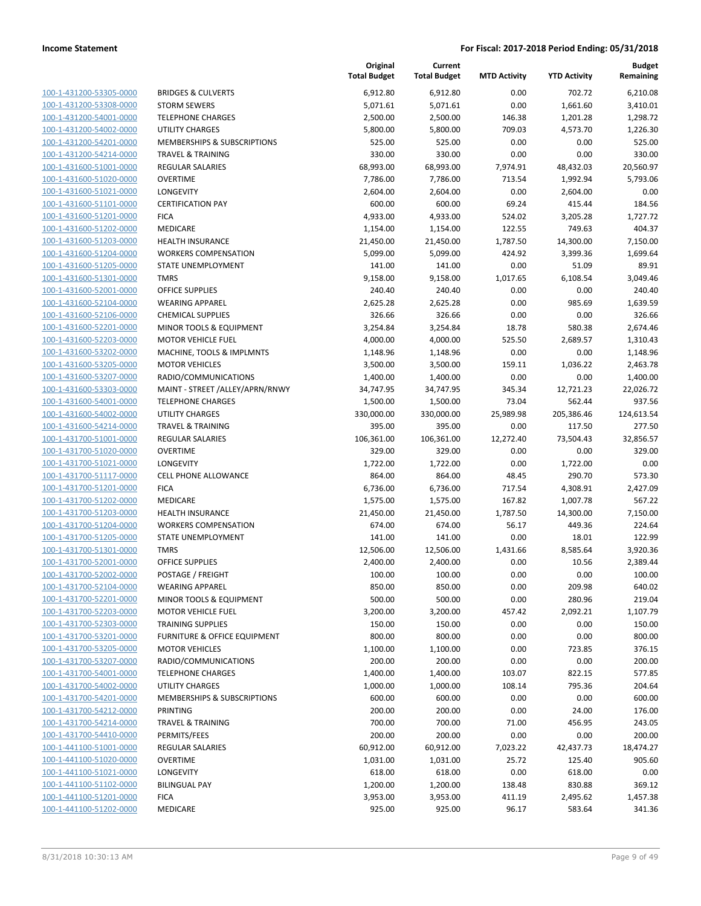| 100-1-431200-53305-0000        |
|--------------------------------|
| 100-1-431200-53308-0000        |
| 100-1-431200-54001-0000        |
| <u>100-1-431200-54002-0000</u> |
| <u>100-1-431200-54201-0000</u> |
| 100-1-431200-54214-0000        |
| 100-1-431600-51001-0000        |
| 100-1-431600-51020-0000        |
| <u>100-1-431600-51021-0000</u> |
| 100-1-431600-51101-0000        |
| 100-1-431600-51201-0000        |
| 100-1-431600-51202-0000        |
| 100-1-431600-51203-0000        |
| <u>100-1-431600-51204-0000</u> |
| 100-1-431600-51205-0000        |
| 100-1-431600-51301-0000        |
| 100-1-431600-52001-0000        |
| 100-1-431600-52104-0000        |
| <u>100-1-431600-52106-0000</u> |
| 100-1-431600-52201-0000        |
| 100-1-431600-52203-0000        |
| 100-1-431600-53202-0000        |
| <u>100-1-431600-53205-0000</u> |
| <u>100-1-431600-53207-0000</u> |
| <u>100-1-431600-53303-0000</u> |
| 100-1-431600-54001-0000        |
| 100-1-431600-54002-0000        |
| <u>100-1-431600-54214-0000</u> |
| <u>100-1-431700-51001-0000</u> |
| 100-1-431700-51020-0000        |
| 100-1-431700-51021-0000        |
| 100-1-431700-51117-0000        |
| 100-1-431700-51201-0000        |
| <u>100-1-431700-51202-0000</u> |
| 100-1-431700-51203-0000        |
| 100-1-431700-51204-0000        |
| 100-1-431700-51205-0000        |
| 100-1-431700-51301-0000        |
| <u>100-1-431700-52001-0000</u> |
| <u>100-1-431700-52002-0000</u> |
| 100-1-431700-52104-0000        |
| 100-1-431700-52201-0000        |
| 100-1-431700-52203-0000        |
| 100-1-431700-52303-0000        |
| 100-1-431700-53201-0000        |
| 100-1-431700-53205-0000        |
| 100-1-431700-53207-0000        |
| 100-1-431700-54001-0000        |
| <u>100-1-431700-54002-0000</u> |
| 100-1-431700-54201-0000        |
| 100-1-431700-54212-0000        |
| 100-1-431700-54214-0000        |
| 100-1-431700-54410-0000        |
| <u>100-1-441100-51001-0000</u> |
| <u>100-1-441100-51020-0000</u> |
| <u>100-1-441100-51021-0000</u> |
| 100-1-441100-51102-0000        |
| 100-1-441100-51201-0000        |
| <u>100-1-441100-51202-0000</u> |
|                                |

|                                                    |                                                        | Original<br><b>Total Budget</b> | Current<br><b>Total Budget</b> | <b>MTD Activity</b> | <b>YTD Activity</b> | <b>Budget</b><br>Remaining |
|----------------------------------------------------|--------------------------------------------------------|---------------------------------|--------------------------------|---------------------|---------------------|----------------------------|
| 100-1-431200-53305-0000                            | <b>BRIDGES &amp; CULVERTS</b>                          | 6,912.80                        | 6,912.80                       | 0.00                | 702.72              | 6,210.08                   |
| 100-1-431200-53308-0000                            | <b>STORM SEWERS</b>                                    | 5,071.61                        | 5,071.61                       | 0.00                | 1,661.60            | 3,410.01                   |
| 100-1-431200-54001-0000                            | <b>TELEPHONE CHARGES</b>                               | 2,500.00                        | 2,500.00                       | 146.38              | 1,201.28            | 1,298.72                   |
| 100-1-431200-54002-0000                            | <b>UTILITY CHARGES</b>                                 | 5,800.00                        | 5,800.00                       | 709.03              | 4,573.70            | 1,226.30                   |
| 100-1-431200-54201-0000                            | MEMBERSHIPS & SUBSCRIPTIONS                            | 525.00                          | 525.00                         | 0.00                | 0.00                | 525.00                     |
| 100-1-431200-54214-0000                            | <b>TRAVEL &amp; TRAINING</b>                           | 330.00                          | 330.00                         | 0.00                | 0.00                | 330.00                     |
| 100-1-431600-51001-0000                            | <b>REGULAR SALARIES</b>                                | 68,993.00                       | 68,993.00                      | 7,974.91            | 48,432.03           | 20,560.97                  |
| 100-1-431600-51020-0000                            | <b>OVERTIME</b>                                        | 7,786.00                        | 7,786.00                       | 713.54              | 1,992.94            | 5,793.06                   |
| 100-1-431600-51021-0000                            | LONGEVITY                                              | 2,604.00                        | 2,604.00                       | 0.00                | 2,604.00            | 0.00                       |
| 100-1-431600-51101-0000                            | <b>CERTIFICATION PAY</b>                               | 600.00                          | 600.00                         | 69.24               | 415.44              | 184.56                     |
| 100-1-431600-51201-0000                            | <b>FICA</b>                                            | 4,933.00                        | 4,933.00                       | 524.02              | 3,205.28            | 1,727.72                   |
| 100-1-431600-51202-0000                            | MEDICARE                                               | 1,154.00                        | 1,154.00                       | 122.55              | 749.63              | 404.37                     |
| 100-1-431600-51203-0000                            | <b>HEALTH INSURANCE</b>                                | 21,450.00                       | 21,450.00                      | 1,787.50            | 14,300.00           | 7,150.00                   |
| 100-1-431600-51204-0000                            | <b>WORKERS COMPENSATION</b>                            | 5,099.00                        | 5,099.00                       | 424.92              | 3,399.36            | 1,699.64                   |
| 100-1-431600-51205-0000                            | STATE UNEMPLOYMENT                                     | 141.00                          | 141.00                         | 0.00                | 51.09               | 89.91                      |
| 100-1-431600-51301-0000                            | <b>TMRS</b>                                            | 9,158.00                        | 9,158.00                       | 1,017.65            | 6,108.54            | 3,049.46                   |
| 100-1-431600-52001-0000                            | <b>OFFICE SUPPLIES</b>                                 | 240.40                          | 240.40                         | 0.00                | 0.00                | 240.40                     |
| 100-1-431600-52104-0000                            | <b>WEARING APPAREL</b>                                 | 2,625.28                        | 2,625.28                       | 0.00                | 985.69              | 1,639.59                   |
| 100-1-431600-52106-0000                            | <b>CHEMICAL SUPPLIES</b>                               | 326.66                          | 326.66                         | 0.00                | 0.00                | 326.66                     |
| 100-1-431600-52201-0000                            | MINOR TOOLS & EQUIPMENT                                | 3,254.84                        | 3,254.84                       | 18.78               | 580.38              | 2,674.46                   |
| 100-1-431600-52203-0000                            | <b>MOTOR VEHICLE FUEL</b>                              | 4,000.00                        | 4,000.00                       | 525.50              | 2,689.57            | 1,310.43                   |
| 100-1-431600-53202-0000                            | MACHINE, TOOLS & IMPLMNTS                              | 1,148.96                        | 1,148.96                       | 0.00                | 0.00                | 1,148.96                   |
| 100-1-431600-53205-0000                            | <b>MOTOR VEHICLES</b>                                  | 3,500.00                        | 3,500.00                       | 159.11              | 1,036.22            | 2,463.78                   |
| 100-1-431600-53207-0000                            | RADIO/COMMUNICATIONS                                   | 1,400.00                        | 1,400.00                       | 0.00                | 0.00                | 1,400.00                   |
| 100-1-431600-53303-0000                            | MAINT - STREET / ALLEY/APRN/RNWY                       | 34,747.95                       | 34,747.95                      | 345.34              | 12,721.23           | 22,026.72                  |
| 100-1-431600-54001-0000                            | <b>TELEPHONE CHARGES</b>                               | 1,500.00                        | 1,500.00                       | 73.04               | 562.44              | 937.56                     |
| 100-1-431600-54002-0000                            | <b>UTILITY CHARGES</b>                                 | 330,000.00                      | 330,000.00                     | 25,989.98           | 205,386.46          | 124,613.54                 |
| 100-1-431600-54214-0000                            | <b>TRAVEL &amp; TRAINING</b>                           | 395.00                          | 395.00                         | 0.00                | 117.50              | 277.50                     |
| 100-1-431700-51001-0000                            | <b>REGULAR SALARIES</b>                                | 106,361.00                      | 106,361.00                     | 12,272.40           | 73,504.43           | 32,856.57                  |
| 100-1-431700-51020-0000                            | <b>OVERTIME</b>                                        | 329.00                          | 329.00                         | 0.00                | 0.00                | 329.00                     |
| 100-1-431700-51021-0000                            | LONGEVITY                                              | 1,722.00                        | 1,722.00                       | 0.00                | 1,722.00            | 0.00                       |
| 100-1-431700-51117-0000                            | <b>CELL PHONE ALLOWANCE</b>                            | 864.00                          | 864.00                         | 48.45               | 290.70              | 573.30                     |
| 100-1-431700-51201-0000                            | <b>FICA</b>                                            | 6,736.00                        | 6,736.00                       | 717.54              | 4,308.91            | 2,427.09                   |
| 100-1-431700-51202-0000<br>100-1-431700-51203-0000 | MEDICARE                                               | 1,575.00                        | 1,575.00                       | 167.82              | 1,007.78            | 567.22                     |
| 100-1-431700-51204-0000                            | <b>HEALTH INSURANCE</b><br><b>WORKERS COMPENSATION</b> | 21,450.00<br>674.00             | 21,450.00<br>674.00            | 1,787.50<br>56.17   | 14,300.00<br>449.36 | 7,150.00<br>224.64         |
| 100-1-431700-51205-0000                            | STATE UNEMPLOYMENT                                     | 141.00                          | 141.00                         | 0.00                | 18.01               | 122.99                     |
| 100-1-431700-51301-0000                            | <b>TMRS</b>                                            | 12,506.00                       | 12,506.00                      | 1,431.66            | 8,585.64            | 3,920.36                   |
| 100-1-431700-52001-0000                            | <b>OFFICE SUPPLIES</b>                                 | 2,400.00                        | 2,400.00                       | 0.00                | 10.56               | 2,389.44                   |
| 100-1-431700-52002-0000                            | POSTAGE / FREIGHT                                      | 100.00                          | 100.00                         | 0.00                | 0.00                | 100.00                     |
| 100-1-431700-52104-0000                            | <b>WEARING APPAREL</b>                                 | 850.00                          | 850.00                         | 0.00                | 209.98              | 640.02                     |
| 100-1-431700-52201-0000                            | MINOR TOOLS & EQUIPMENT                                | 500.00                          | 500.00                         | 0.00                | 280.96              | 219.04                     |
| 100-1-431700-52203-0000                            | <b>MOTOR VEHICLE FUEL</b>                              | 3,200.00                        | 3,200.00                       | 457.42              | 2,092.21            | 1,107.79                   |
| 100-1-431700-52303-0000                            | <b>TRAINING SUPPLIES</b>                               | 150.00                          | 150.00                         | 0.00                | 0.00                | 150.00                     |
| 100-1-431700-53201-0000                            | FURNITURE & OFFICE EQUIPMENT                           | 800.00                          | 800.00                         | 0.00                | 0.00                | 800.00                     |
| 100-1-431700-53205-0000                            | <b>MOTOR VEHICLES</b>                                  | 1,100.00                        | 1,100.00                       | 0.00                | 723.85              | 376.15                     |
| 100-1-431700-53207-0000                            | RADIO/COMMUNICATIONS                                   | 200.00                          | 200.00                         | 0.00                | 0.00                | 200.00                     |
| 100-1-431700-54001-0000                            | <b>TELEPHONE CHARGES</b>                               | 1,400.00                        | 1,400.00                       | 103.07              | 822.15              | 577.85                     |
| 100-1-431700-54002-0000                            | UTILITY CHARGES                                        | 1,000.00                        | 1,000.00                       | 108.14              | 795.36              | 204.64                     |
| 100-1-431700-54201-0000                            | MEMBERSHIPS & SUBSCRIPTIONS                            | 600.00                          | 600.00                         | 0.00                | 0.00                | 600.00                     |
| 100-1-431700-54212-0000                            | PRINTING                                               | 200.00                          | 200.00                         | 0.00                | 24.00               | 176.00                     |
| 100-1-431700-54214-0000                            | <b>TRAVEL &amp; TRAINING</b>                           | 700.00                          | 700.00                         | 71.00               | 456.95              | 243.05                     |
| 100-1-431700-54410-0000                            | PERMITS/FEES                                           | 200.00                          | 200.00                         | 0.00                | 0.00                | 200.00                     |
| 100-1-441100-51001-0000                            | <b>REGULAR SALARIES</b>                                | 60,912.00                       | 60,912.00                      | 7,023.22            | 42,437.73           | 18,474.27                  |
| 100-1-441100-51020-0000                            | <b>OVERTIME</b>                                        | 1,031.00                        | 1,031.00                       | 25.72               | 125.40              | 905.60                     |
| 100-1-441100-51021-0000                            | LONGEVITY                                              | 618.00                          | 618.00                         | 0.00                | 618.00              | 0.00                       |
| 100-1-441100-51102-0000                            | <b>BILINGUAL PAY</b>                                   | 1,200.00                        | 1,200.00                       | 138.48              | 830.88              | 369.12                     |
| 100-1-441100-51201-0000                            | <b>FICA</b>                                            | 3,953.00                        | 3,953.00                       | 411.19              | 2,495.62            | 1,457.38                   |
| 100-1-441100-51202-0000                            | MEDICARE                                               | 925.00                          | 925.00                         | 96.17               | 583.64              | 341.36                     |
|                                                    |                                                        |                                 |                                |                     |                     |                            |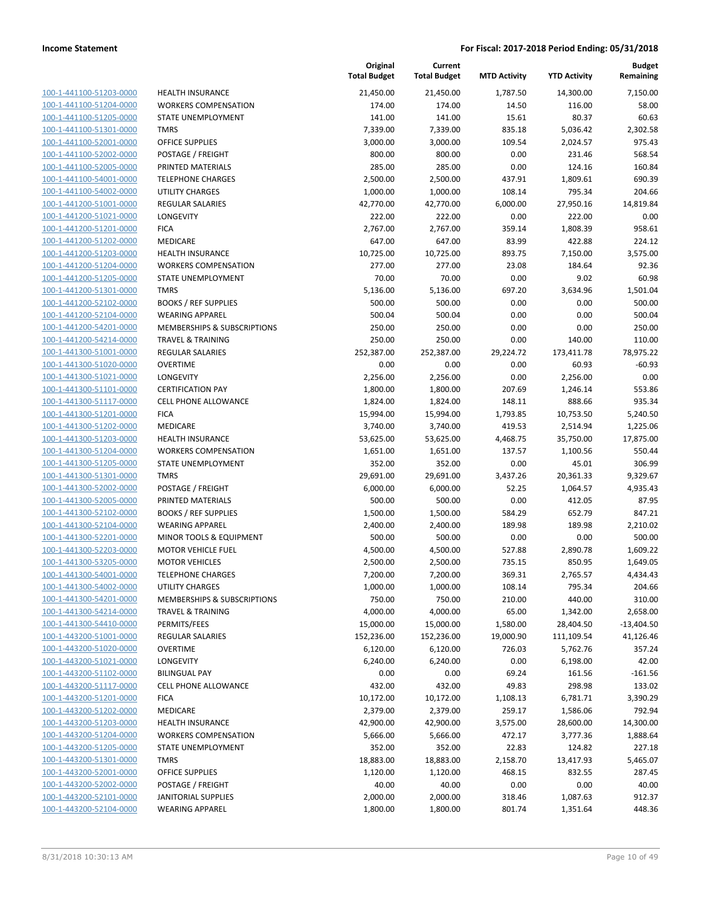| 100-1-441100-51203-0000        |
|--------------------------------|
| 100-1-441100-51204-0000        |
| 100-1-441100-51205-0000        |
| 100-1-441100-51301-0000        |
| 100-1-441100-52001-0000        |
| 100-1-441100-52002-0000        |
| 100-1-441100-52005-0000        |
| 100-1-441100-54001-0000        |
| 100-1-441100-54002-0000        |
|                                |
| 100-1-441200-51001-0000        |
| 100-1-441200-51021-0000        |
| 100-1-441200-51201-0000        |
| 100-1-441200-51202-0000        |
| <u>100-1-441200-51203-0000</u> |
| 100-1-441200-51204-0000        |
| 100-1-441200-51205-0000        |
| 100-1-441200-51301-0000        |
| 100-1-441200-52102-0000        |
| <u>100-1-441200-52104-0000</u> |
| 100-1-441200-54201-0000        |
| 100-1-441200-54214-0000        |
|                                |
| 100-1-441300-51001-0000        |
| 100-1-441300-51020-0000        |
| 100-1-441300-51021-0000        |
| 100-1-441300-51101-0000        |
| 100-1-441300-51117-0000        |
| 100-1-441300-51201-0000        |
| 100-1-441300-51202-0000        |
| 100-1-441300-51203-0000        |
| 100-1-441300-51204-0000        |
| 100-1-441300-51205-0000        |
| 100-1-441300-51301-0000        |
| 100-1-441300-52002-0000        |
| 100-1-441300-52005-0000        |
|                                |
| <u>100-1-441300-52102-0000</u> |
| 100-1-441300-52104-0000        |
| 100-1-441300-52201-0000        |
| 100-1-441300-52203-0000        |
| 100-1-441300-53205-0000        |
| 100-1-441300-54001-0000        |
| 100-1-441300-54002-0000        |
| 100-1-441300-54201-0000        |
| 100-1-441300-54214-0000        |
| 100-1-441300-54410-0000        |
| <u>100-1-443200-51001-0000</u> |
| 100-1-443200-51020-0000        |
| 100-1-443200-51021-0000        |
| 100-1-443200-51102-0000        |
|                                |
| 100-1-443200-51117-0000        |
| <u>100-1-443200-51201-0000</u> |
| 100-1-443200-51202-0000        |
| 100-1-443200-51203-0000        |
| 100-1-443200-51204-0000        |
| 100-1-443200-51205-0000        |
| <u>100-1-443200-51301-0000</u> |
| <u>100-1-443200-52001-0000</u> |
| 100-1-443200-52002-0000        |
| 100-1-443200-52101-0000        |
| 100-1-443200-52104-0000        |
|                                |

|                                                    |                              | Original<br><b>Total Budget</b> | Current<br><b>Total Budget</b> | <b>MTD Activity</b> | <b>YTD Activity</b> | <b>Budget</b><br>Remaining |
|----------------------------------------------------|------------------------------|---------------------------------|--------------------------------|---------------------|---------------------|----------------------------|
| 100-1-441100-51203-0000                            | <b>HEALTH INSURANCE</b>      | 21,450.00                       | 21,450.00                      | 1,787.50            | 14,300.00           | 7,150.00                   |
| 100-1-441100-51204-0000                            | <b>WORKERS COMPENSATION</b>  | 174.00                          | 174.00                         | 14.50               | 116.00              | 58.00                      |
| 100-1-441100-51205-0000                            | STATE UNEMPLOYMENT           | 141.00                          | 141.00                         | 15.61               | 80.37               | 60.63                      |
| 100-1-441100-51301-0000                            | <b>TMRS</b>                  | 7,339.00                        | 7,339.00                       | 835.18              | 5,036.42            | 2,302.58                   |
| 100-1-441100-52001-0000                            | OFFICE SUPPLIES              | 3,000.00                        | 3,000.00                       | 109.54              | 2,024.57            | 975.43                     |
| 100-1-441100-52002-0000                            | POSTAGE / FREIGHT            | 800.00                          | 800.00                         | 0.00                | 231.46              | 568.54                     |
| 100-1-441100-52005-0000                            | PRINTED MATERIALS            | 285.00                          | 285.00                         | 0.00                | 124.16              | 160.84                     |
| 100-1-441100-54001-0000                            | <b>TELEPHONE CHARGES</b>     | 2,500.00                        | 2,500.00                       | 437.91              | 1,809.61            | 690.39                     |
| 100-1-441100-54002-0000                            | <b>UTILITY CHARGES</b>       | 1,000.00                        | 1,000.00                       | 108.14              | 795.34              | 204.66                     |
| 100-1-441200-51001-0000                            | <b>REGULAR SALARIES</b>      | 42,770.00                       | 42,770.00                      | 6,000.00            | 27,950.16           | 14,819.84                  |
| 100-1-441200-51021-0000                            | LONGEVITY                    | 222.00                          | 222.00                         | 0.00                | 222.00              | 0.00                       |
| 100-1-441200-51201-0000                            | <b>FICA</b>                  | 2,767.00                        | 2,767.00                       | 359.14              | 1,808.39            | 958.61                     |
| 100-1-441200-51202-0000                            | MEDICARE                     | 647.00                          | 647.00                         | 83.99               | 422.88              | 224.12                     |
| 100-1-441200-51203-0000                            | <b>HEALTH INSURANCE</b>      | 10,725.00                       | 10,725.00                      | 893.75              | 7,150.00            | 3,575.00                   |
| 100-1-441200-51204-0000                            | <b>WORKERS COMPENSATION</b>  | 277.00                          | 277.00                         | 23.08               | 184.64              | 92.36                      |
| 100-1-441200-51205-0000                            | STATE UNEMPLOYMENT           | 70.00                           | 70.00                          | 0.00                | 9.02                | 60.98                      |
| 100-1-441200-51301-0000                            | <b>TMRS</b>                  | 5,136.00                        | 5,136.00                       | 697.20              | 3,634.96            | 1,501.04                   |
| 100-1-441200-52102-0000                            | <b>BOOKS / REF SUPPLIES</b>  | 500.00                          | 500.00                         | 0.00                | 0.00                | 500.00                     |
| 100-1-441200-52104-0000                            | <b>WEARING APPAREL</b>       | 500.04                          | 500.04                         | 0.00                | 0.00                | 500.04                     |
| 100-1-441200-54201-0000                            | MEMBERSHIPS & SUBSCRIPTIONS  | 250.00                          | 250.00                         | 0.00                | 0.00                | 250.00                     |
| 100-1-441200-54214-0000                            | <b>TRAVEL &amp; TRAINING</b> | 250.00                          | 250.00                         | 0.00                | 140.00              | 110.00                     |
| 100-1-441300-51001-0000                            | <b>REGULAR SALARIES</b>      | 252,387.00                      | 252,387.00                     | 29,224.72           | 173,411.78          | 78,975.22                  |
| 100-1-441300-51020-0000<br>100-1-441300-51021-0000 | <b>OVERTIME</b><br>LONGEVITY | 0.00                            | 0.00                           | 0.00                | 60.93<br>2,256.00   | $-60.93$<br>0.00           |
| 100-1-441300-51101-0000                            | <b>CERTIFICATION PAY</b>     | 2,256.00<br>1,800.00            | 2,256.00<br>1,800.00           | 0.00<br>207.69      | 1,246.14            | 553.86                     |
| 100-1-441300-51117-0000                            | <b>CELL PHONE ALLOWANCE</b>  | 1,824.00                        | 1,824.00                       | 148.11              | 888.66              | 935.34                     |
| 100-1-441300-51201-0000                            | <b>FICA</b>                  | 15,994.00                       | 15,994.00                      | 1,793.85            | 10,753.50           | 5,240.50                   |
| 100-1-441300-51202-0000                            | MEDICARE                     | 3,740.00                        | 3,740.00                       | 419.53              | 2,514.94            | 1,225.06                   |
| 100-1-441300-51203-0000                            | <b>HEALTH INSURANCE</b>      | 53,625.00                       | 53,625.00                      | 4,468.75            | 35,750.00           | 17,875.00                  |
| 100-1-441300-51204-0000                            | <b>WORKERS COMPENSATION</b>  | 1,651.00                        | 1,651.00                       | 137.57              | 1,100.56            | 550.44                     |
| 100-1-441300-51205-0000                            | STATE UNEMPLOYMENT           | 352.00                          | 352.00                         | 0.00                | 45.01               | 306.99                     |
| 100-1-441300-51301-0000                            | <b>TMRS</b>                  | 29,691.00                       | 29,691.00                      | 3,437.26            | 20,361.33           | 9,329.67                   |
| 100-1-441300-52002-0000                            | POSTAGE / FREIGHT            | 6,000.00                        | 6,000.00                       | 52.25               | 1,064.57            | 4,935.43                   |
| 100-1-441300-52005-0000                            | PRINTED MATERIALS            | 500.00                          | 500.00                         | 0.00                | 412.05              | 87.95                      |
| 100-1-441300-52102-0000                            | <b>BOOKS / REF SUPPLIES</b>  | 1,500.00                        | 1,500.00                       | 584.29              | 652.79              | 847.21                     |
| 100-1-441300-52104-0000                            | <b>WEARING APPAREL</b>       | 2,400.00                        | 2,400.00                       | 189.98              | 189.98              | 2,210.02                   |
| 100-1-441300-52201-0000                            | MINOR TOOLS & EQUIPMENT      | 500.00                          | 500.00                         | 0.00                | 0.00                | 500.00                     |
| 100-1-441300-52203-0000                            | <b>MOTOR VEHICLE FUEL</b>    | 4,500.00                        | 4,500.00                       | 527.88              | 2,890.78            | 1,609.22                   |
| 100-1-441300-53205-0000                            | <b>MOTOR VEHICLES</b>        | 2,500.00                        | 2,500.00                       | 735.15              | 850.95              | 1,649.05                   |
| 100-1-441300-54001-0000                            | <b>TELEPHONE CHARGES</b>     | 7,200.00                        | 7,200.00                       | 369.31              | 2,765.57            | 4,434.43                   |
| 100-1-441300-54002-0000                            | UTILITY CHARGES              | 1,000.00                        | 1,000.00                       | 108.14              | 795.34              | 204.66                     |
| 100-1-441300-54201-0000                            | MEMBERSHIPS & SUBSCRIPTIONS  | 750.00                          | 750.00                         | 210.00              | 440.00              | 310.00                     |
| 100-1-441300-54214-0000                            | <b>TRAVEL &amp; TRAINING</b> | 4,000.00                        | 4,000.00                       | 65.00               | 1,342.00            | 2,658.00                   |
| 100-1-441300-54410-0000                            | PERMITS/FEES                 | 15,000.00                       | 15,000.00                      | 1,580.00            | 28,404.50           | $-13,404.50$               |
| 100-1-443200-51001-0000                            | <b>REGULAR SALARIES</b>      | 152,236.00                      | 152,236.00                     | 19,000.90           | 111,109.54          | 41,126.46                  |
| 100-1-443200-51020-0000                            | <b>OVERTIME</b>              | 6,120.00                        | 6,120.00                       | 726.03              | 5,762.76            | 357.24                     |
| 100-1-443200-51021-0000                            | LONGEVITY                    | 6,240.00                        | 6,240.00                       | 0.00                | 6,198.00            | 42.00                      |
| 100-1-443200-51102-0000                            | <b>BILINGUAL PAY</b>         | 0.00                            | 0.00                           | 69.24               | 161.56              | $-161.56$                  |
| 100-1-443200-51117-0000                            | <b>CELL PHONE ALLOWANCE</b>  | 432.00                          | 432.00                         | 49.83               | 298.98              | 133.02                     |
| 100-1-443200-51201-0000                            | <b>FICA</b>                  | 10,172.00                       | 10,172.00                      | 1,108.13            | 6,781.71            | 3,390.29                   |
| 100-1-443200-51202-0000                            | MEDICARE                     | 2,379.00                        | 2,379.00                       | 259.17              | 1,586.06            | 792.94                     |
| 100-1-443200-51203-0000                            | <b>HEALTH INSURANCE</b>      | 42,900.00                       | 42,900.00                      | 3,575.00            | 28,600.00           | 14,300.00                  |
| 100-1-443200-51204-0000                            | <b>WORKERS COMPENSATION</b>  | 5,666.00                        | 5,666.00                       | 472.17              | 3,777.36            | 1,888.64                   |
| 100-1-443200-51205-0000                            | STATE UNEMPLOYMENT           | 352.00                          | 352.00                         | 22.83               | 124.82              | 227.18                     |
| 100-1-443200-51301-0000                            | <b>TMRS</b>                  | 18,883.00                       | 18,883.00                      | 2,158.70            | 13,417.93           | 5,465.07                   |
| 100-1-443200-52001-0000                            | <b>OFFICE SUPPLIES</b>       | 1,120.00                        | 1,120.00                       | 468.15              | 832.55              | 287.45                     |
| 100-1-443200-52002-0000                            | POSTAGE / FREIGHT            | 40.00                           | 40.00                          | 0.00                | 0.00                | 40.00                      |
| 100-1-443200-52101-0000                            | <b>JANITORIAL SUPPLIES</b>   | 2,000.00                        | 2,000.00                       | 318.46              | 1,087.63            | 912.37                     |
| 100-1-443200-52104-0000                            | <b>WEARING APPAREL</b>       | 1,800.00                        | 1,800.00                       | 801.74              | 1,351.64            | 448.36                     |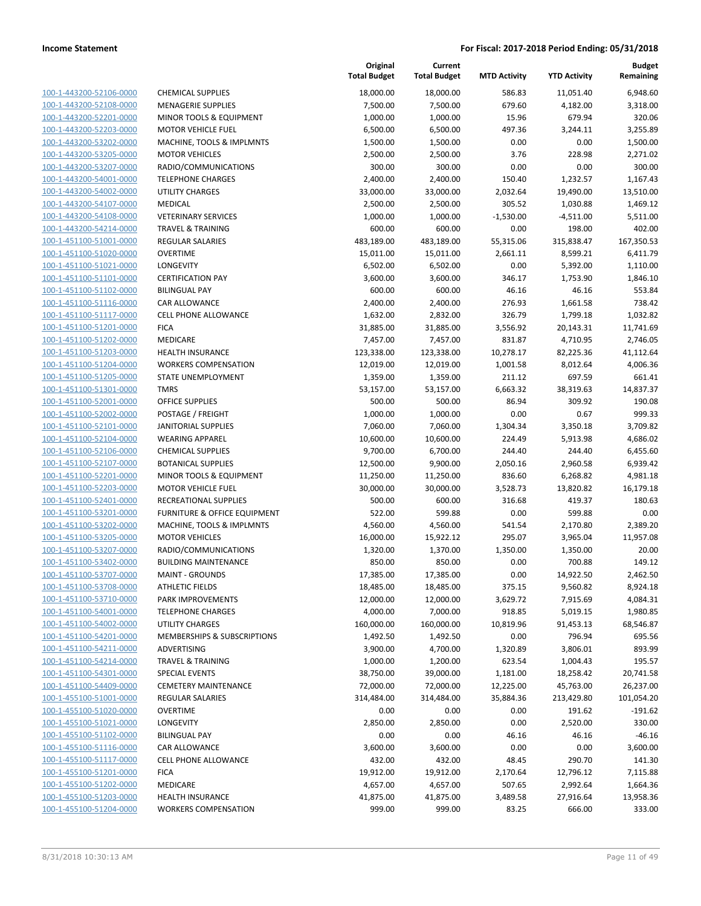| 100-1-443200-52106-0000        |
|--------------------------------|
| 100-1-443200-52108-0000        |
| 100-1-443200-52201-0000        |
| 100-1-443200-52203-0000        |
| 100-1-443200-53202-0000        |
| 100-1-443200-53205-0000        |
|                                |
| 100-1-443200-53207-0000        |
| 100-1-443200-54001-0000        |
| 100-1-443200-54002-0000        |
| 100-1-443200-54107-0000        |
| 100-1-443200-54108-0000        |
| 100-1-443200-54214-0000        |
| 100-1-451100-51001-0000        |
| 100-1-451100-51020-0000        |
| 100-1-451100-51021-0000        |
|                                |
| 100-1-451100-51101-0000        |
| 100-1-451100-51102-0000        |
| 100-1-451100-51116-0000        |
| 100-1-451100-51117-0000        |
| 100-1-451100-51201-0000        |
| 100-1-451100-51202-0000        |
| 100-1-451100-51203-0000        |
| 100-1-451100-51204-0000        |
| 100-1-451100-51205-0000        |
| 100-1-451100-51301-0000        |
| 100-1-451100-52001-0000        |
|                                |
| 100-1-451100-52002-0000        |
| 100-1-451100-52101-0000        |
| 100-1-451100-52104-0000        |
| 100-1-451100-52106-0000        |
| 100-1-451100-52107-0000        |
| 100-1-451100-52201-0000        |
| 100-1-451100-52203-0000        |
| 100-1-451100-52401-0000        |
| 100-1-451100-53201-0000        |
| 100-1-451100-53202-0000        |
|                                |
| 100-1-451100-53205-0000        |
| 100-1-451100-53207-0000        |
| 100-1-451100-53402-0000        |
| 100-1-451100-53707-0000        |
| 100-1-451100-53708-0000        |
| 100-1-451100-53710-0000        |
| <u>100-1-451100-54001-0000</u> |
| <u>100-1-451100-54002-0000</u> |
| 100-1-451100-54201-0000        |
|                                |
| 100-1-451100-54211-0000        |
| 100-1-451100-54214-0000        |
| <u>100-1-451100-54301-0000</u> |
| <u>100-1-451100-54409-0000</u> |
| 100-1-455100-51001-0000        |
| 100-1-455100-51020-0000        |
| 100-1-455100-51021-0000        |
| 100-1-455100-51102-0000        |
| 100-1-455100-51116-0000        |
|                                |
| <u>100-1-455100-51117-0000</u> |
| 100-1-455100-51201-0000        |
| 100-1-455100-51202-0000        |
| 100-1-455100-51203-0000        |
| <u>100-1-455100-51204-0000</u> |
|                                |

|                                                    |                                                       | Original<br><b>Total Budget</b> | Current<br><b>Total Budget</b> | <b>MTD Activity</b>    | <b>YTD Activity</b>  | <b>Budget</b><br>Remaining |
|----------------------------------------------------|-------------------------------------------------------|---------------------------------|--------------------------------|------------------------|----------------------|----------------------------|
| 100-1-443200-52106-0000                            | <b>CHEMICAL SUPPLIES</b>                              | 18,000.00                       | 18,000.00                      | 586.83                 | 11,051.40            | 6,948.60                   |
| 100-1-443200-52108-0000                            | <b>MENAGERIE SUPPLIES</b>                             | 7,500.00                        | 7,500.00                       | 679.60                 | 4,182.00             | 3,318.00                   |
| 100-1-443200-52201-0000                            | MINOR TOOLS & EQUIPMENT                               | 1,000.00                        | 1,000.00                       | 15.96                  | 679.94               | 320.06                     |
| 100-1-443200-52203-0000                            | <b>MOTOR VEHICLE FUEL</b>                             | 6,500.00                        | 6,500.00                       | 497.36                 | 3,244.11             | 3,255.89                   |
| 100-1-443200-53202-0000                            | MACHINE, TOOLS & IMPLMNTS                             | 1,500.00                        | 1,500.00                       | 0.00                   | 0.00                 | 1,500.00                   |
| 100-1-443200-53205-0000                            | <b>MOTOR VEHICLES</b>                                 | 2,500.00                        | 2,500.00                       | 3.76                   | 228.98               | 2,271.02                   |
| 100-1-443200-53207-0000                            | RADIO/COMMUNICATIONS                                  | 300.00                          | 300.00                         | 0.00                   | 0.00                 | 300.00                     |
| 100-1-443200-54001-0000                            | <b>TELEPHONE CHARGES</b>                              | 2,400.00                        | 2,400.00                       | 150.40                 | 1,232.57             | 1,167.43                   |
| 100-1-443200-54002-0000                            | <b>UTILITY CHARGES</b>                                | 33,000.00                       | 33,000.00                      | 2,032.64               | 19,490.00            | 13,510.00                  |
| 100-1-443200-54107-0000                            | MEDICAL                                               | 2,500.00                        | 2,500.00                       | 305.52                 | 1,030.88             | 1,469.12                   |
| 100-1-443200-54108-0000                            | <b>VETERINARY SERVICES</b>                            | 1,000.00                        | 1,000.00                       | $-1,530.00$            | $-4,511.00$          | 5,511.00                   |
| 100-1-443200-54214-0000                            | <b>TRAVEL &amp; TRAINING</b>                          | 600.00                          | 600.00                         | 0.00                   | 198.00               | 402.00                     |
| 100-1-451100-51001-0000                            | <b>REGULAR SALARIES</b>                               | 483,189.00                      | 483,189.00                     | 55,315.06              | 315,838.47           | 167,350.53                 |
| 100-1-451100-51020-0000                            | <b>OVERTIME</b>                                       | 15,011.00                       | 15,011.00                      | 2,661.11               | 8,599.21             | 6,411.79                   |
| 100-1-451100-51021-0000                            | <b>LONGEVITY</b>                                      | 6,502.00                        | 6,502.00                       | 0.00                   | 5,392.00             | 1,110.00                   |
| 100-1-451100-51101-0000                            | <b>CERTIFICATION PAY</b>                              | 3,600.00                        | 3,600.00                       | 346.17                 | 1,753.90             | 1,846.10                   |
| 100-1-451100-51102-0000                            | <b>BILINGUAL PAY</b>                                  | 600.00                          | 600.00                         | 46.16                  | 46.16                | 553.84                     |
| 100-1-451100-51116-0000                            | CAR ALLOWANCE                                         | 2,400.00                        | 2,400.00                       | 276.93                 | 1,661.58             | 738.42                     |
| 100-1-451100-51117-0000                            | <b>CELL PHONE ALLOWANCE</b>                           | 1,632.00                        | 2,832.00                       | 326.79                 | 1,799.18             | 1,032.82                   |
| 100-1-451100-51201-0000                            | <b>FICA</b>                                           | 31,885.00                       | 31,885.00                      | 3,556.92               | 20,143.31            | 11,741.69                  |
| 100-1-451100-51202-0000                            | <b>MEDICARE</b>                                       | 7,457.00                        | 7,457.00                       | 831.87                 | 4,710.95             | 2,746.05                   |
| 100-1-451100-51203-0000                            | <b>HEALTH INSURANCE</b>                               | 123,338.00                      | 123,338.00                     | 10,278.17              | 82,225.36            | 41,112.64                  |
| 100-1-451100-51204-0000                            | <b>WORKERS COMPENSATION</b>                           | 12,019.00                       | 12,019.00                      | 1,001.58               | 8,012.64             | 4,006.36                   |
| 100-1-451100-51205-0000                            | STATE UNEMPLOYMENT                                    | 1,359.00                        | 1,359.00                       | 211.12                 | 697.59               | 661.41                     |
| 100-1-451100-51301-0000                            | <b>TMRS</b>                                           | 53,157.00                       | 53,157.00                      | 6,663.32               | 38,319.63            | 14,837.37                  |
| 100-1-451100-52001-0000                            | <b>OFFICE SUPPLIES</b>                                | 500.00                          | 500.00                         | 86.94                  | 309.92               | 190.08                     |
| 100-1-451100-52002-0000                            | POSTAGE / FREIGHT                                     | 1,000.00                        | 1,000.00                       | 0.00                   | 0.67                 | 999.33                     |
| 100-1-451100-52101-0000                            | <b>JANITORIAL SUPPLIES</b>                            | 7,060.00                        | 7,060.00                       | 1,304.34               | 3,350.18             | 3,709.82                   |
| 100-1-451100-52104-0000                            | <b>WEARING APPAREL</b>                                | 10,600.00                       | 10,600.00                      | 224.49                 | 5,913.98             | 4,686.02                   |
| 100-1-451100-52106-0000                            | <b>CHEMICAL SUPPLIES</b>                              | 9,700.00                        | 6,700.00                       | 244.40                 | 244.40               | 6,455.60                   |
| 100-1-451100-52107-0000                            | <b>BOTANICAL SUPPLIES</b>                             | 12,500.00                       | 9,900.00                       | 2,050.16               | 2,960.58             | 6,939.42                   |
| 100-1-451100-52201-0000                            | MINOR TOOLS & EQUIPMENT                               | 11,250.00                       | 11,250.00                      | 836.60                 | 6,268.82             | 4,981.18                   |
| 100-1-451100-52203-0000                            | <b>MOTOR VEHICLE FUEL</b>                             | 30,000.00                       | 30,000.00                      | 3,528.73               | 13,820.82            | 16,179.18                  |
| 100-1-451100-52401-0000                            | RECREATIONAL SUPPLIES                                 | 500.00                          | 600.00                         | 316.68                 | 419.37               | 180.63                     |
| 100-1-451100-53201-0000                            | FURNITURE & OFFICE EQUIPMENT                          | 522.00                          | 599.88                         | 0.00                   | 599.88               | 0.00                       |
| 100-1-451100-53202-0000                            | MACHINE, TOOLS & IMPLMNTS                             | 4,560.00                        | 4,560.00                       | 541.54                 | 2,170.80             | 2,389.20                   |
| 100-1-451100-53205-0000                            | <b>MOTOR VEHICLES</b>                                 | 16,000.00                       | 15,922.12                      | 295.07                 | 3,965.04             | 11,957.08                  |
| 100-1-451100-53207-0000                            | RADIO/COMMUNICATIONS                                  | 1,320.00                        | 1,370.00                       | 1,350.00               | 1,350.00             | 20.00                      |
| 100-1-451100-53402-0000                            | <b>BUILDING MAINTENANCE</b>                           | 850.00                          | 850.00                         | 0.00                   | 700.88               | 149.12                     |
| 100-1-451100-53707-0000                            | <b>MAINT - GROUNDS</b>                                | 17,385.00                       | 17,385.00                      | 0.00                   | 14,922.50            | 2,462.50                   |
| 100-1-451100-53708-0000                            | <b>ATHLETIC FIELDS</b>                                | 18,485.00                       | 18,485.00                      | 375.15                 | 9,560.82             | 8,924.18                   |
| 100-1-451100-53710-0000                            | PARK IMPROVEMENTS                                     | 12,000.00                       | 12,000.00                      | 3,629.72               | 7,915.69             | 4,084.31                   |
| 100-1-451100-54001-0000                            | <b>TELEPHONE CHARGES</b>                              | 4,000.00                        | 7,000.00                       | 918.85                 | 5,019.15             | 1,980.85                   |
| 100-1-451100-54002-0000                            | UTILITY CHARGES                                       | 160,000.00                      | 160,000.00                     | 10,819.96              | 91,453.13            | 68,546.87                  |
| 100-1-451100-54201-0000                            | MEMBERSHIPS & SUBSCRIPTIONS                           | 1,492.50                        | 1,492.50                       | 0.00                   | 796.94               | 695.56                     |
| 100-1-451100-54211-0000                            | ADVERTISING                                           | 3,900.00                        | 4,700.00                       | 1,320.89               | 3,806.01             | 893.99                     |
| 100-1-451100-54214-0000                            | <b>TRAVEL &amp; TRAINING</b><br><b>SPECIAL EVENTS</b> | 1,000.00                        | 1,200.00                       | 623.54                 | 1,004.43             | 195.57                     |
| 100-1-451100-54301-0000                            | <b>CEMETERY MAINTENANCE</b>                           | 38,750.00                       | 39,000.00                      | 1,181.00               | 18,258.42            | 20,741.58                  |
| 100-1-451100-54409-0000<br>100-1-455100-51001-0000 | REGULAR SALARIES                                      | 72,000.00<br>314,484.00         | 72,000.00                      | 12,225.00<br>35,884.36 | 45,763.00            | 26,237.00<br>101,054.20    |
| 100-1-455100-51020-0000                            |                                                       |                                 | 314,484.00                     |                        | 213,429.80<br>191.62 | $-191.62$                  |
| 100-1-455100-51021-0000                            | <b>OVERTIME</b><br><b>LONGEVITY</b>                   | 0.00<br>2,850.00                | 0.00<br>2,850.00               | 0.00<br>0.00           | 2,520.00             | 330.00                     |
| 100-1-455100-51102-0000                            | <b>BILINGUAL PAY</b>                                  | 0.00                            | 0.00                           | 46.16                  | 46.16                | $-46.16$                   |
| 100-1-455100-51116-0000                            | CAR ALLOWANCE                                         | 3,600.00                        | 3,600.00                       | 0.00                   | 0.00                 | 3,600.00                   |
| 100-1-455100-51117-0000                            | CELL PHONE ALLOWANCE                                  | 432.00                          | 432.00                         | 48.45                  | 290.70               | 141.30                     |
| 100-1-455100-51201-0000                            | <b>FICA</b>                                           | 19,912.00                       | 19,912.00                      | 2,170.64               | 12,796.12            | 7,115.88                   |
| 100-1-455100-51202-0000                            | MEDICARE                                              | 4,657.00                        | 4,657.00                       | 507.65                 | 2,992.64             | 1,664.36                   |
| 100-1-455100-51203-0000                            | HEALTH INSURANCE                                      | 41,875.00                       | 41,875.00                      | 3,489.58               | 27,916.64            | 13,958.36                  |
| 100-1-455100-51204-0000                            | <b>WORKERS COMPENSATION</b>                           | 999.00                          | 999.00                         | 83.25                  | 666.00               | 333.00                     |
|                                                    |                                                       |                                 |                                |                        |                      |                            |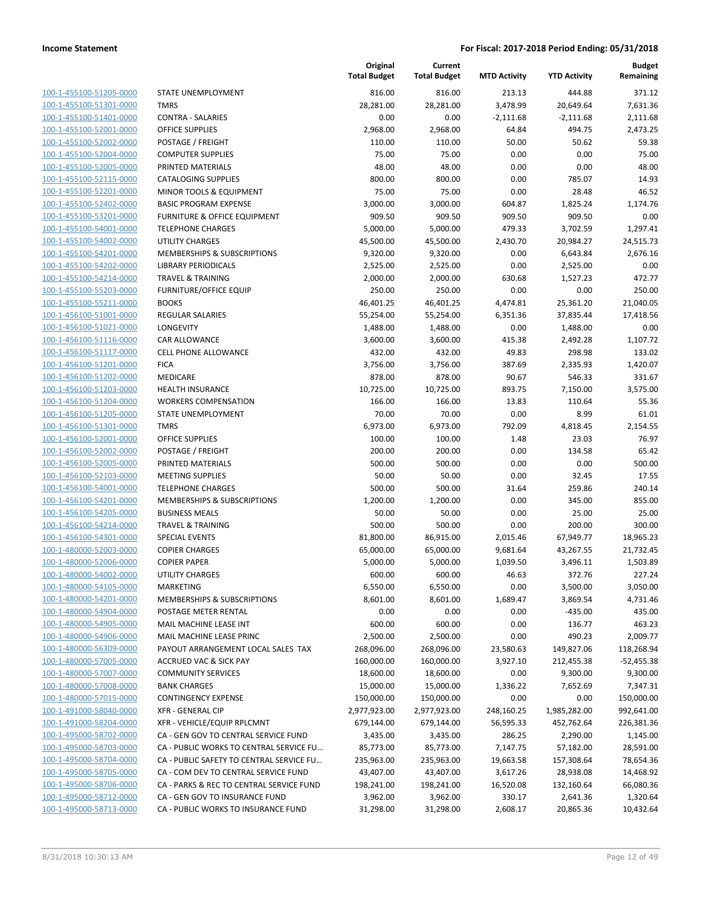| 100-1-455100-51205-0000        |
|--------------------------------|
| 100-1-455100-51301-0000        |
| 100-1-455100-51401-0000        |
| 100-1-455100-52001-0000        |
| 100-1-455100-52002-0000        |
| 100-1-455100-52004-0000        |
| 100-1-455100-52005-0000        |
| 100-1-455100-52115-0000        |
| 100-1-455100-52201-0000        |
| 100-1-455100-52402-0000        |
| 100-1-455100-53201-0000        |
| 100-1-455100-54001-0000        |
| 100-1-455100-54002-0000        |
| 100-1-455100-54201-0000        |
| 100-1-455100-54202-0000        |
| 100-1-455100-54214-0000        |
| 100-1-455100-55203-0000        |
| 100-1-455100-55211-0000        |
| 100-1-456100-51001-0000        |
| 100-1-456100-51021-0000        |
| 100-1-456100-51116-0000        |
| 100-1-456100-51117-0000        |
| 100-1-456100-51201-0000        |
| 100-1-456100-51202-0000        |
| 100-1-456100-51203-0000        |
| 100-1-456100-51204-0000        |
| 100-1-456100-51205-0000        |
| 100-1-456100-51301-0000        |
| 100-1-456100-52001-0000        |
| 100-1-456100-52002-0000        |
|                                |
| 100-1-456100-52005-0000        |
| 100-1-456100-52103-0000        |
| 100-1-456100-54001-0000        |
| 100-1-456100-54201-0000        |
| 100-1-456100-54205-0000        |
| 100-1-456100-54214-0000        |
| 100-1-456100-54301-0000        |
| 100-1-480000-52003-0000        |
| 100-1-480000-52006-0000        |
| 100-1-480000-54002-0000        |
| 100-1-480000-54105-0000        |
| <u>100-1-480000-54201-0000</u> |
| 100-1-480000-54904-0000        |
| 100-1-480000-54905-0000        |
| 100-1-480000-54906-0000        |
| 100-1-480000-56309-0000        |
| 100-1-480000-57005-0000        |
| <u>100-1-480000-57007-0000</u> |
| 100-1-480000-57008-0000        |
| 100-1-480000-57015-0000        |
| 100-1-491000-58040-0000        |
| 100-1-491000-58204-0000        |
| 100-1-495000-58702-0000        |
| 100-1-495000-58703-0000        |
| 100-1-495000-58704-0000        |
| 100-1-495000-58705-0000        |
| 100-1-495000-58706-0000        |
| 100-1-495000-58712-0000        |
| 100-1-495000-58713-0000        |
|                                |
|                                |

|                                                    |                                                        | Original<br><b>Total Budget</b> | Current<br><b>Total Budget</b> | <b>MTD Activity</b> | <b>YTD Activity</b> | <b>Budget</b><br>Remaining |
|----------------------------------------------------|--------------------------------------------------------|---------------------------------|--------------------------------|---------------------|---------------------|----------------------------|
| 100-1-455100-51205-0000                            | STATE UNEMPLOYMENT                                     | 816.00                          | 816.00                         | 213.13              | 444.88              | 371.12                     |
| 100-1-455100-51301-0000                            | <b>TMRS</b>                                            | 28,281.00                       | 28,281.00                      | 3,478.99            | 20,649.64           | 7,631.36                   |
| 100-1-455100-51401-0000                            | <b>CONTRA - SALARIES</b>                               | 0.00                            | 0.00                           | $-2,111.68$         | $-2,111.68$         | 2,111.68                   |
| 100-1-455100-52001-0000                            | <b>OFFICE SUPPLIES</b>                                 | 2,968.00                        | 2,968.00                       | 64.84               | 494.75              | 2,473.25                   |
| 100-1-455100-52002-0000                            | POSTAGE / FREIGHT                                      | 110.00                          | 110.00                         | 50.00               | 50.62               | 59.38                      |
| 100-1-455100-52004-0000                            | <b>COMPUTER SUPPLIES</b>                               | 75.00                           | 75.00                          | 0.00                | 0.00                | 75.00                      |
| 100-1-455100-52005-0000                            | PRINTED MATERIALS                                      | 48.00                           | 48.00                          | 0.00                | 0.00                | 48.00                      |
| 100-1-455100-52115-0000                            | <b>CATALOGING SUPPLIES</b>                             | 800.00                          | 800.00                         | 0.00                | 785.07              | 14.93                      |
| 100-1-455100-52201-0000                            | <b>MINOR TOOLS &amp; EQUIPMENT</b>                     | 75.00                           | 75.00                          | 0.00                | 28.48               | 46.52                      |
| 100-1-455100-52402-0000                            | <b>BASIC PROGRAM EXPENSE</b>                           | 3,000.00                        | 3,000.00                       | 604.87              | 1,825.24            | 1,174.76                   |
| 100-1-455100-53201-0000                            | FURNITURE & OFFICE EQUIPMENT                           | 909.50                          | 909.50                         | 909.50              | 909.50              | 0.00                       |
| 100-1-455100-54001-0000                            | <b>TELEPHONE CHARGES</b>                               | 5,000.00                        | 5,000.00                       | 479.33              | 3,702.59            | 1,297.41                   |
| 100-1-455100-54002-0000                            | <b>UTILITY CHARGES</b>                                 | 45,500.00                       | 45,500.00                      | 2,430.70            | 20,984.27           | 24,515.73                  |
| 100-1-455100-54201-0000                            | MEMBERSHIPS & SUBSCRIPTIONS                            | 9,320.00                        | 9,320.00                       | 0.00                | 6,643.84            | 2,676.16                   |
| 100-1-455100-54202-0000                            | LIBRARY PERIODICALS                                    | 2,525.00                        | 2,525.00                       | 0.00                | 2,525.00            | 0.00                       |
| 100-1-455100-54214-0000                            | <b>TRAVEL &amp; TRAINING</b>                           | 2,000.00                        | 2,000.00                       | 630.68              | 1,527.23            | 472.77                     |
| 100-1-455100-55203-0000                            | <b>FURNITURE/OFFICE EQUIP</b>                          | 250.00                          | 250.00                         | 0.00                | 0.00                | 250.00                     |
| 100-1-455100-55211-0000                            | <b>BOOKS</b>                                           | 46,401.25                       | 46,401.25                      | 4,474.81            | 25,361.20           | 21,040.05                  |
| 100-1-456100-51001-0000                            | <b>REGULAR SALARIES</b>                                | 55,254.00                       | 55,254.00                      | 6,351.36            | 37,835.44           | 17,418.56                  |
| 100-1-456100-51021-0000                            | LONGEVITY                                              | 1,488.00                        | 1,488.00                       | 0.00                | 1,488.00            | 0.00                       |
| 100-1-456100-51116-0000                            | <b>CAR ALLOWANCE</b>                                   | 3,600.00                        | 3,600.00                       | 415.38              | 2,492.28            | 1,107.72                   |
| 100-1-456100-51117-0000                            | <b>CELL PHONE ALLOWANCE</b>                            | 432.00                          | 432.00                         | 49.83               | 298.98              | 133.02                     |
| 100-1-456100-51201-0000                            | <b>FICA</b>                                            | 3,756.00                        | 3,756.00                       | 387.69              | 2,335.93            | 1,420.07                   |
| 100-1-456100-51202-0000<br>100-1-456100-51203-0000 | MEDICARE                                               | 878.00<br>10,725.00             | 878.00<br>10,725.00            | 90.67<br>893.75     | 546.33<br>7,150.00  | 331.67<br>3,575.00         |
| 100-1-456100-51204-0000                            | <b>HEALTH INSURANCE</b><br><b>WORKERS COMPENSATION</b> | 166.00                          | 166.00                         | 13.83               | 110.64              | 55.36                      |
| 100-1-456100-51205-0000                            | STATE UNEMPLOYMENT                                     | 70.00                           | 70.00                          | 0.00                | 8.99                | 61.01                      |
| 100-1-456100-51301-0000                            | <b>TMRS</b>                                            | 6,973.00                        | 6,973.00                       | 792.09              | 4,818.45            | 2,154.55                   |
| 100-1-456100-52001-0000                            | <b>OFFICE SUPPLIES</b>                                 | 100.00                          | 100.00                         | 1.48                | 23.03               | 76.97                      |
| 100-1-456100-52002-0000                            | POSTAGE / FREIGHT                                      | 200.00                          | 200.00                         | 0.00                | 134.58              | 65.42                      |
| 100-1-456100-52005-0000                            | PRINTED MATERIALS                                      | 500.00                          | 500.00                         | 0.00                | 0.00                | 500.00                     |
| 100-1-456100-52103-0000                            | <b>MEETING SUPPLIES</b>                                | 50.00                           | 50.00                          | 0.00                | 32.45               | 17.55                      |
| 100-1-456100-54001-0000                            | <b>TELEPHONE CHARGES</b>                               | 500.00                          | 500.00                         | 31.64               | 259.86              | 240.14                     |
| 100-1-456100-54201-0000                            | MEMBERSHIPS & SUBSCRIPTIONS                            | 1,200.00                        | 1,200.00                       | 0.00                | 345.00              | 855.00                     |
| 100-1-456100-54205-0000                            | <b>BUSINESS MEALS</b>                                  | 50.00                           | 50.00                          | 0.00                | 25.00               | 25.00                      |
| 100-1-456100-54214-0000                            | <b>TRAVEL &amp; TRAINING</b>                           | 500.00                          | 500.00                         | 0.00                | 200.00              | 300.00                     |
| 100-1-456100-54301-0000                            | <b>SPECIAL EVENTS</b>                                  | 81,800.00                       | 86,915.00                      | 2,015.46            | 67,949.77           | 18,965.23                  |
| 100-1-480000-52003-0000                            | <b>COPIER CHARGES</b>                                  | 65,000.00                       | 65,000.00                      | 9,681.64            | 43,267.55           | 21,732.45                  |
| 100-1-480000-52006-0000                            | <b>COPIER PAPER</b>                                    | 5,000.00                        | 5,000.00                       | 1,039.50            | 3,496.11            | 1,503.89                   |
| 100-1-480000-54002-0000                            | <b>UTILITY CHARGES</b>                                 | 600.00                          | 600.00                         | 46.63               | 372.76              | 227.24                     |
| 100-1-480000-54105-0000                            | MARKETING                                              | 6,550.00                        | 6,550.00                       | 0.00                | 3,500.00            | 3,050.00                   |
| 100-1-480000-54201-0000                            | MEMBERSHIPS & SUBSCRIPTIONS                            | 8,601.00                        | 8,601.00                       | 1,689.47            | 3,869.54            | 4,731.46                   |
| 100-1-480000-54904-0000                            | POSTAGE METER RENTAL                                   | 0.00                            | 0.00                           | 0.00                | $-435.00$           | 435.00                     |
| 100-1-480000-54905-0000                            | MAIL MACHINE LEASE INT                                 | 600.00                          | 600.00                         | 0.00                | 136.77              | 463.23                     |
| 100-1-480000-54906-0000                            | MAIL MACHINE LEASE PRINC                               | 2,500.00                        | 2,500.00                       | 0.00                | 490.23              | 2,009.77                   |
| 100-1-480000-56309-0000                            | PAYOUT ARRANGEMENT LOCAL SALES TAX                     | 268,096.00                      | 268,096.00                     | 23,580.63           | 149,827.06          | 118,268.94                 |
| 100-1-480000-57005-0000                            | <b>ACCRUED VAC &amp; SICK PAY</b>                      | 160,000.00                      | 160,000.00                     | 3,927.10            | 212,455.38          | $-52,455.38$               |
| 100-1-480000-57007-0000                            | <b>COMMUNITY SERVICES</b>                              | 18,600.00                       | 18,600.00                      | 0.00                | 9,300.00            | 9,300.00                   |
| 100-1-480000-57008-0000                            | <b>BANK CHARGES</b>                                    | 15,000.00                       | 15,000.00                      | 1,336.22            | 7,652.69            | 7,347.31                   |
| 100-1-480000-57015-0000                            | <b>CONTINGENCY EXPENSE</b>                             | 150,000.00                      | 150,000.00                     | 0.00                | 0.00                | 150,000.00                 |
| 100-1-491000-58040-0000                            | <b>XFR - GENERAL CIP</b>                               | 2,977,923.00                    | 2,977,923.00                   | 248,160.25          | 1,985,282.00        | 992,641.00                 |
| 100-1-491000-58204-0000                            | XFR - VEHICLE/EQUIP RPLCMNT                            | 679,144.00                      | 679,144.00                     | 56,595.33           | 452,762.64          | 226,381.36                 |
| 100-1-495000-58702-0000                            | CA - GEN GOV TO CENTRAL SERVICE FUND                   | 3,435.00                        | 3,435.00                       | 286.25              | 2,290.00            | 1,145.00                   |
| 100-1-495000-58703-0000                            | CA - PUBLIC WORKS TO CENTRAL SERVICE FU                | 85,773.00                       | 85,773.00                      | 7,147.75            | 57,182.00           | 28,591.00                  |
| 100-1-495000-58704-0000                            | CA - PUBLIC SAFETY TO CENTRAL SERVICE FU               | 235,963.00                      | 235,963.00                     | 19,663.58           | 157,308.64          | 78,654.36                  |
| 100-1-495000-58705-0000                            | CA - COM DEV TO CENTRAL SERVICE FUND                   | 43,407.00                       | 43,407.00                      | 3,617.26            | 28,938.08           | 14,468.92                  |
| 100-1-495000-58706-0000                            | CA - PARKS & REC TO CENTRAL SERVICE FUND               | 198,241.00                      | 198,241.00                     | 16,520.08           | 132,160.64          | 66,080.36                  |
| 100-1-495000-58712-0000                            | CA - GEN GOV TO INSURANCE FUND                         | 3,962.00                        | 3,962.00                       | 330.17              | 2,641.36            | 1,320.64                   |
| 100-1-495000-58713-0000                            | CA - PUBLIC WORKS TO INSURANCE FUND                    | 31,298.00                       | 31,298.00                      | 2,608.17            | 20,865.36           | 10,432.64                  |
|                                                    |                                                        |                                 |                                |                     |                     |                            |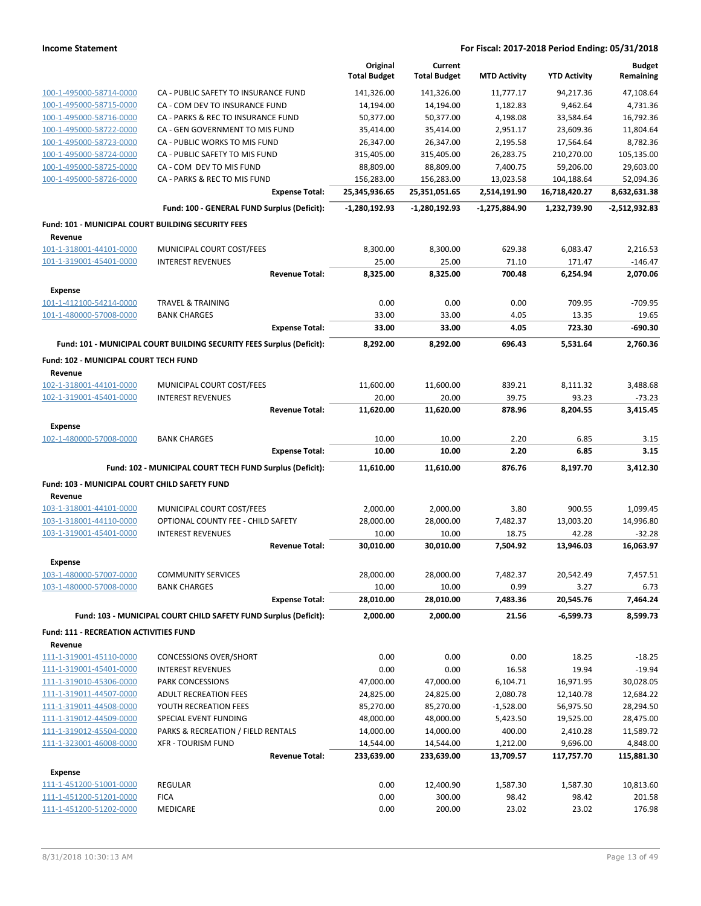|                                                    |                                                                       | Original<br><b>Total Budget</b> | Current<br><b>Total Budget</b> | <b>MTD Activity</b> | <b>YTD Activity</b> | <b>Budget</b><br>Remaining |
|----------------------------------------------------|-----------------------------------------------------------------------|---------------------------------|--------------------------------|---------------------|---------------------|----------------------------|
| 100-1-495000-58714-0000                            | CA - PUBLIC SAFETY TO INSURANCE FUND                                  | 141,326.00                      | 141,326.00                     | 11,777.17           | 94,217.36           | 47,108.64                  |
| 100-1-495000-58715-0000                            | CA - COM DEV TO INSURANCE FUND                                        | 14,194.00                       | 14,194.00                      | 1,182.83            | 9,462.64            | 4,731.36                   |
| 100-1-495000-58716-0000                            | CA - PARKS & REC TO INSURANCE FUND                                    | 50,377.00                       | 50,377.00                      | 4,198.08            | 33,584.64           | 16,792.36                  |
| 100-1-495000-58722-0000                            | CA - GEN GOVERNMENT TO MIS FUND                                       | 35,414.00                       | 35,414.00                      | 2,951.17            | 23,609.36           | 11,804.64                  |
| 100-1-495000-58723-0000                            | CA - PUBLIC WORKS TO MIS FUND                                         | 26,347.00                       | 26,347.00                      | 2,195.58            | 17,564.64           | 8,782.36                   |
| 100-1-495000-58724-0000                            | CA - PUBLIC SAFETY TO MIS FUND                                        | 315,405.00                      | 315,405.00                     | 26,283.75           | 210,270.00          | 105,135.00                 |
| 100-1-495000-58725-0000                            | CA - COM DEV TO MIS FUND                                              | 88,809.00                       | 88,809.00                      | 7,400.75            | 59,206.00           | 29,603.00                  |
| 100-1-495000-58726-0000                            | CA - PARKS & REC TO MIS FUND                                          | 156,283.00                      | 156,283.00                     | 13,023.58           | 104,188.64          | 52,094.36                  |
|                                                    | <b>Expense Total:</b>                                                 | 25,345,936.65                   | 25,351,051.65                  | 2,514,191.90        | 16,718,420.27       | 8,632,631.38               |
|                                                    | Fund: 100 - GENERAL FUND Surplus (Deficit):                           | $-1,280,192.93$                 | $-1,280,192.93$                | $-1,275,884.90$     | 1,232,739.90        | -2,512,932.83              |
| Fund: 101 - MUNICIPAL COURT BUILDING SECURITY FEES |                                                                       |                                 |                                |                     |                     |                            |
| Revenue                                            |                                                                       |                                 |                                |                     |                     |                            |
| 101-1-318001-44101-0000                            | MUNICIPAL COURT COST/FEES                                             | 8,300.00                        | 8,300.00                       | 629.38              | 6,083.47            | 2,216.53                   |
| 101-1-319001-45401-0000                            | <b>INTEREST REVENUES</b>                                              | 25.00                           | 25.00                          | 71.10               | 171.47              | $-146.47$                  |
|                                                    | <b>Revenue Total:</b>                                                 | 8,325.00                        | 8,325.00                       | 700.48              | 6,254.94            | 2,070.06                   |
| <b>Expense</b>                                     |                                                                       |                                 |                                |                     |                     |                            |
| 101-1-412100-54214-0000                            | <b>TRAVEL &amp; TRAINING</b>                                          | 0.00                            | 0.00                           | 0.00                | 709.95              | -709.95                    |
| 101-1-480000-57008-0000                            | <b>BANK CHARGES</b>                                                   | 33.00                           | 33.00                          | 4.05                | 13.35               | 19.65                      |
|                                                    | <b>Expense Total:</b>                                                 | 33.00                           | 33.00                          | 4.05                | 723.30              | -690.30                    |
|                                                    | Fund: 101 - MUNICIPAL COURT BUILDING SECURITY FEES Surplus (Deficit): | 8,292.00                        | 8,292.00                       | 696.43              | 5,531.64            | 2,760.36                   |
| Fund: 102 - MUNICIPAL COURT TECH FUND              |                                                                       |                                 |                                |                     |                     |                            |
| Revenue<br>102-1-318001-44101-0000                 |                                                                       |                                 |                                |                     |                     |                            |
| 102-1-319001-45401-0000                            | MUNICIPAL COURT COST/FEES<br><b>INTEREST REVENUES</b>                 | 11,600.00<br>20.00              | 11,600.00<br>20.00             | 839.21              | 8,111.32<br>93.23   | 3,488.68<br>$-73.23$       |
|                                                    | <b>Revenue Total:</b>                                                 | 11,620.00                       | 11,620.00                      | 39.75<br>878.96     | 8,204.55            | 3,415.45                   |
|                                                    |                                                                       |                                 |                                |                     |                     |                            |
| <b>Expense</b>                                     |                                                                       |                                 |                                |                     |                     |                            |
| 102-1-480000-57008-0000                            | <b>BANK CHARGES</b>                                                   | 10.00                           | 10.00                          | 2.20                | 6.85                | 3.15                       |
|                                                    | <b>Expense Total:</b>                                                 | 10.00                           | 10.00                          | 2.20                | 6.85                | 3.15                       |
|                                                    | Fund: 102 - MUNICIPAL COURT TECH FUND Surplus (Deficit):              | 11,610.00                       | 11,610.00                      | 876.76              | 8,197.70            | 3,412.30                   |
| Fund: 103 - MUNICIPAL COURT CHILD SAFETY FUND      |                                                                       |                                 |                                |                     |                     |                            |
| Revenue                                            |                                                                       |                                 |                                |                     |                     |                            |
| 103-1-318001-44101-0000                            | MUNICIPAL COURT COST/FEES                                             | 2,000.00                        | 2,000.00                       | 3.80                | 900.55              | 1,099.45                   |
| 103-1-318001-44110-0000                            | OPTIONAL COUNTY FEE - CHILD SAFETY                                    | 28,000.00                       | 28,000.00                      | 7,482.37            | 13,003.20           | 14,996.80                  |
| 103-1-319001-45401-0000                            | <b>INTEREST REVENUES</b><br><b>Revenue Total:</b>                     | 10.00<br>30,010.00              | 10.00<br>30,010.00             | 18.75<br>7,504.92   | 42.28<br>13,946.03  | $-32.28$<br>16,063.97      |
|                                                    |                                                                       |                                 |                                |                     |                     |                            |
| <b>Expense</b><br>103-1-480000-57007-0000          | <b>COMMUNITY SERVICES</b>                                             | 28,000.00                       | 28,000.00                      | 7,482.37            | 20,542.49           | 7,457.51                   |
| 103-1-480000-57008-0000                            | <b>BANK CHARGES</b>                                                   | 10.00                           | 10.00                          | 0.99                | 3.27                | 6.73                       |
|                                                    | <b>Expense Total:</b>                                                 | 28,010.00                       | 28,010.00                      | 7,483.36            | 20,545.76           | 7,464.24                   |
|                                                    | Fund: 103 - MUNICIPAL COURT CHILD SAFETY FUND Surplus (Deficit):      | 2,000.00                        | 2,000.00                       | 21.56               | -6,599.73           | 8,599.73                   |
| <b>Fund: 111 - RECREATION ACTIVITIES FUND</b>      |                                                                       |                                 |                                |                     |                     |                            |
| Revenue                                            |                                                                       |                                 |                                |                     |                     |                            |
| 111-1-319001-45110-0000                            | <b>CONCESSIONS OVER/SHORT</b>                                         | 0.00                            | 0.00                           | 0.00                | 18.25               | $-18.25$                   |
| 111-1-319001-45401-0000                            | <b>INTEREST REVENUES</b>                                              | 0.00                            | 0.00                           | 16.58               | 19.94               | $-19.94$                   |
| 111-1-319010-45306-0000                            | PARK CONCESSIONS                                                      | 47,000.00                       | 47,000.00                      | 6,104.71            | 16,971.95           | 30,028.05                  |
| 111-1-319011-44507-0000                            | <b>ADULT RECREATION FEES</b>                                          | 24,825.00                       | 24,825.00                      | 2,080.78            | 12,140.78           | 12,684.22                  |
| 111-1-319011-44508-0000                            | YOUTH RECREATION FEES                                                 | 85,270.00                       | 85,270.00                      | $-1,528.00$         | 56,975.50           | 28,294.50                  |
| 111-1-319012-44509-0000                            | SPECIAL EVENT FUNDING                                                 | 48,000.00                       | 48,000.00                      | 5,423.50            | 19,525.00           | 28,475.00                  |
|                                                    |                                                                       |                                 |                                |                     |                     |                            |
| 111-1-319012-45504-0000                            | PARKS & RECREATION / FIELD RENTALS                                    | 14,000.00                       | 14,000.00                      | 400.00              | 2,410.28            | 11,589.72                  |
| 111-1-323001-46008-0000                            | <b>XFR - TOURISM FUND</b>                                             | 14,544.00                       | 14,544.00                      | 1,212.00            | 9,696.00            | 4,848.00                   |
|                                                    | <b>Revenue Total:</b>                                                 | 233,639.00                      | 233,639.00                     | 13,709.57           | 117,757.70          | 115,881.30                 |
| <b>Expense</b>                                     |                                                                       |                                 |                                |                     |                     |                            |
| 111-1-451200-51001-0000                            | <b>REGULAR</b>                                                        | 0.00                            | 12,400.90                      | 1,587.30            | 1,587.30            | 10,813.60                  |
| 111-1-451200-51201-0000<br>111-1-451200-51202-0000 | <b>FICA</b><br>MEDICARE                                               | 0.00<br>0.00                    | 300.00<br>200.00               | 98.42<br>23.02      | 98.42<br>23.02      | 201.58<br>176.98           |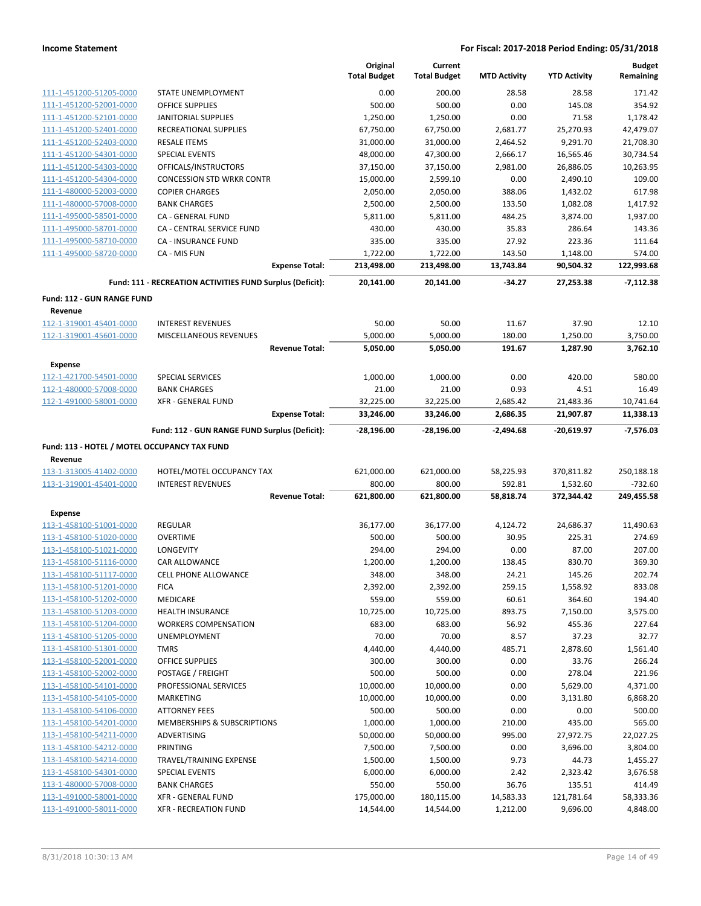|                                                         |                                                           | Original<br><b>Total Budget</b> | Current<br><b>Total Budget</b> | <b>MTD Activity</b> | <b>YTD Activity</b> | <b>Budget</b><br>Remaining |
|---------------------------------------------------------|-----------------------------------------------------------|---------------------------------|--------------------------------|---------------------|---------------------|----------------------------|
| 111-1-451200-51205-0000                                 | STATE UNEMPLOYMENT                                        | 0.00                            | 200.00                         | 28.58               | 28.58               | 171.42                     |
| 111-1-451200-52001-0000                                 | <b>OFFICE SUPPLIES</b>                                    | 500.00                          | 500.00                         | 0.00                | 145.08              | 354.92                     |
| 111-1-451200-52101-0000                                 | <b>JANITORIAL SUPPLIES</b>                                | 1,250.00                        | 1,250.00                       | 0.00                | 71.58               | 1,178.42                   |
| 111-1-451200-52401-0000                                 | RECREATIONAL SUPPLIES                                     | 67,750.00                       | 67,750.00                      | 2,681.77            | 25,270.93           | 42.479.07                  |
| 111-1-451200-52403-0000                                 | <b>RESALE ITEMS</b>                                       | 31,000.00                       | 31,000.00                      | 2,464.52            | 9,291.70            | 21,708.30                  |
| 111-1-451200-54301-0000                                 | <b>SPECIAL EVENTS</b>                                     | 48,000.00                       | 47,300.00                      | 2,666.17            | 16,565.46           | 30,734.54                  |
| 111-1-451200-54303-0000                                 | OFFICALS/INSTRUCTORS                                      | 37,150.00                       | 37,150.00                      | 2,981.00            | 26,886.05           | 10,263.95                  |
| 111-1-451200-54304-0000                                 | <b>CONCESSION STD WRKR CONTR</b>                          | 15,000.00                       | 2,599.10                       | 0.00                | 2,490.10            | 109.00                     |
| 111-1-480000-52003-0000                                 | <b>COPIER CHARGES</b>                                     | 2,050.00                        | 2,050.00                       | 388.06              | 1,432.02            | 617.98                     |
| 111-1-480000-57008-0000                                 | <b>BANK CHARGES</b>                                       | 2,500.00                        | 2,500.00                       | 133.50              | 1,082.08            | 1,417.92                   |
| 111-1-495000-58501-0000                                 | CA - GENERAL FUND                                         | 5,811.00                        | 5,811.00                       | 484.25              | 3,874.00            | 1,937.00                   |
| 111-1-495000-58701-0000                                 | CA - CENTRAL SERVICE FUND                                 | 430.00                          | 430.00                         | 35.83               | 286.64              | 143.36                     |
| 111-1-495000-58710-0000                                 | CA - INSURANCE FUND                                       | 335.00                          | 335.00                         | 27.92               | 223.36              | 111.64                     |
| 111-1-495000-58720-0000                                 | CA - MIS FUN                                              | 1,722.00                        | 1,722.00                       | 143.50              | 1,148.00            | 574.00                     |
|                                                         | <b>Expense Total:</b>                                     | 213,498.00                      | 213,498.00                     | 13,743.84           | 90,504.32           | 122,993.68                 |
|                                                         | Fund: 111 - RECREATION ACTIVITIES FUND Surplus (Deficit): | 20,141.00                       | 20,141.00                      | $-34.27$            | 27,253.38           | $-7,112.38$                |
| Fund: 112 - GUN RANGE FUND                              |                                                           |                                 |                                |                     |                     |                            |
| Revenue<br>112-1-319001-45401-0000                      | <b>INTEREST REVENUES</b>                                  | 50.00                           | 50.00                          | 11.67               | 37.90               | 12.10                      |
| 112-1-319001-45601-0000                                 | <b>MISCELLANEOUS REVENUES</b>                             | 5,000.00                        | 5,000.00                       | 180.00              | 1,250.00            | 3,750.00                   |
|                                                         | <b>Revenue Total:</b>                                     | 5,050.00                        | 5,050.00                       | 191.67              | 1,287.90            | 3,762.10                   |
|                                                         |                                                           |                                 |                                |                     |                     |                            |
| <b>Expense</b>                                          |                                                           |                                 |                                |                     |                     |                            |
| 112-1-421700-54501-0000<br>112-1-480000-57008-0000      | <b>SPECIAL SERVICES</b><br><b>BANK CHARGES</b>            | 1,000.00<br>21.00               | 1,000.00<br>21.00              | 0.00<br>0.93        | 420.00<br>4.51      | 580.00<br>16.49            |
| 112-1-491000-58001-0000                                 | <b>XFR - GENERAL FUND</b>                                 | 32,225.00                       | 32,225.00                      | 2,685.42            | 21,483.36           | 10,741.64                  |
|                                                         | <b>Expense Total:</b>                                     | 33,246.00                       | 33,246.00                      | 2,686.35            | 21,907.87           | 11,338.13                  |
|                                                         |                                                           |                                 |                                |                     |                     |                            |
|                                                         | Fund: 112 - GUN RANGE FUND Surplus (Deficit):             | -28,196.00                      | -28,196.00                     | $-2,494.68$         | $-20,619.97$        | $-7,576.03$                |
| Fund: 113 - HOTEL / MOTEL OCCUPANCY TAX FUND<br>Revenue |                                                           |                                 |                                |                     |                     |                            |
| 113-1-313005-41402-0000                                 | HOTEL/MOTEL OCCUPANCY TAX                                 | 621,000.00                      | 621,000.00                     | 58,225.93           | 370,811.82          | 250,188.18                 |
| 113-1-319001-45401-0000                                 | <b>INTEREST REVENUES</b>                                  | 800.00                          | 800.00                         | 592.81              | 1,532.60            | $-732.60$                  |
|                                                         | <b>Revenue Total:</b>                                     | 621,800.00                      | 621,800.00                     | 58,818.74           | 372,344.42          | 249,455.58                 |
| Expense                                                 |                                                           |                                 |                                |                     |                     |                            |
| 113-1-458100-51001-0000                                 | REGULAR                                                   | 36,177.00                       | 36,177.00                      | 4,124.72            | 24,686.37           | 11,490.63                  |
| 113-1-458100-51020-0000                                 | <b>OVERTIME</b>                                           | 500.00                          | 500.00                         | 30.95               | 225.31              | 274.69                     |
| 113-1-458100-51021-0000                                 | <b>LONGEVITY</b>                                          | 294.00                          | 294.00                         | 0.00                | 87.00               | 207.00                     |
| 113-1-458100-51116-0000                                 | CAR ALLOWANCE                                             | 1,200.00                        | 1,200.00                       | 138.45              | 830.70              | 369.30                     |
| 113-1-458100-51117-0000                                 | <b>CELL PHONE ALLOWANCE</b>                               | 348.00                          | 348.00                         | 24.21               | 145.26              | 202.74                     |
| 113-1-458100-51201-0000                                 | <b>FICA</b>                                               | 2,392.00                        | 2,392.00                       | 259.15              | 1,558.92            | 833.08                     |
| 113-1-458100-51202-0000                                 | <b>MEDICARE</b>                                           | 559.00                          | 559.00                         | 60.61               | 364.60              | 194.40                     |
| 113-1-458100-51203-0000                                 | <b>HEALTH INSURANCE</b>                                   | 10,725.00                       | 10,725.00                      | 893.75              | 7,150.00            | 3,575.00                   |
| 113-1-458100-51204-0000                                 | <b>WORKERS COMPENSATION</b>                               | 683.00                          | 683.00                         | 56.92               | 455.36              | 227.64                     |
| 113-1-458100-51205-0000                                 | <b>UNEMPLOYMENT</b>                                       | 70.00                           | 70.00                          | 8.57                | 37.23               | 32.77                      |
| 113-1-458100-51301-0000                                 | <b>TMRS</b>                                               | 4,440.00                        | 4,440.00                       | 485.71              | 2,878.60            | 1,561.40                   |
| 113-1-458100-52001-0000                                 | <b>OFFICE SUPPLIES</b>                                    | 300.00                          | 300.00                         | 0.00                | 33.76               | 266.24                     |
| 113-1-458100-52002-0000                                 | <b>POSTAGE / FREIGHT</b>                                  | 500.00                          | 500.00                         | 0.00                | 278.04              | 221.96                     |
| 113-1-458100-54101-0000                                 | PROFESSIONAL SERVICES                                     | 10,000.00                       | 10,000.00                      | 0.00                | 5,629.00            | 4,371.00                   |
| 113-1-458100-54105-0000                                 | MARKETING                                                 | 10,000.00                       | 10,000.00                      | 0.00                | 3,131.80            | 6,868.20                   |
| 113-1-458100-54106-0000                                 | <b>ATTORNEY FEES</b>                                      | 500.00                          | 500.00                         | 0.00                | 0.00                | 500.00                     |
| 113-1-458100-54201-0000                                 | MEMBERSHIPS & SUBSCRIPTIONS                               | 1,000.00                        | 1,000.00                       | 210.00              | 435.00              | 565.00                     |
| 113-1-458100-54211-0000                                 | ADVERTISING                                               | 50,000.00                       | 50,000.00                      | 995.00              | 27,972.75           | 22,027.25                  |
| 113-1-458100-54212-0000                                 | <b>PRINTING</b>                                           | 7,500.00                        | 7,500.00                       | 0.00                | 3,696.00            | 3,804.00                   |
| 113-1-458100-54214-0000                                 | TRAVEL/TRAINING EXPENSE                                   | 1,500.00                        | 1,500.00                       | 9.73                | 44.73               | 1,455.27                   |
| 113-1-458100-54301-0000                                 | SPECIAL EVENTS                                            | 6,000.00                        | 6,000.00                       | 2.42                | 2,323.42            | 3,676.58                   |
| 113-1-480000-57008-0000                                 | <b>BANK CHARGES</b>                                       | 550.00                          | 550.00                         | 36.76               | 135.51              | 414.49                     |
| 113-1-491000-58001-0000                                 | <b>XFR - GENERAL FUND</b>                                 | 175,000.00                      | 180,115.00                     | 14,583.33           | 121,781.64          | 58,333.36                  |
| 113-1-491000-58011-0000                                 | <b>XFR - RECREATION FUND</b>                              | 14,544.00                       | 14,544.00                      | 1,212.00            | 9,696.00            | 4,848.00                   |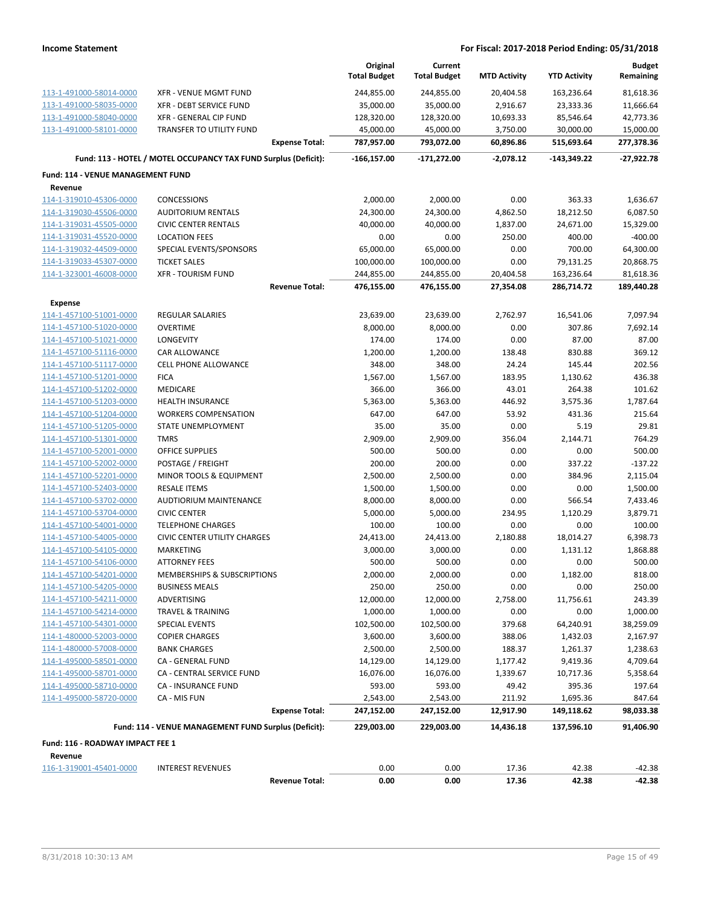|                                                     |                                                                 | Original<br><b>Total Budget</b> | Current<br><b>Total Budget</b> | <b>MTD Activity</b>   | <b>YTD Activity</b>    | <b>Budget</b><br>Remaining |
|-----------------------------------------------------|-----------------------------------------------------------------|---------------------------------|--------------------------------|-----------------------|------------------------|----------------------------|
|                                                     |                                                                 |                                 | 244,855.00                     |                       |                        |                            |
| 113-1-491000-58014-0000                             | XFR - VENUE MGMT FUND                                           | 244,855.00                      |                                | 20,404.58             | 163,236.64             | 81,618.36                  |
| 113-1-491000-58035-0000<br>113-1-491000-58040-0000  | XFR - DEBT SERVICE FUND<br>XFR - GENERAL CIP FUND               | 35,000.00<br>128,320.00         | 35,000.00<br>128,320.00        | 2,916.67              | 23,333.36              | 11,666.64                  |
| 113-1-491000-58101-0000                             | <b>TRANSFER TO UTILITY FUND</b>                                 |                                 |                                | 10,693.33             | 85,546.64<br>30,000.00 | 42,773.36                  |
|                                                     | <b>Expense Total:</b>                                           | 45,000.00<br>787,957.00         | 45,000.00<br>793,072.00        | 3,750.00<br>60,896.86 | 515,693.64             | 15,000.00<br>277,378.36    |
|                                                     | Fund: 113 - HOTEL / MOTEL OCCUPANCY TAX FUND Surplus (Deficit): | $-166, 157.00$                  | -171,272.00                    | $-2,078.12$           | $-143,349.22$          | -27,922.78                 |
|                                                     |                                                                 |                                 |                                |                       |                        |                            |
| <b>Fund: 114 - VENUE MANAGEMENT FUND</b><br>Revenue |                                                                 |                                 |                                |                       |                        |                            |
| 114-1-319010-45306-0000                             | <b>CONCESSIONS</b>                                              | 2,000.00                        | 2,000.00                       | 0.00                  | 363.33                 | 1,636.67                   |
| 114-1-319030-45506-0000                             | <b>AUDITORIUM RENTALS</b>                                       | 24,300.00                       | 24,300.00                      | 4,862.50              | 18,212.50              | 6,087.50                   |
| 114-1-319031-45505-0000                             | <b>CIVIC CENTER RENTALS</b>                                     | 40,000.00                       | 40,000.00                      | 1,837.00              | 24,671.00              | 15,329.00                  |
| 114-1-319031-45520-0000                             | <b>LOCATION FEES</b>                                            | 0.00                            | 0.00                           | 250.00                | 400.00                 | $-400.00$                  |
| 114-1-319032-44509-0000                             | SPECIAL EVENTS/SPONSORS                                         | 65,000.00                       | 65,000.00                      | 0.00                  | 700.00                 | 64,300.00                  |
| 114-1-319033-45307-0000                             | <b>TICKET SALES</b>                                             | 100,000.00                      | 100,000.00                     | 0.00                  | 79,131.25              | 20,868.75                  |
| 114-1-323001-46008-0000                             | <b>XFR - TOURISM FUND</b>                                       | 244,855.00                      | 244,855.00                     | 20,404.58             | 163,236.64             | 81,618.36                  |
|                                                     | <b>Revenue Total:</b>                                           | 476,155.00                      | 476,155.00                     | 27,354.08             | 286,714.72             | 189,440.28                 |
| <b>Expense</b>                                      |                                                                 |                                 |                                |                       |                        |                            |
| 114-1-457100-51001-0000                             | <b>REGULAR SALARIES</b>                                         | 23,639.00                       | 23,639.00                      | 2,762.97              | 16,541.06              | 7,097.94                   |
| 114-1-457100-51020-0000                             | <b>OVERTIME</b>                                                 | 8,000.00                        | 8,000.00                       | 0.00                  | 307.86                 | 7,692.14                   |
| 114-1-457100-51021-0000                             | LONGEVITY                                                       | 174.00                          | 174.00                         | 0.00                  | 87.00                  | 87.00                      |
| 114-1-457100-51116-0000                             | <b>CAR ALLOWANCE</b>                                            | 1,200.00                        | 1,200.00                       | 138.48                | 830.88                 | 369.12                     |
| 114-1-457100-51117-0000                             | <b>CELL PHONE ALLOWANCE</b>                                     | 348.00                          | 348.00                         | 24.24                 | 145.44                 | 202.56                     |
| 114-1-457100-51201-0000                             | <b>FICA</b>                                                     | 1,567.00                        | 1,567.00                       | 183.95                | 1,130.62               | 436.38                     |
| 114-1-457100-51202-0000                             | MEDICARE                                                        | 366.00                          | 366.00                         | 43.01                 | 264.38                 | 101.62                     |
| 114-1-457100-51203-0000                             | <b>HEALTH INSURANCE</b>                                         | 5,363.00                        | 5,363.00                       | 446.92                | 3,575.36               | 1,787.64                   |
| 114-1-457100-51204-0000                             | <b>WORKERS COMPENSATION</b>                                     | 647.00                          | 647.00                         | 53.92                 | 431.36                 | 215.64                     |
| 114-1-457100-51205-0000                             | STATE UNEMPLOYMENT                                              | 35.00                           | 35.00                          | 0.00                  | 5.19                   | 29.81                      |
| 114-1-457100-51301-0000                             | <b>TMRS</b>                                                     | 2,909.00                        | 2,909.00                       | 356.04                | 2,144.71               | 764.29                     |
| 114-1-457100-52001-0000                             | OFFICE SUPPLIES                                                 | 500.00                          | 500.00                         | 0.00                  | 0.00                   | 500.00                     |
| 114-1-457100-52002-0000                             | POSTAGE / FREIGHT                                               | 200.00                          | 200.00                         | 0.00                  | 337.22                 | $-137.22$                  |
| 114-1-457100-52201-0000                             | MINOR TOOLS & EQUIPMENT                                         | 2,500.00                        | 2,500.00                       | 0.00                  | 384.96                 | 2,115.04                   |
| 114-1-457100-52403-0000                             | <b>RESALE ITEMS</b>                                             | 1,500.00                        | 1,500.00                       | 0.00                  | 0.00                   | 1,500.00                   |
| 114-1-457100-53702-0000                             | AUDTIORIUM MAINTENANCE                                          | 8,000.00                        | 8,000.00                       | 0.00                  | 566.54                 | 7,433.46                   |
| 114-1-457100-53704-0000                             | <b>CIVIC CENTER</b>                                             | 5,000.00                        | 5,000.00                       | 234.95                | 1,120.29               | 3,879.71                   |
| 114-1-457100-54001-0000                             | <b>TELEPHONE CHARGES</b>                                        | 100.00                          | 100.00                         | 0.00                  | 0.00                   | 100.00                     |
| 114-1-457100-54005-0000                             | <b>CIVIC CENTER UTILITY CHARGES</b>                             | 24,413.00                       | 24,413.00                      | 2,180.88              | 18,014.27              | 6,398.73                   |
| 114-1-457100-54105-0000                             | MARKETING                                                       | 3,000.00                        | 3,000.00                       | 0.00                  | 1,131.12               | 1,868.88                   |
| 114-1-457100-54106-0000                             | <b>ATTORNEY FEES</b>                                            | 500.00                          | 500.00                         | 0.00                  | 0.00                   | 500.00                     |
| 114-1-457100-54201-0000                             | MEMBERSHIPS & SUBSCRIPTIONS                                     | 2,000.00                        | 2,000.00                       | 0.00                  | 1,182.00               | 818.00                     |
| 114-1-457100-54205-0000                             | <b>BUSINESS MEALS</b>                                           | 250.00                          | 250.00                         | 0.00                  | 0.00                   | 250.00                     |
| 114-1-457100-54211-0000                             | ADVERTISING                                                     | 12,000.00                       | 12,000.00                      | 2,758.00              | 11,756.61              | 243.39                     |
| 114-1-457100-54214-0000                             | TRAVEL & TRAINING                                               | 1,000.00                        | 1,000.00                       | 0.00                  | 0.00                   | 1,000.00                   |
| 114-1-457100-54301-0000                             | <b>SPECIAL EVENTS</b>                                           | 102,500.00                      | 102,500.00                     | 379.68                | 64,240.91              | 38,259.09                  |
| 114-1-480000-52003-0000                             | <b>COPIER CHARGES</b>                                           | 3,600.00                        | 3,600.00                       | 388.06                | 1,432.03               | 2,167.97                   |
| 114-1-480000-57008-0000                             | <b>BANK CHARGES</b>                                             | 2,500.00                        | 2,500.00                       | 188.37                | 1,261.37               | 1,238.63                   |
| 114-1-495000-58501-0000                             | CA - GENERAL FUND                                               | 14,129.00                       | 14,129.00                      | 1,177.42              | 9,419.36               | 4,709.64                   |
| 114-1-495000-58701-0000                             | CA - CENTRAL SERVICE FUND                                       | 16,076.00                       | 16,076.00                      | 1,339.67              | 10,717.36              | 5,358.64                   |
| 114-1-495000-58710-0000                             | CA - INSURANCE FUND                                             | 593.00                          | 593.00                         | 49.42                 | 395.36                 | 197.64                     |
| 114-1-495000-58720-0000                             | CA - MIS FUN                                                    | 2,543.00                        | 2,543.00                       | 211.92                | 1,695.36               | 847.64                     |
|                                                     | <b>Expense Total:</b>                                           | 247,152.00                      | 247,152.00                     | 12,917.90             | 149,118.62             | 98,033.38                  |
|                                                     | Fund: 114 - VENUE MANAGEMENT FUND Surplus (Deficit):            | 229,003.00                      | 229,003.00                     | 14,436.18             | 137,596.10             | 91,406.90                  |
| Fund: 116 - ROADWAY IMPACT FEE 1                    |                                                                 |                                 |                                |                       |                        |                            |
| Revenue                                             |                                                                 |                                 |                                |                       |                        |                            |
| 116-1-319001-45401-0000                             | <b>INTEREST REVENUES</b>                                        | 0.00                            | 0.00                           | 17.36                 | 42.38                  | $-42.38$                   |
|                                                     | <b>Revenue Total:</b>                                           | 0.00                            | 0.00                           | 17.36                 | 42.38                  | $-42.38$                   |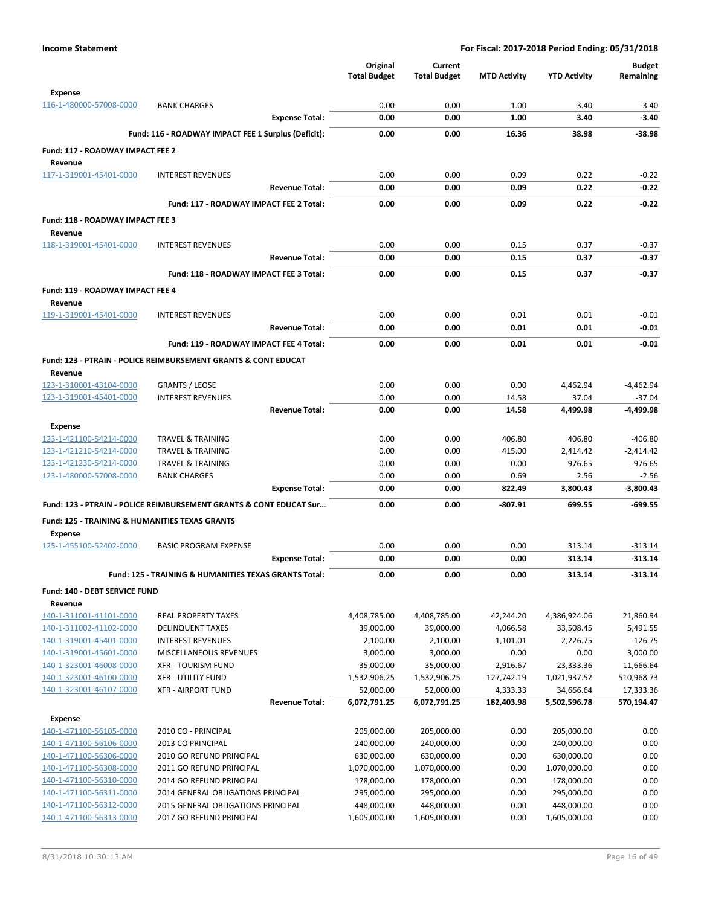|                                                           |                                                                    | Original                  | Current                   |                        |                           | <b>Budget</b>           |
|-----------------------------------------------------------|--------------------------------------------------------------------|---------------------------|---------------------------|------------------------|---------------------------|-------------------------|
|                                                           |                                                                    | <b>Total Budget</b>       | <b>Total Budget</b>       | <b>MTD Activity</b>    | <b>YTD Activity</b>       | Remaining               |
| <b>Expense</b><br>116-1-480000-57008-0000                 | <b>BANK CHARGES</b>                                                | 0.00                      | 0.00                      | 1.00                   | 3.40                      | $-3.40$                 |
|                                                           | <b>Expense Total:</b>                                              | 0.00                      | 0.00                      | 1.00                   | 3.40                      | $-3.40$                 |
|                                                           | Fund: 116 - ROADWAY IMPACT FEE 1 Surplus (Deficit):                | 0.00                      | 0.00                      | 16.36                  | 38.98                     | $-38.98$                |
|                                                           |                                                                    |                           |                           |                        |                           |                         |
| Fund: 117 - ROADWAY IMPACT FEE 2<br>Revenue               |                                                                    |                           |                           |                        |                           |                         |
| 117-1-319001-45401-0000                                   | <b>INTEREST REVENUES</b>                                           | 0.00                      | 0.00                      | 0.09                   | 0.22                      | $-0.22$                 |
|                                                           | <b>Revenue Total:</b>                                              | 0.00                      | 0.00                      | 0.09                   | 0.22                      | $-0.22$                 |
|                                                           | Fund: 117 - ROADWAY IMPACT FEE 2 Total:                            | 0.00                      | 0.00                      | 0.09                   | 0.22                      | $-0.22$                 |
| Fund: 118 - ROADWAY IMPACT FEE 3                          |                                                                    |                           |                           |                        |                           |                         |
| Revenue                                                   |                                                                    |                           |                           |                        |                           |                         |
| 118-1-319001-45401-0000                                   | <b>INTEREST REVENUES</b>                                           | 0.00                      | 0.00                      | 0.15                   | 0.37                      | $-0.37$                 |
|                                                           | <b>Revenue Total:</b>                                              | 0.00                      | 0.00                      | 0.15                   | 0.37                      | $-0.37$                 |
|                                                           | Fund: 118 - ROADWAY IMPACT FEE 3 Total:                            | 0.00                      | 0.00                      | 0.15                   | 0.37                      | $-0.37$                 |
| <b>Fund: 119 - ROADWAY IMPACT FEE 4</b>                   |                                                                    |                           |                           |                        |                           |                         |
| Revenue                                                   |                                                                    |                           |                           |                        |                           |                         |
| 119-1-319001-45401-0000                                   | <b>INTEREST REVENUES</b>                                           | 0.00                      | 0.00                      | 0.01                   | 0.01                      | $-0.01$                 |
|                                                           | <b>Revenue Total:</b>                                              | 0.00                      | 0.00                      | 0.01                   | 0.01                      | $-0.01$                 |
|                                                           | Fund: 119 - ROADWAY IMPACT FEE 4 Total:                            | 0.00                      | 0.00                      | 0.01                   | 0.01                      | $-0.01$                 |
|                                                           | Fund: 123 - PTRAIN - POLICE REIMBURSEMENT GRANTS & CONT EDUCAT     |                           |                           |                        |                           |                         |
| Revenue                                                   |                                                                    |                           |                           |                        |                           |                         |
| 123-1-310001-43104-0000                                   | <b>GRANTS / LEOSE</b>                                              | 0.00                      | 0.00                      | 0.00                   | 4,462.94                  | $-4,462.94$             |
| 123-1-319001-45401-0000                                   | <b>INTEREST REVENUES</b>                                           | 0.00                      | 0.00                      | 14.58                  | 37.04                     | $-37.04$                |
|                                                           | <b>Revenue Total:</b>                                              | 0.00                      | 0.00                      | 14.58                  | 4,499.98                  | -4,499.98               |
| <b>Expense</b>                                            |                                                                    |                           |                           |                        |                           |                         |
| 123-1-421100-54214-0000                                   | <b>TRAVEL &amp; TRAINING</b>                                       | 0.00                      | 0.00                      | 406.80                 | 406.80                    | $-406.80$               |
| 123-1-421210-54214-0000                                   | TRAVEL & TRAINING                                                  | 0.00                      | 0.00                      | 415.00                 | 2,414.42                  | $-2,414.42$             |
| 123-1-421230-54214-0000                                   | <b>TRAVEL &amp; TRAINING</b>                                       | 0.00                      | 0.00                      | 0.00                   | 976.65                    | $-976.65$               |
| 123-1-480000-57008-0000                                   | <b>BANK CHARGES</b>                                                | 0.00                      | 0.00                      | 0.69                   | 2.56                      | $-2.56$                 |
|                                                           | <b>Expense Total:</b>                                              | 0.00                      | 0.00                      | 822.49                 | 3,800.43                  | $-3,800.43$             |
|                                                           | Fund: 123 - PTRAIN - POLICE REIMBURSEMENT GRANTS & CONT EDUCAT Sur | 0.00                      | 0.00                      | $-807.91$              | 699.55                    | $-699.55$               |
| <b>Fund: 125 - TRAINING &amp; HUMANITIES TEXAS GRANTS</b> |                                                                    |                           |                           |                        |                           |                         |
| <b>Expense</b>                                            |                                                                    |                           |                           |                        |                           |                         |
| 125-1-455100-52402-0000                                   | <b>BASIC PROGRAM EXPENSE</b>                                       | 0.00                      | 0.00                      | 0.00                   | 313.14                    | $-313.14$               |
|                                                           | <b>Expense Total:</b>                                              | 0.00                      | 0.00                      | 0.00                   | 313.14                    | $-313.14$               |
|                                                           | Fund: 125 - TRAINING & HUMANITIES TEXAS GRANTS Total:              | 0.00                      | 0.00                      | 0.00                   | 313.14                    | $-313.14$               |
| Fund: 140 - DEBT SERVICE FUND                             |                                                                    |                           |                           |                        |                           |                         |
| Revenue                                                   |                                                                    |                           |                           |                        |                           |                         |
| 140-1-311001-41101-0000                                   | <b>REAL PROPERTY TAXES</b>                                         | 4,408,785.00              | 4,408,785.00              | 42,244.20              | 4,386,924.06              | 21,860.94               |
| 140-1-311002-41102-0000                                   | <b>DELINQUENT TAXES</b>                                            | 39,000.00                 | 39,000.00                 | 4,066.58               | 33,508.45                 | 5,491.55                |
| 140-1-319001-45401-0000                                   | <b>INTEREST REVENUES</b>                                           | 2,100.00                  | 2,100.00                  | 1,101.01               | 2,226.75                  | $-126.75$               |
| 140-1-319001-45601-0000                                   | MISCELLANEOUS REVENUES                                             | 3,000.00                  | 3,000.00                  | 0.00                   | 0.00                      | 3,000.00                |
| 140-1-323001-46008-0000<br>140-1-323001-46100-0000        | <b>XFR - TOURISM FUND</b>                                          | 35,000.00                 | 35,000.00                 | 2,916.67               | 23,333.36                 | 11,666.64               |
|                                                           | <b>XFR - UTILITY FUND</b>                                          | 1,532,906.25              | 1,532,906.25              | 127,742.19             | 1,021,937.52              | 510,968.73              |
| 140-1-323001-46107-0000                                   | <b>XFR - AIRPORT FUND</b><br><b>Revenue Total:</b>                 | 52,000.00<br>6,072,791.25 | 52,000.00<br>6,072,791.25 | 4,333.33<br>182,403.98 | 34,666.64<br>5,502,596.78 | 17,333.36<br>570,194.47 |
|                                                           |                                                                    |                           |                           |                        |                           |                         |
| <b>Expense</b>                                            |                                                                    |                           |                           |                        |                           | 0.00                    |
| 140-1-471100-56105-0000                                   | 2010 CO - PRINCIPAL                                                | 205,000.00                | 205,000.00                | 0.00                   | 205,000.00                |                         |
| 140-1-471100-56106-0000                                   | 2013 CO PRINCIPAL                                                  | 240,000.00                | 240,000.00                | 0.00                   | 240,000.00                | 0.00                    |
| 140-1-471100-56306-0000                                   | 2010 GO REFUND PRINCIPAL                                           | 630,000.00                | 630,000.00                | 0.00                   | 630,000.00                | 0.00                    |
| 140-1-471100-56308-0000                                   | 2011 GO REFUND PRINCIPAL                                           | 1,070,000.00              | 1,070,000.00              | 0.00                   | 1,070,000.00              | 0.00                    |
| 140-1-471100-56310-0000                                   | 2014 GO REFUND PRINCIPAL                                           | 178,000.00                | 178,000.00                | 0.00                   | 178,000.00                | 0.00                    |
| 140-1-471100-56311-0000                                   | 2014 GENERAL OBLIGATIONS PRINCIPAL                                 | 295,000.00                | 295,000.00                | 0.00                   | 295,000.00                | 0.00                    |
| 140-1-471100-56312-0000                                   | 2015 GENERAL OBLIGATIONS PRINCIPAL                                 | 448,000.00                | 448,000.00                | 0.00                   | 448,000.00                | 0.00                    |
| 140-1-471100-56313-0000                                   | 2017 GO REFUND PRINCIPAL                                           | 1,605,000.00              | 1,605,000.00              | 0.00                   | 1,605,000.00              | 0.00                    |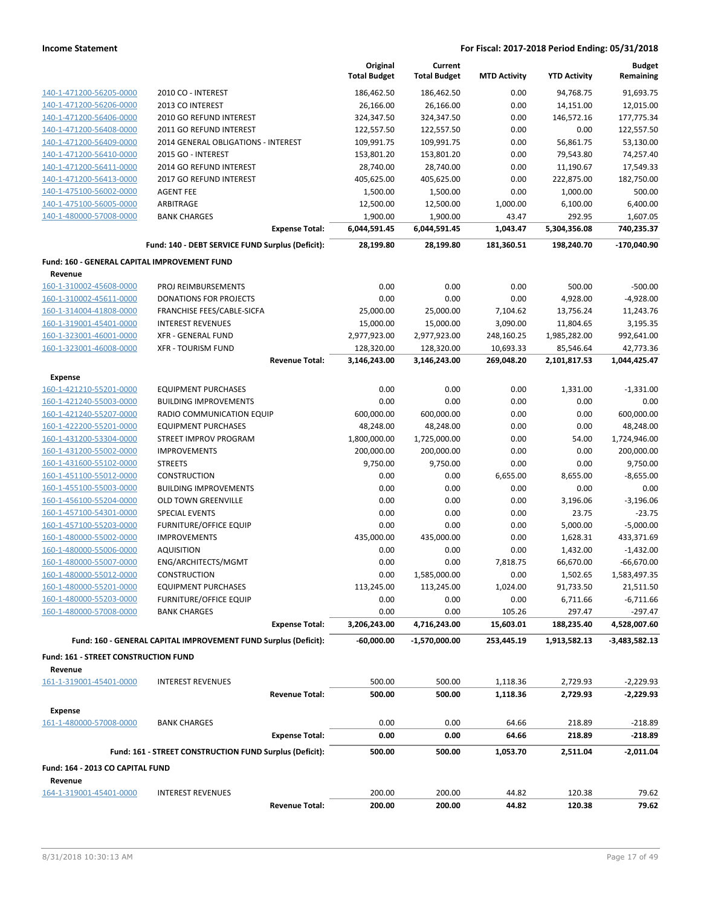|                                              |                                                                 | Original            | Current             |                     |                     | <b>Budget</b>   |
|----------------------------------------------|-----------------------------------------------------------------|---------------------|---------------------|---------------------|---------------------|-----------------|
|                                              |                                                                 | <b>Total Budget</b> | <b>Total Budget</b> | <b>MTD Activity</b> | <b>YTD Activity</b> | Remaining       |
| 140-1-471200-56205-0000                      | 2010 CO - INTEREST                                              | 186,462.50          | 186,462.50          | 0.00                | 94,768.75           | 91,693.75       |
| 140-1-471200-56206-0000                      | 2013 CO INTEREST                                                | 26,166.00           | 26,166.00           | 0.00                | 14,151.00           | 12,015.00       |
| 140-1-471200-56406-0000                      | 2010 GO REFUND INTEREST                                         | 324,347.50          | 324,347.50          | 0.00                | 146,572.16          | 177,775.34      |
| 140-1-471200-56408-0000                      |                                                                 |                     |                     | 0.00                |                     |                 |
|                                              | 2011 GO REFUND INTEREST                                         | 122,557.50          | 122,557.50          |                     | 0.00                | 122,557.50      |
| 140-1-471200-56409-0000                      | 2014 GENERAL OBLIGATIONS - INTEREST                             | 109,991.75          | 109,991.75          | 0.00                | 56,861.75           | 53,130.00       |
| 140-1-471200-56410-0000                      | 2015 GO - INTEREST                                              | 153,801.20          | 153,801.20          | 0.00                | 79,543.80           | 74,257.40       |
| 140-1-471200-56411-0000                      | 2014 GO REFUND INTEREST                                         | 28,740.00           | 28,740.00           | 0.00                | 11,190.67           | 17,549.33       |
| 140-1-471200-56413-0000                      | 2017 GO REFUND INTEREST                                         | 405,625.00          | 405,625.00          | 0.00                | 222,875.00          | 182,750.00      |
| 140-1-475100-56002-0000                      | <b>AGENT FEE</b>                                                | 1,500.00            | 1,500.00            | 0.00                | 1,000.00            | 500.00          |
| 140-1-475100-56005-0000                      | ARBITRAGE                                                       | 12,500.00           | 12,500.00           | 1,000.00            | 6,100.00            | 6,400.00        |
| 140-1-480000-57008-0000                      | <b>BANK CHARGES</b>                                             | 1,900.00            | 1,900.00            | 43.47               | 292.95              | 1,607.05        |
|                                              | <b>Expense Total:</b>                                           | 6,044,591.45        | 6,044,591.45        | 1,043.47            | 5,304,356.08        | 740,235.37      |
|                                              | Fund: 140 - DEBT SERVICE FUND Surplus (Deficit):                | 28,199.80           | 28,199.80           | 181,360.51          | 198,240.70          | -170,040.90     |
|                                              |                                                                 |                     |                     |                     |                     |                 |
| Fund: 160 - GENERAL CAPITAL IMPROVEMENT FUND |                                                                 |                     |                     |                     |                     |                 |
| Revenue                                      |                                                                 |                     |                     |                     |                     |                 |
| 160-1-310002-45608-0000                      | PROJ REIMBURSEMENTS                                             | 0.00                | 0.00                | 0.00                | 500.00              | $-500.00$       |
| 160-1-310002-45611-0000                      | <b>DONATIONS FOR PROJECTS</b>                                   | 0.00                | 0.00                | 0.00                | 4,928.00            | $-4,928.00$     |
| 160-1-314004-41808-0000                      | FRANCHISE FEES/CABLE-SICFA                                      | 25,000.00           | 25,000.00           | 7,104.62            | 13,756.24           | 11,243.76       |
| 160-1-319001-45401-0000                      | <b>INTEREST REVENUES</b>                                        | 15,000.00           | 15,000.00           | 3,090.00            | 11,804.65           | 3,195.35        |
| 160-1-323001-46001-0000                      | <b>XFR - GENERAL FUND</b>                                       | 2,977,923.00        | 2,977,923.00        | 248,160.25          | 1,985,282.00        | 992,641.00      |
| 160-1-323001-46008-0000                      | <b>XFR - TOURISM FUND</b>                                       | 128,320.00          | 128,320.00          | 10,693.33           | 85,546.64           | 42,773.36       |
|                                              | <b>Revenue Total:</b>                                           | 3,146,243.00        | 3,146,243.00        | 269,048.20          | 2,101,817.53        | 1,044,425.47    |
|                                              |                                                                 |                     |                     |                     |                     |                 |
| <b>Expense</b>                               | <b>EQUIPMENT PURCHASES</b>                                      | 0.00                | 0.00                | 0.00                |                     |                 |
| 160-1-421210-55201-0000                      |                                                                 |                     |                     |                     | 1,331.00            | $-1,331.00$     |
| 160-1-421240-55003-0000                      | <b>BUILDING IMPROVEMENTS</b>                                    | 0.00                | 0.00                | 0.00                | 0.00                | 0.00            |
| 160-1-421240-55207-0000                      | RADIO COMMUNICATION EQUIP                                       | 600,000.00          | 600,000.00          | 0.00                | 0.00                | 600,000.00      |
| 160-1-422200-55201-0000                      | <b>EQUIPMENT PURCHASES</b>                                      | 48,248.00           | 48,248.00           | 0.00                | 0.00                | 48,248.00       |
| 160-1-431200-53304-0000                      | STREET IMPROV PROGRAM                                           | 1,800,000.00        | 1,725,000.00        | 0.00                | 54.00               | 1,724,946.00    |
| 160-1-431200-55002-0000                      | <b>IMPROVEMENTS</b>                                             | 200,000.00          | 200,000.00          | 0.00                | 0.00                | 200,000.00      |
| 160-1-431600-55102-0000                      | <b>STREETS</b>                                                  | 9,750.00            | 9,750.00            | 0.00                | 0.00                | 9,750.00        |
| 160-1-451100-55012-0000                      | <b>CONSTRUCTION</b>                                             | 0.00                | 0.00                | 6,655.00            | 8,655.00            | $-8,655.00$     |
| 160-1-455100-55003-0000                      | <b>BUILDING IMPROVEMENTS</b>                                    | 0.00                | 0.00                | 0.00                | 0.00                | 0.00            |
| 160-1-456100-55204-0000                      | <b>OLD TOWN GREENVILLE</b>                                      | 0.00                | 0.00                | 0.00                | 3,196.06            | $-3,196.06$     |
| 160-1-457100-54301-0000                      | <b>SPECIAL EVENTS</b>                                           | 0.00                | 0.00                | 0.00                | 23.75               | $-23.75$        |
| 160-1-457100-55203-0000                      | <b>FURNITURE/OFFICE EQUIP</b>                                   | 0.00                | 0.00                | 0.00                | 5,000.00            | $-5,000.00$     |
| 160-1-480000-55002-0000                      | <b>IMPROVEMENTS</b>                                             | 435,000.00          | 435,000.00          | 0.00                | 1,628.31            | 433,371.69      |
| 160-1-480000-55006-0000                      | <b>AQUISITION</b>                                               | 0.00                | 0.00                | 0.00                | 1,432.00            | $-1,432.00$     |
| 160-1-480000-55007-0000                      | ENG/ARCHITECTS/MGMT                                             | 0.00                | 0.00                | 7,818.75            | 66,670.00           | $-66,670.00$    |
| 160-1-480000-55012-0000                      | <b>CONSTRUCTION</b>                                             | 0.00                | 1,585,000.00        | 0.00                | 1,502.65            | 1,583,497.35    |
| 160-1-480000-55201-0000                      | <b>EQUIPMENT PURCHASES</b>                                      | 113,245.00          | 113,245.00          | 1,024.00            | 91,733.50           | 21,511.50       |
| 160-1-480000-55203-0000                      | <b>FURNITURE/OFFICE EQUIP</b>                                   | 0.00                | 0.00                | 0.00                | 6,711.66            | $-6,711.66$     |
| 160-1-480000-57008-0000                      | <b>BANK CHARGES</b>                                             | 0.00                | 0.00                | 105.26              | 297.47              | $-297.47$       |
|                                              | <b>Expense Total:</b>                                           | 3,206,243.00        | 4,716,243.00        | 15,603.01           | 188,235.40          | 4,528,007.60    |
|                                              |                                                                 |                     |                     |                     |                     |                 |
|                                              | Fund: 160 - GENERAL CAPITAL IMPROVEMENT FUND Surplus (Deficit): | $-60,000.00$        | -1,570,000.00       | 253,445.19          | 1,913,582.13        | $-3,483,582.13$ |
| <b>Fund: 161 - STREET CONSTRUCTION FUND</b>  |                                                                 |                     |                     |                     |                     |                 |
| Revenue                                      |                                                                 |                     |                     |                     |                     |                 |
| 161-1-319001-45401-0000                      | <b>INTEREST REVENUES</b>                                        | 500.00              | 500.00              | 1,118.36            | 2,729.93            | $-2,229.93$     |
|                                              | <b>Revenue Total:</b>                                           | 500.00              | 500.00              | 1,118.36            | 2,729.93            | $-2,229.93$     |
|                                              |                                                                 |                     |                     |                     |                     |                 |
| <b>Expense</b>                               |                                                                 |                     |                     |                     |                     |                 |
| 161-1-480000-57008-0000                      | <b>BANK CHARGES</b>                                             | 0.00                | 0.00                | 64.66               | 218.89              | $-218.89$       |
|                                              | <b>Expense Total:</b>                                           | 0.00                | 0.00                | 64.66               | 218.89              | $-218.89$       |
|                                              | Fund: 161 - STREET CONSTRUCTION FUND Surplus (Deficit):         | 500.00              | 500.00              | 1,053.70            | 2,511.04            | $-2,011.04$     |
|                                              |                                                                 |                     |                     |                     |                     |                 |
| Fund: 164 - 2013 CO CAPITAL FUND             |                                                                 |                     |                     |                     |                     |                 |
| Revenue                                      |                                                                 |                     |                     |                     |                     |                 |
| 164-1-319001-45401-0000                      | <b>INTEREST REVENUES</b>                                        | 200.00              | 200.00              | 44.82               | 120.38              | 79.62           |
|                                              | <b>Revenue Total:</b>                                           | 200.00              | 200.00              | 44.82               | 120.38              | 79.62           |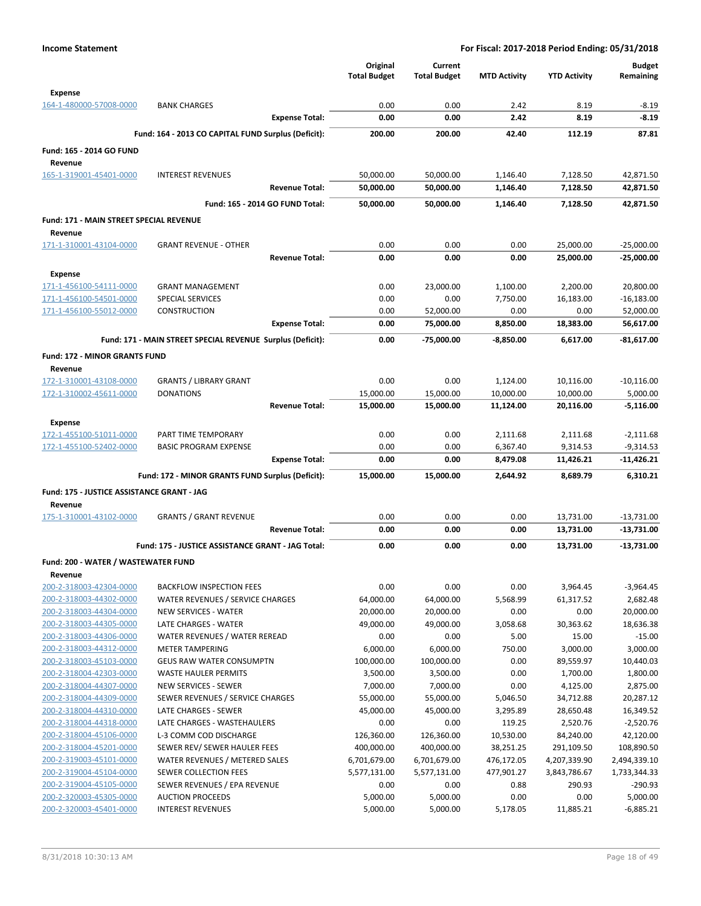|                                                    |                                                            | Original<br><b>Total Budget</b> | Current<br><b>Total Budget</b> | <b>MTD Activity</b>   | <b>YTD Activity</b>    | <b>Budget</b><br>Remaining |
|----------------------------------------------------|------------------------------------------------------------|---------------------------------|--------------------------------|-----------------------|------------------------|----------------------------|
|                                                    |                                                            |                                 |                                |                       |                        |                            |
| Expense<br>164-1-480000-57008-0000                 | <b>BANK CHARGES</b>                                        | 0.00                            | 0.00                           | 2.42                  | 8.19                   | $-8.19$                    |
|                                                    | <b>Expense Total:</b>                                      | 0.00                            | 0.00                           | 2.42                  | 8.19                   | $-8.19$                    |
|                                                    | Fund: 164 - 2013 CO CAPITAL FUND Surplus (Deficit):        | 200.00                          | 200.00                         | 42.40                 | 112.19                 | 87.81                      |
| Fund: 165 - 2014 GO FUND                           |                                                            |                                 |                                |                       |                        |                            |
| Revenue                                            |                                                            |                                 |                                |                       |                        |                            |
| 165-1-319001-45401-0000                            | <b>INTEREST REVENUES</b>                                   | 50,000.00                       | 50,000.00                      | 1,146.40              | 7,128.50               | 42,871.50                  |
|                                                    | <b>Revenue Total:</b>                                      | 50,000.00                       | 50,000.00                      | 1,146.40              | 7,128.50               | 42,871.50                  |
|                                                    | Fund: 165 - 2014 GO FUND Total:                            | 50,000.00                       | 50,000.00                      | 1,146.40              | 7,128.50               | 42.871.50                  |
| Fund: 171 - MAIN STREET SPECIAL REVENUE            |                                                            |                                 |                                |                       |                        |                            |
| Revenue                                            |                                                            |                                 |                                |                       |                        |                            |
| 171-1-310001-43104-0000                            | <b>GRANT REVENUE - OTHER</b>                               | 0.00                            | 0.00                           | 0.00                  | 25,000.00              | $-25,000.00$               |
|                                                    | <b>Revenue Total:</b>                                      | 0.00                            | 0.00                           | 0.00                  | 25,000.00              | -25,000.00                 |
| Expense                                            |                                                            |                                 |                                |                       |                        |                            |
| 171-1-456100-54111-0000                            | <b>GRANT MANAGEMENT</b>                                    | 0.00                            | 23,000.00                      | 1,100.00              | 2,200.00               | 20,800.00                  |
| 171-1-456100-54501-0000                            | <b>SPECIAL SERVICES</b>                                    | 0.00                            | 0.00                           | 7,750.00              | 16,183.00              | $-16,183.00$               |
| 171-1-456100-55012-0000                            | <b>CONSTRUCTION</b><br><b>Expense Total:</b>               | 0.00<br>0.00                    | 52,000.00<br>75,000.00         | 0.00<br>8,850.00      | 0.00<br>18,383.00      | 52,000.00<br>56,617.00     |
|                                                    |                                                            |                                 |                                |                       |                        |                            |
|                                                    | Fund: 171 - MAIN STREET SPECIAL REVENUE Surplus (Deficit): | 0.00                            | -75,000.00                     | $-8,850.00$           | 6.617.00               | $-81,617.00$               |
| <b>Fund: 172 - MINOR GRANTS FUND</b>               |                                                            |                                 |                                |                       |                        |                            |
| Revenue                                            |                                                            |                                 |                                |                       |                        |                            |
| 172-1-310001-43108-0000<br>172-1-310002-45611-0000 | <b>GRANTS / LIBRARY GRANT</b><br><b>DONATIONS</b>          | 0.00<br>15,000.00               | 0.00<br>15,000.00              | 1,124.00<br>10,000.00 | 10,116.00<br>10,000.00 | $-10,116.00$<br>5,000.00   |
|                                                    | <b>Revenue Total:</b>                                      | 15,000.00                       | 15,000.00                      | 11,124.00             | 20,116.00              | $-5,116.00$                |
|                                                    |                                                            |                                 |                                |                       |                        |                            |
| Expense<br>172-1-455100-51011-0000                 | PART TIME TEMPORARY                                        | 0.00                            | 0.00                           | 2,111.68              | 2,111.68               | $-2,111.68$                |
| 172-1-455100-52402-0000                            | <b>BASIC PROGRAM EXPENSE</b>                               | 0.00                            | 0.00                           | 6,367.40              | 9,314.53               | $-9,314.53$                |
|                                                    | <b>Expense Total:</b>                                      | 0.00                            | 0.00                           | 8,479.08              | 11,426.21              | $-11,426.21$               |
|                                                    | Fund: 172 - MINOR GRANTS FUND Surplus (Deficit):           | 15,000.00                       | 15,000.00                      | 2,644.92              | 8,689.79               | 6,310.21                   |
| Fund: 175 - JUSTICE ASSISTANCE GRANT - JAG         |                                                            |                                 |                                |                       |                        |                            |
| Revenue                                            |                                                            |                                 |                                |                       |                        |                            |
| 175-1-310001-43102-0000                            | <b>GRANTS / GRANT REVENUE</b>                              | 0.00                            | 0.00                           | 0.00                  | 13,731.00              | $-13,731.00$               |
|                                                    | <b>Revenue Total:</b>                                      | 0.00                            | 0.00                           | 0.00                  | 13,731.00              | $-13,731.00$               |
|                                                    | Fund: 175 - JUSTICE ASSISTANCE GRANT - JAG Total:          | 0.00                            | 0.00                           | 0.00                  | 13,731.00              | $-13,731.00$               |
| Fund: 200 - WATER / WASTEWATER FUND                |                                                            |                                 |                                |                       |                        |                            |
| Revenue                                            |                                                            |                                 |                                |                       |                        |                            |
| 200-2-318003-42304-0000                            | <b>BACKFLOW INSPECTION FEES</b>                            | 0.00                            | 0.00                           | 0.00                  | 3,964.45               | $-3,964.45$                |
| 200-2-318003-44302-0000                            | WATER REVENUES / SERVICE CHARGES                           | 64,000.00                       | 64,000.00                      | 5,568.99              | 61,317.52              | 2,682.48                   |
| 200-2-318003-44304-0000                            | <b>NEW SERVICES - WATER</b>                                | 20,000.00                       | 20,000.00                      | 0.00                  | 0.00                   | 20,000.00                  |
| 200-2-318003-44305-0000                            | LATE CHARGES - WATER                                       | 49,000.00                       | 49,000.00                      | 3,058.68              | 30,363.62              | 18,636.38                  |
| 200-2-318003-44306-0000                            | WATER REVENUES / WATER REREAD                              | 0.00                            | 0.00                           | 5.00                  | 15.00                  | $-15.00$                   |
| 200-2-318003-44312-0000                            | <b>METER TAMPERING</b>                                     | 6,000.00                        | 6,000.00                       | 750.00                | 3,000.00               | 3,000.00                   |
| 200-2-318003-45103-0000<br>200-2-318004-42303-0000 | <b>GEUS RAW WATER CONSUMPTN</b>                            | 100,000.00                      | 100,000.00                     | 0.00                  | 89,559.97              | 10,440.03                  |
| 200-2-318004-44307-0000                            | <b>WASTE HAULER PERMITS</b><br>NEW SERVICES - SEWER        | 3,500.00<br>7,000.00            | 3,500.00<br>7,000.00           | 0.00<br>0.00          | 1,700.00<br>4,125.00   | 1,800.00<br>2,875.00       |
| 200-2-318004-44309-0000                            | SEWER REVENUES / SERVICE CHARGES                           | 55,000.00                       | 55,000.00                      | 5,046.50              | 34,712.88              | 20,287.12                  |
| 200-2-318004-44310-0000                            | LATE CHARGES - SEWER                                       | 45,000.00                       | 45,000.00                      | 3,295.89              | 28,650.48              | 16,349.52                  |
| 200-2-318004-44318-0000                            | LATE CHARGES - WASTEHAULERS                                | 0.00                            | 0.00                           | 119.25                | 2,520.76               | $-2,520.76$                |
| 200-2-318004-45106-0000                            | L-3 COMM COD DISCHARGE                                     | 126,360.00                      | 126,360.00                     | 10,530.00             | 84,240.00              | 42,120.00                  |
| 200-2-318004-45201-0000                            | SEWER REV/ SEWER HAULER FEES                               | 400,000.00                      | 400,000.00                     | 38,251.25             | 291,109.50             | 108,890.50                 |
| 200-2-319003-45101-0000                            | WATER REVENUES / METERED SALES                             | 6,701,679.00                    | 6,701,679.00                   | 476,172.05            | 4,207,339.90           | 2,494,339.10               |
| 200-2-319004-45104-0000                            | SEWER COLLECTION FEES                                      | 5,577,131.00                    | 5,577,131.00                   | 477,901.27            | 3,843,786.67           | 1,733,344.33               |
| 200-2-319004-45105-0000                            | SEWER REVENUES / EPA REVENUE                               | 0.00                            | 0.00                           | 0.88                  | 290.93                 | $-290.93$                  |
| 200-2-320003-45305-0000<br>200-2-320003-45401-0000 | <b>AUCTION PROCEEDS</b><br><b>INTEREST REVENUES</b>        | 5,000.00                        | 5,000.00                       | 0.00                  | 0.00                   | 5,000.00                   |
|                                                    |                                                            | 5,000.00                        | 5,000.00                       | 5,178.05              | 11,885.21              | $-6,885.21$                |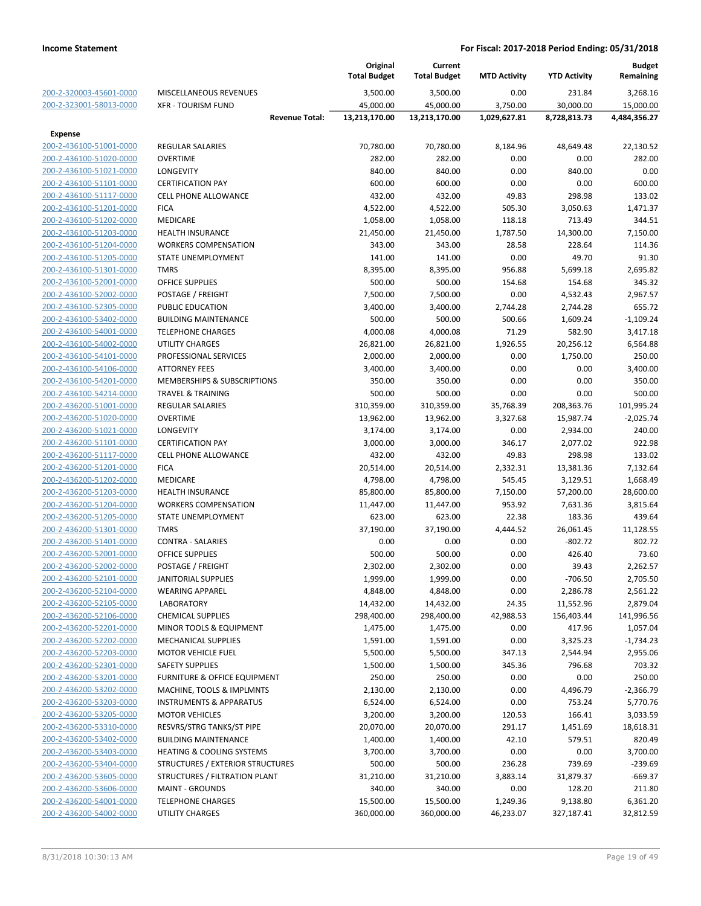|                         |                                         | Original<br><b>Total Budget</b> | Current<br><b>Total Budget</b> | <b>MTD Activity</b> | <b>YTD Activity</b> | <b>Budget</b><br>Remaining |
|-------------------------|-----------------------------------------|---------------------------------|--------------------------------|---------------------|---------------------|----------------------------|
| 200-2-320003-45601-0000 | MISCELLANEOUS REVENUES                  | 3,500.00                        | 3,500.00                       | 0.00                | 231.84              | 3,268.16                   |
| 200-2-323001-58013-0000 | <b>XFR - TOURISM FUND</b>               | 45,000.00                       | 45,000.00                      | 3,750.00            | 30,000.00           | 15,000.00                  |
|                         | <b>Revenue Total:</b>                   | 13,213,170.00                   | 13,213,170.00                  | 1,029,627.81        | 8,728,813.73        | 4,484,356.27               |
| <b>Expense</b>          |                                         |                                 |                                |                     |                     |                            |
| 200-2-436100-51001-0000 | <b>REGULAR SALARIES</b>                 | 70,780.00                       | 70,780.00                      | 8,184.96            | 48,649.48           | 22,130.52                  |
| 200-2-436100-51020-0000 | <b>OVERTIME</b>                         | 282.00                          | 282.00                         | 0.00                | 0.00                | 282.00                     |
| 200-2-436100-51021-0000 | LONGEVITY                               | 840.00                          | 840.00                         | 0.00                | 840.00              | 0.00                       |
| 200-2-436100-51101-0000 | <b>CERTIFICATION PAY</b>                | 600.00                          | 600.00                         | 0.00                | 0.00                | 600.00                     |
| 200-2-436100-51117-0000 | <b>CELL PHONE ALLOWANCE</b>             | 432.00                          | 432.00                         | 49.83               | 298.98              | 133.02                     |
| 200-2-436100-51201-0000 | <b>FICA</b>                             | 4,522.00                        | 4,522.00                       | 505.30              | 3,050.63            | 1,471.37                   |
| 200-2-436100-51202-0000 | MEDICARE                                | 1,058.00                        | 1,058.00                       | 118.18              | 713.49              | 344.51                     |
| 200-2-436100-51203-0000 | <b>HEALTH INSURANCE</b>                 | 21,450.00                       | 21,450.00                      | 1,787.50            | 14,300.00           | 7,150.00                   |
| 200-2-436100-51204-0000 | <b>WORKERS COMPENSATION</b>             | 343.00                          | 343.00                         | 28.58               | 228.64              | 114.36                     |
| 200-2-436100-51205-0000 | STATE UNEMPLOYMENT                      | 141.00                          | 141.00                         | 0.00                | 49.70               | 91.30                      |
| 200-2-436100-51301-0000 | <b>TMRS</b>                             | 8,395.00                        | 8,395.00                       | 956.88              | 5,699.18            | 2,695.82                   |
| 200-2-436100-52001-0000 | <b>OFFICE SUPPLIES</b>                  | 500.00                          | 500.00                         | 154.68              | 154.68              | 345.32                     |
| 200-2-436100-52002-0000 | POSTAGE / FREIGHT                       | 7,500.00                        | 7,500.00                       | 0.00                | 4,532.43            | 2,967.57                   |
| 200-2-436100-52305-0000 | PUBLIC EDUCATION                        | 3,400.00                        | 3,400.00                       | 2,744.28            | 2,744.28            | 655.72                     |
| 200-2-436100-53402-0000 | <b>BUILDING MAINTENANCE</b>             | 500.00                          | 500.00                         | 500.66              | 1,609.24            | $-1,109.24$                |
| 200-2-436100-54001-0000 | <b>TELEPHONE CHARGES</b>                | 4,000.08                        | 4,000.08                       | 71.29               | 582.90              | 3,417.18                   |
| 200-2-436100-54002-0000 | UTILITY CHARGES                         | 26,821.00                       | 26,821.00                      | 1,926.55            | 20,256.12           | 6,564.88                   |
| 200-2-436100-54101-0000 | PROFESSIONAL SERVICES                   | 2,000.00                        | 2,000.00                       | 0.00                | 1,750.00            | 250.00                     |
| 200-2-436100-54106-0000 | <b>ATTORNEY FEES</b>                    | 3,400.00                        | 3,400.00                       | 0.00                | 0.00                | 3,400.00                   |
| 200-2-436100-54201-0000 | MEMBERSHIPS & SUBSCRIPTIONS             | 350.00                          | 350.00                         | 0.00                | 0.00                | 350.00                     |
| 200-2-436100-54214-0000 | <b>TRAVEL &amp; TRAINING</b>            | 500.00                          | 500.00                         | 0.00                | 0.00                | 500.00                     |
| 200-2-436200-51001-0000 | <b>REGULAR SALARIES</b>                 | 310,359.00                      | 310,359.00                     | 35,768.39           | 208,363.76          | 101,995.24                 |
| 200-2-436200-51020-0000 | <b>OVERTIME</b>                         | 13,962.00                       | 13,962.00                      | 3,327.68            | 15,987.74           | $-2,025.74$                |
| 200-2-436200-51021-0000 | LONGEVITY                               | 3,174.00                        | 3,174.00                       | 0.00                | 2,934.00            | 240.00                     |
| 200-2-436200-51101-0000 | <b>CERTIFICATION PAY</b>                | 3,000.00                        | 3,000.00                       | 346.17              | 2,077.02            | 922.98                     |
|                         | <b>CELL PHONE ALLOWANCE</b>             | 432.00                          | 432.00                         | 49.83               | 298.98              | 133.02                     |
| 200-2-436200-51117-0000 |                                         |                                 |                                |                     |                     |                            |
| 200-2-436200-51201-0000 | <b>FICA</b>                             | 20,514.00                       | 20,514.00                      | 2,332.31            | 13,381.36           | 7,132.64                   |
| 200-2-436200-51202-0000 | MEDICARE                                | 4,798.00                        | 4,798.00                       | 545.45              | 3,129.51            | 1,668.49                   |
| 200-2-436200-51203-0000 | <b>HEALTH INSURANCE</b>                 | 85,800.00                       | 85,800.00                      | 7,150.00            | 57,200.00           | 28,600.00                  |
| 200-2-436200-51204-0000 | <b>WORKERS COMPENSATION</b>             | 11,447.00                       | 11,447.00                      | 953.92              | 7,631.36            | 3,815.64                   |
| 200-2-436200-51205-0000 | STATE UNEMPLOYMENT                      | 623.00                          | 623.00                         | 22.38               | 183.36              | 439.64                     |
| 200-2-436200-51301-0000 | <b>TMRS</b>                             | 37,190.00                       | 37,190.00                      | 4,444.52            | 26,061.45           | 11,128.55                  |
| 200-2-436200-51401-0000 | <b>CONTRA - SALARIES</b>                | 0.00                            | 0.00                           | 0.00                | $-802.72$           | 802.72                     |
| 200-2-436200-52001-0000 | <b>OFFICE SUPPLIES</b>                  | 500.00                          | 500.00                         | 0.00                | 426.40              | 73.60                      |
| 200-2-436200-52002-0000 | POSTAGE / FREIGHT                       | 2,302.00                        | 2,302.00                       | 0.00                | 39.43               | 2,262.57                   |
| 200-2-436200-52101-0000 | <b>JANITORIAL SUPPLIES</b>              | 1,999.00                        | 1,999.00                       | 0.00                | $-706.50$           | 2,705.50                   |
| 200-2-436200-52104-0000 | <b>WEARING APPAREL</b>                  | 4,848.00                        | 4,848.00                       | 0.00                | 2,286.78            | 2,561.22                   |
| 200-2-436200-52105-0000 | LABORATORY                              | 14,432.00                       | 14,432.00                      | 24.35               | 11,552.96           | 2,879.04                   |
| 200-2-436200-52106-0000 | <b>CHEMICAL SUPPLIES</b>                | 298,400.00                      | 298,400.00                     | 42,988.53           | 156,403.44          | 141,996.56                 |
| 200-2-436200-52201-0000 | MINOR TOOLS & EQUIPMENT                 | 1,475.00                        | 1,475.00                       | 0.00                | 417.96              | 1,057.04                   |
| 200-2-436200-52202-0000 | <b>MECHANICAL SUPPLIES</b>              | 1,591.00                        | 1,591.00                       | 0.00                | 3,325.23            | $-1,734.23$                |
| 200-2-436200-52203-0000 | <b>MOTOR VEHICLE FUEL</b>               | 5,500.00                        | 5,500.00                       | 347.13              | 2,544.94            | 2,955.06                   |
| 200-2-436200-52301-0000 | <b>SAFETY SUPPLIES</b>                  | 1,500.00                        | 1,500.00                       | 345.36              | 796.68              | 703.32                     |
| 200-2-436200-53201-0000 | <b>FURNITURE &amp; OFFICE EQUIPMENT</b> | 250.00                          | 250.00                         | 0.00                | 0.00                | 250.00                     |
| 200-2-436200-53202-0000 | MACHINE, TOOLS & IMPLMNTS               | 2,130.00                        | 2,130.00                       | 0.00                | 4,496.79            | $-2,366.79$                |
| 200-2-436200-53203-0000 | <b>INSTRUMENTS &amp; APPARATUS</b>      | 6,524.00                        | 6,524.00                       | 0.00                | 753.24              | 5,770.76                   |
| 200-2-436200-53205-0000 | <b>MOTOR VEHICLES</b>                   | 3,200.00                        | 3,200.00                       | 120.53              | 166.41              | 3,033.59                   |
| 200-2-436200-53310-0000 | RESVRS/STRG TANKS/ST PIPE               | 20,070.00                       | 20,070.00                      | 291.17              | 1,451.69            | 18,618.31                  |
| 200-2-436200-53402-0000 | <b>BUILDING MAINTENANCE</b>             | 1,400.00                        | 1,400.00                       | 42.10               | 579.51              | 820.49                     |
| 200-2-436200-53403-0000 | HEATING & COOLING SYSTEMS               | 3,700.00                        | 3,700.00                       | 0.00                | 0.00                | 3,700.00                   |
| 200-2-436200-53404-0000 | STRUCTURES / EXTERIOR STRUCTURES        | 500.00                          | 500.00                         | 236.28              | 739.69              | $-239.69$                  |
| 200-2-436200-53605-0000 | STRUCTURES / FILTRATION PLANT           | 31,210.00                       | 31,210.00                      | 3,883.14            | 31,879.37           | $-669.37$                  |
| 200-2-436200-53606-0000 | <b>MAINT - GROUNDS</b>                  | 340.00                          | 340.00                         | 0.00                | 128.20              | 211.80                     |
| 200-2-436200-54001-0000 | <b>TELEPHONE CHARGES</b>                | 15,500.00                       | 15,500.00                      | 1,249.36            | 9,138.80            | 6,361.20                   |
| 200-2-436200-54002-0000 | UTILITY CHARGES                         | 360,000.00                      | 360,000.00                     | 46,233.07           | 327,187.41          | 32,812.59                  |
|                         |                                         |                                 |                                |                     |                     |                            |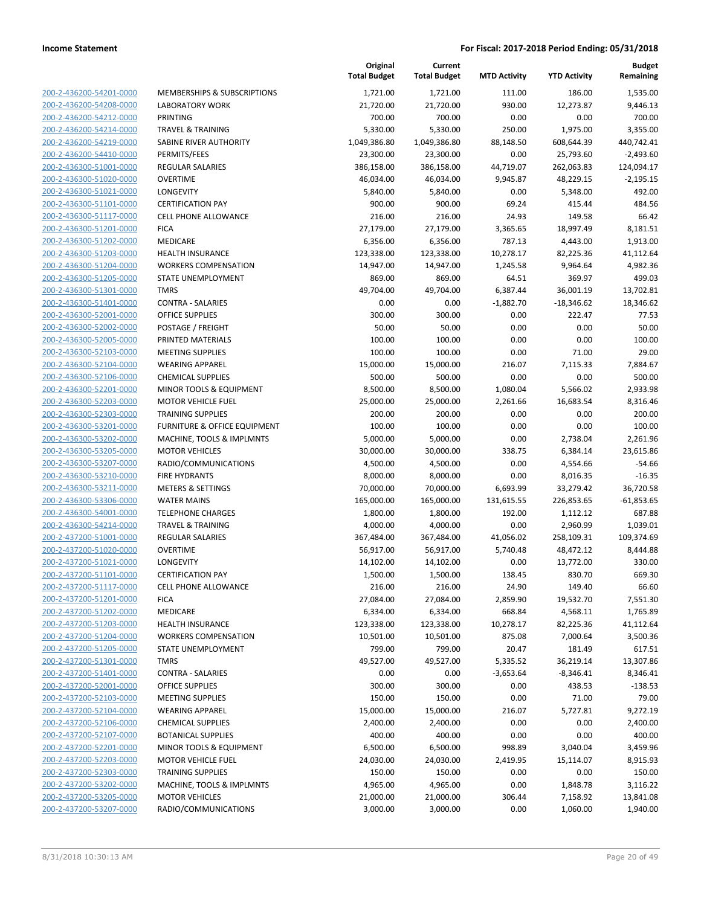| 200-2-436200-54201-0000        |
|--------------------------------|
| 200-2-436200-54208-0000        |
| 200-2-436200-54212-0000        |
| 200-2-436200-54214-0000        |
| 200-2-436200-54219-0000        |
| 200-2-436200-54410-0000        |
| 200-2-436300-51001-0000        |
| 200-2-436300-51020-0000        |
| 200-2-436300-51021-0000        |
| 200-2-436300-51101-0000        |
| 200-2-436300-51117-0000        |
| 200-2-436300-51201-0000        |
| 200-2-436300-51202-0000        |
| 200-2-436300-51203-0000        |
| 200-2-436300-51204-0000        |
| 200-2-436300-51205-0000        |
| 200-2-436300-51301-0000        |
|                                |
| 200-2-436300-51401-0000        |
| 200-2-436300-52001-0000        |
| 200-2-436300-52002-0000        |
| 200-2-436300-52005-0000        |
| 200-2-436300-52103-0000        |
| 200-2-436300-52104-0000        |
| 200-2-436300-52106-0000        |
| 200-2-436300-52201-0000        |
| 200-2-436300-52203-0000        |
| 200-2-436300-52303-0000        |
| 200-2-436300-53201-0000        |
| 200-2-436300-53202-0000        |
| 200-2-436300-53205-0000        |
| 200-2-436300-53207-0000        |
| 200-2-436300-53210-0000        |
| 200-2-436300-53211-0000        |
| 200-2-436300-53306-0000        |
| 200-2-436300-54001-0000        |
| 200-2-436300-54214-0000        |
| 200-2-437200-51001-0000        |
|                                |
| 200-2-437200-51020-0000        |
| 200-2-437200-51021-0000        |
| 200-2-437200-51101-0000        |
| 200-2-437200-51117-0000        |
| 200-2-437200-51201-0000        |
| 200-2-437200-51202-0000        |
| 200-2-437200-51203-0000        |
| 200-2-437200-51204-0000        |
| 200-2-437200-51205-0000        |
| 200-2-437200-51301-0000        |
| 200-2-437200-51401-0000        |
| <u>200-2-437200-52001-0000</u> |
| 200-2-437200-52103-0000        |
| 200-2-437200-52104-0000        |
| 200-2-437200-52106-0000        |
| 200-2-437200-52107-0000        |
| <u>200-2-437200-52201-0000</u> |
| 200-2-437200-52203-0000        |
| 200-2-437200-52303-0000        |
| 200-2-437200-53202-0000        |
|                                |
| 200-2-437200-53205-0000        |
| 200-2-437200-53207-0000        |

|                                                    |                                            | Original<br><b>Total Budget</b> | Current<br><b>Total Budget</b> | <b>MTD Activity</b> | <b>YTD Activity</b>   | <b>Budget</b><br>Remaining |
|----------------------------------------------------|--------------------------------------------|---------------------------------|--------------------------------|---------------------|-----------------------|----------------------------|
| 200-2-436200-54201-0000                            | MEMBERSHIPS & SUBSCRIPTIONS                | 1,721.00                        | 1,721.00                       | 111.00              | 186.00                | 1,535.00                   |
| 200-2-436200-54208-0000                            | <b>LABORATORY WORK</b>                     | 21,720.00                       | 21,720.00                      | 930.00              | 12,273.87             | 9,446.13                   |
| 200-2-436200-54212-0000                            | <b>PRINTING</b>                            | 700.00                          | 700.00                         | 0.00                | 0.00                  | 700.00                     |
| 200-2-436200-54214-0000                            | <b>TRAVEL &amp; TRAINING</b>               | 5,330.00                        | 5,330.00                       | 250.00              | 1,975.00              | 3,355.00                   |
| 200-2-436200-54219-0000                            | SABINE RIVER AUTHORITY                     | 1,049,386.80                    | 1,049,386.80                   | 88,148.50           | 608,644.39            | 440,742.41                 |
| 200-2-436200-54410-0000                            | PERMITS/FEES                               | 23,300.00                       | 23,300.00                      | 0.00                | 25,793.60             | $-2,493.60$                |
| 200-2-436300-51001-0000                            | REGULAR SALARIES                           | 386,158.00                      | 386,158.00                     | 44,719.07           | 262,063.83            | 124,094.17                 |
| 200-2-436300-51020-0000                            | <b>OVERTIME</b>                            | 46,034.00                       | 46,034.00                      | 9,945.87            | 48,229.15             | $-2,195.15$                |
| 200-2-436300-51021-0000                            | LONGEVITY                                  | 5,840.00                        | 5,840.00                       | 0.00                | 5,348.00              | 492.00                     |
| 200-2-436300-51101-0000                            | <b>CERTIFICATION PAY</b>                   | 900.00                          | 900.00                         | 69.24               | 415.44                | 484.56                     |
| 200-2-436300-51117-0000                            | <b>CELL PHONE ALLOWANCE</b>                | 216.00                          | 216.00                         | 24.93               | 149.58                | 66.42                      |
| 200-2-436300-51201-0000                            | <b>FICA</b>                                | 27,179.00                       | 27,179.00                      | 3,365.65            | 18,997.49             | 8,181.51                   |
| 200-2-436300-51202-0000                            | <b>MEDICARE</b>                            | 6,356.00                        | 6,356.00                       | 787.13              | 4,443.00              | 1,913.00                   |
| 200-2-436300-51203-0000                            | <b>HEALTH INSURANCE</b>                    | 123,338.00                      | 123,338.00                     | 10,278.17           | 82,225.36             | 41,112.64                  |
| 200-2-436300-51204-0000                            | <b>WORKERS COMPENSATION</b>                | 14,947.00                       | 14,947.00                      | 1,245.58            | 9,964.64              | 4,982.36                   |
| 200-2-436300-51205-0000                            | STATE UNEMPLOYMENT                         | 869.00                          | 869.00                         | 64.51               | 369.97                | 499.03                     |
| 200-2-436300-51301-0000                            | <b>TMRS</b>                                | 49,704.00                       | 49,704.00                      | 6,387.44            | 36,001.19             | 13,702.81                  |
| 200-2-436300-51401-0000                            | <b>CONTRA - SALARIES</b>                   | 0.00                            | 0.00                           | $-1,882.70$         | $-18,346.62$          | 18,346.62                  |
| 200-2-436300-52001-0000                            | <b>OFFICE SUPPLIES</b>                     | 300.00                          | 300.00                         | 0.00                | 222.47                | 77.53                      |
| 200-2-436300-52002-0000                            | POSTAGE / FREIGHT                          | 50.00                           | 50.00                          | 0.00                | 0.00                  | 50.00                      |
| 200-2-436300-52005-0000                            | PRINTED MATERIALS                          | 100.00                          | 100.00                         | 0.00                | 0.00                  | 100.00                     |
| 200-2-436300-52103-0000                            | <b>MEETING SUPPLIES</b>                    | 100.00                          | 100.00                         | 0.00                | 71.00                 | 29.00                      |
| 200-2-436300-52104-0000                            | <b>WEARING APPAREL</b>                     | 15,000.00                       | 15,000.00                      | 216.07              | 7,115.33              | 7,884.67                   |
| 200-2-436300-52106-0000                            | <b>CHEMICAL SUPPLIES</b>                   | 500.00                          | 500.00                         | 0.00                | 0.00                  | 500.00                     |
| 200-2-436300-52201-0000                            | MINOR TOOLS & EQUIPMENT                    | 8,500.00                        | 8,500.00                       | 1,080.04            | 5,566.02              | 2,933.98                   |
| 200-2-436300-52203-0000                            | <b>MOTOR VEHICLE FUEL</b>                  | 25,000.00                       | 25,000.00                      | 2,261.66            | 16,683.54             | 8,316.46                   |
| 200-2-436300-52303-0000                            | <b>TRAINING SUPPLIES</b>                   | 200.00                          | 200.00                         | 0.00                | 0.00                  | 200.00                     |
| 200-2-436300-53201-0000                            | FURNITURE & OFFICE EQUIPMENT               | 100.00                          | 100.00                         | 0.00                | 0.00                  | 100.00                     |
| 200-2-436300-53202-0000                            | MACHINE, TOOLS & IMPLMNTS                  | 5,000.00                        | 5,000.00                       | 0.00                | 2,738.04              | 2,261.96                   |
| 200-2-436300-53205-0000                            | <b>MOTOR VEHICLES</b>                      | 30,000.00                       | 30,000.00                      | 338.75              | 6,384.14              | 23,615.86                  |
| 200-2-436300-53207-0000                            | RADIO/COMMUNICATIONS                       | 4,500.00                        | 4,500.00                       | 0.00                | 4,554.66              | $-54.66$                   |
| 200-2-436300-53210-0000                            | <b>FIRE HYDRANTS</b>                       | 8,000.00                        | 8,000.00                       | 0.00                | 8,016.35              | $-16.35$                   |
| 200-2-436300-53211-0000                            | <b>METERS &amp; SETTINGS</b>               | 70,000.00                       | 70,000.00                      | 6,693.99            | 33,279.42             | 36,720.58                  |
| 200-2-436300-53306-0000                            | <b>WATER MAINS</b>                         | 165,000.00                      | 165,000.00                     | 131,615.55          | 226,853.65            | $-61,853.65$               |
| 200-2-436300-54001-0000                            | <b>TELEPHONE CHARGES</b>                   | 1,800.00                        | 1,800.00                       | 192.00              | 1,112.12              | 687.88                     |
| 200-2-436300-54214-0000                            | <b>TRAVEL &amp; TRAINING</b>               | 4,000.00                        | 4,000.00                       | 0.00                | 2,960.99              | 1,039.01                   |
| 200-2-437200-51001-0000                            | REGULAR SALARIES                           | 367,484.00                      | 367,484.00                     | 41,056.02           | 258,109.31            | 109,374.69                 |
| 200-2-437200-51020-0000<br>200-2-437200-51021-0000 | <b>OVERTIME</b>                            | 56,917.00                       | 56,917.00                      | 5,740.48            | 48,472.12             | 8,444.88                   |
| 200-2-437200-51101-0000                            | LONGEVITY<br><b>CERTIFICATION PAY</b>      | 14,102.00<br>1,500.00           | 14,102.00                      | 0.00<br>138.45      | 13,772.00<br>830.70   | 330.00<br>669.30           |
| 200-2-437200-51117-0000                            |                                            |                                 | 1,500.00                       |                     |                       |                            |
| 200-2-437200-51201-0000                            | <b>CELL PHONE ALLOWANCE</b><br><b>FICA</b> | 216.00<br>27,084.00             | 216.00<br>27,084.00            | 24.90<br>2,859.90   | 149.40                | 66.60<br>7,551.30          |
| 200-2-437200-51202-0000                            | MEDICARE                                   | 6,334.00                        | 6,334.00                       | 668.84              | 19,532.70<br>4,568.11 | 1,765.89                   |
| 200-2-437200-51203-0000                            | <b>HEALTH INSURANCE</b>                    | 123,338.00                      | 123,338.00                     | 10,278.17           | 82,225.36             | 41,112.64                  |
| 200-2-437200-51204-0000                            | <b>WORKERS COMPENSATION</b>                | 10,501.00                       | 10,501.00                      | 875.08              | 7,000.64              | 3,500.36                   |
| 200-2-437200-51205-0000                            | STATE UNEMPLOYMENT                         | 799.00                          | 799.00                         | 20.47               | 181.49                | 617.51                     |
| 200-2-437200-51301-0000                            | <b>TMRS</b>                                | 49,527.00                       | 49,527.00                      | 5,335.52            | 36,219.14             | 13,307.86                  |
| 200-2-437200-51401-0000                            | <b>CONTRA - SALARIES</b>                   | 0.00                            | 0.00                           | $-3,653.64$         | $-8,346.41$           | 8,346.41                   |
| 200-2-437200-52001-0000                            | <b>OFFICE SUPPLIES</b>                     | 300.00                          | 300.00                         | 0.00                | 438.53                | $-138.53$                  |
| 200-2-437200-52103-0000                            | <b>MEETING SUPPLIES</b>                    | 150.00                          | 150.00                         | 0.00                | 71.00                 | 79.00                      |
| 200-2-437200-52104-0000                            | <b>WEARING APPAREL</b>                     | 15,000.00                       | 15,000.00                      | 216.07              | 5,727.81              | 9,272.19                   |
| 200-2-437200-52106-0000                            | <b>CHEMICAL SUPPLIES</b>                   | 2,400.00                        | 2,400.00                       | 0.00                | 0.00                  | 2,400.00                   |
| 200-2-437200-52107-0000                            | <b>BOTANICAL SUPPLIES</b>                  | 400.00                          | 400.00                         | 0.00                | 0.00                  | 400.00                     |
| 200-2-437200-52201-0000                            | MINOR TOOLS & EQUIPMENT                    | 6,500.00                        | 6,500.00                       | 998.89              | 3,040.04              | 3,459.96                   |
| 200-2-437200-52203-0000                            | <b>MOTOR VEHICLE FUEL</b>                  | 24,030.00                       | 24,030.00                      | 2,419.95            | 15,114.07             | 8,915.93                   |
| 200-2-437200-52303-0000                            | <b>TRAINING SUPPLIES</b>                   | 150.00                          | 150.00                         | 0.00                | 0.00                  | 150.00                     |
| 200-2-437200-53202-0000                            | MACHINE, TOOLS & IMPLMNTS                  | 4,965.00                        | 4,965.00                       | 0.00                | 1,848.78              | 3,116.22                   |
| 200-2-437200-53205-0000                            | <b>MOTOR VEHICLES</b>                      | 21,000.00                       | 21,000.00                      | 306.44              | 7,158.92              | 13,841.08                  |
| 200-2-437200-53207-0000                            | RADIO/COMMUNICATIONS                       | 3,000.00                        | 3,000.00                       | 0.00                | 1,060.00              | 1,940.00                   |
|                                                    |                                            |                                 |                                |                     |                       |                            |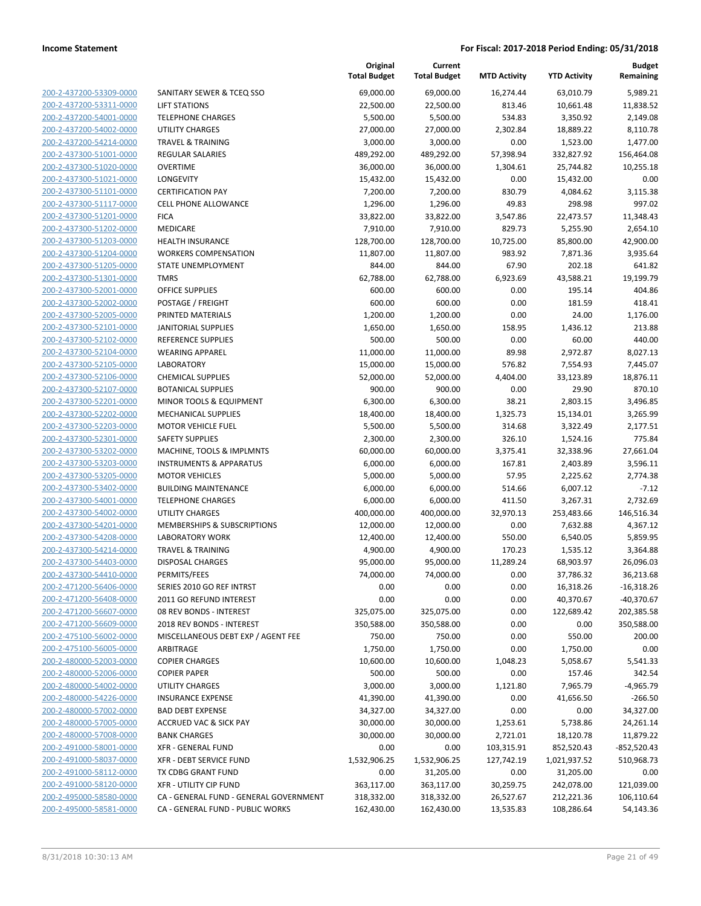|                         |                                        | Original<br><b>Total Budget</b> | Current<br><b>Total Budget</b> | <b>MTD Activity</b> | <b>YTD Activity</b> | <b>Budget</b><br>Remaining |
|-------------------------|----------------------------------------|---------------------------------|--------------------------------|---------------------|---------------------|----------------------------|
| 200-2-437200-53309-0000 | SANITARY SEWER & TCEQ SSO              | 69,000.00                       | 69,000.00                      | 16,274.44           | 63,010.79           | 5,989.21                   |
| 200-2-437200-53311-0000 | LIFT STATIONS                          | 22,500.00                       | 22,500.00                      | 813.46              | 10,661.48           | 11,838.52                  |
| 200-2-437200-54001-0000 | <b>TELEPHONE CHARGES</b>               | 5,500.00                        | 5,500.00                       | 534.83              | 3,350.92            | 2,149.08                   |
| 200-2-437200-54002-0000 | <b>UTILITY CHARGES</b>                 | 27,000.00                       | 27,000.00                      | 2,302.84            | 18,889.22           | 8,110.78                   |
| 200-2-437200-54214-0000 | <b>TRAVEL &amp; TRAINING</b>           | 3,000.00                        | 3,000.00                       | 0.00                | 1,523.00            | 1,477.00                   |
| 200-2-437300-51001-0000 | <b>REGULAR SALARIES</b>                | 489,292.00                      | 489,292.00                     | 57,398.94           | 332,827.92          | 156,464.08                 |
| 200-2-437300-51020-0000 | <b>OVERTIME</b>                        | 36,000.00                       | 36,000.00                      | 1,304.61            | 25,744.82           | 10,255.18                  |
| 200-2-437300-51021-0000 | <b>LONGEVITY</b>                       | 15,432.00                       | 15,432.00                      | 0.00                | 15,432.00           | 0.00                       |
| 200-2-437300-51101-0000 | <b>CERTIFICATION PAY</b>               | 7,200.00                        | 7,200.00                       | 830.79              | 4,084.62            | 3,115.38                   |
| 200-2-437300-51117-0000 | CELL PHONE ALLOWANCE                   | 1,296.00                        | 1,296.00                       | 49.83               | 298.98              | 997.02                     |
| 200-2-437300-51201-0000 | <b>FICA</b>                            | 33,822.00                       | 33,822.00                      | 3,547.86            | 22,473.57           | 11,348.43                  |
| 200-2-437300-51202-0000 | <b>MEDICARE</b>                        | 7,910.00                        | 7,910.00                       | 829.73              | 5,255.90            | 2,654.10                   |
| 200-2-437300-51203-0000 | <b>HEALTH INSURANCE</b>                | 128,700.00                      | 128,700.00                     | 10,725.00           | 85,800.00           | 42,900.00                  |
| 200-2-437300-51204-0000 | <b>WORKERS COMPENSATION</b>            | 11,807.00                       | 11,807.00                      | 983.92              | 7,871.36            | 3,935.64                   |
| 200-2-437300-51205-0000 | STATE UNEMPLOYMENT                     | 844.00                          | 844.00                         | 67.90               | 202.18              | 641.82                     |
| 200-2-437300-51301-0000 | <b>TMRS</b>                            | 62,788.00                       | 62,788.00                      | 6,923.69            | 43,588.21           | 19,199.79                  |
| 200-2-437300-52001-0000 | OFFICE SUPPLIES                        | 600.00                          | 600.00                         | 0.00                | 195.14              | 404.86                     |
| 200-2-437300-52002-0000 | POSTAGE / FREIGHT                      | 600.00                          | 600.00                         | 0.00                | 181.59              | 418.41                     |
| 200-2-437300-52005-0000 | PRINTED MATERIALS                      | 1,200.00                        | 1,200.00                       | 0.00                | 24.00               | 1,176.00                   |
| 200-2-437300-52101-0000 | <b>JANITORIAL SUPPLIES</b>             | 1,650.00                        | 1,650.00                       | 158.95              | 1,436.12            | 213.88                     |
| 200-2-437300-52102-0000 | <b>REFERENCE SUPPLIES</b>              | 500.00                          | 500.00                         | 0.00                | 60.00               | 440.00                     |
| 200-2-437300-52104-0000 | <b>WEARING APPAREL</b>                 | 11,000.00                       | 11,000.00                      | 89.98               | 2,972.87            | 8,027.13                   |
| 200-2-437300-52105-0000 | <b>LABORATORY</b>                      | 15,000.00                       | 15,000.00                      | 576.82              | 7,554.93            | 7,445.07                   |
| 200-2-437300-52106-0000 | <b>CHEMICAL SUPPLIES</b>               | 52,000.00                       | 52,000.00                      | 4,404.00            | 33,123.89           | 18,876.11                  |
| 200-2-437300-52107-0000 | <b>BOTANICAL SUPPLIES</b>              | 900.00                          | 900.00                         | 0.00                | 29.90               | 870.10                     |
| 200-2-437300-52201-0000 | MINOR TOOLS & EQUIPMENT                | 6,300.00                        | 6,300.00                       | 38.21               | 2,803.15            | 3,496.85                   |
| 200-2-437300-52202-0000 | MECHANICAL SUPPLIES                    | 18,400.00                       | 18,400.00                      | 1,325.73            | 15,134.01           | 3,265.99                   |
| 200-2-437300-52203-0000 | <b>MOTOR VEHICLE FUEL</b>              | 5,500.00                        | 5,500.00                       | 314.68              | 3,322.49            | 2,177.51                   |
| 200-2-437300-52301-0000 | <b>SAFETY SUPPLIES</b>                 | 2,300.00                        | 2,300.00                       | 326.10              | 1,524.16            | 775.84                     |
| 200-2-437300-53202-0000 | MACHINE, TOOLS & IMPLMNTS              | 60,000.00                       | 60,000.00                      | 3,375.41            | 32,338.96           | 27,661.04                  |
| 200-2-437300-53203-0000 | <b>INSTRUMENTS &amp; APPARATUS</b>     | 6,000.00                        | 6,000.00                       | 167.81              | 2,403.89            | 3,596.11                   |
| 200-2-437300-53205-0000 | <b>MOTOR VEHICLES</b>                  | 5,000.00                        | 5,000.00                       | 57.95               | 2,225.62            | 2,774.38                   |
| 200-2-437300-53402-0000 | <b>BUILDING MAINTENANCE</b>            | 6,000.00                        | 6,000.00                       | 514.66              | 6,007.12            | $-7.12$                    |
| 200-2-437300-54001-0000 | <b>TELEPHONE CHARGES</b>               | 6,000.00                        | 6,000.00                       | 411.50              | 3,267.31            | 2,732.69                   |
| 200-2-437300-54002-0000 | <b>UTILITY CHARGES</b>                 | 400,000.00                      | 400,000.00                     | 32,970.13           | 253,483.66          | 146,516.34                 |
| 200-2-437300-54201-0000 | MEMBERSHIPS & SUBSCRIPTIONS            | 12,000.00                       | 12,000.00                      | 0.00                | 7,632.88            | 4,367.12                   |
| 200-2-437300-54208-0000 | <b>LABORATORY WORK</b>                 | 12,400.00                       | 12,400.00                      | 550.00              | 6,540.05            | 5,859.95                   |
| 200-2-437300-54214-0000 | <b>TRAVEL &amp; TRAINING</b>           | 4,900.00                        | 4,900.00                       | 170.23              | 1,535.12            | 3,364.88                   |
| 200-2-437300-54403-0000 | <b>DISPOSAL CHARGES</b>                | 95,000.00                       | 95,000.00                      | 11,289.24           | 68,903.97           | 26,096.03                  |
| 200-2-437300-54410-0000 | PERMITS/FEES                           | 74,000.00                       | 74,000.00                      | 0.00                | 37,786.32           | 36,213.68                  |
| 200-2-471200-56406-0000 | SERIES 2010 GO REF INTRST              | 0.00                            | 0.00                           | 0.00                | 16,318.26           | $-16,318.26$               |
| 200-2-471200-56408-0000 | 2011 GO REFUND INTEREST                | 0.00                            | 0.00                           | 0.00                | 40,370.67           | $-40,370.67$               |
| 200-2-471200-56607-0000 | 08 REV BONDS - INTEREST                | 325,075.00                      | 325,075.00                     | 0.00                | 122,689.42          | 202,385.58                 |
| 200-2-471200-56609-0000 | 2018 REV BONDS - INTEREST              | 350,588.00                      | 350,588.00                     | 0.00                | 0.00                | 350,588.00                 |
| 200-2-475100-56002-0000 | MISCELLANEOUS DEBT EXP / AGENT FEE     | 750.00                          | 750.00                         | 0.00                | 550.00              | 200.00                     |
| 200-2-475100-56005-0000 | ARBITRAGE                              | 1,750.00                        | 1,750.00                       | 0.00                | 1,750.00            | 0.00                       |
| 200-2-480000-52003-0000 | <b>COPIER CHARGES</b>                  | 10,600.00                       | 10,600.00                      | 1,048.23            | 5,058.67            | 5,541.33                   |
| 200-2-480000-52006-0000 | <b>COPIER PAPER</b>                    | 500.00                          | 500.00                         | 0.00                | 157.46              | 342.54                     |
| 200-2-480000-54002-0000 | <b>UTILITY CHARGES</b>                 | 3,000.00                        | 3,000.00                       | 1,121.80            | 7,965.79            | $-4,965.79$                |
| 200-2-480000-54226-0000 | <b>INSURANCE EXPENSE</b>               | 41,390.00                       | 41,390.00                      | 0.00                | 41,656.50           | $-266.50$                  |
| 200-2-480000-57002-0000 | <b>BAD DEBT EXPENSE</b>                | 34,327.00                       | 34,327.00                      | 0.00                | 0.00                | 34,327.00                  |
| 200-2-480000-57005-0000 | <b>ACCRUED VAC &amp; SICK PAY</b>      | 30,000.00                       | 30,000.00                      | 1,253.61            | 5,738.86            | 24,261.14                  |
| 200-2-480000-57008-0000 | <b>BANK CHARGES</b>                    | 30,000.00                       | 30,000.00                      | 2,721.01            | 18,120.78           | 11,879.22                  |
| 200-2-491000-58001-0000 | XFR - GENERAL FUND                     | 0.00                            | 0.00                           | 103,315.91          | 852,520.43          | $-852,520.43$              |
| 200-2-491000-58037-0000 | XFR - DEBT SERVICE FUND                | 1,532,906.25                    | 1,532,906.25                   | 127,742.19          | 1,021,937.52        | 510,968.73                 |
| 200-2-491000-58112-0000 | TX CDBG GRANT FUND                     | 0.00                            | 31,205.00                      | 0.00                | 31,205.00           | 0.00                       |
| 200-2-491000-58120-0000 | XFR - UTILITY CIP FUND                 | 363,117.00                      | 363,117.00                     | 30,259.75           | 242,078.00          | 121,039.00                 |
| 200-2-495000-58580-0000 | CA - GENERAL FUND - GENERAL GOVERNMENT | 318,332.00                      | 318,332.00                     | 26,527.67           | 212,221.36          | 106,110.64                 |
| 200-2-495000-58581-0000 | CA - GENERAL FUND - PUBLIC WORKS       | 162,430.00                      | 162,430.00                     | 13,535.83           | 108,286.64          | 54,143.36                  |
|                         |                                        |                                 |                                |                     |                     |                            |

**Original**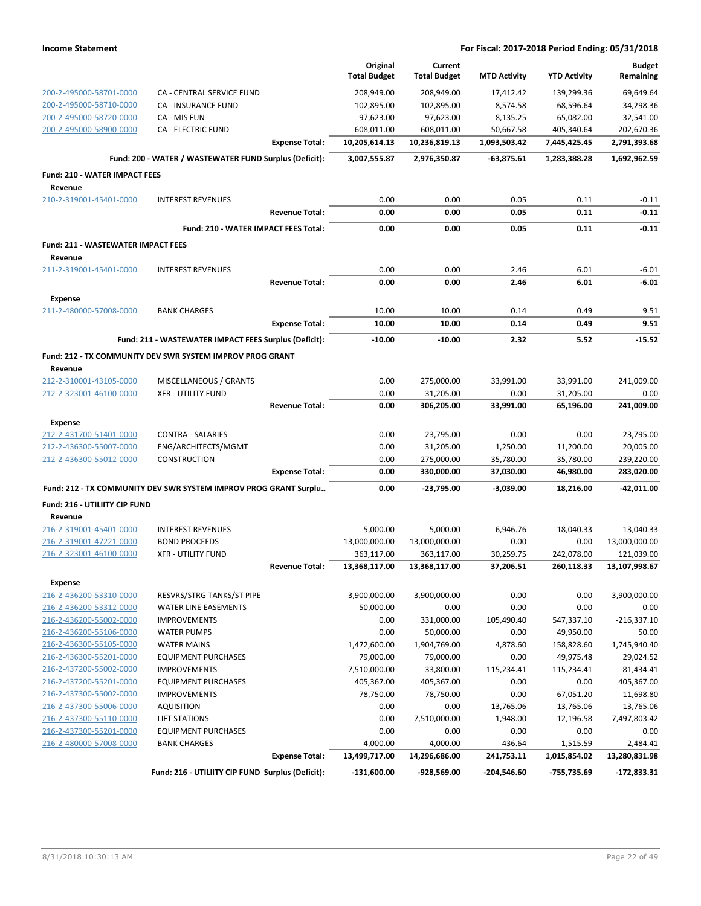|                                                    |                                                                  |                       | Original<br><b>Total Budget</b> | Current<br><b>Total Budget</b> | <b>MTD Activity</b> | <b>YTD Activity</b> | <b>Budget</b><br>Remaining |
|----------------------------------------------------|------------------------------------------------------------------|-----------------------|---------------------------------|--------------------------------|---------------------|---------------------|----------------------------|
|                                                    |                                                                  |                       |                                 |                                |                     |                     |                            |
| 200-2-495000-58701-0000                            | <b>CA - CENTRAL SERVICE FUND</b>                                 |                       | 208,949.00                      | 208,949.00                     | 17,412.42           | 139,299.36          | 69,649.64                  |
| 200-2-495000-58710-0000                            | CA - INSURANCE FUND                                              |                       | 102,895.00                      | 102,895.00                     | 8,574.58            | 68,596.64           | 34,298.36                  |
| 200-2-495000-58720-0000                            | CA - MIS FUN                                                     |                       | 97,623.00                       | 97,623.00                      | 8,135.25            | 65,082.00           | 32,541.00                  |
| 200-2-495000-58900-0000                            | <b>CA - ELECTRIC FUND</b>                                        |                       | 608,011.00                      | 608,011.00                     | 50,667.58           | 405,340.64          | 202,670.36                 |
|                                                    |                                                                  | <b>Expense Total:</b> | 10,205,614.13                   | 10,236,819.13                  | 1,093,503.42        | 7,445,425.45        | 2,791,393.68               |
|                                                    | Fund: 200 - WATER / WASTEWATER FUND Surplus (Deficit):           |                       | 3,007,555.87                    | 2,976,350.87                   | -63,875.61          | 1,283,388.28        | 1,692,962.59               |
| <b>Fund: 210 - WATER IMPACT FEES</b>               |                                                                  |                       |                                 |                                |                     |                     |                            |
| Revenue                                            |                                                                  |                       |                                 |                                |                     |                     |                            |
| 210-2-319001-45401-0000                            | <b>INTEREST REVENUES</b>                                         |                       | 0.00                            | 0.00                           | 0.05                | 0.11                | $-0.11$                    |
|                                                    |                                                                  | <b>Revenue Total:</b> | 0.00                            | 0.00                           | 0.05                | 0.11                | $-0.11$                    |
|                                                    | Fund: 210 - WATER IMPACT FEES Total:                             |                       | 0.00                            | 0.00                           | 0.05                | 0.11                | $-0.11$                    |
| <b>Fund: 211 - WASTEWATER IMPACT FEES</b>          |                                                                  |                       |                                 |                                |                     |                     |                            |
| Revenue                                            |                                                                  |                       |                                 |                                |                     |                     |                            |
| 211-2-319001-45401-0000                            | <b>INTEREST REVENUES</b>                                         |                       | 0.00                            | 0.00                           | 2.46                | 6.01                | $-6.01$                    |
|                                                    |                                                                  | <b>Revenue Total:</b> | 0.00                            | 0.00                           | 2.46                | 6.01                | -6.01                      |
| <b>Expense</b>                                     |                                                                  |                       |                                 |                                |                     |                     |                            |
| 211-2-480000-57008-0000                            | <b>BANK CHARGES</b>                                              |                       | 10.00                           | 10.00                          | 0.14                | 0.49                | 9.51                       |
|                                                    |                                                                  | <b>Expense Total:</b> | 10.00                           | 10.00                          | 0.14                | 0.49                | 9.51                       |
|                                                    | Fund: 211 - WASTEWATER IMPACT FEES Surplus (Deficit):            |                       | $-10.00$                        | $-10.00$                       | 2.32                | 5.52                | $-15.52$                   |
|                                                    | Fund: 212 - TX COMMUNITY DEV SWR SYSTEM IMPROV PROG GRANT        |                       |                                 |                                |                     |                     |                            |
| Revenue                                            |                                                                  |                       |                                 |                                |                     |                     |                            |
| 212-2-310001-43105-0000                            | MISCELLANEOUS / GRANTS                                           |                       | 0.00                            | 275,000.00                     | 33,991.00           | 33,991.00           | 241,009.00                 |
| 212-2-323001-46100-0000                            | <b>XFR - UTILITY FUND</b>                                        |                       | 0.00                            | 31,205.00                      | 0.00                | 31,205.00           | 0.00                       |
|                                                    |                                                                  | <b>Revenue Total:</b> | 0.00                            | 306,205.00                     | 33,991.00           | 65,196.00           | 241,009.00                 |
| Expense                                            |                                                                  |                       |                                 |                                |                     |                     |                            |
| 212-2-431700-51401-0000                            | <b>CONTRA - SALARIES</b>                                         |                       | 0.00                            | 23,795.00                      | 0.00                | 0.00                | 23,795.00                  |
| 212-2-436300-55007-0000                            | ENG/ARCHITECTS/MGMT                                              |                       | 0.00                            | 31,205.00                      | 1,250.00            | 11,200.00           | 20,005.00                  |
| 212-2-436300-55012-0000                            | <b>CONSTRUCTION</b>                                              |                       | 0.00                            | 275,000.00                     | 35,780.00           | 35,780.00           | 239,220.00                 |
|                                                    |                                                                  | <b>Expense Total:</b> | 0.00                            | 330,000.00                     | 37,030.00           | 46,980.00           | 283,020.00                 |
|                                                    | Fund: 212 - TX COMMUNITY DEV SWR SYSTEM IMPROV PROG GRANT Surplu |                       | 0.00                            | -23,795.00                     | $-3,039.00$         | 18,216.00           | $-42,011.00$               |
| Fund: 216 - UTILIITY CIP FUND                      |                                                                  |                       |                                 |                                |                     |                     |                            |
| Revenue                                            |                                                                  |                       |                                 |                                |                     |                     |                            |
| 216-2-319001-45401-0000                            | <b>INTEREST REVENUES</b>                                         |                       | 5,000.00                        | 5,000.00                       | 6,946.76            | 18,040.33           | $-13,040.33$               |
| 216-2-319001-47221-0000                            | <b>BOND PROCEEDS</b>                                             |                       | 13,000,000.00                   | 13,000,000.00                  | 0.00                | 0.00                | 13,000,000.00              |
| 216-2-323001-46100-0000                            | <b>XFR - UTILITY FUND</b>                                        |                       | 363,117.00                      | 363,117.00                     | 30,259.75           | 242,078.00          | 121,039.00                 |
|                                                    |                                                                  | <b>Revenue Total:</b> | 13,368,117.00                   | 13,368,117.00                  | 37,206.51           | 260,118.33          | 13,107,998.67              |
| <b>Expense</b>                                     |                                                                  |                       |                                 |                                |                     |                     |                            |
| 216-2-436200-53310-0000                            | RESVRS/STRG TANKS/ST PIPE                                        |                       | 3,900,000.00                    | 3,900,000.00                   | 0.00                | 0.00                | 3,900,000.00               |
| 216-2-436200-53312-0000                            | <b>WATER LINE EASEMENTS</b>                                      |                       | 50,000.00                       | 0.00                           | 0.00                | 0.00                | 0.00                       |
| 216-2-436200-55002-0000                            | <b>IMPROVEMENTS</b>                                              |                       | 0.00                            | 331,000.00                     | 105,490.40          | 547,337.10          | $-216,337.10$              |
| 216-2-436200-55106-0000                            | <b>WATER PUMPS</b>                                               |                       | 0.00                            | 50,000.00                      | 0.00                | 49,950.00           | 50.00                      |
| 216-2-436300-55105-0000                            | <b>WATER MAINS</b>                                               |                       | 1,472,600.00                    | 1,904,769.00                   | 4,878.60            | 158,828.60          | 1,745,940.40               |
| 216-2-436300-55201-0000                            | <b>EQUIPMENT PURCHASES</b>                                       |                       | 79,000.00                       | 79,000.00                      | 0.00                | 49,975.48           | 29,024.52                  |
| 216-2-437200-55002-0000                            | <b>IMPROVEMENTS</b>                                              |                       | 7,510,000.00                    | 33,800.00                      | 115,234.41          | 115,234.41          | $-81,434.41$               |
| 216-2-437200-55201-0000                            | <b>EQUIPMENT PURCHASES</b>                                       |                       | 405,367.00                      | 405,367.00                     | 0.00                | 0.00                | 405,367.00                 |
| 216-2-437300-55002-0000                            | <b>IMPROVEMENTS</b>                                              |                       | 78,750.00                       | 78,750.00                      | 0.00                | 67,051.20           | 11,698.80                  |
| 216-2-437300-55006-0000                            | <b>AQUISITION</b>                                                |                       | 0.00                            | 0.00                           | 13,765.06           | 13,765.06           | $-13,765.06$               |
| 216-2-437300-55110-0000                            | LIFT STATIONS                                                    |                       | 0.00                            | 7,510,000.00                   | 1,948.00            | 12,196.58           | 7,497,803.42               |
| 216-2-437300-55201-0000<br>216-2-480000-57008-0000 | <b>EQUIPMENT PURCHASES</b><br><b>BANK CHARGES</b>                |                       | 0.00<br>4,000.00                | 0.00<br>4,000.00               | 0.00<br>436.64      | 0.00<br>1,515.59    | 0.00<br>2,484.41           |
|                                                    |                                                                  | <b>Expense Total:</b> | 13,499,717.00                   | 14,296,686.00                  | 241,753.11          | 1,015,854.02        | 13,280,831.98              |
|                                                    | Fund: 216 - UTILIITY CIP FUND Surplus (Deficit):                 |                       | $-131,600.00$                   | -928,569.00                    | -204,546.60         | -755,735.69         | $-172,833.31$              |
|                                                    |                                                                  |                       |                                 |                                |                     |                     |                            |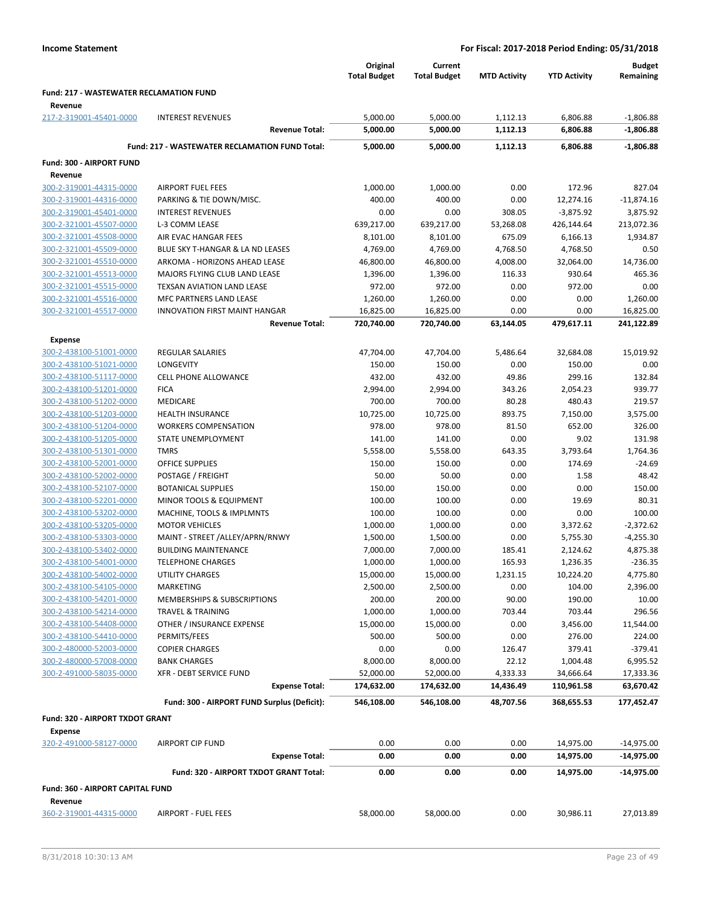|                                                    |                                                       | Original<br><b>Total Budget</b> | Current<br><b>Total Budget</b> | <b>MTD Activity</b>   | <b>YTD Activity</b>     | <b>Budget</b><br>Remaining |
|----------------------------------------------------|-------------------------------------------------------|---------------------------------|--------------------------------|-----------------------|-------------------------|----------------------------|
| <b>Fund: 217 - WASTEWATER RECLAMATION FUND</b>     |                                                       |                                 |                                |                       |                         |                            |
| Revenue<br>217-2-319001-45401-0000                 | <b>INTEREST REVENUES</b>                              | 5,000.00                        | 5,000.00                       | 1,112.13              | 6,806.88                | $-1,806.88$                |
|                                                    | <b>Revenue Total:</b>                                 | 5,000.00                        | 5,000.00                       | 1,112.13              | 6,806.88                | $-1,806.88$                |
|                                                    | <b>Fund: 217 - WASTEWATER RECLAMATION FUND Total:</b> | 5,000.00                        | 5,000.00                       | 1,112.13              | 6,806.88                | $-1,806.88$                |
| Fund: 300 - AIRPORT FUND                           |                                                       |                                 |                                |                       |                         |                            |
| Revenue                                            |                                                       |                                 |                                |                       |                         |                            |
| 300-2-319001-44315-0000                            | <b>AIRPORT FUEL FEES</b>                              | 1,000.00                        | 1,000.00                       | 0.00                  | 172.96                  | 827.04                     |
| 300-2-319001-44316-0000                            | PARKING & TIE DOWN/MISC.                              | 400.00                          | 400.00                         | 0.00                  | 12,274.16               | $-11,874.16$               |
| 300-2-319001-45401-0000                            | <b>INTEREST REVENUES</b>                              | 0.00                            | 0.00                           | 308.05                | $-3,875.92$             | 3,875.92                   |
| 300-2-321001-45507-0000                            | L-3 COMM LEASE                                        | 639,217.00                      | 639,217.00                     | 53,268.08             | 426,144.64              | 213,072.36                 |
| 300-2-321001-45508-0000                            | AIR EVAC HANGAR FEES                                  | 8,101.00                        | 8,101.00                       | 675.09                | 6,166.13                | 1,934.87                   |
| 300-2-321001-45509-0000                            | BLUE SKY T-HANGAR & LA ND LEASES                      | 4,769.00                        | 4,769.00                       | 4,768.50              | 4,768.50                | 0.50                       |
| 300-2-321001-45510-0000                            | ARKOMA - HORIZONS AHEAD LEASE                         | 46,800.00                       | 46,800.00                      | 4,008.00              | 32,064.00               | 14,736.00                  |
| 300-2-321001-45513-0000                            | MAJORS FLYING CLUB LAND LEASE                         | 1,396.00                        | 1,396.00                       | 116.33                | 930.64                  | 465.36                     |
| 300-2-321001-45515-0000                            | TEXSAN AVIATION LAND LEASE                            | 972.00                          | 972.00                         | 0.00                  | 972.00                  | 0.00                       |
| 300-2-321001-45516-0000                            | MFC PARTNERS LAND LEASE                               | 1,260.00                        | 1,260.00                       | 0.00                  | 0.00                    | 1,260.00                   |
| 300-2-321001-45517-0000                            | <b>INNOVATION FIRST MAINT HANGAR</b>                  | 16,825.00                       | 16,825.00                      | 0.00                  | 0.00                    | 16,825.00                  |
|                                                    | <b>Revenue Total:</b>                                 | 720,740.00                      | 720,740.00                     | 63,144.05             | 479,617.11              | 241,122.89                 |
| <b>Expense</b>                                     |                                                       |                                 |                                |                       |                         |                            |
| 300-2-438100-51001-0000                            | <b>REGULAR SALARIES</b>                               | 47,704.00                       | 47,704.00                      | 5,486.64              | 32,684.08               | 15,019.92                  |
| 300-2-438100-51021-0000                            | <b>LONGEVITY</b>                                      | 150.00                          | 150.00                         | 0.00                  | 150.00                  | 0.00                       |
| 300-2-438100-51117-0000                            | <b>CELL PHONE ALLOWANCE</b>                           | 432.00                          | 432.00                         | 49.86                 | 299.16<br>2,054.23      | 132.84                     |
| 300-2-438100-51201-0000                            | <b>FICA</b>                                           | 2,994.00                        | 2,994.00                       | 343.26                |                         | 939.77                     |
| 300-2-438100-51202-0000                            | MEDICARE                                              | 700.00                          | 700.00                         | 80.28                 | 480.43                  | 219.57                     |
| 300-2-438100-51203-0000                            | <b>HEALTH INSURANCE</b>                               | 10,725.00                       | 10,725.00                      | 893.75                | 7,150.00                | 3,575.00                   |
| 300-2-438100-51204-0000<br>300-2-438100-51205-0000 | <b>WORKERS COMPENSATION</b>                           | 978.00                          | 978.00                         | 81.50                 | 652.00                  | 326.00                     |
|                                                    | STATE UNEMPLOYMENT<br><b>TMRS</b>                     | 141.00<br>5,558.00              | 141.00<br>5,558.00             | 0.00<br>643.35        | 9.02<br>3,793.64        | 131.98<br>1,764.36         |
| 300-2-438100-51301-0000                            |                                                       |                                 |                                |                       | 174.69                  | -24.69                     |
| 300-2-438100-52001-0000                            | OFFICE SUPPLIES                                       | 150.00                          | 150.00                         | 0.00                  |                         |                            |
| 300-2-438100-52002-0000                            | POSTAGE / FREIGHT                                     | 50.00                           | 50.00                          | 0.00                  | 1.58                    | 48.42                      |
| 300-2-438100-52107-0000                            | <b>BOTANICAL SUPPLIES</b>                             | 150.00                          | 150.00                         | 0.00                  | 0.00                    | 150.00                     |
| 300-2-438100-52201-0000                            | MINOR TOOLS & EQUIPMENT                               | 100.00<br>100.00                | 100.00                         | 0.00                  | 19.69                   | 80.31                      |
| 300-2-438100-53202-0000                            | MACHINE, TOOLS & IMPLMNTS                             |                                 | 100.00                         | 0.00                  | 0.00                    | 100.00                     |
| 300-2-438100-53205-0000                            | <b>MOTOR VEHICLES</b>                                 | 1,000.00                        | 1,000.00                       | 0.00                  | 3,372.62                | $-2,372.62$                |
| 300-2-438100-53303-0000                            | MAINT - STREET /ALLEY/APRN/RNWY                       | 1,500.00                        | 1,500.00                       | 0.00                  | 5,755.30                | $-4,255.30$                |
| 300-2-438100-53402-0000                            | <b>BUILDING MAINTENANCE</b>                           | 7,000.00                        | 7,000.00                       | 185.41                | 2,124.62                | 4,875.38                   |
| 300-2-438100-54001-0000                            | <b>TELEPHONE CHARGES</b>                              | 1,000.00                        | 1,000.00                       | 165.93                | 1,236.35                | $-236.35$                  |
| 300-2-438100-54002-0000                            | UTILITY CHARGES                                       | 15,000.00                       | 15,000.00                      | 1,231.15              | 10,224.20               | 4,775.80                   |
| 300-2-438100-54105-0000<br>300-2-438100-54201-0000 | <b>MARKETING</b>                                      | 2,500.00                        | 2,500.00                       | 0.00                  | 104.00                  | 2,396.00                   |
|                                                    | MEMBERSHIPS & SUBSCRIPTIONS                           | 200.00                          | 200.00                         | 90.00                 | 190.00                  | 10.00                      |
| 300-2-438100-54214-0000                            | <b>TRAVEL &amp; TRAINING</b>                          | 1,000.00                        | 1,000.00                       | 703.44                | 703.44                  | 296.56                     |
| 300-2-438100-54408-0000                            | OTHER / INSURANCE EXPENSE<br>PERMITS/FEES             | 15,000.00<br>500.00             | 15,000.00<br>500.00            | 0.00                  | 3,456.00                | 11,544.00                  |
| 300-2-438100-54410-0000                            |                                                       |                                 |                                | 0.00                  | 276.00                  | 224.00                     |
| 300-2-480000-52003-0000                            | <b>COPIER CHARGES</b>                                 | 0.00                            | 0.00                           | 126.47                | 379.41                  | $-379.41$                  |
| 300-2-480000-57008-0000                            | <b>BANK CHARGES</b><br>XFR - DEBT SERVICE FUND        | 8,000.00                        | 8,000.00<br>52,000.00          | 22.12                 | 1,004.48                | 6,995.52                   |
| 300-2-491000-58035-0000                            | <b>Expense Total:</b>                                 | 52,000.00<br>174,632.00         | 174,632.00                     | 4,333.33<br>14,436.49 | 34,666.64<br>110,961.58 | 17,333.36<br>63,670.42     |
|                                                    | Fund: 300 - AIRPORT FUND Surplus (Deficit):           |                                 |                                |                       | 368,655.53              |                            |
|                                                    |                                                       | 546,108.00                      | 546,108.00                     | 48,707.56             |                         | 177,452.47                 |
| Fund: 320 - AIRPORT TXDOT GRANT<br><b>Expense</b>  |                                                       |                                 |                                |                       |                         |                            |
| 320-2-491000-58127-0000                            | <b>AIRPORT CIP FUND</b>                               | 0.00                            | 0.00                           | 0.00                  | 14,975.00               | $-14,975.00$               |
|                                                    | <b>Expense Total:</b>                                 | 0.00                            | 0.00                           | 0.00                  | 14,975.00               | $-14,975.00$               |
|                                                    | Fund: 320 - AIRPORT TXDOT GRANT Total:                | 0.00                            | 0.00                           | 0.00                  | 14,975.00               | $-14,975.00$               |
| Fund: 360 - AIRPORT CAPITAL FUND<br>Revenue        |                                                       |                                 |                                |                       |                         |                            |
| 360-2-319001-44315-0000                            | <b>AIRPORT - FUEL FEES</b>                            | 58,000.00                       | 58,000.00                      | 0.00                  | 30,986.11               | 27,013.89                  |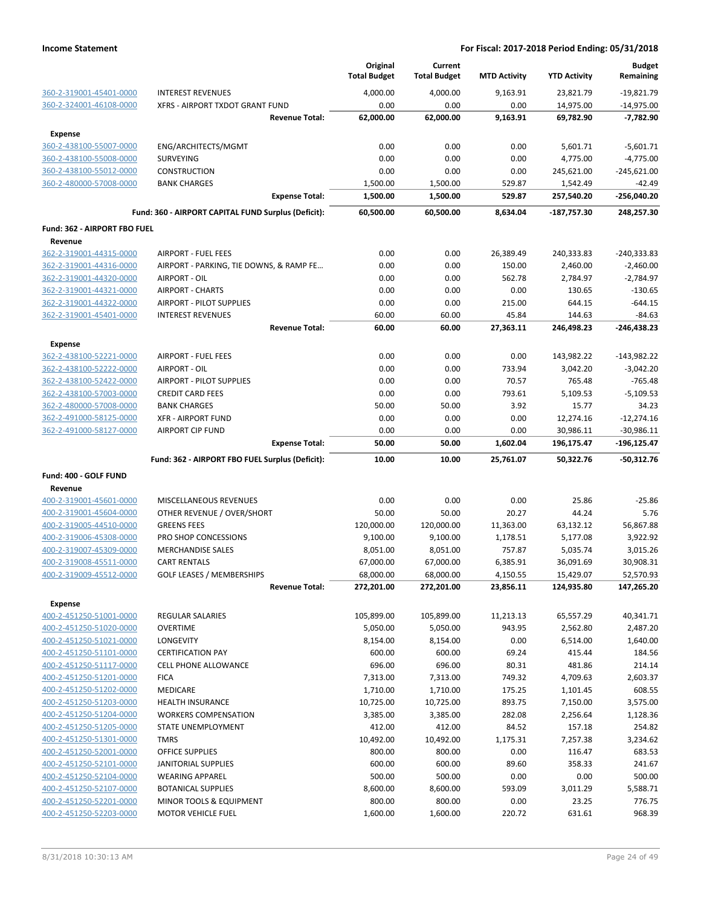|                                                    |                                                      | Original<br><b>Total Budget</b> | Current<br><b>Total Budget</b> | <b>MTD Activity</b> | <b>YTD Activity</b>     | <b>Budget</b><br>Remaining   |
|----------------------------------------------------|------------------------------------------------------|---------------------------------|--------------------------------|---------------------|-------------------------|------------------------------|
| 360-2-319001-45401-0000                            | <b>INTEREST REVENUES</b>                             | 4,000.00                        | 4,000.00                       | 9,163.91            | 23,821.79               | $-19,821.79$                 |
| 360-2-324001-46108-0000                            | XFRS - AIRPORT TXDOT GRANT FUND                      | 0.00                            | 0.00                           | 0.00                | 14,975.00               | $-14,975.00$                 |
|                                                    | <b>Revenue Total:</b>                                | 62,000.00                       | 62,000.00                      | 9,163.91            | 69,782.90               | $-7,782.90$                  |
| <b>Expense</b>                                     |                                                      |                                 |                                |                     |                         |                              |
| 360-2-438100-55007-0000                            | ENG/ARCHITECTS/MGMT                                  | 0.00                            | 0.00                           | 0.00                | 5,601.71                | $-5,601.71$                  |
| 360-2-438100-55008-0000                            | SURVEYING                                            | 0.00                            | 0.00                           | 0.00                | 4,775.00                | $-4,775.00$                  |
| 360-2-438100-55012-0000                            | <b>CONSTRUCTION</b>                                  | 0.00                            | 0.00                           | 0.00                | 245,621.00              | $-245,621.00$                |
| 360-2-480000-57008-0000                            | <b>BANK CHARGES</b>                                  | 1,500.00                        | 1,500.00                       | 529.87              | 1,542.49                | $-42.49$                     |
|                                                    | <b>Expense Total:</b>                                | 1,500.00                        | 1,500.00                       | 529.87              | 257,540.20              | -256,040.20                  |
|                                                    | Fund: 360 - AIRPORT CAPITAL FUND Surplus (Deficit):  | 60,500.00                       | 60,500.00                      | 8,634.04            | -187,757.30             | 248,257.30                   |
| Fund: 362 - AIRPORT FBO FUEL                       |                                                      |                                 |                                |                     |                         |                              |
| Revenue                                            |                                                      |                                 |                                |                     |                         |                              |
| 362-2-319001-44315-0000                            | <b>AIRPORT - FUEL FEES</b>                           | 0.00                            | 0.00                           | 26,389.49           | 240,333.83              | $-240,333.83$                |
| 362-2-319001-44316-0000                            | AIRPORT - PARKING, TIE DOWNS, & RAMP FE              | 0.00                            | 0.00                           | 150.00              | 2,460.00                | $-2,460.00$                  |
| 362-2-319001-44320-0000                            | AIRPORT - OIL                                        | 0.00                            | 0.00                           | 562.78              | 2,784.97                | $-2,784.97$                  |
| 362-2-319001-44321-0000                            | <b>AIRPORT - CHARTS</b>                              | 0.00                            | 0.00                           | 0.00                | 130.65                  | $-130.65$                    |
| 362-2-319001-44322-0000                            | AIRPORT - PILOT SUPPLIES                             | 0.00                            | 0.00                           | 215.00              | 644.15                  | $-644.15$                    |
| 362-2-319001-45401-0000                            | <b>INTEREST REVENUES</b><br><b>Revenue Total:</b>    | 60.00<br>60.00                  | 60.00<br>60.00                 | 45.84<br>27,363.11  | 144.63<br>246,498.23    | $-84.63$<br>$-246,438.23$    |
|                                                    |                                                      |                                 |                                |                     |                         |                              |
| <b>Expense</b><br>362-2-438100-52221-0000          | <b>AIRPORT - FUEL FEES</b>                           | 0.00                            | 0.00                           | 0.00                | 143,982.22              | $-143,982.22$                |
| 362-2-438100-52222-0000                            | AIRPORT - OIL                                        | 0.00                            | 0.00                           | 733.94              | 3,042.20                | $-3,042.20$                  |
| 362-2-438100-52422-0000                            | AIRPORT - PILOT SUPPLIES                             | 0.00                            | 0.00                           | 70.57               | 765.48                  | $-765.48$                    |
|                                                    | <b>CREDIT CARD FEES</b>                              | 0.00                            | 0.00                           | 793.61              |                         |                              |
| 362-2-438100-57003-0000<br>362-2-480000-57008-0000 | <b>BANK CHARGES</b>                                  | 50.00                           | 50.00                          | 3.92                | 5,109.53<br>15.77       | $-5,109.53$<br>34.23         |
| 362-2-491000-58125-0000                            |                                                      |                                 |                                |                     |                         |                              |
| 362-2-491000-58127-0000                            | <b>XFR - AIRPORT FUND</b><br><b>AIRPORT CIP FUND</b> | 0.00<br>0.00                    | 0.00<br>0.00                   | 0.00<br>0.00        | 12,274.16               | $-12,274.16$<br>$-30,986.11$ |
|                                                    | <b>Expense Total:</b>                                | 50.00                           | 50.00                          | 1,602.04            | 30,986.11<br>196,175.47 | -196,125.47                  |
|                                                    | Fund: 362 - AIRPORT FBO FUEL Surplus (Deficit):      | 10.00                           | 10.00                          | 25,761.07           | 50,322.76               | $-50,312.76$                 |
| Fund: 400 - GOLF FUND                              |                                                      |                                 |                                |                     |                         |                              |
| Revenue                                            |                                                      |                                 |                                |                     |                         |                              |
| 400-2-319001-45601-0000                            | MISCELLANEOUS REVENUES                               | 0.00                            | 0.00                           | 0.00                | 25.86                   | $-25.86$                     |
| 400-2-319001-45604-0000                            | OTHER REVENUE / OVER/SHORT                           | 50.00                           | 50.00                          | 20.27               | 44.24                   | 5.76                         |
| 400-2-319005-44510-0000                            | <b>GREENS FEES</b>                                   | 120,000.00                      | 120,000.00                     | 11,363.00           | 63,132.12               | 56,867.88                    |
| 400-2-319006-45308-0000                            | PRO SHOP CONCESSIONS                                 | 9,100.00                        | 9,100.00                       | 1,178.51            | 5,177.08                | 3,922.92                     |
| 400-2-319007-45309-0000                            | <b>MERCHANDISE SALES</b>                             | 8,051.00                        | 8,051.00                       | 757.87              | 5,035.74                | 3,015.26                     |
| 400-2-319008-45511-0000                            | <b>CART RENTALS</b>                                  | 67,000.00                       | 67,000.00                      | 6,385.91            | 36,091.69               | 30,908.31                    |
| 400-2-319009-45512-0000                            | <b>GOLF LEASES / MEMBERSHIPS</b>                     | 68,000.00                       | 68,000.00                      | 4,150.55            | 15,429.07               | 52,570.93                    |
|                                                    | <b>Revenue Total:</b>                                | 272,201.00                      | 272,201.00                     | 23,856.11           | 124,935.80              | 147,265.20                   |
| <b>Expense</b>                                     |                                                      |                                 |                                |                     |                         |                              |
| 400-2-451250-51001-0000                            | <b>REGULAR SALARIES</b>                              | 105,899.00                      | 105,899.00                     | 11,213.13           | 65,557.29               | 40,341.71                    |
| 400-2-451250-51020-0000                            | <b>OVERTIME</b>                                      | 5,050.00                        | 5,050.00                       | 943.95              | 2,562.80                | 2,487.20                     |
| 400-2-451250-51021-0000                            | LONGEVITY                                            | 8,154.00                        | 8,154.00                       | 0.00                | 6,514.00                | 1,640.00                     |
| 400-2-451250-51101-0000                            | <b>CERTIFICATION PAY</b>                             | 600.00                          | 600.00                         | 69.24               | 415.44                  | 184.56                       |
| 400-2-451250-51117-0000                            | <b>CELL PHONE ALLOWANCE</b>                          | 696.00                          | 696.00                         | 80.31               | 481.86                  | 214.14                       |
| 400-2-451250-51201-0000                            | <b>FICA</b>                                          | 7,313.00                        | 7,313.00                       | 749.32              | 4,709.63                | 2,603.37                     |
| 400-2-451250-51202-0000                            | MEDICARE                                             | 1,710.00                        | 1,710.00                       | 175.25              | 1,101.45                | 608.55                       |
| 400-2-451250-51203-0000                            | HEALTH INSURANCE                                     | 10,725.00                       | 10,725.00                      | 893.75              | 7,150.00                | 3,575.00                     |
| 400-2-451250-51204-0000                            | <b>WORKERS COMPENSATION</b>                          | 3,385.00                        | 3,385.00                       | 282.08              | 2,256.64                | 1,128.36                     |
| 400-2-451250-51205-0000                            | STATE UNEMPLOYMENT                                   | 412.00                          | 412.00                         | 84.52               | 157.18                  | 254.82                       |
| 400-2-451250-51301-0000                            | <b>TMRS</b>                                          | 10,492.00                       | 10,492.00                      | 1,175.31            | 7,257.38                | 3,234.62                     |
| 400-2-451250-52001-0000                            | OFFICE SUPPLIES                                      | 800.00                          | 800.00                         | 0.00                | 116.47                  | 683.53                       |
| 400-2-451250-52101-0000                            | JANITORIAL SUPPLIES                                  | 600.00                          | 600.00                         | 89.60               | 358.33                  | 241.67                       |
| 400-2-451250-52104-0000                            | <b>WEARING APPAREL</b>                               | 500.00                          | 500.00                         | 0.00                | 0.00                    | 500.00                       |
| 400-2-451250-52107-0000                            | <b>BOTANICAL SUPPLIES</b>                            | 8,600.00                        | 8,600.00                       | 593.09              | 3,011.29                | 5,588.71                     |
| 400-2-451250-52201-0000                            | MINOR TOOLS & EQUIPMENT                              | 800.00                          | 800.00                         | 0.00                | 23.25                   | 776.75                       |
| 400-2-451250-52203-0000                            | <b>MOTOR VEHICLE FUEL</b>                            | 1,600.00                        | 1,600.00                       | 220.72              | 631.61                  | 968.39                       |
|                                                    |                                                      |                                 |                                |                     |                         |                              |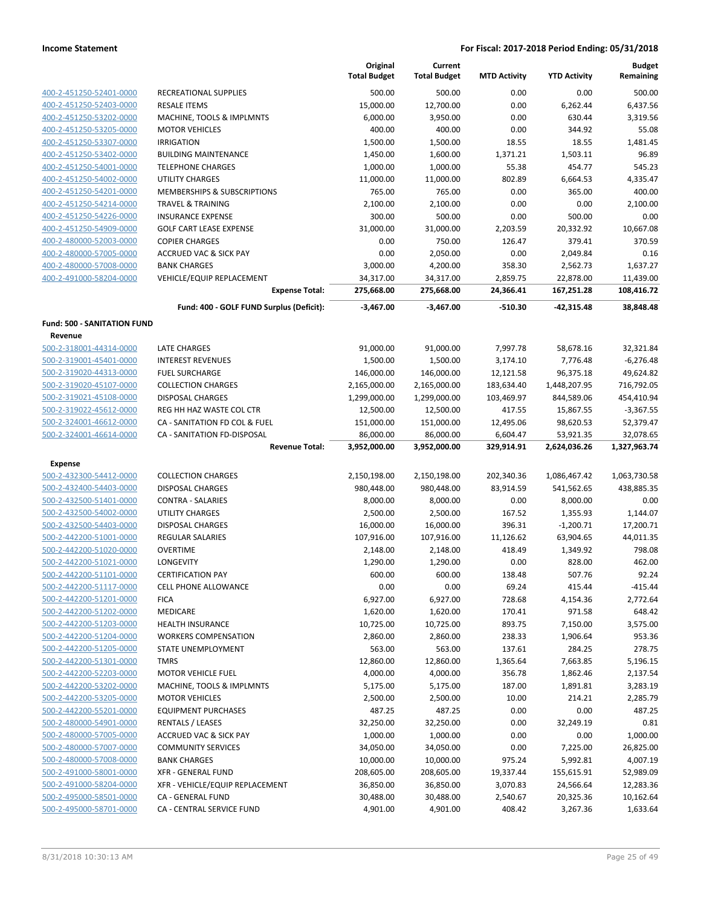|                                    |                                          | Original<br><b>Total Budget</b> | Current<br><b>Total Budget</b> | <b>MTD Activity</b> | <b>YTD Activity</b> | <b>Budget</b><br>Remaining |
|------------------------------------|------------------------------------------|---------------------------------|--------------------------------|---------------------|---------------------|----------------------------|
| 400-2-451250-52401-0000            | RECREATIONAL SUPPLIES                    | 500.00                          | 500.00                         | 0.00                | 0.00                | 500.00                     |
| 400-2-451250-52403-0000            | <b>RESALE ITEMS</b>                      | 15,000.00                       | 12,700.00                      | 0.00                | 6,262.44            | 6,437.56                   |
| 400-2-451250-53202-0000            | MACHINE, TOOLS & IMPLMNTS                | 6,000.00                        | 3,950.00                       | 0.00                | 630.44              | 3,319.56                   |
| 400-2-451250-53205-0000            | <b>MOTOR VEHICLES</b>                    | 400.00                          | 400.00                         | 0.00                | 344.92              | 55.08                      |
| 400-2-451250-53307-0000            | <b>IRRIGATION</b>                        | 1,500.00                        | 1,500.00                       | 18.55               | 18.55               | 1,481.45                   |
| 400-2-451250-53402-0000            | <b>BUILDING MAINTENANCE</b>              | 1,450.00                        | 1,600.00                       | 1,371.21            | 1,503.11            | 96.89                      |
| 400-2-451250-54001-0000            | <b>TELEPHONE CHARGES</b>                 | 1,000.00                        | 1,000.00                       | 55.38               | 454.77              | 545.23                     |
| 400-2-451250-54002-0000            | <b>UTILITY CHARGES</b>                   | 11,000.00                       | 11,000.00                      | 802.89              | 6,664.53            | 4,335.47                   |
| 400-2-451250-54201-0000            | MEMBERSHIPS & SUBSCRIPTIONS              | 765.00                          | 765.00                         | 0.00                | 365.00              | 400.00                     |
| 400-2-451250-54214-0000            | <b>TRAVEL &amp; TRAINING</b>             | 2,100.00                        | 2,100.00                       | 0.00                | 0.00                | 2,100.00                   |
| 400-2-451250-54226-0000            | <b>INSURANCE EXPENSE</b>                 | 300.00                          | 500.00                         | 0.00                | 500.00              | 0.00                       |
| 400-2-451250-54909-0000            | <b>GOLF CART LEASE EXPENSE</b>           | 31,000.00                       | 31,000.00                      | 2,203.59            | 20,332.92           | 10,667.08                  |
| 400-2-480000-52003-0000            | <b>COPIER CHARGES</b>                    | 0.00                            | 750.00                         | 126.47              | 379.41              | 370.59                     |
| 400-2-480000-57005-0000            | <b>ACCRUED VAC &amp; SICK PAY</b>        | 0.00                            | 2,050.00                       | 0.00                | 2,049.84            | 0.16                       |
| 400-2-480000-57008-0000            | <b>BANK CHARGES</b>                      | 3,000.00                        | 4,200.00                       | 358.30              | 2,562.73            | 1,637.27                   |
| 400-2-491000-58204-0000            | VEHICLE/EQUIP REPLACEMENT                | 34,317.00                       | 34,317.00                      | 2,859.75            | 22,878.00           | 11,439.00                  |
|                                    | <b>Expense Total:</b>                    | 275,668.00                      | 275,668.00                     | 24,366.41           | 167,251.28          | 108,416.72                 |
|                                    | Fund: 400 - GOLF FUND Surplus (Deficit): | $-3,467.00$                     | $-3,467.00$                    | -510.30             | $-42,315.48$        | 38,848.48                  |
| <b>Fund: 500 - SANITATION FUND</b> |                                          |                                 |                                |                     |                     |                            |
| Revenue                            |                                          |                                 |                                |                     |                     |                            |
| 500-2-318001-44314-0000            | LATE CHARGES                             | 91,000.00                       | 91,000.00                      | 7,997.78            | 58,678.16           | 32,321.84                  |
| 500-2-319001-45401-0000            | <b>INTEREST REVENUES</b>                 | 1,500.00                        | 1,500.00                       | 3,174.10            | 7,776.48            | $-6,276.48$                |
| 500-2-319020-44313-0000            | <b>FUEL SURCHARGE</b>                    | 146,000.00                      | 146,000.00                     | 12,121.58           | 96,375.18           | 49,624.82                  |
| 500-2-319020-45107-0000            | <b>COLLECTION CHARGES</b>                | 2,165,000.00                    | 2,165,000.00                   | 183,634.40          | 1,448,207.95        | 716,792.05                 |
| 500-2-319021-45108-0000            | <b>DISPOSAL CHARGES</b>                  | 1,299,000.00                    | 1,299,000.00                   | 103,469.97          | 844,589.06          | 454,410.94                 |
| 500-2-319022-45612-0000            | REG HH HAZ WASTE COL CTR                 | 12,500.00                       | 12,500.00                      | 417.55              | 15,867.55           | $-3,367.55$                |
| 500-2-324001-46612-0000            | CA - SANITATION FD COL & FUEL            | 151,000.00                      | 151,000.00                     | 12,495.06           | 98,620.53           | 52,379.47                  |
| 500-2-324001-46614-0000            | CA - SANITATION FD-DISPOSAL              | 86,000.00                       | 86,000.00                      | 6,604.47            | 53,921.35           | 32,078.65                  |
|                                    | <b>Revenue Total:</b>                    | 3,952,000.00                    | 3,952,000.00                   | 329,914.91          | 2,624,036.26        | 1,327,963.74               |
| <b>Expense</b>                     |                                          |                                 |                                |                     |                     |                            |
| 500-2-432300-54412-0000            | <b>COLLECTION CHARGES</b>                | 2,150,198.00                    | 2,150,198.00                   | 202,340.36          | 1,086,467.42        | 1,063,730.58               |
| 500-2-432400-54403-0000            | <b>DISPOSAL CHARGES</b>                  | 980,448.00                      | 980,448.00                     | 83,914.59           | 541,562.65          | 438,885.35                 |
| 500-2-432500-51401-0000            | <b>CONTRA - SALARIES</b>                 | 8,000.00                        | 8,000.00                       | 0.00                | 8,000.00            | 0.00                       |
| 500-2-432500-54002-0000            | UTILITY CHARGES                          | 2,500.00                        | 2,500.00                       | 167.52              | 1,355.93            | 1,144.07                   |
| 500-2-432500-54403-0000            | <b>DISPOSAL CHARGES</b>                  | 16,000.00                       | 16,000.00                      | 396.31              | $-1,200.71$         | 17,200.71                  |
| 500-2-442200-51001-0000            | REGULAR SALARIES                         | 107,916.00                      | 107,916.00                     | 11,126.62           | 63,904.65           | 44,011.35                  |
| 500-2-442200-51020-0000            | <b>OVERTIME</b>                          | 2,148.00                        | 2,148.00                       | 418.49              | 1,349.92            | 798.08                     |
| 500-2-442200-51021-0000            | <b>LONGEVITY</b>                         | 1,290.00                        | 1,290.00                       | 0.00                | 828.00              | 462.00                     |
| 500-2-442200-51101-0000            | <b>CERTIFICATION PAY</b>                 | 600.00                          | 600.00                         | 138.48              | 507.76              | 92.24                      |
| 500-2-442200-51117-0000            | <b>CELL PHONE ALLOWANCE</b>              | 0.00                            | 0.00                           | 69.24               | 415.44              | $-415.44$                  |
| 500-2-442200-51201-0000            | <b>FICA</b>                              | 6,927.00                        | 6,927.00                       | 728.68              | 4,154.36            | 2,772.64                   |
| 500-2-442200-51202-0000            | MEDICARE                                 | 1,620.00                        | 1,620.00                       | 170.41              | 971.58              | 648.42                     |
| 500-2-442200-51203-0000            | <b>HEALTH INSURANCE</b>                  | 10,725.00                       | 10,725.00                      | 893.75              | 7,150.00            | 3,575.00                   |
| 500-2-442200-51204-0000            | <b>WORKERS COMPENSATION</b>              | 2,860.00                        | 2,860.00                       | 238.33              | 1,906.64            | 953.36                     |
| 500-2-442200-51205-0000            | STATE UNEMPLOYMENT                       | 563.00                          | 563.00                         | 137.61              | 284.25              | 278.75                     |
| 500-2-442200-51301-0000            | <b>TMRS</b>                              | 12,860.00                       | 12,860.00                      | 1,365.64            | 7,663.85            | 5,196.15                   |
| 500-2-442200-52203-0000            | <b>MOTOR VEHICLE FUEL</b>                | 4,000.00                        | 4,000.00                       | 356.78              | 1,862.46            | 2,137.54                   |
| 500-2-442200-53202-0000            | MACHINE, TOOLS & IMPLMNTS                | 5,175.00                        | 5,175.00                       | 187.00              | 1,891.81            | 3,283.19                   |
| 500-2-442200-53205-0000            | <b>MOTOR VEHICLES</b>                    | 2,500.00                        | 2,500.00                       | 10.00               | 214.21              | 2,285.79                   |
| 500-2-442200-55201-0000            | <b>EQUIPMENT PURCHASES</b>               | 487.25                          | 487.25                         | 0.00                | 0.00                | 487.25                     |
| 500-2-480000-54901-0000            | <b>RENTALS / LEASES</b>                  | 32,250.00                       | 32,250.00                      | 0.00                | 32,249.19           | 0.81                       |
| 500-2-480000-57005-0000            | <b>ACCRUED VAC &amp; SICK PAY</b>        | 1,000.00                        | 1,000.00                       | 0.00                | 0.00                | 1,000.00                   |
| 500-2-480000-57007-0000            | <b>COMMUNITY SERVICES</b>                | 34,050.00                       | 34,050.00                      | 0.00                | 7,225.00            | 26,825.00                  |
| 500-2-480000-57008-0000            | <b>BANK CHARGES</b>                      | 10,000.00                       | 10,000.00                      | 975.24              | 5,992.81            | 4,007.19                   |
| 500-2-491000-58001-0000            | XFR - GENERAL FUND                       | 208,605.00                      | 208,605.00                     | 19,337.44           | 155,615.91          | 52,989.09                  |
| 500-2-491000-58204-0000            | XFR - VEHICLE/EQUIP REPLACEMENT          | 36,850.00                       | 36,850.00                      | 3,070.83            | 24,566.64           | 12,283.36                  |
| 500-2-495000-58501-0000            | CA - GENERAL FUND                        | 30,488.00                       | 30,488.00                      | 2,540.67            | 20,325.36           | 10,162.64                  |
| 500-2-495000-58701-0000            | CA - CENTRAL SERVICE FUND                | 4,901.00                        | 4,901.00                       | 408.42              | 3,267.36            | 1,633.64                   |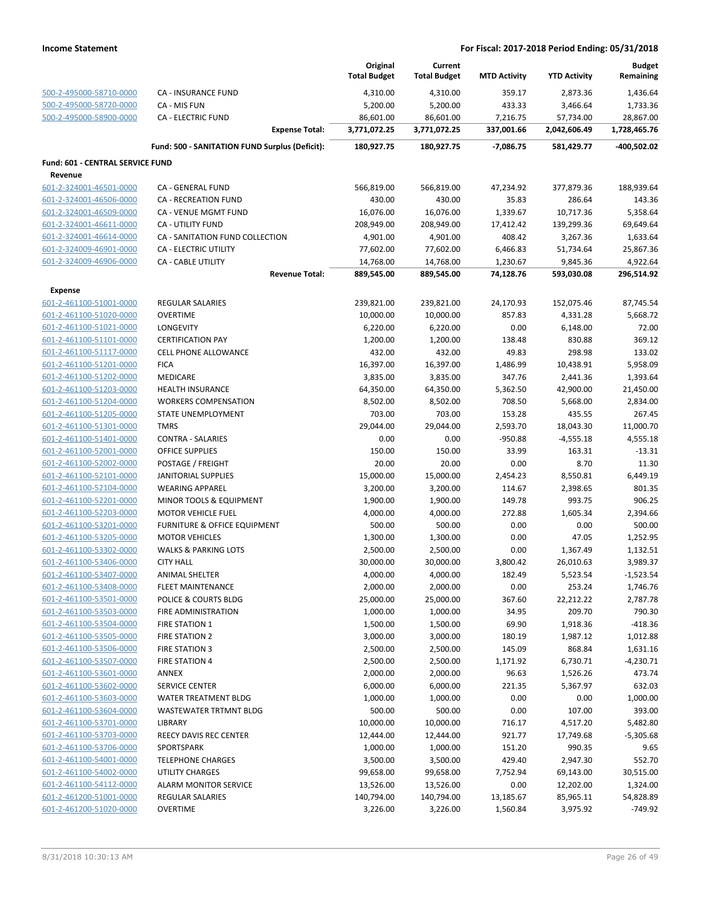|                                                    |                                                              | Original<br><b>Total Budget</b> | Current<br><b>Total Budget</b> | <b>MTD Activity</b> | <b>YTD Activity</b> | <b>Budget</b><br>Remaining |
|----------------------------------------------------|--------------------------------------------------------------|---------------------------------|--------------------------------|---------------------|---------------------|----------------------------|
| 500-2-495000-58710-0000                            | CA - INSURANCE FUND                                          | 4,310.00                        | 4,310.00                       | 359.17              | 2,873.36            | 1,436.64                   |
| 500-2-495000-58720-0000                            | CA - MIS FUN                                                 | 5,200.00                        | 5,200.00                       | 433.33              | 3,466.64            | 1,733.36                   |
| 500-2-495000-58900-0000                            | <b>CA - ELECTRIC FUND</b>                                    | 86,601.00                       | 86,601.00                      | 7,216.75            | 57,734.00           | 28,867.00                  |
|                                                    | <b>Expense Total:</b>                                        | 3,771,072.25                    | 3,771,072.25                   | 337,001.66          | 2,042,606.49        | 1,728,465.76               |
|                                                    | Fund: 500 - SANITATION FUND Surplus (Deficit):               | 180,927.75                      | 180,927.75                     | $-7,086.75$         | 581,429.77          | -400,502.02                |
| Fund: 601 - CENTRAL SERVICE FUND                   |                                                              |                                 |                                |                     |                     |                            |
| Revenue                                            |                                                              |                                 |                                |                     |                     |                            |
| 601-2-324001-46501-0000                            | <b>CA - GENERAL FUND</b>                                     | 566,819.00                      | 566,819.00                     | 47,234.92           | 377,879.36          | 188,939.64                 |
| 601-2-324001-46506-0000                            | CA - RECREATION FUND                                         | 430.00                          | 430.00                         | 35.83               | 286.64              | 143.36                     |
| 601-2-324001-46509-0000                            | <b>CA - VENUE MGMT FUND</b>                                  | 16,076.00                       | 16,076.00                      | 1,339.67            | 10,717.36           | 5,358.64                   |
| 601-2-324001-46611-0000                            | <b>CA - UTILITY FUND</b>                                     | 208,949.00                      | 208,949.00                     | 17,412.42           | 139,299.36          | 69,649.64                  |
| 601-2-324001-46614-0000                            | CA - SANITATION FUND COLLECTION                              | 4,901.00                        | 4,901.00                       | 408.42              | 3,267.36            | 1,633.64                   |
| 601-2-324009-46901-0000                            | <b>CA - ELECTRIC UTILITY</b>                                 | 77,602.00                       | 77,602.00                      | 6,466.83            | 51,734.64           | 25,867.36                  |
| 601-2-324009-46906-0000                            | <b>CA - CABLE UTILITY</b>                                    | 14,768.00                       | 14,768.00                      | 1,230.67            | 9,845.36            | 4,922.64                   |
|                                                    | <b>Revenue Total:</b>                                        | 889,545.00                      | 889,545.00                     | 74,128.76           | 593,030.08          | 296,514.92                 |
| <b>Expense</b>                                     |                                                              |                                 |                                |                     |                     |                            |
| 601-2-461100-51001-0000                            | <b>REGULAR SALARIES</b>                                      | 239,821.00                      | 239,821.00                     | 24,170.93           | 152,075.46          | 87,745.54                  |
| 601-2-461100-51020-0000                            | <b>OVERTIME</b>                                              | 10,000.00                       | 10,000.00                      | 857.83              | 4,331.28            | 5,668.72                   |
| 601-2-461100-51021-0000                            | <b>LONGEVITY</b>                                             | 6,220.00                        | 6,220.00                       | 0.00                | 6,148.00            | 72.00                      |
| 601-2-461100-51101-0000                            | <b>CERTIFICATION PAY</b>                                     | 1,200.00                        | 1,200.00                       | 138.48              | 830.88              | 369.12                     |
| 601-2-461100-51117-0000                            | <b>CELL PHONE ALLOWANCE</b>                                  | 432.00                          | 432.00                         | 49.83               | 298.98              | 133.02                     |
| 601-2-461100-51201-0000                            | <b>FICA</b>                                                  | 16,397.00                       | 16,397.00                      | 1,486.99            | 10,438.91           | 5,958.09                   |
| 601-2-461100-51202-0000                            | <b>MEDICARE</b>                                              | 3,835.00                        | 3,835.00                       | 347.76              | 2,441.36            | 1,393.64                   |
| 601-2-461100-51203-0000                            | <b>HEALTH INSURANCE</b>                                      | 64,350.00                       | 64,350.00                      | 5,362.50            | 42,900.00           | 21,450.00                  |
| 601-2-461100-51204-0000                            | <b>WORKERS COMPENSATION</b>                                  | 8,502.00                        | 8,502.00                       | 708.50              | 5,668.00            | 2,834.00                   |
| 601-2-461100-51205-0000                            | STATE UNEMPLOYMENT                                           | 703.00                          | 703.00                         | 153.28              | 435.55              | 267.45                     |
| 601-2-461100-51301-0000                            | <b>TMRS</b>                                                  | 29,044.00                       | 29,044.00                      | 2,593.70            | 18,043.30           | 11,000.70                  |
| 601-2-461100-51401-0000                            | <b>CONTRA - SALARIES</b>                                     | 0.00                            | 0.00                           | $-950.88$           | $-4,555.18$         | 4,555.18                   |
| 601-2-461100-52001-0000                            | <b>OFFICE SUPPLIES</b>                                       | 150.00                          | 150.00                         | 33.99               | 163.31              | $-13.31$                   |
| 601-2-461100-52002-0000                            | POSTAGE / FREIGHT                                            | 20.00                           | 20.00                          | 0.00                | 8.70                | 11.30                      |
| 601-2-461100-52101-0000                            | <b>JANITORIAL SUPPLIES</b>                                   | 15,000.00                       | 15,000.00                      | 2,454.23<br>114.67  | 8,550.81            | 6,449.19<br>801.35         |
| 601-2-461100-52104-0000<br>601-2-461100-52201-0000 | <b>WEARING APPAREL</b><br><b>MINOR TOOLS &amp; EQUIPMENT</b> | 3,200.00                        | 3,200.00                       | 149.78              | 2,398.65<br>993.75  | 906.25                     |
| 601-2-461100-52203-0000                            | <b>MOTOR VEHICLE FUEL</b>                                    | 1,900.00<br>4,000.00            | 1,900.00<br>4,000.00           | 272.88              | 1,605.34            | 2,394.66                   |
| 601-2-461100-53201-0000                            | FURNITURE & OFFICE EQUIPMENT                                 | 500.00                          | 500.00                         | 0.00                | 0.00                | 500.00                     |
| 601-2-461100-53205-0000                            | <b>MOTOR VEHICLES</b>                                        | 1,300.00                        | 1,300.00                       | 0.00                | 47.05               | 1,252.95                   |
| 601-2-461100-53302-0000                            | <b>WALKS &amp; PARKING LOTS</b>                              | 2,500.00                        | 2,500.00                       | 0.00                | 1,367.49            | 1,132.51                   |
| 601-2-461100-53406-0000                            | <b>CITY HALL</b>                                             | 30,000.00                       | 30,000.00                      | 3,800.42            | 26,010.63           | 3,989.37                   |
| 601-2-461100-53407-0000                            | ANIMAL SHELTER                                               | 4,000.00                        | 4,000.00                       | 182.49              | 5,523.54            | -1,523.54                  |
| 601-2-461100-53408-0000                            | <b>FLEET MAINTENANCE</b>                                     | 2,000.00                        | 2,000.00                       | 0.00                | 253.24              | 1,746.76                   |
| 601-2-461100-53501-0000                            | POLICE & COURTS BLDG                                         | 25,000.00                       | 25,000.00                      | 367.60              | 22,212.22           | 2,787.78                   |
| 601-2-461100-53503-0000                            | <b>FIRE ADMINISTRATION</b>                                   | 1,000.00                        | 1,000.00                       | 34.95               | 209.70              | 790.30                     |
| 601-2-461100-53504-0000                            | <b>FIRE STATION 1</b>                                        | 1,500.00                        | 1,500.00                       | 69.90               | 1,918.36            | $-418.36$                  |
| 601-2-461100-53505-0000                            | FIRE STATION 2                                               | 3,000.00                        | 3,000.00                       | 180.19              | 1,987.12            | 1,012.88                   |
| 601-2-461100-53506-0000                            | FIRE STATION 3                                               | 2,500.00                        | 2,500.00                       | 145.09              | 868.84              | 1,631.16                   |
| 601-2-461100-53507-0000                            | <b>FIRE STATION 4</b>                                        | 2,500.00                        | 2,500.00                       | 1,171.92            | 6,730.71            | $-4,230.71$                |
| 601-2-461100-53601-0000                            | <b>ANNEX</b>                                                 | 2,000.00                        | 2,000.00                       | 96.63               | 1,526.26            | 473.74                     |
| 601-2-461100-53602-0000                            | <b>SERVICE CENTER</b>                                        | 6,000.00                        | 6,000.00                       | 221.35              | 5,367.97            | 632.03                     |
| 601-2-461100-53603-0000                            | WATER TREATMENT BLDG                                         | 1,000.00                        | 1,000.00                       | 0.00                | 0.00                | 1,000.00                   |
| 601-2-461100-53604-0000                            | WASTEWATER TRTMNT BLDG                                       | 500.00                          | 500.00                         | 0.00                | 107.00              | 393.00                     |
| 601-2-461100-53701-0000                            | LIBRARY                                                      | 10,000.00                       | 10,000.00                      | 716.17              | 4,517.20            | 5,482.80                   |
| 601-2-461100-53703-0000                            | REECY DAVIS REC CENTER                                       | 12,444.00                       | 12,444.00                      | 921.77              | 17,749.68           | $-5,305.68$                |
| 601-2-461100-53706-0000                            | SPORTSPARK                                                   | 1,000.00                        | 1,000.00                       | 151.20              | 990.35              | 9.65                       |
| 601-2-461100-54001-0000                            | <b>TELEPHONE CHARGES</b>                                     | 3,500.00                        | 3,500.00                       | 429.40              | 2,947.30            | 552.70                     |
| 601-2-461100-54002-0000                            | UTILITY CHARGES                                              | 99,658.00                       | 99,658.00                      | 7,752.94            | 69,143.00           | 30,515.00                  |
| 601-2-461100-54112-0000                            | <b>ALARM MONITOR SERVICE</b>                                 | 13,526.00                       | 13,526.00                      | 0.00                | 12,202.00           | 1,324.00                   |
| 601-2-461200-51001-0000                            | <b>REGULAR SALARIES</b>                                      | 140,794.00                      | 140,794.00                     | 13,185.67           | 85,965.11           | 54,828.89                  |
| 601-2-461200-51020-0000                            | <b>OVERTIME</b>                                              | 3,226.00                        | 3,226.00                       | 1,560.84            | 3,975.92            | $-749.92$                  |
|                                                    |                                                              |                                 |                                |                     |                     |                            |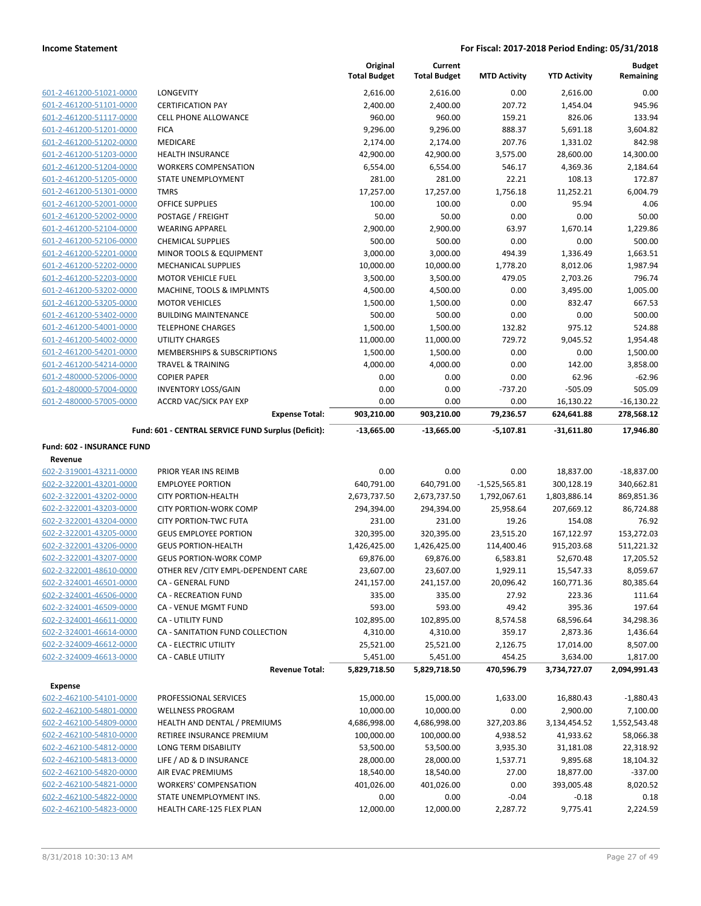|                                                    |                                                     | Original            | Current             |                     |                     | <b>Budget</b>      |
|----------------------------------------------------|-----------------------------------------------------|---------------------|---------------------|---------------------|---------------------|--------------------|
|                                                    |                                                     | <b>Total Budget</b> | <b>Total Budget</b> | <b>MTD Activity</b> | <b>YTD Activity</b> | Remaining          |
| 601-2-461200-51021-0000                            | <b>LONGEVITY</b>                                    | 2,616.00            | 2,616.00            | 0.00                | 2,616.00            | 0.00               |
| 601-2-461200-51101-0000                            | <b>CERTIFICATION PAY</b>                            | 2,400.00            | 2,400.00            | 207.72              | 1,454.04            | 945.96             |
| 601-2-461200-51117-0000                            | <b>CELL PHONE ALLOWANCE</b>                         | 960.00              | 960.00              | 159.21              | 826.06              | 133.94             |
| 601-2-461200-51201-0000                            | <b>FICA</b>                                         | 9,296.00            | 9,296.00            | 888.37              | 5,691.18            | 3,604.82           |
| 601-2-461200-51202-0000                            | <b>MEDICARE</b>                                     | 2,174.00            | 2,174.00            | 207.76              | 1,331.02            | 842.98             |
| 601-2-461200-51203-0000                            | <b>HEALTH INSURANCE</b>                             | 42,900.00           | 42,900.00           | 3,575.00            | 28,600.00           | 14,300.00          |
| 601-2-461200-51204-0000                            | <b>WORKERS COMPENSATION</b>                         | 6,554.00            | 6,554.00            | 546.17              | 4,369.36            | 2,184.64           |
| 601-2-461200-51205-0000                            | STATE UNEMPLOYMENT                                  | 281.00              | 281.00              | 22.21               | 108.13              | 172.87             |
| 601-2-461200-51301-0000                            | <b>TMRS</b>                                         | 17,257.00           | 17,257.00           | 1,756.18            | 11,252.21           | 6,004.79           |
| 601-2-461200-52001-0000                            | <b>OFFICE SUPPLIES</b>                              | 100.00              | 100.00              | 0.00                | 95.94               | 4.06               |
| 601-2-461200-52002-0000                            | POSTAGE / FREIGHT                                   | 50.00               | 50.00               | 0.00                | 0.00                | 50.00              |
| 601-2-461200-52104-0000                            | <b>WEARING APPAREL</b>                              | 2,900.00            | 2,900.00            | 63.97               | 1,670.14            | 1,229.86           |
| 601-2-461200-52106-0000                            | <b>CHEMICAL SUPPLIES</b>                            | 500.00              | 500.00              | 0.00                | 0.00                | 500.00             |
| 601-2-461200-52201-0000                            | MINOR TOOLS & EQUIPMENT                             | 3,000.00            | 3,000.00            | 494.39              | 1,336.49            | 1,663.51           |
| 601-2-461200-52202-0000                            | <b>MECHANICAL SUPPLIES</b>                          | 10,000.00           | 10,000.00           | 1,778.20            | 8,012.06            | 1,987.94           |
| 601-2-461200-52203-0000                            | <b>MOTOR VEHICLE FUEL</b>                           | 3,500.00            | 3,500.00            | 479.05              | 2,703.26            | 796.74             |
| 601-2-461200-53202-0000                            | MACHINE, TOOLS & IMPLMNTS                           | 4,500.00            | 4,500.00            | 0.00                | 3,495.00            | 1,005.00           |
| 601-2-461200-53205-0000                            | <b>MOTOR VEHICLES</b>                               | 1,500.00            | 1,500.00            | 0.00                | 832.47              | 667.53             |
| 601-2-461200-53402-0000                            | <b>BUILDING MAINTENANCE</b>                         | 500.00              | 500.00              | 0.00                | 0.00                | 500.00             |
| 601-2-461200-54001-0000                            | <b>TELEPHONE CHARGES</b>                            | 1,500.00            | 1,500.00            | 132.82              | 975.12              | 524.88             |
| 601-2-461200-54002-0000                            | <b>UTILITY CHARGES</b>                              | 11,000.00           | 11,000.00           | 729.72              | 9,045.52            | 1,954.48           |
| 601-2-461200-54201-0000                            | <b>MEMBERSHIPS &amp; SUBSCRIPTIONS</b>              | 1,500.00            | 1,500.00            | 0.00                | 0.00                | 1,500.00           |
| 601-2-461200-54214-0000<br>601-2-480000-52006-0000 | <b>TRAVEL &amp; TRAINING</b>                        | 4,000.00            | 4,000.00            | 0.00                | 142.00              | 3,858.00           |
| 601-2-480000-57004-0000                            | <b>COPIER PAPER</b><br><b>INVENTORY LOSS/GAIN</b>   | 0.00<br>0.00        | 0.00<br>0.00        | 0.00<br>$-737.20$   | 62.96<br>$-505.09$  | $-62.96$<br>505.09 |
| 601-2-480000-57005-0000                            | <b>ACCRD VAC/SICK PAY EXP</b>                       | 0.00                | 0.00                | 0.00                | 16,130.22           | $-16,130.22$       |
|                                                    | <b>Expense Total:</b>                               | 903,210.00          | 903,210.00          | 79,236.57           | 624,641.88          | 278,568.12         |
|                                                    |                                                     |                     |                     |                     |                     |                    |
|                                                    | Fund: 601 - CENTRAL SERVICE FUND Surplus (Deficit): | $-13,665.00$        | $-13,665.00$        | $-5,107.81$         | $-31,611.80$        | 17,946.80          |
| Fund: 602 - INSURANCE FUND                         |                                                     |                     |                     |                     |                     |                    |
|                                                    |                                                     |                     |                     |                     |                     |                    |
| Revenue                                            |                                                     |                     |                     |                     |                     |                    |
| 602-2-319001-43211-0000                            | PRIOR YEAR INS REIMB                                | 0.00                | 0.00                | 0.00                | 18,837.00           | $-18,837.00$       |
| 602-2-322001-43201-0000                            | <b>EMPLOYEE PORTION</b>                             | 640,791.00          | 640,791.00          | $-1,525,565.81$     | 300,128.19          | 340,662.81         |
| 602-2-322001-43202-0000                            | <b>CITY PORTION-HEALTH</b>                          | 2,673,737.50        | 2,673,737.50        | 1,792,067.61        | 1,803,886.14        | 869,851.36         |
| 602-2-322001-43203-0000                            | <b>CITY PORTION-WORK COMP</b>                       | 294,394.00          | 294,394.00          | 25,958.64           | 207,669.12          | 86,724.88          |
| 602-2-322001-43204-0000                            | <b>CITY PORTION-TWC FUTA</b>                        | 231.00              | 231.00              | 19.26               | 154.08              | 76.92              |
| 602-2-322001-43205-0000                            | <b>GEUS EMPLOYEE PORTION</b>                        | 320,395.00          | 320,395.00          | 23,515.20           | 167,122.97          | 153,272.03         |
| 602-2-322001-43206-0000                            | <b>GEUS PORTION-HEALTH</b>                          | 1,426,425.00        | 1,426,425.00        | 114,400.46          | 915,203.68          | 511,221.32         |
| 602-2-322001-43207-0000                            | <b>GEUS PORTION-WORK COMP</b>                       | 69,876.00           | 69,876.00           | 6,583.81            | 52,670.48           | 17,205.52          |
| 602-2-322001-48610-0000                            | OTHER REV / CITY EMPL-DEPENDENT CARE                | 23,607.00           | 23,607.00           | 1,929.11            | 15,547.33           | 8,059.67           |
| 602-2-324001-46501-0000                            | CA - GENERAL FUND                                   | 241,157.00          | 241,157.00          | 20,096.42           | 160,771.36          | 80,385.64          |
| 602-2-324001-46506-0000                            | CA - RECREATION FUND                                | 335.00              | 335.00              | 27.92               | 223.36              | 111.64             |
| 602-2-324001-46509-0000                            | CA - VENUE MGMT FUND                                | 593.00              | 593.00              | 49.42               | 395.36              | 197.64             |
| 602-2-324001-46611-0000                            | <b>CA - UTILITY FUND</b>                            | 102,895.00          | 102,895.00          | 8,574.58            | 68,596.64           | 34,298.36          |
| 602-2-324001-46614-0000                            | CA - SANITATION FUND COLLECTION                     | 4,310.00            | 4,310.00            | 359.17              | 2,873.36            | 1,436.64           |
| 602-2-324009-46612-0000                            | CA - ELECTRIC UTILITY                               | 25,521.00           | 25,521.00           | 2,126.75            | 17,014.00           | 8,507.00           |
| 602-2-324009-46613-0000                            | <b>CA - CABLE UTILITY</b>                           | 5,451.00            | 5,451.00            | 454.25              | 3,634.00            | 1,817.00           |
|                                                    | <b>Revenue Total:</b>                               | 5,829,718.50        | 5,829,718.50        | 470,596.79          | 3,734,727.07        | 2,094,991.43       |
| <b>Expense</b>                                     |                                                     |                     |                     |                     |                     |                    |
| 602-2-462100-54101-0000                            | PROFESSIONAL SERVICES                               | 15,000.00           | 15,000.00           | 1,633.00            | 16,880.43           | $-1,880.43$        |
| 602-2-462100-54801-0000                            | <b>WELLNESS PROGRAM</b>                             | 10,000.00           | 10,000.00           | 0.00                | 2,900.00            | 7,100.00           |
| 602-2-462100-54809-0000                            | HEALTH AND DENTAL / PREMIUMS                        | 4,686,998.00        | 4,686,998.00        | 327,203.86          | 3,134,454.52        | 1,552,543.48       |
| 602-2-462100-54810-0000                            | RETIREE INSURANCE PREMIUM                           | 100,000.00          | 100,000.00          | 4,938.52            | 41,933.62           | 58,066.38          |
| 602-2-462100-54812-0000                            | LONG TERM DISABILITY                                | 53,500.00           | 53,500.00           | 3,935.30            | 31,181.08           | 22,318.92          |
| 602-2-462100-54813-0000                            | LIFE / AD & D INSURANCE                             | 28,000.00           | 28,000.00           | 1,537.71            | 9,895.68            | 18,104.32          |
| 602-2-462100-54820-0000                            | AIR EVAC PREMIUMS                                   | 18,540.00           | 18,540.00           | 27.00               | 18,877.00           | $-337.00$          |
| 602-2-462100-54821-0000                            | <b>WORKERS' COMPENSATION</b>                        | 401,026.00          | 401,026.00          | 0.00                | 393,005.48          | 8,020.52           |
| 602-2-462100-54822-0000                            | STATE UNEMPLOYMENT INS.                             | 0.00                | 0.00                | $-0.04$             | $-0.18$             | 0.18               |
| 602-2-462100-54823-0000                            | HEALTH CARE-125 FLEX PLAN                           | 12,000.00           | 12,000.00           | 2,287.72            | 9,775.41            | 2,224.59           |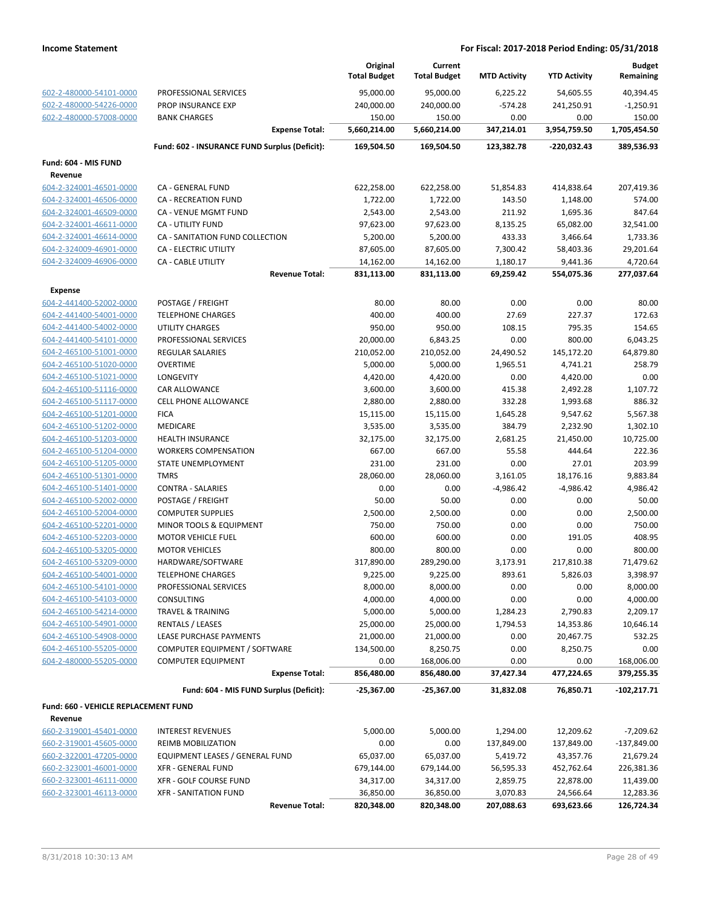|                                                    |                                               | Original<br><b>Total Budget</b> | Current<br><b>Total Budget</b> | <b>MTD Activity</b> | <b>YTD Activity</b> | <b>Budget</b><br>Remaining |
|----------------------------------------------------|-----------------------------------------------|---------------------------------|--------------------------------|---------------------|---------------------|----------------------------|
| 602-2-480000-54101-0000                            | PROFESSIONAL SERVICES                         | 95,000.00                       | 95,000.00                      | 6,225.22            | 54,605.55           | 40,394.45                  |
| 602-2-480000-54226-0000                            | PROP INSURANCE EXP                            | 240,000.00                      | 240,000.00                     | $-574.28$           | 241,250.91          | $-1,250.91$                |
| 602-2-480000-57008-0000                            | <b>BANK CHARGES</b>                           | 150.00                          | 150.00                         | 0.00                | 0.00                | 150.00                     |
|                                                    | <b>Expense Total:</b>                         | 5,660,214.00                    | 5,660,214.00                   | 347,214.01          | 3,954,759.50        | 1,705,454.50               |
|                                                    | Fund: 602 - INSURANCE FUND Surplus (Deficit): | 169,504.50                      | 169,504.50                     | 123,382.78          | -220,032.43         | 389,536.93                 |
| Fund: 604 - MIS FUND                               |                                               |                                 |                                |                     |                     |                            |
| Revenue                                            |                                               |                                 |                                |                     |                     |                            |
| 604-2-324001-46501-0000                            | <b>CA - GENERAL FUND</b>                      | 622,258.00                      | 622,258.00                     | 51,854.83           | 414,838.64          | 207,419.36                 |
| 604-2-324001-46506-0000                            | <b>CA - RECREATION FUND</b>                   | 1,722.00                        | 1,722.00                       | 143.50              | 1,148.00            | 574.00                     |
| 604-2-324001-46509-0000                            | CA - VENUE MGMT FUND                          | 2,543.00                        | 2,543.00                       | 211.92              | 1,695.36            | 847.64                     |
| 604-2-324001-46611-0000                            | <b>CA - UTILITY FUND</b>                      | 97,623.00                       | 97,623.00                      | 8,135.25            | 65,082.00           | 32,541.00                  |
| 604-2-324001-46614-0000                            | CA - SANITATION FUND COLLECTION               | 5,200.00                        | 5,200.00                       | 433.33              | 3,466.64            | 1,733.36                   |
| 604-2-324009-46901-0000                            | CA - ELECTRIC UTILITY                         | 87,605.00                       | 87,605.00                      | 7,300.42            | 58,403.36           | 29,201.64                  |
| 604-2-324009-46906-0000                            | CA - CABLE UTILITY                            | 14,162.00                       | 14,162.00                      | 1,180.17            | 9,441.36            | 4,720.64                   |
|                                                    | <b>Revenue Total:</b>                         | 831,113.00                      | 831,113.00                     | 69,259.42           | 554,075.36          | 277,037.64                 |
| <b>Expense</b>                                     |                                               |                                 |                                |                     |                     |                            |
| 604-2-441400-52002-0000                            | POSTAGE / FREIGHT                             | 80.00                           | 80.00                          | 0.00                | 0.00                | 80.00                      |
| 604-2-441400-54001-0000                            | <b>TELEPHONE CHARGES</b>                      | 400.00                          | 400.00                         | 27.69               | 227.37              | 172.63                     |
| 604-2-441400-54002-0000                            | UTILITY CHARGES                               | 950.00                          | 950.00                         | 108.15              | 795.35              | 154.65                     |
| 604-2-441400-54101-0000                            | PROFESSIONAL SERVICES                         | 20,000.00                       | 6,843.25                       | 0.00                | 800.00              | 6,043.25                   |
| 604-2-465100-51001-0000                            | REGULAR SALARIES                              | 210,052.00                      | 210,052.00                     | 24,490.52           | 145,172.20          | 64,879.80                  |
| 604-2-465100-51020-0000                            | <b>OVERTIME</b>                               | 5,000.00                        | 5,000.00                       | 1,965.51            | 4,741.21            | 258.79                     |
| 604-2-465100-51021-0000                            | LONGEVITY                                     | 4,420.00                        | 4,420.00                       | 0.00                | 4,420.00            | 0.00                       |
| 604-2-465100-51116-0000                            | <b>CAR ALLOWANCE</b>                          | 3,600.00                        | 3,600.00                       | 415.38              | 2,492.28            | 1,107.72                   |
| 604-2-465100-51117-0000                            | <b>CELL PHONE ALLOWANCE</b>                   | 2,880.00                        | 2,880.00                       | 332.28              | 1,993.68            | 886.32                     |
| 604-2-465100-51201-0000                            | <b>FICA</b>                                   | 15,115.00                       | 15,115.00                      | 1,645.28            | 9,547.62            | 5,567.38                   |
| 604-2-465100-51202-0000                            | <b>MEDICARE</b>                               | 3,535.00                        | 3,535.00                       | 384.79              | 2,232.90            | 1,302.10                   |
| 604-2-465100-51203-0000                            | HEALTH INSURANCE                              | 32,175.00                       | 32,175.00                      | 2,681.25            | 21,450.00           | 10,725.00                  |
| 604-2-465100-51204-0000                            | <b>WORKERS COMPENSATION</b>                   | 667.00                          | 667.00                         | 55.58               | 444.64              | 222.36                     |
| 604-2-465100-51205-0000                            | STATE UNEMPLOYMENT                            | 231.00                          | 231.00                         | 0.00                | 27.01               | 203.99                     |
| 604-2-465100-51301-0000                            | <b>TMRS</b>                                   | 28,060.00                       | 28,060.00                      | 3,161.05            | 18,176.16           | 9,883.84                   |
| 604-2-465100-51401-0000<br>604-2-465100-52002-0000 | <b>CONTRA - SALARIES</b>                      | 0.00<br>50.00                   | 0.00                           | $-4,986.42$         | $-4,986.42$         | 4,986.42                   |
| 604-2-465100-52004-0000                            | POSTAGE / FREIGHT<br><b>COMPUTER SUPPLIES</b> | 2,500.00                        | 50.00<br>2,500.00              | 0.00<br>0.00        | 0.00<br>0.00        | 50.00<br>2,500.00          |
| 604-2-465100-52201-0000                            | MINOR TOOLS & EQUIPMENT                       | 750.00                          | 750.00                         | 0.00                | 0.00                | 750.00                     |
| 604-2-465100-52203-0000                            | <b>MOTOR VEHICLE FUEL</b>                     | 600.00                          | 600.00                         | 0.00                | 191.05              | 408.95                     |
| 604-2-465100-53205-0000                            | <b>MOTOR VEHICLES</b>                         | 800.00                          | 800.00                         | 0.00                | 0.00                | 800.00                     |
| 604-2-465100-53209-0000                            | HARDWARE/SOFTWARE                             | 317,890.00                      | 289,290.00                     | 3,173.91            | 217,810.38          | 71,479.62                  |
| 604-2-465100-54001-0000                            | <b>TELEPHONE CHARGES</b>                      | 9,225.00                        | 9,225.00                       | 893.61              | 5,826.03            | 3,398.97                   |
| 604-2-465100-54101-0000                            | PROFESSIONAL SERVICES                         | 8,000.00                        | 8,000.00                       | 0.00                | 0.00                | 8,000.00                   |
| 604-2-465100-54103-0000                            | CONSULTING                                    | 4,000.00                        | 4,000.00                       | 0.00                | 0.00                | 4,000.00                   |
| 604-2-465100-54214-0000                            | <b>TRAVEL &amp; TRAINING</b>                  | 5,000.00                        | 5,000.00                       | 1,284.23            | 2,790.83            | 2,209.17                   |
| 604-2-465100-54901-0000                            | <b>RENTALS / LEASES</b>                       | 25,000.00                       | 25,000.00                      | 1,794.53            | 14,353.86           | 10,646.14                  |
| 604-2-465100-54908-0000                            | LEASE PURCHASE PAYMENTS                       | 21,000.00                       | 21,000.00                      | 0.00                | 20,467.75           | 532.25                     |
| 604-2-465100-55205-0000                            | COMPUTER EQUIPMENT / SOFTWARE                 | 134,500.00                      | 8,250.75                       | 0.00                | 8,250.75            | 0.00                       |
| 604-2-480000-55205-0000                            | <b>COMPUTER EQUIPMENT</b>                     | 0.00                            | 168,006.00                     | 0.00                | 0.00                | 168,006.00                 |
|                                                    | <b>Expense Total:</b>                         | 856,480.00                      | 856,480.00                     | 37,427.34           | 477,224.65          | 379,255.35                 |
|                                                    | Fund: 604 - MIS FUND Surplus (Deficit):       | $-25,367.00$                    | -25,367.00                     | 31,832.08           | 76,850.71           | $-102,217.71$              |
| Fund: 660 - VEHICLE REPLACEMENT FUND               |                                               |                                 |                                |                     |                     |                            |
| Revenue                                            |                                               |                                 |                                |                     |                     |                            |
| 660-2-319001-45401-0000                            | <b>INTEREST REVENUES</b>                      | 5,000.00                        | 5,000.00                       | 1,294.00            | 12,209.62           | $-7,209.62$                |
| 660-2-319001-45605-0000                            | <b>REIMB MOBILIZATION</b>                     | 0.00                            | 0.00                           | 137,849.00          | 137,849.00          | $-137,849.00$              |
| 660-2-322001-47205-0000                            | EQUIPMENT LEASES / GENERAL FUND               | 65,037.00                       | 65,037.00                      | 5,419.72            | 43,357.76           | 21,679.24                  |
| 660-2-323001-46001-0000                            | <b>XFR - GENERAL FUND</b>                     | 679,144.00                      | 679,144.00                     | 56,595.33           | 452,762.64          | 226,381.36                 |
| 660-2-323001-46111-0000                            | XFR - GOLF COURSE FUND                        | 34,317.00                       | 34,317.00                      | 2,859.75            | 22,878.00           | 11,439.00                  |
| 660-2-323001-46113-0000                            | <b>XFR - SANITATION FUND</b>                  | 36,850.00                       | 36,850.00                      | 3,070.83            | 24,566.64           | 12,283.36                  |
|                                                    | <b>Revenue Total:</b>                         | 820,348.00                      | 820,348.00                     | 207,088.63          | 693,623.66          | 126,724.34                 |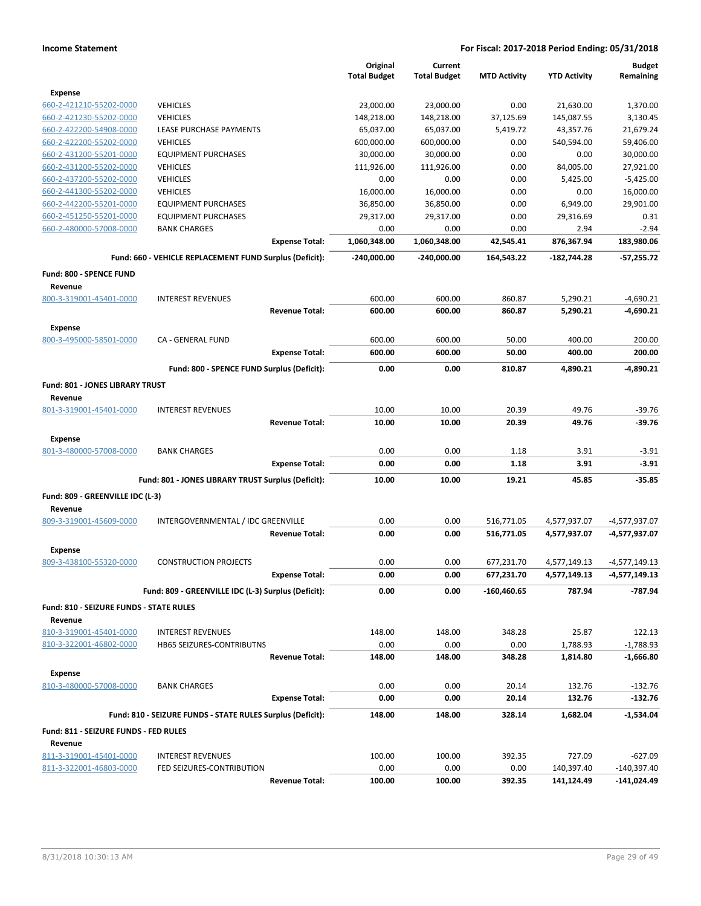|                                           |                                                            |                       | Original<br><b>Total Budget</b> | Current<br><b>Total Budget</b> | <b>MTD Activity</b> | <b>YTD Activity</b> | <b>Budget</b><br>Remaining |
|-------------------------------------------|------------------------------------------------------------|-----------------------|---------------------------------|--------------------------------|---------------------|---------------------|----------------------------|
| <b>Expense</b>                            |                                                            |                       |                                 |                                |                     |                     |                            |
| 660-2-421210-55202-0000                   | <b>VEHICLES</b>                                            |                       | 23,000.00                       | 23,000.00                      | 0.00                | 21,630.00           | 1,370.00                   |
| 660-2-421230-55202-0000                   | <b>VEHICLES</b>                                            |                       | 148,218.00                      | 148,218.00                     | 37,125.69           | 145,087.55          | 3,130.45                   |
| 660-2-422200-54908-0000                   | <b>LEASE PURCHASE PAYMENTS</b>                             |                       | 65,037.00                       | 65,037.00                      | 5,419.72            | 43,357.76           | 21,679.24                  |
| 660-2-422200-55202-0000                   | <b>VEHICLES</b>                                            |                       | 600,000.00                      | 600,000.00                     | 0.00                | 540,594.00          | 59,406.00                  |
| 660-2-431200-55201-0000                   | <b>EQUIPMENT PURCHASES</b>                                 |                       | 30,000.00                       | 30,000.00                      | 0.00                | 0.00                | 30,000.00                  |
| 660-2-431200-55202-0000                   | <b>VEHICLES</b>                                            |                       | 111,926.00                      | 111,926.00                     | 0.00                | 84,005.00           | 27,921.00                  |
| 660-2-437200-55202-0000                   | <b>VEHICLES</b>                                            |                       | 0.00                            | 0.00                           | 0.00                | 5,425.00            | $-5,425.00$                |
| 660-2-441300-55202-0000                   | <b>VEHICLES</b>                                            |                       | 16,000.00                       | 16,000.00                      | 0.00                | 0.00                | 16,000.00                  |
| 660-2-442200-55201-0000                   | <b>EQUIPMENT PURCHASES</b>                                 |                       | 36,850.00                       | 36,850.00                      | 0.00                | 6,949.00            | 29,901.00                  |
| 660-2-451250-55201-0000                   | <b>EQUIPMENT PURCHASES</b>                                 |                       | 29,317.00                       | 29,317.00                      | 0.00                | 29,316.69           | 0.31                       |
| 660-2-480000-57008-0000                   | <b>BANK CHARGES</b>                                        |                       | 0.00                            | 0.00                           | 0.00                | 2.94                | $-2.94$                    |
|                                           |                                                            | <b>Expense Total:</b> | 1,060,348.00                    | 1,060,348.00                   | 42,545.41           | 876,367.94          | 183,980.06                 |
|                                           | Fund: 660 - VEHICLE REPLACEMENT FUND Surplus (Deficit):    |                       | $-240,000.00$                   | -240,000.00                    | 164,543.22          | $-182,744.28$       | $-57,255.72$               |
| Fund: 800 - SPENCE FUND                   |                                                            |                       |                                 |                                |                     |                     |                            |
| Revenue                                   |                                                            |                       |                                 |                                |                     |                     |                            |
| 800-3-319001-45401-0000                   | <b>INTEREST REVENUES</b>                                   |                       | 600.00                          | 600.00                         | 860.87              | 5,290.21            | $-4,690.21$                |
|                                           |                                                            | <b>Revenue Total:</b> | 600.00                          | 600.00                         | 860.87              | 5,290.21            | $-4,690.21$                |
| <b>Expense</b><br>800-3-495000-58501-0000 | CA - GENERAL FUND                                          |                       | 600.00                          | 600.00                         | 50.00               | 400.00              | 200.00                     |
|                                           |                                                            | <b>Expense Total:</b> | 600.00                          | 600.00                         | 50.00               | 400.00              | 200.00                     |
|                                           | Fund: 800 - SPENCE FUND Surplus (Deficit):                 |                       | 0.00                            | 0.00                           | 810.87              | 4,890.21            | $-4.890.21$                |
| Fund: 801 - JONES LIBRARY TRUST           |                                                            |                       |                                 |                                |                     |                     |                            |
| Revenue                                   |                                                            |                       |                                 |                                |                     |                     |                            |
| 801-3-319001-45401-0000                   | <b>INTEREST REVENUES</b>                                   |                       | 10.00                           | 10.00                          | 20.39               | 49.76               | $-39.76$                   |
|                                           |                                                            | <b>Revenue Total:</b> | 10.00                           | 10.00                          | 20.39               | 49.76               | $-39.76$                   |
|                                           |                                                            |                       |                                 |                                |                     |                     |                            |
| <b>Expense</b><br>801-3-480000-57008-0000 | <b>BANK CHARGES</b>                                        |                       | 0.00                            | 0.00                           | 1.18                | 3.91                | $-3.91$                    |
|                                           |                                                            | <b>Expense Total:</b> | 0.00                            | 0.00                           | 1.18                | 3.91                | $-3.91$                    |
|                                           |                                                            |                       |                                 |                                |                     |                     |                            |
|                                           | Fund: 801 - JONES LIBRARY TRUST Surplus (Deficit):         |                       | 10.00                           | 10.00                          | 19.21               | 45.85               | $-35.85$                   |
| Fund: 809 - GREENVILLE IDC (L-3)          |                                                            |                       |                                 |                                |                     |                     |                            |
| Revenue                                   |                                                            |                       |                                 |                                |                     |                     |                            |
| 809-3-319001-45609-0000                   | INTERGOVERNMENTAL / IDC GREENVILLE                         |                       | 0.00                            | 0.00                           | 516,771.05          | 4,577,937.07        | $-4,577,937.07$            |
|                                           |                                                            | <b>Revenue Total:</b> | 0.00                            | 0.00                           | 516,771.05          | 4,577,937.07        | -4,577,937.07              |
| <b>Expense</b>                            |                                                            |                       |                                 |                                |                     |                     |                            |
| 809-3-438100-55320-0000                   | <b>CONSTRUCTION PROJECTS</b>                               |                       | 0.00                            | 0.00                           | 677,231.70          | 4,577,149.13        | $-4,577,149.13$            |
|                                           |                                                            | <b>Expense Total:</b> | 0.00                            | 0.00                           | 677,231.70          | 4,577,149.13        | -4,577,149.13              |
|                                           | Fund: 809 - GREENVILLE IDC (L-3) Surplus (Deficit):        |                       | 0.00                            | 0.00                           | $-160,460.65$       | 787.94              | $-787.94$                  |
| Fund: 810 - SEIZURE FUNDS - STATE RULES   |                                                            |                       |                                 |                                |                     |                     |                            |
| Revenue                                   |                                                            |                       |                                 |                                |                     |                     |                            |
| 810-3-319001-45401-0000                   | <b>INTEREST REVENUES</b>                                   |                       | 148.00                          | 148.00                         | 348.28              | 25.87               | 122.13                     |
| 810-3-322001-46802-0000                   | HB65 SEIZURES-CONTRIBUTNS                                  |                       | 0.00                            | 0.00                           | 0.00                | 1,788.93            | $-1,788.93$                |
|                                           |                                                            | <b>Revenue Total:</b> | 148.00                          | 148.00                         | 348.28              | 1,814.80            | $-1,666.80$                |
| <b>Expense</b>                            |                                                            |                       |                                 |                                |                     |                     |                            |
| 810-3-480000-57008-0000                   | <b>BANK CHARGES</b>                                        |                       | 0.00                            | 0.00                           | 20.14               | 132.76              | $-132.76$                  |
|                                           |                                                            | <b>Expense Total:</b> | 0.00                            | 0.00                           | 20.14               | 132.76              | $-132.76$                  |
|                                           | Fund: 810 - SEIZURE FUNDS - STATE RULES Surplus (Deficit): |                       | 148.00                          | 148.00                         | 328.14              | 1,682.04            | $-1,534.04$                |
| Fund: 811 - SEIZURE FUNDS - FED RULES     |                                                            |                       |                                 |                                |                     |                     |                            |
| Revenue                                   |                                                            |                       |                                 |                                |                     |                     |                            |
| 811-3-319001-45401-0000                   | <b>INTEREST REVENUES</b>                                   |                       | 100.00                          | 100.00                         | 392.35              | 727.09              | $-627.09$                  |
| 811-3-322001-46803-0000                   | FED SEIZURES-CONTRIBUTION                                  |                       | 0.00                            | 0.00                           | 0.00                | 140,397.40          | $-140,397.40$              |
|                                           |                                                            | <b>Revenue Total:</b> | 100.00                          | 100.00                         | 392.35              | 141,124.49          | $-141,024.49$              |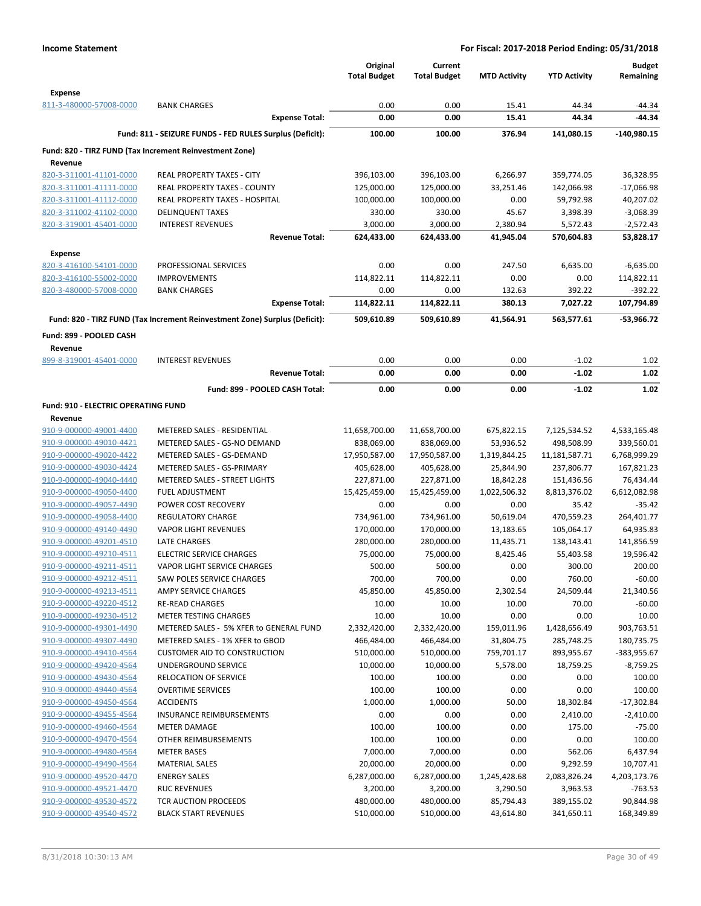|                                     |                                                                            | Original<br><b>Total Budget</b> | Current<br><b>Total Budget</b> | <b>MTD Activity</b> | <b>YTD Activity</b> | <b>Budget</b><br>Remaining |
|-------------------------------------|----------------------------------------------------------------------------|---------------------------------|--------------------------------|---------------------|---------------------|----------------------------|
| <b>Expense</b>                      |                                                                            |                                 |                                |                     |                     |                            |
| 811-3-480000-57008-0000             | <b>BANK CHARGES</b>                                                        | 0.00                            | 0.00                           | 15.41               | 44.34               | $-44.34$                   |
|                                     | <b>Expense Total:</b>                                                      | 0.00                            | 0.00                           | 15.41               | 44.34               | -44.34                     |
|                                     | Fund: 811 - SEIZURE FUNDS - FED RULES Surplus (Deficit):                   | 100.00                          | 100.00                         | 376.94              | 141,080.15          | $-140,980.15$              |
|                                     | Fund: 820 - TIRZ FUND (Tax Increment Reinvestment Zone)                    |                                 |                                |                     |                     |                            |
| Revenue                             |                                                                            |                                 |                                |                     |                     |                            |
| 820-3-311001-41101-0000             | <b>REAL PROPERTY TAXES - CITY</b>                                          | 396,103.00                      | 396,103.00                     | 6,266.97            | 359,774.05          | 36,328.95                  |
| 820-3-311001-41111-0000             | REAL PROPERTY TAXES - COUNTY                                               | 125,000.00                      | 125,000.00                     | 33,251.46           | 142,066.98          | $-17,066.98$               |
| 820-3-311001-41112-0000             | <b>REAL PROPERTY TAXES - HOSPITAL</b>                                      | 100,000.00                      | 100,000.00                     | 0.00                | 59,792.98           | 40,207.02                  |
| 820-3-311002-41102-0000             | <b>DELINQUENT TAXES</b>                                                    | 330.00                          | 330.00                         | 45.67               | 3,398.39            | $-3,068.39$                |
| 820-3-319001-45401-0000             | <b>INTEREST REVENUES</b>                                                   | 3,000.00                        | 3,000.00                       | 2,380.94            | 5,572.43            | $-2,572.43$                |
|                                     | <b>Revenue Total:</b>                                                      | 624,433.00                      | 624,433.00                     | 41,945.04           | 570,604.83          | 53,828.17                  |
| <b>Expense</b>                      |                                                                            |                                 |                                |                     |                     |                            |
| 820-3-416100-54101-0000             | PROFESSIONAL SERVICES                                                      | 0.00                            | 0.00                           | 247.50              | 6,635.00            | -6,635.00                  |
| 820-3-416100-55002-0000             | <b>IMPROVEMENTS</b>                                                        | 114,822.11                      | 114,822.11                     | 0.00                | 0.00                | 114,822.11                 |
| 820-3-480000-57008-0000             | <b>BANK CHARGES</b>                                                        | 0.00                            | 0.00                           | 132.63              | 392.22              | $-392.22$                  |
|                                     | <b>Expense Total:</b>                                                      | 114,822.11                      | 114,822.11                     | 380.13              | 7,027.22            | 107,794.89                 |
|                                     | Fund: 820 - TIRZ FUND (Tax Increment Reinvestment Zone) Surplus (Deficit): | 509,610.89                      | 509,610.89                     | 41,564.91           | 563,577.61          | -53,966.72                 |
| Fund: 899 - POOLED CASH             |                                                                            |                                 |                                |                     |                     |                            |
| Revenue                             |                                                                            |                                 |                                |                     |                     |                            |
| 899-8-319001-45401-0000             | <b>INTEREST REVENUES</b>                                                   | 0.00                            | 0.00                           | 0.00                | $-1.02$             | 1.02                       |
|                                     | <b>Revenue Total:</b>                                                      | 0.00                            | 0.00                           | 0.00                | $-1.02$             | 1.02                       |
|                                     | Fund: 899 - POOLED CASH Total:                                             | 0.00                            | 0.00                           | 0.00                | $-1.02$             | 1.02                       |
| Fund: 910 - ELECTRIC OPERATING FUND |                                                                            |                                 |                                |                     |                     |                            |
| Revenue                             |                                                                            |                                 |                                |                     |                     |                            |
| 910-9-000000-49001-4400             | METERED SALES - RESIDENTIAL                                                | 11,658,700.00                   | 11,658,700.00                  | 675,822.15          | 7,125,534.52        | 4,533,165.48               |
| 910-9-000000-49010-4421             | METERED SALES - GS-NO DEMAND                                               | 838,069.00                      | 838,069.00                     | 53,936.52           | 498,508.99          | 339,560.01                 |
| 910-9-000000-49020-4422             | METERED SALES - GS-DEMAND                                                  | 17,950,587.00                   | 17,950,587.00                  | 1,319,844.25        | 11,181,587.71       | 6,768,999.29               |
| 910-9-000000-49030-4424             | METERED SALES - GS-PRIMARY                                                 | 405,628.00                      | 405,628.00                     | 25,844.90           | 237,806.77          | 167,821.23                 |
| 910-9-000000-49040-4440             | <b>METERED SALES - STREET LIGHTS</b>                                       | 227,871.00                      | 227,871.00                     | 18,842.28           | 151,436.56          | 76,434.44                  |
| 910-9-000000-49050-4400             | <b>FUEL ADJUSTMENT</b>                                                     | 15,425,459.00                   | 15,425,459.00                  | 1,022,506.32        | 8,813,376.02        | 6,612,082.98               |
| 910-9-000000-49057-4490             | POWER COST RECOVERY                                                        | 0.00                            | 0.00                           | 0.00                | 35.42               | $-35.42$                   |
| 910-9-000000-49058-4400             | <b>REGULATORY CHARGE</b>                                                   | 734,961.00                      | 734,961.00                     | 50,619.04           | 470,559.23          | 264,401.77                 |
| 910-9-000000-49140-4490             | <b>VAPOR LIGHT REVENUES</b>                                                | 170,000.00                      | 170,000.00                     | 13,183.65           | 105,064.17          | 64,935.83                  |
| 910-9-000000-49201-4510             | LATE CHARGES                                                               | 280,000.00                      | 280,000.00                     | 11,435.71           | 138,143.41          | 141,856.59                 |
| 910-9-000000-49210-4511             | <b>ELECTRIC SERVICE CHARGES</b>                                            | 75,000.00                       | 75,000.00                      | 8,425.46            | 55,403.58           | 19,596.42                  |
| 910-9-000000-49211-4511             | VAPOR LIGHT SERVICE CHARGES                                                | 500.00                          | 500.00                         | 0.00                | 300.00              | 200.00                     |
| 910-9-000000-49212-4511             | <b>SAW POLES SERVICE CHARGES</b>                                           | 700.00                          | 700.00                         | 0.00                | 760.00              | $-60.00$                   |
| 910-9-000000-49213-4511             | AMPY SERVICE CHARGES                                                       | 45,850.00                       | 45,850.00                      | 2,302.54            | 24,509.44           | 21,340.56                  |
| 910-9-000000-49220-4512             | <b>RE-READ CHARGES</b>                                                     | 10.00                           | 10.00                          | 10.00               | 70.00               | $-60.00$                   |
| 910-9-000000-49230-4512             | METER TESTING CHARGES                                                      | 10.00                           | 10.00                          | 0.00                | 0.00                | 10.00                      |
| 910-9-000000-49301-4490             | METERED SALES - 5% XFER to GENERAL FUND                                    | 2,332,420.00                    | 2,332,420.00                   | 159,011.96          | 1,428,656.49        | 903,763.51                 |
| 910-9-000000-49307-4490             | METERED SALES - 1% XFER to GBOD                                            | 466,484.00                      | 466,484.00                     | 31,804.75           | 285,748.25          | 180,735.75                 |
| 910-9-000000-49410-4564             | <b>CUSTOMER AID TO CONSTRUCTION</b>                                        | 510,000.00                      | 510,000.00                     | 759,701.17          | 893,955.67          | -383,955.67                |
| 910-9-000000-49420-4564             | UNDERGROUND SERVICE                                                        | 10,000.00                       | 10,000.00                      | 5,578.00            | 18,759.25           | $-8,759.25$                |
| 910-9-000000-49430-4564             | RELOCATION OF SERVICE                                                      | 100.00                          | 100.00                         | 0.00                | 0.00                | 100.00                     |
| 910-9-000000-49440-4564             | <b>OVERTIME SERVICES</b>                                                   | 100.00                          | 100.00                         | 0.00                | 0.00                | 100.00                     |
| 910-9-000000-49450-4564             | <b>ACCIDENTS</b>                                                           | 1,000.00                        | 1,000.00                       | 50.00               | 18,302.84           | $-17,302.84$               |
| 910-9-000000-49455-4564             | <b>INSURANCE REIMBURSEMENTS</b>                                            | 0.00                            | 0.00                           | 0.00                | 2,410.00            | $-2,410.00$                |
| 910-9-000000-49460-4564             | <b>METER DAMAGE</b>                                                        | 100.00                          | 100.00                         | 0.00                | 175.00              | $-75.00$                   |
| 910-9-000000-49470-4564             | OTHER REIMBURSEMENTS                                                       | 100.00                          | 100.00                         | 0.00                | 0.00                | 100.00                     |
| 910-9-000000-49480-4564             | <b>METER BASES</b>                                                         | 7,000.00                        | 7,000.00                       | 0.00                | 562.06              | 6,437.94                   |
| 910-9-000000-49490-4564             | <b>MATERIAL SALES</b>                                                      | 20,000.00                       | 20,000.00                      | 0.00                | 9,292.59            | 10,707.41                  |
| 910-9-000000-49520-4470             | <b>ENERGY SALES</b>                                                        | 6,287,000.00                    | 6,287,000.00                   | 1,245,428.68        | 2,083,826.24        | 4,203,173.76               |
| 910-9-000000-49521-4470             | <b>RUC REVENUES</b>                                                        | 3,200.00                        | 3,200.00                       | 3,290.50            | 3,963.53            | $-763.53$                  |
| 910-9-000000-49530-4572             | TCR AUCTION PROCEEDS                                                       | 480,000.00                      | 480,000.00                     | 85,794.43           | 389,155.02          | 90,844.98                  |
| 910-9-000000-49540-4572             | <b>BLACK START REVENUES</b>                                                | 510,000.00                      | 510,000.00                     | 43,614.80           | 341,650.11          | 168,349.89                 |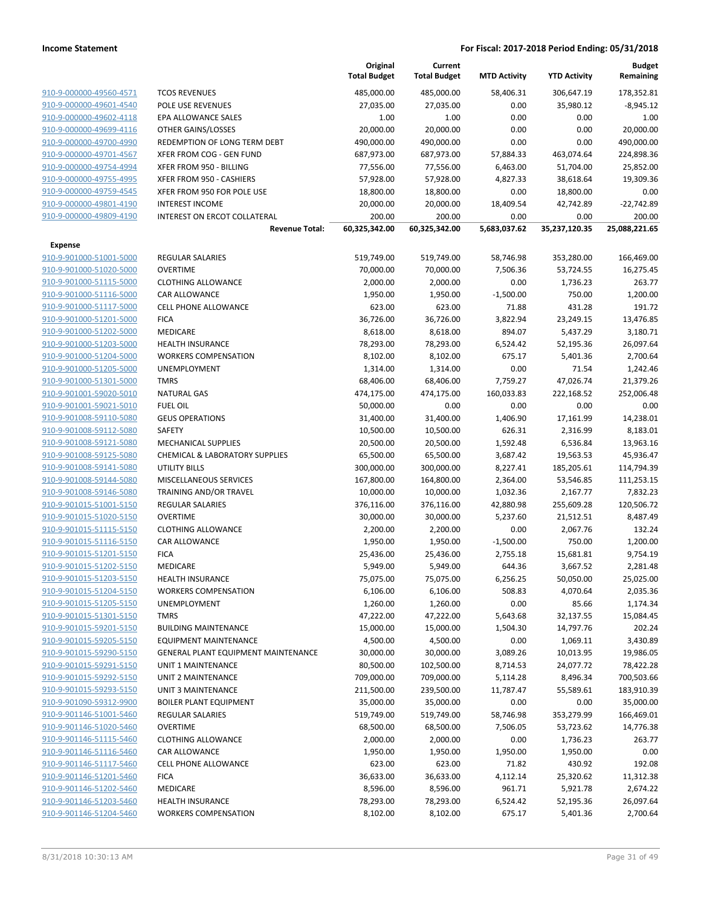|                                                    |                                     | Original<br><b>Total Budget</b> | Current<br><b>Total Budget</b> | <b>MTD Activity</b> | <b>YTD Activity</b> | <b>Budget</b><br>Remaining |
|----------------------------------------------------|-------------------------------------|---------------------------------|--------------------------------|---------------------|---------------------|----------------------------|
| 910-9-000000-49560-4571                            | <b>TCOS REVENUES</b>                | 485,000.00                      | 485,000.00                     | 58,406.31           | 306,647.19          | 178,352.81                 |
| 910-9-000000-49601-4540                            | POLE USE REVENUES                   | 27,035.00                       | 27,035.00                      | 0.00                | 35,980.12           | $-8,945.12$                |
| 910-9-000000-49602-4118                            | EPA ALLOWANCE SALES                 | 1.00                            | 1.00                           | 0.00                | 0.00                | 1.00                       |
| 910-9-000000-49699-4116                            | OTHER GAINS/LOSSES                  | 20,000.00                       | 20,000.00                      | 0.00                | 0.00                | 20,000.00                  |
| 910-9-000000-49700-4990                            | REDEMPTION OF LONG TERM DEBT        | 490,000.00                      | 490,000.00                     | 0.00                | 0.00                | 490,000.00                 |
| 910-9-000000-49701-4567                            | XFER FROM COG - GEN FUND            | 687,973.00                      | 687,973.00                     | 57,884.33           | 463,074.64          | 224,898.36                 |
| 910-9-000000-49754-4994                            | XFER FROM 950 - BILLING             | 77,556.00                       | 77,556.00                      | 6,463.00            | 51,704.00           | 25,852.00                  |
| 910-9-000000-49755-4995                            | XFER FROM 950 - CASHIERS            | 57,928.00                       | 57,928.00                      | 4,827.33            | 38,618.64           | 19,309.36                  |
| 910-9-000000-49759-4545                            | XFER FROM 950 FOR POLE USE          | 18,800.00                       | 18,800.00                      | 0.00                | 18,800.00           | 0.00                       |
| 910-9-000000-49801-4190                            | <b>INTEREST INCOME</b>              | 20,000.00                       | 20,000.00                      | 18,409.54           | 42,742.89           | $-22,742.89$               |
| 910-9-000000-49809-4190                            | INTEREST ON ERCOT COLLATERAL        | 200.00                          | 200.00                         | 0.00                | 0.00                | 200.00                     |
|                                                    | <b>Revenue Total:</b>               | 60,325,342.00                   | 60,325,342.00                  | 5,683,037.62        | 35,237,120.35       | 25,088,221.65              |
| <b>Expense</b>                                     |                                     |                                 |                                |                     |                     |                            |
| 910-9-901000-51001-5000                            | <b>REGULAR SALARIES</b>             | 519,749.00                      | 519,749.00                     | 58,746.98           | 353,280.00          | 166,469.00                 |
| 910-9-901000-51020-5000                            | <b>OVERTIME</b>                     | 70,000.00                       | 70,000.00                      | 7,506.36            | 53,724.55           | 16,275.45                  |
| 910-9-901000-51115-5000                            | <b>CLOTHING ALLOWANCE</b>           | 2,000.00                        | 2,000.00                       | 0.00                | 1,736.23            | 263.77                     |
| 910-9-901000-51116-5000                            | CAR ALLOWANCE                       | 1,950.00                        | 1,950.00                       | $-1,500.00$         | 750.00              | 1,200.00                   |
| 910-9-901000-51117-5000                            | <b>CELL PHONE ALLOWANCE</b>         | 623.00                          | 623.00                         | 71.88               | 431.28              | 191.72                     |
| 910-9-901000-51201-5000                            | <b>FICA</b>                         | 36,726.00                       | 36,726.00                      | 3,822.94            | 23,249.15           | 13,476.85                  |
| 910-9-901000-51202-5000                            | <b>MEDICARE</b>                     | 8,618.00                        | 8,618.00                       | 894.07              | 5,437.29            | 3,180.71                   |
| 910-9-901000-51203-5000                            | <b>HEALTH INSURANCE</b>             | 78,293.00                       | 78,293.00                      | 6,524.42            | 52,195.36           | 26,097.64                  |
| 910-9-901000-51204-5000                            | <b>WORKERS COMPENSATION</b>         | 8,102.00                        | 8,102.00                       | 675.17              | 5,401.36            | 2,700.64                   |
| 910-9-901000-51205-5000                            | UNEMPLOYMENT                        | 1,314.00                        | 1,314.00                       | 0.00                | 71.54               | 1,242.46                   |
| 910-9-901000-51301-5000                            | <b>TMRS</b>                         | 68,406.00                       | 68,406.00                      | 7,759.27            | 47,026.74           | 21,379.26                  |
| 910-9-901001-59020-5010                            | <b>NATURAL GAS</b>                  | 474,175.00                      | 474,175.00                     | 160,033.83          | 222,168.52          | 252,006.48                 |
| 910-9-901001-59021-5010                            | <b>FUEL OIL</b>                     | 50,000.00                       | 0.00                           | 0.00                | 0.00                | 0.00                       |
| 910-9-901008-59110-5080                            | <b>GEUS OPERATIONS</b>              | 31,400.00                       | 31,400.00                      | 1,406.90            | 17,161.99           | 14,238.01                  |
| 910-9-901008-59112-5080                            | SAFETY                              | 10,500.00                       | 10,500.00                      | 626.31              | 2,316.99            | 8,183.01                   |
| 910-9-901008-59121-5080                            | <b>MECHANICAL SUPPLIES</b>          | 20,500.00                       | 20,500.00                      | 1,592.48            | 6,536.84            | 13,963.16                  |
| 910-9-901008-59125-5080                            | CHEMICAL & LABORATORY SUPPLIES      | 65,500.00                       | 65,500.00                      | 3,687.42            | 19,563.53           | 45,936.47                  |
| 910-9-901008-59141-5080                            | UTILITY BILLS                       | 300,000.00                      | 300,000.00                     | 8,227.41            | 185,205.61          | 114,794.39                 |
| 910-9-901008-59144-5080                            | MISCELLANEOUS SERVICES              | 167,800.00                      | 164,800.00                     | 2,364.00            | 53,546.85           | 111,253.15                 |
| 910-9-901008-59146-5080                            | TRAINING AND/OR TRAVEL              | 10,000.00                       | 10,000.00                      | 1,032.36            | 2,167.77            | 7,832.23                   |
| 910-9-901015-51001-5150                            | REGULAR SALARIES                    | 376,116.00                      | 376,116.00                     | 42,880.98           | 255,609.28          | 120,506.72                 |
| 910-9-901015-51020-5150                            | <b>OVERTIME</b>                     | 30,000.00                       | 30,000.00                      | 5,237.60            | 21,512.51           | 8,487.49                   |
| 910-9-901015-51115-5150                            | <b>CLOTHING ALLOWANCE</b>           | 2,200.00                        | 2,200.00                       | 0.00                | 2,067.76            | 132.24                     |
| 910-9-901015-51116-5150                            | CAR ALLOWANCE                       | 1,950.00                        | 1,950.00                       | $-1,500.00$         | 750.00              | 1,200.00                   |
| 910-9-901015-51201-5150                            | <b>FICA</b>                         | 25,436.00                       | 25,436.00                      | 2,755.18            | 15,681.81           | 9,754.19                   |
| 910-9-901015-51202-5150                            | <b>MEDICARE</b>                     | 5,949.00                        | 5,949.00                       | 644.36              | 3,667.52            | 2,281.48                   |
| 910-9-901015-51203-5150                            | <b>HEALTH INSURANCE</b>             | 75,075.00                       | 75,075.00                      | 6,256.25            | 50,050.00           | 25,025.00                  |
| 910-9-901015-51204-5150                            | <b>WORKERS COMPENSATION</b>         | 6,106.00                        | 6,106.00                       | 508.83              | 4,070.64            | 2,035.36                   |
| 910-9-901015-51205-5150                            | UNEMPLOYMENT                        | 1,260.00                        | 1,260.00                       | 0.00                | 85.66               | 1,174.34                   |
| 910-9-901015-51301-5150                            | <b>TMRS</b>                         | 47,222.00                       | 47,222.00                      | 5,643.68            | 32,137.55           | 15,084.45                  |
| 910-9-901015-59201-5150                            | <b>BUILDING MAINTENANCE</b>         | 15,000.00                       | 15,000.00                      | 1,504.30            | 14,797.76           | 202.24                     |
| 910-9-901015-59205-5150                            | <b>EQUIPMENT MAINTENANCE</b>        | 4,500.00                        | 4,500.00                       | 0.00                | 1,069.11            | 3,430.89                   |
| 910-9-901015-59290-5150                            | GENERAL PLANT EQUIPMENT MAINTENANCE | 30,000.00                       | 30,000.00                      | 3,089.26            | 10,013.95           | 19,986.05                  |
| 910-9-901015-59291-5150                            | <b>UNIT 1 MAINTENANCE</b>           | 80,500.00                       | 102,500.00                     | 8,714.53            | 24,077.72           | 78,422.28                  |
| 910-9-901015-59292-5150<br>910-9-901015-59293-5150 | UNIT 2 MAINTENANCE                  | 709,000.00                      | 709,000.00                     | 5,114.28            | 8,496.34            | 700,503.66                 |
|                                                    | UNIT 3 MAINTENANCE                  | 211,500.00                      | 239,500.00                     | 11,787.47           | 55,589.61           | 183,910.39                 |
| 910-9-901090-59312-9900                            | <b>BOILER PLANT EQUIPMENT</b>       | 35,000.00                       | 35,000.00                      | 0.00                | 0.00                | 35,000.00                  |
| 910-9-901146-51001-5460                            | <b>REGULAR SALARIES</b>             | 519,749.00                      | 519,749.00                     | 58,746.98           | 353,279.99          | 166,469.01                 |
| 910-9-901146-51020-5460                            | <b>OVERTIME</b>                     | 68,500.00                       | 68,500.00                      | 7,506.05            | 53,723.62           | 14,776.38                  |
| 910-9-901146-51115-5460                            | <b>CLOTHING ALLOWANCE</b>           | 2,000.00                        | 2,000.00                       | 0.00                | 1,736.23            | 263.77                     |
| 910-9-901146-51116-5460                            | CAR ALLOWANCE                       | 1,950.00                        | 1,950.00                       | 1,950.00            | 1,950.00            | 0.00                       |
| 910-9-901146-51117-5460                            | CELL PHONE ALLOWANCE                | 623.00                          | 623.00                         | 71.82               | 430.92              | 192.08                     |
| 910-9-901146-51201-5460                            | <b>FICA</b>                         | 36,633.00                       | 36,633.00                      | 4,112.14            | 25,320.62           | 11,312.38                  |
| 910-9-901146-51202-5460                            | MEDICARE                            | 8,596.00                        | 8,596.00                       | 961.71              | 5,921.78            | 2,674.22                   |
| 910-9-901146-51203-5460                            | <b>HEALTH INSURANCE</b>             | 78,293.00                       | 78,293.00                      | 6,524.42            | 52,195.36           | 26,097.64                  |
| 910-9-901146-51204-5460                            | <b>WORKERS COMPENSATION</b>         | 8,102.00                        | 8,102.00                       | 675.17              | 5,401.36            | 2,700.64                   |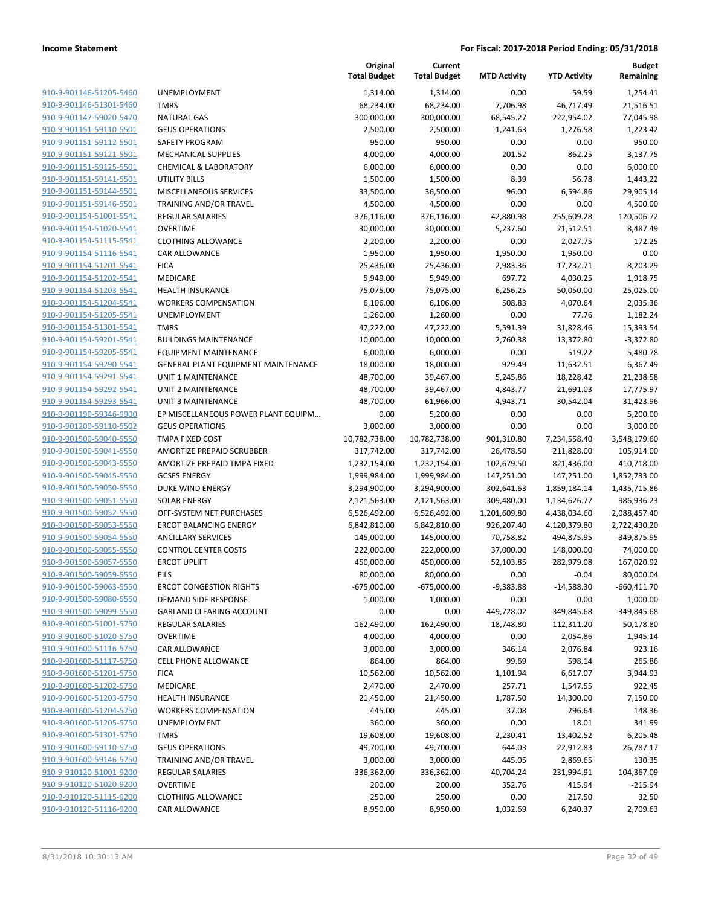|                                                    |                                         | Original<br><b>Total Budget</b> | Current<br><b>Total Budget</b> | <b>MTD Activity</b>      | <b>YTD Activity</b>          | <b>Budget</b><br>Remaining |
|----------------------------------------------------|-----------------------------------------|---------------------------------|--------------------------------|--------------------------|------------------------------|----------------------------|
| 910-9-901146-51205-5460                            | <b>UNEMPLOYMENT</b>                     | 1,314.00                        | 1,314.00                       | 0.00                     | 59.59                        | 1,254.41                   |
| 910-9-901146-51301-5460                            | <b>TMRS</b>                             | 68,234.00                       | 68,234.00                      | 7,706.98                 | 46,717.49                    | 21,516.51                  |
| 910-9-901147-59020-5470                            | <b>NATURAL GAS</b>                      | 300,000.00                      | 300,000.00                     | 68,545.27                | 222,954.02                   | 77,045.98                  |
| 910-9-901151-59110-5501                            | <b>GEUS OPERATIONS</b>                  | 2,500.00                        | 2,500.00                       | 1,241.63                 | 1,276.58                     | 1,223.42                   |
| 910-9-901151-59112-5501                            | SAFETY PROGRAM                          | 950.00                          | 950.00                         | 0.00                     | 0.00                         | 950.00                     |
| 910-9-901151-59121-5501                            | <b>MECHANICAL SUPPLIES</b>              | 4,000.00                        | 4,000.00                       | 201.52                   | 862.25                       | 3,137.75                   |
| 910-9-901151-59125-5501                            | <b>CHEMICAL &amp; LABORATORY</b>        | 6,000.00                        | 6,000.00                       | 0.00                     | 0.00                         | 6,000.00                   |
| 910-9-901151-59141-5501                            | UTILITY BILLS                           | 1,500.00                        | 1,500.00                       | 8.39                     | 56.78                        | 1,443.22                   |
| 910-9-901151-59144-5501                            | MISCELLANEOUS SERVICES                  | 33,500.00                       | 36,500.00                      | 96.00                    | 6,594.86                     | 29,905.14                  |
| 910-9-901151-59146-5501                            | TRAINING AND/OR TRAVEL                  | 4,500.00                        | 4,500.00                       | 0.00                     | 0.00                         | 4,500.00                   |
| 910-9-901154-51001-5541                            | <b>REGULAR SALARIES</b>                 | 376,116.00                      | 376,116.00                     | 42,880.98                | 255,609.28                   | 120,506.72                 |
| 910-9-901154-51020-5541                            | <b>OVERTIME</b>                         | 30,000.00                       | 30,000.00                      | 5,237.60                 | 21,512.51                    | 8,487.49                   |
| 910-9-901154-51115-5541                            | <b>CLOTHING ALLOWANCE</b>               | 2,200.00                        | 2,200.00                       | 0.00                     | 2,027.75                     | 172.25                     |
| 910-9-901154-51116-5541                            | CAR ALLOWANCE                           | 1,950.00                        | 1,950.00                       | 1,950.00                 | 1,950.00                     | 0.00                       |
| 910-9-901154-51201-5541                            | <b>FICA</b>                             | 25,436.00                       | 25,436.00                      | 2,983.36                 | 17,232.71                    | 8,203.29                   |
| 910-9-901154-51202-5541                            | MEDICARE                                | 5,949.00                        | 5,949.00                       | 697.72                   | 4,030.25                     | 1,918.75                   |
| 910-9-901154-51203-5541                            | <b>HEALTH INSURANCE</b>                 | 75,075.00                       | 75,075.00                      | 6,256.25                 | 50,050.00                    | 25,025.00                  |
| 910-9-901154-51204-5541                            | <b>WORKERS COMPENSATION</b>             | 6,106.00                        | 6,106.00                       | 508.83                   | 4,070.64                     | 2,035.36                   |
| 910-9-901154-51205-5541                            | <b>UNEMPLOYMENT</b>                     | 1,260.00                        | 1,260.00                       | 0.00                     | 77.76                        | 1,182.24                   |
| 910-9-901154-51301-5541                            | <b>TMRS</b>                             | 47,222.00                       | 47,222.00                      | 5,591.39                 | 31,828.46                    | 15,393.54                  |
| 910-9-901154-59201-5541                            | <b>BUILDINGS MAINTENANCE</b>            | 10,000.00                       | 10,000.00                      | 2,760.38                 | 13,372.80                    | $-3,372.80$                |
| 910-9-901154-59205-5541                            | <b>EQUIPMENT MAINTENANCE</b>            | 6,000.00                        | 6,000.00                       | 0.00                     | 519.22                       | 5,480.78                   |
| 910-9-901154-59290-5541                            | GENERAL PLANT EQUIPMENT MAINTENANCE     | 18,000.00                       | 18,000.00                      | 929.49                   | 11,632.51                    | 6,367.49                   |
| 910-9-901154-59291-5541                            | <b>UNIT 1 MAINTENANCE</b>               | 48,700.00                       | 39,467.00                      | 5,245.86                 | 18,228.42                    | 21,238.58                  |
| 910-9-901154-59292-5541                            | <b>UNIT 2 MAINTENANCE</b>               | 48,700.00                       | 39,467.00                      | 4,843.77                 | 21,691.03                    | 17,775.97                  |
| 910-9-901154-59293-5541                            | UNIT 3 MAINTENANCE                      | 48,700.00                       | 61,966.00                      | 4,943.71                 | 30,542.04                    | 31,423.96                  |
| 910-9-901190-59346-9900                            | EP MISCELLANEOUS POWER PLANT EQUIPM     | 0.00                            | 5,200.00                       | 0.00                     | 0.00                         | 5,200.00                   |
| 910-9-901200-59110-5502                            | <b>GEUS OPERATIONS</b>                  | 3,000.00                        | 3,000.00                       | 0.00                     | 0.00                         | 3,000.00                   |
| 910-9-901500-59040-5550                            | TMPA FIXED COST                         | 10,782,738.00                   | 10,782,738.00                  | 901,310.80               | 7,234,558.40                 | 3,548,179.60               |
| 910-9-901500-59041-5550                            | AMORTIZE PREPAID SCRUBBER               | 317,742.00                      | 317,742.00                     | 26,478.50                | 211,828.00                   | 105,914.00                 |
| 910-9-901500-59043-5550                            | AMORTIZE PREPAID TMPA FIXED             | 1,232,154.00                    | 1,232,154.00                   | 102,679.50               | 821,436.00                   | 410,718.00                 |
| 910-9-901500-59045-5550<br>910-9-901500-59050-5550 | <b>GCSES ENERGY</b><br>DUKE WIND ENERGY | 1,999,984.00                    | 1,999,984.00                   | 147,251.00               | 147,251.00                   | 1,852,733.00               |
| 910-9-901500-59051-5550                            | <b>SOLAR ENERGY</b>                     | 3,294,900.00<br>2,121,563.00    | 3,294,900.00<br>2,121,563.00   | 302,641.63<br>309,480.00 | 1,859,184.14                 | 1,435,715.86<br>986,936.23 |
| 910-9-901500-59052-5550                            | OFF-SYSTEM NET PURCHASES                | 6,526,492.00                    | 6,526,492.00                   | 1,201,609.80             | 1,134,626.77<br>4,438,034.60 | 2,088,457.40               |
| 910-9-901500-59053-5550                            | <b>ERCOT BALANCING ENERGY</b>           | 6,842,810.00                    | 6,842,810.00                   | 926,207.40               | 4,120,379.80                 | 2,722,430.20               |
| 910-9-901500-59054-5550                            | <b>ANCILLARY SERVICES</b>               | 145,000.00                      | 145,000.00                     | 70,758.82                | 494,875.95                   | -349,875.95                |
| 910-9-901500-59055-5550                            | <b>CONTROL CENTER COSTS</b>             | 222,000.00                      | 222,000.00                     | 37,000.00                | 148,000.00                   | 74,000.00                  |
| 910-9-901500-59057-5550                            | <b>ERCOT UPLIFT</b>                     | 450,000.00                      | 450,000.00                     | 52,103.85                | 282,979.08                   | 167,020.92                 |
| 910-9-901500-59059-5550                            | <b>EILS</b>                             | 80,000.00                       | 80,000.00                      | 0.00                     | $-0.04$                      | 80,000.04                  |
| 910-9-901500-59063-5550                            | <b>ERCOT CONGESTION RIGHTS</b>          | $-675,000.00$                   | $-675,000.00$                  | $-9,383.88$              | $-14,588.30$                 | $-660,411.70$              |
| 910-9-901500-59080-5550                            | DEMAND SIDE RESPONSE                    | 1,000.00                        | 1,000.00                       | 0.00                     | 0.00                         | 1,000.00                   |
| 910-9-901500-59099-5550                            | <b>GARLAND CLEARING ACCOUNT</b>         | 0.00                            | 0.00                           | 449,728.02               | 349,845.68                   | $-349,845.68$              |
| 910-9-901600-51001-5750                            | <b>REGULAR SALARIES</b>                 | 162,490.00                      | 162,490.00                     | 18,748.80                | 112,311.20                   | 50,178.80                  |
| 910-9-901600-51020-5750                            | <b>OVERTIME</b>                         | 4,000.00                        | 4,000.00                       | 0.00                     | 2,054.86                     | 1,945.14                   |
| 910-9-901600-51116-5750                            | CAR ALLOWANCE                           | 3,000.00                        | 3,000.00                       | 346.14                   | 2,076.84                     | 923.16                     |
| 910-9-901600-51117-5750                            | <b>CELL PHONE ALLOWANCE</b>             | 864.00                          | 864.00                         | 99.69                    | 598.14                       | 265.86                     |
| 910-9-901600-51201-5750                            | <b>FICA</b>                             | 10,562.00                       | 10,562.00                      | 1,101.94                 | 6,617.07                     | 3,944.93                   |
| 910-9-901600-51202-5750                            | MEDICARE                                | 2,470.00                        | 2,470.00                       | 257.71                   | 1,547.55                     | 922.45                     |
| 910-9-901600-51203-5750                            | <b>HEALTH INSURANCE</b>                 | 21,450.00                       | 21,450.00                      | 1,787.50                 | 14,300.00                    | 7,150.00                   |
| 910-9-901600-51204-5750                            | <b>WORKERS COMPENSATION</b>             | 445.00                          | 445.00                         | 37.08                    | 296.64                       | 148.36                     |
| 910-9-901600-51205-5750                            | <b>UNEMPLOYMENT</b>                     | 360.00                          | 360.00                         | 0.00                     | 18.01                        | 341.99                     |
| 910-9-901600-51301-5750                            | <b>TMRS</b>                             | 19,608.00                       | 19,608.00                      | 2,230.41                 | 13,402.52                    | 6,205.48                   |
| 910-9-901600-59110-5750                            | <b>GEUS OPERATIONS</b>                  | 49,700.00                       | 49,700.00                      | 644.03                   | 22,912.83                    | 26,787.17                  |
| 910-9-901600-59146-5750                            | TRAINING AND/OR TRAVEL                  | 3,000.00                        | 3,000.00                       | 445.05                   | 2,869.65                     | 130.35                     |
| 910-9-910120-51001-9200                            | REGULAR SALARIES                        | 336,362.00                      | 336,362.00                     | 40,704.24                | 231,994.91                   | 104,367.09                 |
| 910-9-910120-51020-9200                            | <b>OVERTIME</b>                         | 200.00                          | 200.00                         | 352.76                   | 415.94                       | $-215.94$                  |
| 910-9-910120-51115-9200                            | <b>CLOTHING ALLOWANCE</b>               | 250.00                          | 250.00                         | 0.00                     | 217.50                       | 32.50                      |
| 910-9-910120-51116-9200                            | CAR ALLOWANCE                           | 8,950.00                        | 8,950.00                       | 1,032.69                 | 6,240.37                     | 2,709.63                   |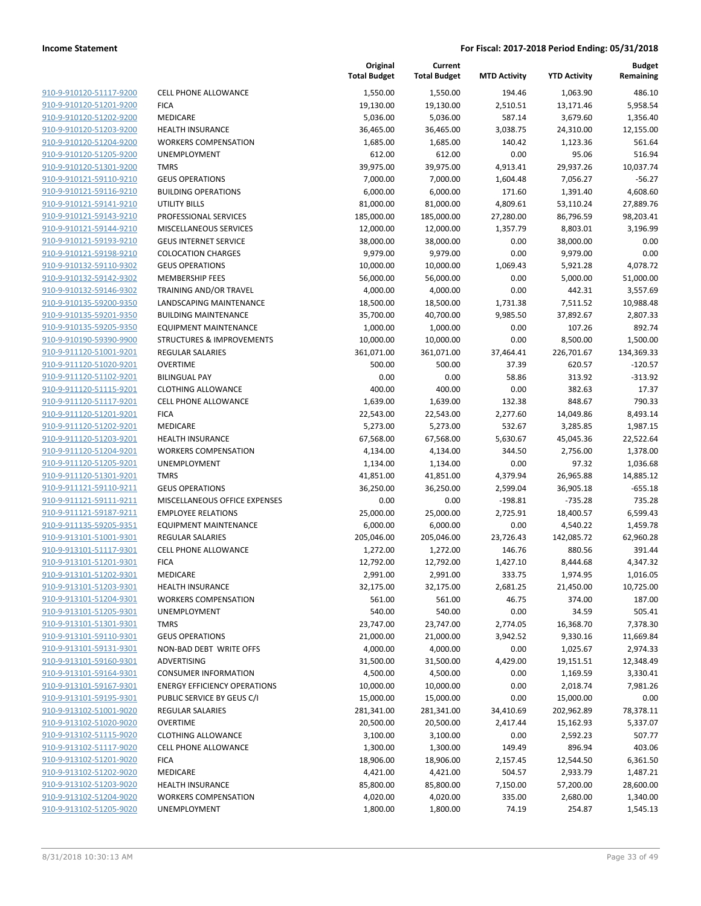**Current**

**Original**

**Budget Remaining**

|                                                    |                                                            | <b>Total Budget</b> | <b>Total Budget</b> | <b>MTD Activity</b>   | <b>YTD Activity</b>    | Remaining          |
|----------------------------------------------------|------------------------------------------------------------|---------------------|---------------------|-----------------------|------------------------|--------------------|
| 910-9-910120-51117-9200                            | <b>CELL PHONE ALLOWANCE</b>                                | 1,550.00            | 1,550.00            | 194.46                | 1,063.90               | 486.10             |
| 910-9-910120-51201-9200                            | <b>FICA</b>                                                | 19,130.00           | 19,130.00           | 2,510.51              | 13,171.46              | 5,958.54           |
| 910-9-910120-51202-9200                            | MEDICARE                                                   | 5,036.00            | 5,036.00            | 587.14                | 3,679.60               | 1,356.40           |
| 910-9-910120-51203-9200                            | <b>HEALTH INSURANCE</b>                                    | 36,465.00           | 36,465.00           | 3,038.75              | 24,310.00              | 12.155.00          |
| 910-9-910120-51204-9200                            | <b>WORKERS COMPENSATION</b>                                | 1,685.00            | 1,685.00            | 140.42                | 1,123.36               | 561.64             |
| 910-9-910120-51205-9200                            | <b>UNEMPLOYMENT</b>                                        | 612.00              | 612.00              | 0.00                  | 95.06                  | 516.94             |
| 910-9-910120-51301-9200                            | <b>TMRS</b>                                                | 39,975.00           | 39,975.00           | 4,913.41              | 29,937.26              | 10,037.74          |
| 910-9-910121-59110-9210                            | <b>GEUS OPERATIONS</b>                                     | 7,000.00            | 7,000.00            | 1,604.48              | 7,056.27               | $-56.27$           |
| 910-9-910121-59116-9210                            | <b>BUILDING OPERATIONS</b>                                 | 6,000.00            | 6,000.00            | 171.60                | 1,391.40               | 4,608.60           |
| 910-9-910121-59141-9210                            | UTILITY BILLS                                              | 81,000.00           | 81,000.00           | 4,809.61              | 53,110.24              | 27,889.76          |
| 910-9-910121-59143-9210                            | PROFESSIONAL SERVICES                                      | 185,000.00          | 185,000.00          | 27,280.00             | 86,796.59              | 98,203.41          |
| 910-9-910121-59144-9210                            | MISCELLANEOUS SERVICES                                     | 12,000.00           | 12,000.00           | 1,357.79              | 8,803.01               | 3,196.99           |
| 910-9-910121-59193-9210                            | <b>GEUS INTERNET SERVICE</b>                               | 38,000.00           | 38,000.00           | 0.00                  | 38,000.00              | 0.00               |
| 910-9-910121-59198-9210                            | <b>COLOCATION CHARGES</b>                                  | 9,979.00            | 9,979.00            | 0.00                  | 9,979.00               | 0.00               |
| 910-9-910132-59110-9302                            | <b>GEUS OPERATIONS</b>                                     | 10,000.00           | 10,000.00           | 1,069.43              | 5,921.28               | 4,078.72           |
| 910-9-910132-59142-9302                            | MEMBERSHIP FEES                                            | 56,000.00           | 56,000.00           | 0.00                  | 5,000.00               | 51,000.00          |
| 910-9-910132-59146-9302                            | TRAINING AND/OR TRAVEL                                     | 4,000.00            | 4,000.00            | 0.00                  | 442.31                 | 3,557.69           |
| 910-9-910135-59200-9350                            | LANDSCAPING MAINTENANCE                                    | 18,500.00           | 18,500.00           | 1,731.38              | 7,511.52               | 10,988.48          |
| 910-9-910135-59201-9350                            | <b>BUILDING MAINTENANCE</b>                                | 35,700.00           | 40,700.00           | 9,985.50              | 37,892.67              | 2,807.33           |
| 910-9-910135-59205-9350                            | <b>EQUIPMENT MAINTENANCE</b>                               | 1,000.00            | 1,000.00            | 0.00                  | 107.26                 | 892.74             |
| 910-9-910190-59390-9900                            | STRUCTURES & IMPROVEMENTS                                  | 10,000.00           | 10,000.00           | 0.00                  | 8,500.00               | 1,500.00           |
| 910-9-911120-51001-9201                            | <b>REGULAR SALARIES</b>                                    | 361,071.00          | 361,071.00          | 37,464.41             | 226,701.67             | 134,369.33         |
| 910-9-911120-51020-9201                            | <b>OVERTIME</b>                                            | 500.00              | 500.00              | 37.39                 | 620.57                 | $-120.57$          |
| 910-9-911120-51102-9201                            | <b>BILINGUAL PAY</b>                                       | 0.00                | 0.00                | 58.86                 | 313.92                 | $-313.92$          |
| 910-9-911120-51115-9201                            | <b>CLOTHING ALLOWANCE</b>                                  | 400.00              | 400.00              | 0.00                  | 382.63                 | 17.37              |
| 910-9-911120-51117-9201                            | <b>CELL PHONE ALLOWANCE</b>                                | 1,639.00            | 1,639.00            | 132.38                | 848.67                 | 790.33             |
| 910-9-911120-51201-9201                            | <b>FICA</b>                                                | 22,543.00           | 22,543.00           | 2,277.60              | 14,049.86              | 8,493.14           |
| 910-9-911120-51202-9201                            | MEDICARE                                                   | 5,273.00            | 5,273.00            | 532.67                | 3,285.85               | 1,987.15           |
| 910-9-911120-51203-9201                            | <b>HEALTH INSURANCE</b>                                    | 67,568.00           | 67,568.00           | 5,630.67              | 45,045.36              | 22,522.64          |
| 910-9-911120-51204-9201                            | <b>WORKERS COMPENSATION</b>                                | 4,134.00            | 4,134.00            | 344.50                | 2,756.00               | 1,378.00           |
| 910-9-911120-51205-9201                            | UNEMPLOYMENT                                               | 1,134.00            | 1,134.00            | 0.00                  | 97.32                  | 1,036.68           |
| 910-9-911120-51301-9201                            | <b>TMRS</b>                                                | 41,851.00           | 41,851.00           | 4,379.94              | 26,965.88              | 14,885.12          |
| 910-9-911121-59110-9211                            | <b>GEUS OPERATIONS</b>                                     | 36,250.00           | 36,250.00           | 2,599.04<br>$-198.81$ | 36,905.18              | $-655.18$          |
| 910-9-911121-59111-9211<br>910-9-911121-59187-9211 | MISCELLANEOUS OFFICE EXPENSES<br><b>EMPLOYEE RELATIONS</b> | 0.00<br>25,000.00   | 0.00<br>25,000.00   | 2,725.91              | $-735.28$<br>18,400.57 | 735.28<br>6,599.43 |
| 910-9-911135-59205-9351                            | EQUIPMENT MAINTENANCE                                      | 6,000.00            | 6,000.00            | 0.00                  | 4,540.22               | 1,459.78           |
| 910-9-913101-51001-9301                            | REGULAR SALARIES                                           | 205,046.00          | 205,046.00          | 23,726.43             | 142,085.72             | 62,960.28          |
| 910-9-913101-51117-9301                            | <b>CELL PHONE ALLOWANCE</b>                                | 1,272.00            | 1,272.00            | 146.76                | 880.56                 | 391.44             |
| 910-9-913101-51201-9301                            | <b>FICA</b>                                                | 12,792.00           | 12,792.00           | 1,427.10              | 8,444.68               | 4,347.32           |
| 910-9-913101-51202-9301                            | MEDICARE                                                   | 2,991.00            | 2,991.00            | 333.75                | 1,974.95               | 1,016.05           |
| 910-9-913101-51203-9301                            | <b>HEALTH INSURANCE</b>                                    | 32,175.00           | 32,175.00           | 2,681.25              | 21,450.00              | 10,725.00          |
| 910-9-913101-51204-9301                            | <b>WORKERS COMPENSATION</b>                                | 561.00              | 561.00              | 46.75                 | 374.00                 | 187.00             |
| 910-9-913101-51205-9301                            | UNEMPLOYMENT                                               | 540.00              | 540.00              | 0.00                  | 34.59                  | 505.41             |
| 910-9-913101-51301-9301                            | <b>TMRS</b>                                                | 23,747.00           | 23,747.00           | 2,774.05              | 16,368.70              | 7,378.30           |
| 910-9-913101-59110-9301                            | <b>GEUS OPERATIONS</b>                                     | 21,000.00           | 21,000.00           | 3,942.52              | 9,330.16               | 11,669.84          |
| 910-9-913101-59131-9301                            | NON-BAD DEBT WRITE OFFS                                    | 4,000.00            | 4,000.00            | 0.00                  | 1,025.67               | 2,974.33           |
| 910-9-913101-59160-9301                            | ADVERTISING                                                | 31,500.00           | 31,500.00           | 4,429.00              | 19,151.51              | 12,348.49          |
| 910-9-913101-59164-9301                            | <b>CONSUMER INFORMATION</b>                                | 4,500.00            | 4,500.00            | 0.00                  | 1,169.59               | 3,330.41           |
| 910-9-913101-59167-9301                            | <b>ENERGY EFFICIENCY OPERATIONS</b>                        | 10,000.00           | 10,000.00           | 0.00                  | 2,018.74               | 7,981.26           |
| 910-9-913101-59195-9301                            | PUBLIC SERVICE BY GEUS C/I                                 | 15,000.00           | 15,000.00           | 0.00                  | 15,000.00              | 0.00               |
| 910-9-913102-51001-9020                            | REGULAR SALARIES                                           | 281,341.00          | 281,341.00          | 34,410.69             | 202,962.89             | 78,378.11          |
| 910-9-913102-51020-9020                            | <b>OVERTIME</b>                                            | 20,500.00           | 20,500.00           | 2,417.44              | 15,162.93              | 5,337.07           |
| 910-9-913102-51115-9020                            | <b>CLOTHING ALLOWANCE</b>                                  | 3,100.00            | 3,100.00            | 0.00                  | 2,592.23               | 507.77             |
| 910-9-913102-51117-9020                            | <b>CELL PHONE ALLOWANCE</b>                                | 1,300.00            | 1,300.00            | 149.49                | 896.94                 | 403.06             |
| 910-9-913102-51201-9020                            | <b>FICA</b>                                                | 18,906.00           | 18,906.00           | 2,157.45              | 12,544.50              | 6,361.50           |
| 910-9-913102-51202-9020                            | MEDICARE                                                   | 4,421.00            | 4,421.00            | 504.57                | 2,933.79               | 1,487.21           |
| 910-9-913102-51203-9020                            | <b>HEALTH INSURANCE</b>                                    | 85,800.00           | 85,800.00           | 7,150.00              | 57,200.00              | 28,600.00          |
| 910-9-913102-51204-9020                            | <b>WORKERS COMPENSATION</b>                                | 4,020.00            | 4,020.00            | 335.00                | 2,680.00               | 1,340.00           |
| 910-9-913102-51205-9020                            | UNEMPLOYMENT                                               | 1,800.00            | 1,800.00            | 74.19                 | 254.87                 | 1,545.13           |
|                                                    |                                                            |                     |                     |                       |                        |                    |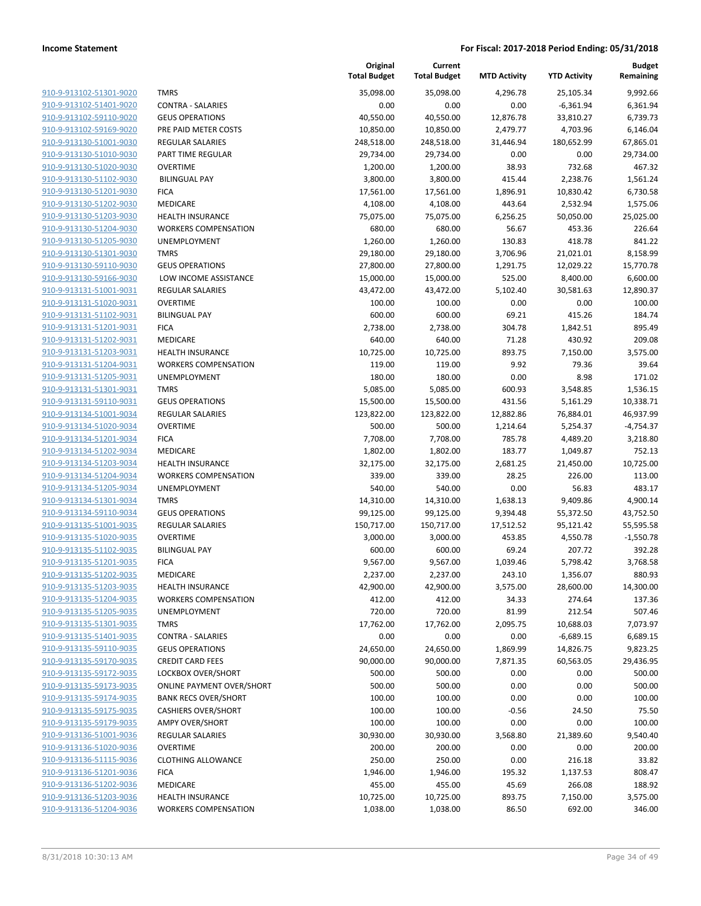| 910-9-913102-51301-9020        |
|--------------------------------|
| 910-9-913102-51401-9020        |
| 910-9-913102-59110-9020        |
| 910-9-913102-59169-9020        |
| 910-9-913130-51001-9030        |
| 910-9-913130-51010-9030        |
| 910-9-913130-51020-9030        |
| 910-9-913130-51102-9030        |
| 910-9-913130-51201-9030        |
| 910-9-913130-51202-9030        |
| 910-9-913130-51203-9030        |
| 910-9-913130-51204-9030        |
| 910-9-913130-51205-9030        |
| 910-9-913130-51301-9030        |
| 910-9-913130-59110-9030        |
| 910-9-913130-59166-9030        |
| <u>910-9-913131-51001-9031</u> |
| 910-9-913131-51020-9031        |
| 910-9-913131-51102-9031        |
| 910-9-913131-51201-9031        |
| 910-9-913131-51202-9031        |
| 910-9-913131-51203-9031        |
| 910-9-913131-51204-9031        |
| 910-9-913131-51205-9031        |
| 910-9-913131-51301-9031        |
| 910-9-913131-59110-9031        |
| 910-9-913134-51001-9034        |
| 910-9-913134-51020-9034        |
| 910-9-913134-51201-9034        |
| 910-9-913134-51202-9034        |
| 910-9-913134-51203-9034        |
| 910-9-913134-51204-9034        |
| 910-9-913134-51205-9034        |
| 910-9-913134-51301-9034        |
| 910-9-913134-59110-9034        |
| 910-9-913135-51001-9035        |
| 910-9-913135-51020-9035        |
| 910-9-913135-51102-9035        |
| 910-9-913135-51201-9035        |
| 910-9-913135-51202-9035        |
| 910-9-913135-51203-9035        |
| <u>910-9-913135-51204-9035</u> |
| 910-9-913135-51205-9035        |
| 910-9-913135-51301-9035        |
| 910-9-913135-51401-9035        |
| <u>910-9-913135-59110-9035</u> |
| 910-9-913135-59170-9035        |
| <u>910-9-913135-59172-9035</u> |
| 910-9-913135-59173-9035        |
| 910-9-913135-59174-9035        |
| 910-9-913135-59175-9035        |
| 910-9-913135-59179-9035        |
| 910-9-913136-51001-9036        |
| 910-9-913136-51020-9036        |
| 910-9-913136-51115-9036        |
| <u>910-9-913136-51201-9036</u> |
| 910-9-913136-51202-9036        |
| <u>910-9-913136-51203-9036</u> |
| 910-9-913136-51204-9036        |
|                                |

|                         |                                  | Original<br><b>Total Budget</b> | Current<br><b>Total Budget</b> | <b>MTD Activity</b> | <b>YTD Activity</b> | <b>Budget</b><br>Remaining |
|-------------------------|----------------------------------|---------------------------------|--------------------------------|---------------------|---------------------|----------------------------|
| 910-9-913102-51301-9020 | <b>TMRS</b>                      | 35,098.00                       | 35,098.00                      | 4,296.78            | 25,105.34           | 9,992.66                   |
| 910-9-913102-51401-9020 | <b>CONTRA - SALARIES</b>         | 0.00                            | 0.00                           | 0.00                | $-6,361.94$         | 6,361.94                   |
| 910-9-913102-59110-9020 | <b>GEUS OPERATIONS</b>           | 40,550.00                       | 40,550.00                      | 12,876.78           | 33,810.27           | 6,739.73                   |
| 910-9-913102-59169-9020 | PRE PAID METER COSTS             | 10,850.00                       | 10,850.00                      | 2,479.77            | 4,703.96            | 6,146.04                   |
| 910-9-913130-51001-9030 | REGULAR SALARIES                 | 248,518.00                      | 248,518.00                     | 31,446.94           | 180,652.99          | 67,865.01                  |
| 910-9-913130-51010-9030 | PART TIME REGULAR                | 29,734.00                       | 29,734.00                      | 0.00                | 0.00                | 29,734.00                  |
| 910-9-913130-51020-9030 | <b>OVERTIME</b>                  | 1,200.00                        | 1,200.00                       | 38.93               | 732.68              | 467.32                     |
| 910-9-913130-51102-9030 | <b>BILINGUAL PAY</b>             | 3,800.00                        | 3,800.00                       | 415.44              | 2,238.76            | 1,561.24                   |
| 910-9-913130-51201-9030 | <b>FICA</b>                      | 17,561.00                       | 17,561.00                      | 1,896.91            | 10,830.42           | 6,730.58                   |
| 910-9-913130-51202-9030 | MEDICARE                         | 4,108.00                        | 4,108.00                       | 443.64              | 2,532.94            | 1,575.06                   |
| 910-9-913130-51203-9030 | <b>HEALTH INSURANCE</b>          | 75,075.00                       | 75,075.00                      | 6,256.25            | 50,050.00           | 25,025.00                  |
| 910-9-913130-51204-9030 | <b>WORKERS COMPENSATION</b>      | 680.00                          | 680.00                         | 56.67               | 453.36              | 226.64                     |
| 910-9-913130-51205-9030 | UNEMPLOYMENT                     | 1,260.00                        | 1,260.00                       | 130.83              | 418.78              | 841.22                     |
| 910-9-913130-51301-9030 | <b>TMRS</b>                      | 29,180.00                       | 29,180.00                      | 3,706.96            | 21,021.01           | 8,158.99                   |
| 910-9-913130-59110-9030 | <b>GEUS OPERATIONS</b>           | 27,800.00                       | 27,800.00                      | 1,291.75            | 12,029.22           | 15,770.78                  |
| 910-9-913130-59166-9030 | LOW INCOME ASSISTANCE            | 15,000.00                       | 15,000.00                      | 525.00              | 8,400.00            | 6,600.00                   |
| 910-9-913131-51001-9031 | REGULAR SALARIES                 | 43,472.00                       | 43,472.00                      | 5,102.40            | 30,581.63           | 12,890.37                  |
| 910-9-913131-51020-9031 | <b>OVERTIME</b>                  | 100.00                          | 100.00                         | 0.00                | 0.00                | 100.00                     |
| 910-9-913131-51102-9031 | <b>BILINGUAL PAY</b>             | 600.00                          | 600.00                         | 69.21               | 415.26              | 184.74                     |
| 910-9-913131-51201-9031 | <b>FICA</b>                      | 2,738.00                        | 2,738.00                       | 304.78              | 1,842.51            | 895.49                     |
| 910-9-913131-51202-9031 | MEDICARE                         | 640.00                          | 640.00                         | 71.28               | 430.92              | 209.08                     |
| 910-9-913131-51203-9031 | <b>HEALTH INSURANCE</b>          | 10,725.00                       | 10,725.00                      | 893.75              | 7,150.00            | 3,575.00                   |
| 910-9-913131-51204-9031 | <b>WORKERS COMPENSATION</b>      | 119.00                          | 119.00                         | 9.92                | 79.36               | 39.64                      |
| 910-9-913131-51205-9031 | UNEMPLOYMENT                     | 180.00                          | 180.00                         | 0.00                | 8.98                | 171.02                     |
| 910-9-913131-51301-9031 | <b>TMRS</b>                      | 5,085.00                        | 5,085.00                       | 600.93              | 3,548.85            | 1,536.15                   |
| 910-9-913131-59110-9031 | <b>GEUS OPERATIONS</b>           | 15,500.00                       | 15,500.00                      | 431.56              | 5,161.29            | 10,338.71                  |
| 910-9-913134-51001-9034 | <b>REGULAR SALARIES</b>          | 123,822.00                      | 123,822.00                     | 12,882.86           | 76,884.01           | 46,937.99                  |
| 910-9-913134-51020-9034 | <b>OVERTIME</b>                  | 500.00                          | 500.00                         | 1,214.64            | 5,254.37            | $-4,754.37$                |
| 910-9-913134-51201-9034 | <b>FICA</b>                      | 7,708.00                        | 7,708.00                       | 785.78              | 4,489.20            | 3,218.80                   |
| 910-9-913134-51202-9034 | MEDICARE                         | 1,802.00                        | 1,802.00                       | 183.77              | 1,049.87            | 752.13                     |
| 910-9-913134-51203-9034 | <b>HEALTH INSURANCE</b>          | 32,175.00                       | 32,175.00                      | 2,681.25            | 21,450.00           | 10,725.00                  |
| 910-9-913134-51204-9034 | <b>WORKERS COMPENSATION</b>      | 339.00                          | 339.00                         | 28.25               | 226.00              | 113.00                     |
| 910-9-913134-51205-9034 | UNEMPLOYMENT                     | 540.00                          | 540.00                         | 0.00                | 56.83               | 483.17                     |
| 910-9-913134-51301-9034 | <b>TMRS</b>                      | 14,310.00                       | 14,310.00                      | 1,638.13            | 9,409.86            | 4,900.14                   |
| 910-9-913134-59110-9034 | <b>GEUS OPERATIONS</b>           | 99,125.00                       | 99,125.00                      | 9,394.48            | 55,372.50           | 43,752.50                  |
| 910-9-913135-51001-9035 | <b>REGULAR SALARIES</b>          | 150,717.00                      | 150,717.00                     | 17,512.52           | 95,121.42           | 55,595.58                  |
| 910-9-913135-51020-9035 | <b>OVERTIME</b>                  | 3,000.00                        | 3,000.00                       | 453.85              | 4,550.78            | $-1,550.78$                |
| 910-9-913135-51102-9035 | <b>BILINGUAL PAY</b>             | 600.00                          | 600.00                         | 69.24               | 207.72              | 392.28                     |
| 910-9-913135-51201-9035 | <b>FICA</b>                      | 9,567.00                        | 9,567.00                       | 1,039.46            | 5,798.42            | 3,768.58                   |
| 910-9-913135-51202-9035 | MEDICARE                         | 2,237.00                        | 2,237.00                       | 243.10              | 1,356.07            | 880.93                     |
| 910-9-913135-51203-9035 | <b>HEALTH INSURANCE</b>          | 42,900.00                       | 42,900.00                      | 3,575.00            | 28,600.00           | 14,300.00                  |
| 910-9-913135-51204-9035 | <b>WORKERS COMPENSATION</b>      | 412.00                          | 412.00                         | 34.33               | 274.64              | 137.36                     |
| 910-9-913135-51205-9035 | <b>UNEMPLOYMENT</b>              | 720.00                          | 720.00                         | 81.99               | 212.54              | 507.46                     |
| 910-9-913135-51301-9035 | <b>TMRS</b>                      | 17,762.00                       | 17,762.00                      | 2,095.75            | 10,688.03           | 7,073.97                   |
| 910-9-913135-51401-9035 | <b>CONTRA - SALARIES</b>         | 0.00                            | 0.00                           | 0.00                | $-6,689.15$         | 6,689.15                   |
| 910-9-913135-59110-9035 | <b>GEUS OPERATIONS</b>           | 24,650.00                       | 24,650.00                      | 1,869.99            | 14,826.75           | 9,823.25                   |
| 910-9-913135-59170-9035 | <b>CREDIT CARD FEES</b>          | 90,000.00                       | 90,000.00                      | 7,871.35            | 60,563.05           | 29,436.95                  |
| 910-9-913135-59172-9035 | LOCKBOX OVER/SHORT               | 500.00                          | 500.00                         | 0.00                | 0.00                | 500.00                     |
| 910-9-913135-59173-9035 | <b>ONLINE PAYMENT OVER/SHORT</b> | 500.00                          | 500.00                         | 0.00                | 0.00                | 500.00                     |
| 910-9-913135-59174-9035 | <b>BANK RECS OVER/SHORT</b>      | 100.00                          | 100.00                         | 0.00                | 0.00                | 100.00                     |
| 910-9-913135-59175-9035 | <b>CASHIERS OVER/SHORT</b>       | 100.00                          | 100.00                         | $-0.56$             | 24.50               | 75.50                      |
| 910-9-913135-59179-9035 | <b>AMPY OVER/SHORT</b>           | 100.00                          | 100.00                         | 0.00                | 0.00                | 100.00                     |
| 910-9-913136-51001-9036 | REGULAR SALARIES                 | 30,930.00                       | 30,930.00                      | 3,568.80            | 21,389.60           | 9,540.40                   |
| 910-9-913136-51020-9036 | <b>OVERTIME</b>                  | 200.00                          | 200.00                         | 0.00                | 0.00                | 200.00                     |
| 910-9-913136-51115-9036 | <b>CLOTHING ALLOWANCE</b>        | 250.00                          | 250.00                         | 0.00                | 216.18              | 33.82                      |
| 910-9-913136-51201-9036 | <b>FICA</b>                      | 1,946.00                        | 1,946.00                       | 195.32              | 1,137.53            | 808.47                     |
| 910-9-913136-51202-9036 | MEDICARE                         | 455.00                          | 455.00                         | 45.69               | 266.08              | 188.92                     |
| 910-9-913136-51203-9036 | <b>HEALTH INSURANCE</b>          | 10,725.00                       | 10,725.00                      | 893.75              | 7,150.00            | 3,575.00                   |
| 910-9-913136-51204-9036 | <b>WORKERS COMPENSATION</b>      | 1,038.00                        | 1,038.00                       | 86.50               | 692.00              | 346.00                     |
|                         |                                  |                                 |                                |                     |                     |                            |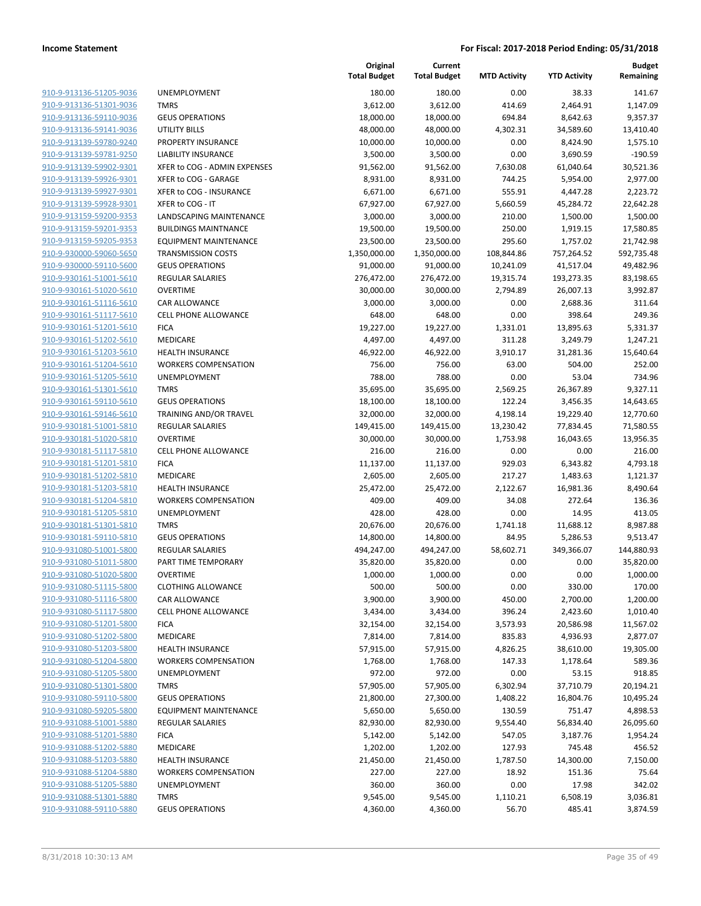| 910-9-913136-51205-9036        |
|--------------------------------|
| 910-9-913136-51301-9036        |
| 910-9-913136-59110-9036        |
| 910-9-913136-59141-9036        |
| 910-9-913139-59780-9240        |
| 910-9-913139-59781-9250        |
| 910-9-913139-59902-9301        |
| 910-9-913139-59926-9301        |
| 910-9-913139-59927-9301        |
| 910-9-913139-59928-9301        |
| 910-9-913159-59200-9353        |
| 910-9-913159-59201-9353        |
| 910-9-913159-59205-9353        |
| 910-9-930000-59060-5650        |
|                                |
| <u>910-9-930000-59110-5600</u> |
| 910-9-930161-51001-5610        |
| 910-9-930161-51020-5610        |
| 910-9-930161-51116-5610        |
| 910-9-930161-51117-5610        |
| <u>910-9-930161-51201-5610</u> |
| 910-9-930161-51202-5610        |
| 910-9-930161-51203-5610        |
| 910-9-930161-51204-5610        |
| 910-9-930161-51205-5610        |
| 910-9-930161-51301-5610        |
| 910-9-930161-59110-5610        |
| 910-9-930161-59146-5610        |
| 910-9-930181-51001-5810        |
| 910-9-930181-51020-5810        |
| <u>910-9-930181-51117-5810</u> |
| 910-9-930181-51201-5810        |
|                                |
| 910-9-930181-51202-5810        |
| 910-9-930181-51203-5810        |
| 910-9-930181-51204-5810        |
| <u>910-9-930181-51205-5810</u> |
| 910-9-930181-51301-5810        |
| 910-9-930181-59110-5810        |
| 910-9-931080-51001-5800        |
| 910-9-931080-51011-5800        |
| 910-9-931080-51020-5800        |
| 910-9-931080-51115-5800        |
| <u>910-9-931080-51116-5800</u> |
| 910-9-931080-51117-5800        |
| 910-9-931080-51201-5800        |
| 910-9-931080-51202-5800        |
| 910-9-931080-51203-5800        |
| 910-9-931080-51204-5800        |
| 910-9-931080-51205-5800        |
|                                |
| 910-9-931080-51301-5800        |
| <u>910-9-931080-59110-5800</u> |
| 910-9-931080-59205-5800        |
| 910-9-931088-51001-5880        |
| 910-9-931088-51201-5880        |
| 910-9-931088-51202-5880        |
| <u>910-9-931088-51203-5880</u> |
| 910-9-931088-51204-5880        |
| 910-9-931088-51205-5880        |
| <u>910-9-931088-51301-5880</u> |
| 910-9-931088-59110-5880        |
|                                |

|                         |                              | Original<br><b>Total Budget</b> | Current<br><b>Total Budget</b> | <b>MTD Activity</b> | <b>YTD Activity</b> | <b>Budget</b><br>Remaining |
|-------------------------|------------------------------|---------------------------------|--------------------------------|---------------------|---------------------|----------------------------|
| 910-9-913136-51205-9036 | <b>UNEMPLOYMENT</b>          | 180.00                          | 180.00                         | 0.00                | 38.33               | 141.67                     |
| 910-9-913136-51301-9036 | <b>TMRS</b>                  | 3,612.00                        | 3,612.00                       | 414.69              | 2,464.91            | 1,147.09                   |
| 910-9-913136-59110-9036 | <b>GEUS OPERATIONS</b>       | 18,000.00                       | 18,000.00                      | 694.84              | 8,642.63            | 9,357.37                   |
| 910-9-913136-59141-9036 | UTILITY BILLS                | 48,000.00                       | 48,000.00                      | 4,302.31            | 34,589.60           | 13,410.40                  |
| 910-9-913139-59780-9240 | PROPERTY INSURANCE           | 10,000.00                       | 10,000.00                      | 0.00                | 8,424.90            | 1,575.10                   |
| 910-9-913139-59781-9250 | LIABILITY INSURANCE          | 3,500.00                        | 3,500.00                       | 0.00                | 3,690.59            | $-190.59$                  |
| 910-9-913139-59902-9301 | XFER to COG - ADMIN EXPENSES | 91,562.00                       | 91,562.00                      | 7,630.08            | 61,040.64           | 30,521.36                  |
| 910-9-913139-59926-9301 | XFER to COG - GARAGE         | 8,931.00                        | 8,931.00                       | 744.25              | 5,954.00            | 2,977.00                   |
| 910-9-913139-59927-9301 | XFER to COG - INSURANCE      | 6,671.00                        | 6,671.00                       | 555.91              | 4,447.28            | 2,223.72                   |
| 910-9-913139-59928-9301 | XFER to COG - IT             | 67,927.00                       | 67,927.00                      | 5,660.59            | 45,284.72           | 22,642.28                  |
| 910-9-913159-59200-9353 | LANDSCAPING MAINTENANCE      | 3,000.00                        | 3,000.00                       | 210.00              | 1,500.00            | 1,500.00                   |
| 910-9-913159-59201-9353 | <b>BUILDINGS MAINTNANCE</b>  | 19,500.00                       | 19,500.00                      | 250.00              | 1,919.15            | 17,580.85                  |
| 910-9-913159-59205-9353 | <b>EQUIPMENT MAINTENANCE</b> | 23,500.00                       | 23,500.00                      | 295.60              | 1,757.02            | 21,742.98                  |
| 910-9-930000-59060-5650 | <b>TRANSMISSION COSTS</b>    | 1,350,000.00                    | 1,350,000.00                   | 108,844.86          | 757,264.52          | 592,735.48                 |
| 910-9-930000-59110-5600 | <b>GEUS OPERATIONS</b>       | 91,000.00                       | 91,000.00                      | 10,241.09           | 41,517.04           | 49,482.96                  |
| 910-9-930161-51001-5610 | REGULAR SALARIES             | 276,472.00                      | 276,472.00                     | 19,315.74           | 193,273.35          | 83,198.65                  |
| 910-9-930161-51020-5610 | <b>OVERTIME</b>              | 30,000.00                       | 30,000.00                      | 2,794.89            | 26,007.13           | 3,992.87                   |
| 910-9-930161-51116-5610 | CAR ALLOWANCE                | 3,000.00                        | 3,000.00                       | 0.00                | 2,688.36            | 311.64                     |
| 910-9-930161-51117-5610 | CELL PHONE ALLOWANCE         | 648.00                          | 648.00                         | 0.00                | 398.64              | 249.36                     |
| 910-9-930161-51201-5610 | <b>FICA</b>                  | 19,227.00                       | 19,227.00                      | 1,331.01            | 13,895.63           | 5,331.37                   |
| 910-9-930161-51202-5610 | <b>MEDICARE</b>              | 4,497.00                        | 4,497.00                       | 311.28              | 3,249.79            | 1,247.21                   |
| 910-9-930161-51203-5610 | <b>HEALTH INSURANCE</b>      | 46,922.00                       | 46,922.00                      | 3,910.17            | 31,281.36           | 15,640.64                  |
| 910-9-930161-51204-5610 | <b>WORKERS COMPENSATION</b>  | 756.00                          | 756.00                         | 63.00               | 504.00              | 252.00                     |
| 910-9-930161-51205-5610 | UNEMPLOYMENT                 | 788.00                          | 788.00                         | 0.00                | 53.04               | 734.96                     |
| 910-9-930161-51301-5610 | <b>TMRS</b>                  | 35,695.00                       | 35,695.00                      | 2,569.25            | 26,367.89           | 9,327.11                   |
| 910-9-930161-59110-5610 | <b>GEUS OPERATIONS</b>       | 18,100.00                       | 18,100.00                      | 122.24              | 3,456.35            | 14,643.65                  |
| 910-9-930161-59146-5610 | TRAINING AND/OR TRAVEL       | 32,000.00                       | 32,000.00                      | 4,198.14            | 19,229.40           | 12,770.60                  |
| 910-9-930181-51001-5810 | <b>REGULAR SALARIES</b>      | 149,415.00                      | 149,415.00                     | 13,230.42           | 77,834.45           | 71,580.55                  |
| 910-9-930181-51020-5810 | <b>OVERTIME</b>              | 30,000.00                       | 30,000.00                      | 1,753.98            | 16,043.65           | 13,956.35                  |
| 910-9-930181-51117-5810 | CELL PHONE ALLOWANCE         | 216.00                          | 216.00                         | 0.00                | 0.00                | 216.00                     |
| 910-9-930181-51201-5810 | <b>FICA</b>                  | 11,137.00                       | 11,137.00                      | 929.03              | 6,343.82            | 4,793.18                   |
| 910-9-930181-51202-5810 | MEDICARE                     | 2,605.00                        | 2,605.00                       | 217.27              | 1,483.63            | 1,121.37                   |
| 910-9-930181-51203-5810 | <b>HEALTH INSURANCE</b>      | 25,472.00                       | 25,472.00                      | 2,122.67            | 16,981.36           | 8,490.64                   |
| 910-9-930181-51204-5810 | <b>WORKERS COMPENSATION</b>  | 409.00                          | 409.00                         | 34.08               | 272.64              | 136.36                     |
| 910-9-930181-51205-5810 | <b>UNEMPLOYMENT</b>          | 428.00                          | 428.00                         | 0.00                | 14.95               | 413.05                     |
| 910-9-930181-51301-5810 | <b>TMRS</b>                  | 20,676.00                       | 20,676.00                      | 1,741.18            | 11,688.12           | 8,987.88                   |
| 910-9-930181-59110-5810 | <b>GEUS OPERATIONS</b>       | 14,800.00                       | 14,800.00                      | 84.95               | 5,286.53            | 9,513.47                   |
| 910-9-931080-51001-5800 | <b>REGULAR SALARIES</b>      | 494,247.00                      | 494,247.00                     | 58,602.71           | 349,366.07          | 144,880.93                 |
| 910-9-931080-51011-5800 | PART TIME TEMPORARY          | 35,820.00                       | 35,820.00                      | 0.00                | 0.00                | 35,820.00                  |
| 910-9-931080-51020-5800 | OVERTIME                     | 1,000.00                        | 1,000.00                       | 0.00                | 0.00                | 1,000.00                   |
| 910-9-931080-51115-5800 | <b>CLOTHING ALLOWANCE</b>    | 500.00                          | 500.00                         | 0.00                | 330.00              | 170.00                     |
| 910-9-931080-51116-5800 | <b>CAR ALLOWANCE</b>         | 3,900.00                        | 3,900.00                       | 450.00              | 2,700.00            | 1,200.00                   |
| 910-9-931080-51117-5800 | <b>CELL PHONE ALLOWANCE</b>  | 3,434.00                        | 3,434.00                       | 396.24              | 2,423.60            | 1,010.40                   |
| 910-9-931080-51201-5800 | <b>FICA</b>                  | 32,154.00                       | 32,154.00                      | 3,573.93            | 20,586.98           | 11,567.02                  |
| 910-9-931080-51202-5800 | MEDICARE                     | 7,814.00                        | 7,814.00                       | 835.83              | 4,936.93            | 2,877.07                   |
| 910-9-931080-51203-5800 | <b>HEALTH INSURANCE</b>      | 57,915.00                       | 57,915.00                      | 4,826.25            | 38,610.00           | 19,305.00                  |
| 910-9-931080-51204-5800 | <b>WORKERS COMPENSATION</b>  | 1,768.00                        | 1,768.00                       | 147.33              | 1,178.64            | 589.36                     |
| 910-9-931080-51205-5800 | <b>UNEMPLOYMENT</b>          | 972.00                          | 972.00                         | 0.00                | 53.15               | 918.85                     |
| 910-9-931080-51301-5800 | <b>TMRS</b>                  | 57,905.00                       | 57,905.00                      | 6,302.94            | 37,710.79           | 20,194.21                  |
| 910-9-931080-59110-5800 | <b>GEUS OPERATIONS</b>       | 21,800.00                       | 27,300.00                      | 1,408.22            | 16,804.76           | 10,495.24                  |
| 910-9-931080-59205-5800 | <b>EQUIPMENT MAINTENANCE</b> | 5,650.00                        | 5,650.00                       | 130.59              | 751.47              | 4,898.53                   |
| 910-9-931088-51001-5880 | REGULAR SALARIES             | 82,930.00                       | 82,930.00                      | 9,554.40            | 56,834.40           | 26,095.60                  |
| 910-9-931088-51201-5880 | <b>FICA</b>                  | 5,142.00                        | 5,142.00                       | 547.05              | 3,187.76            | 1,954.24                   |
| 910-9-931088-51202-5880 | MEDICARE                     | 1,202.00                        | 1,202.00                       | 127.93              | 745.48              | 456.52                     |
| 910-9-931088-51203-5880 | <b>HEALTH INSURANCE</b>      | 21,450.00                       | 21,450.00                      | 1,787.50            | 14,300.00           | 7,150.00                   |
| 910-9-931088-51204-5880 | <b>WORKERS COMPENSATION</b>  | 227.00                          | 227.00                         | 18.92               | 151.36              | 75.64                      |
| 910-9-931088-51205-5880 | <b>UNEMPLOYMENT</b>          | 360.00                          | 360.00                         | 0.00                | 17.98               | 342.02                     |
| 910-9-931088-51301-5880 | <b>TMRS</b>                  | 9,545.00                        | 9,545.00                       | 1,110.21            | 6,508.19            | 3,036.81                   |
| 910-9-931088-59110-5880 | <b>GEUS OPERATIONS</b>       | 4,360.00                        | 4,360.00                       | 56.70               | 485.41              | 3,874.59                   |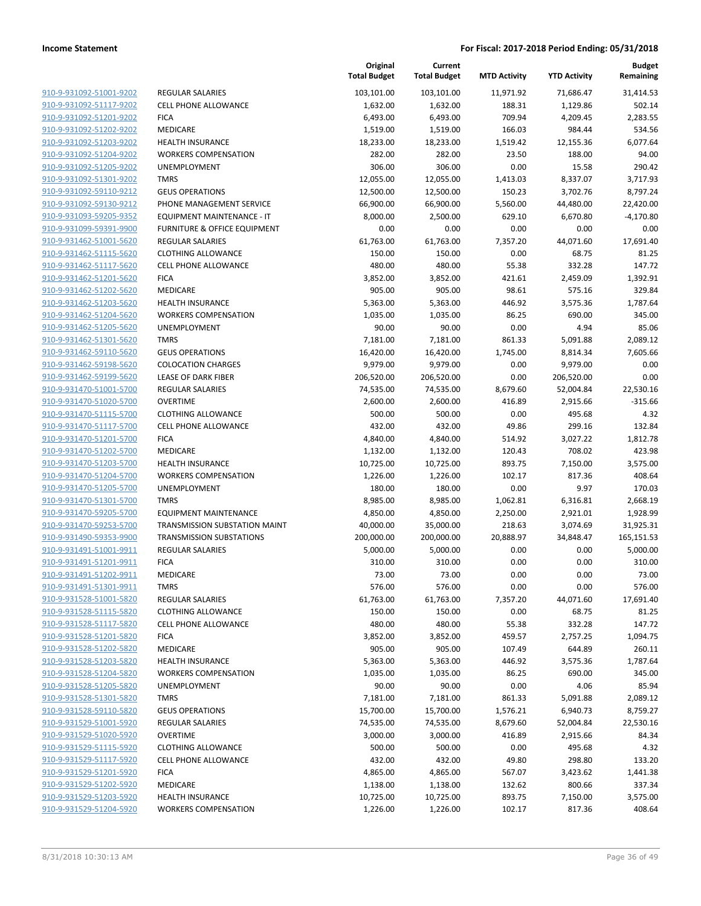|                                                    |                                                                      | Original<br><b>Total Budget</b> | Current<br><b>Total Budget</b> | <b>MTD Activity</b> | <b>YTD Activity</b> | <b>Budget</b><br>Remaining |
|----------------------------------------------------|----------------------------------------------------------------------|---------------------------------|--------------------------------|---------------------|---------------------|----------------------------|
| 910-9-931092-51001-9202                            | <b>REGULAR SALARIES</b>                                              | 103,101.00                      | 103,101.00                     | 11,971.92           | 71,686.47           | 31,414.53                  |
| 910-9-931092-51117-9202                            | <b>CELL PHONE ALLOWANCE</b>                                          | 1,632.00                        | 1,632.00                       | 188.31              | 1,129.86            | 502.14                     |
| 910-9-931092-51201-9202                            | <b>FICA</b>                                                          | 6,493.00                        | 6,493.00                       | 709.94              | 4,209.45            | 2,283.55                   |
| 910-9-931092-51202-9202                            | MEDICARE                                                             | 1,519.00                        | 1,519.00                       | 166.03              | 984.44              | 534.56                     |
| 910-9-931092-51203-9202                            | <b>HEALTH INSURANCE</b>                                              | 18,233.00                       | 18,233.00                      | 1,519.42            | 12,155.36           | 6,077.64                   |
| 910-9-931092-51204-9202                            | <b>WORKERS COMPENSATION</b>                                          | 282.00                          | 282.00                         | 23.50               | 188.00              | 94.00                      |
| 910-9-931092-51205-9202                            | UNEMPLOYMENT                                                         | 306.00                          | 306.00                         | 0.00                | 15.58               | 290.42                     |
| 910-9-931092-51301-9202                            | <b>TMRS</b>                                                          | 12,055.00                       | 12,055.00                      | 1,413.03            | 8,337.07            | 3,717.93                   |
| 910-9-931092-59110-9212                            | <b>GEUS OPERATIONS</b>                                               | 12,500.00                       | 12,500.00                      | 150.23              | 3,702.76            | 8,797.24                   |
| 910-9-931092-59130-9212                            | PHONE MANAGEMENT SERVICE                                             | 66,900.00                       | 66,900.00                      | 5,560.00            | 44,480.00           | 22,420.00                  |
| 910-9-931093-59205-9352                            | EQUIPMENT MAINTENANCE - IT                                           | 8,000.00                        | 2,500.00                       | 629.10              | 6,670.80            | $-4,170.80$                |
| 910-9-931099-59391-9900                            | FURNITURE & OFFICE EQUIPMENT                                         | 0.00                            | 0.00                           | 0.00                | 0.00                | 0.00                       |
| 910-9-931462-51001-5620                            | <b>REGULAR SALARIES</b>                                              | 61,763.00                       | 61,763.00                      | 7,357.20            | 44,071.60           | 17,691.40                  |
| 910-9-931462-51115-5620                            | <b>CLOTHING ALLOWANCE</b>                                            | 150.00                          | 150.00                         | 0.00                | 68.75               | 81.25                      |
| 910-9-931462-51117-5620                            | <b>CELL PHONE ALLOWANCE</b>                                          | 480.00                          | 480.00                         | 55.38               | 332.28              | 147.72                     |
| 910-9-931462-51201-5620                            | <b>FICA</b>                                                          | 3,852.00                        | 3,852.00                       | 421.61              | 2,459.09            | 1,392.91                   |
| 910-9-931462-51202-5620                            | MEDICARE                                                             | 905.00                          | 905.00                         | 98.61               | 575.16              | 329.84                     |
| 910-9-931462-51203-5620                            | <b>HEALTH INSURANCE</b>                                              | 5,363.00                        | 5,363.00                       | 446.92              | 3,575.36            | 1,787.64                   |
| 910-9-931462-51204-5620                            | <b>WORKERS COMPENSATION</b>                                          | 1,035.00                        | 1,035.00                       | 86.25               | 690.00              | 345.00                     |
| 910-9-931462-51205-5620                            | <b>UNEMPLOYMENT</b>                                                  | 90.00                           | 90.00                          | 0.00                | 4.94                | 85.06                      |
| 910-9-931462-51301-5620                            | <b>TMRS</b>                                                          | 7,181.00                        | 7,181.00                       | 861.33              | 5,091.88            | 2,089.12                   |
| 910-9-931462-59110-5620                            | <b>GEUS OPERATIONS</b>                                               | 16,420.00                       | 16,420.00                      | 1,745.00            | 8,814.34            | 7,605.66                   |
| 910-9-931462-59198-5620                            | <b>COLOCATION CHARGES</b>                                            | 9,979.00                        | 9,979.00                       | 0.00                | 9,979.00            | 0.00                       |
| 910-9-931462-59199-5620                            | LEASE OF DARK FIBER                                                  | 206,520.00                      | 206,520.00                     | 0.00                | 206,520.00          | 0.00                       |
| 910-9-931470-51001-5700                            | REGULAR SALARIES                                                     | 74,535.00                       | 74,535.00                      | 8,679.60            | 52,004.84           | 22,530.16                  |
| 910-9-931470-51020-5700                            | <b>OVERTIME</b>                                                      | 2,600.00                        | 2,600.00                       | 416.89              | 2,915.66            | $-315.66$                  |
| 910-9-931470-51115-5700                            | <b>CLOTHING ALLOWANCE</b>                                            | 500.00                          | 500.00                         | 0.00                | 495.68              | 4.32                       |
| 910-9-931470-51117-5700                            | <b>CELL PHONE ALLOWANCE</b>                                          | 432.00                          | 432.00                         | 49.86               | 299.16              | 132.84                     |
| 910-9-931470-51201-5700                            | <b>FICA</b>                                                          | 4,840.00                        | 4,840.00                       | 514.92              | 3,027.22            | 1,812.78                   |
| 910-9-931470-51202-5700                            | MEDICARE                                                             | 1,132.00                        | 1,132.00                       | 120.43              | 708.02              | 423.98                     |
| 910-9-931470-51203-5700                            | <b>HEALTH INSURANCE</b>                                              | 10,725.00                       | 10,725.00                      | 893.75              | 7,150.00            | 3,575.00                   |
| 910-9-931470-51204-5700                            | <b>WORKERS COMPENSATION</b>                                          | 1,226.00                        | 1,226.00                       | 102.17              | 817.36              | 408.64                     |
| 910-9-931470-51205-5700                            | <b>UNEMPLOYMENT</b>                                                  | 180.00                          | 180.00                         | 0.00                | 9.97                | 170.03                     |
| 910-9-931470-51301-5700                            | <b>TMRS</b>                                                          | 8,985.00                        | 8,985.00                       | 1,062.81            | 6,316.81            | 2,668.19                   |
| 910-9-931470-59205-5700                            | <b>EQUIPMENT MAINTENANCE</b><br><b>TRANSMISSION SUBSTATION MAINT</b> | 4,850.00                        | 4,850.00                       | 2,250.00            | 2,921.01            | 1,928.99                   |
| 910-9-931470-59253-5700                            |                                                                      | 40,000.00                       | 35,000.00                      | 218.63              | 3,074.69            | 31,925.31                  |
| 910-9-931490-59353-9900                            | <b>TRANSMISSION SUBSTATIONS</b><br><b>REGULAR SALARIES</b>           | 200,000.00                      | 200,000.00                     | 20,888.97           | 34,848.47           | 165,151.53                 |
| 910-9-931491-51001-9911<br>910-9-931491-51201-9911 |                                                                      | 5,000.00                        | 5,000.00                       | 0.00                | 0.00                | 5,000.00                   |
| 910-9-931491-51202-9911                            | <b>FICA</b><br>MEDICARE                                              | 310.00<br>73.00                 | 310.00<br>73.00                | 0.00<br>0.00        | 0.00<br>0.00        | 310.00                     |
| 910-9-931491-51301-9911                            | <b>TMRS</b>                                                          |                                 |                                |                     |                     | 73.00                      |
| 910-9-931528-51001-5820                            | REGULAR SALARIES                                                     | 576.00<br>61,763.00             | 576.00<br>61,763.00            | 0.00<br>7,357.20    | 0.00<br>44,071.60   | 576.00<br>17,691.40        |
| 910-9-931528-51115-5820                            | <b>CLOTHING ALLOWANCE</b>                                            | 150.00                          | 150.00                         | 0.00                | 68.75               | 81.25                      |
| 910-9-931528-51117-5820                            | <b>CELL PHONE ALLOWANCE</b>                                          | 480.00                          | 480.00                         | 55.38               | 332.28              | 147.72                     |
| 910-9-931528-51201-5820                            | <b>FICA</b>                                                          | 3,852.00                        | 3,852.00                       | 459.57              | 2,757.25            | 1,094.75                   |
| 910-9-931528-51202-5820                            | MEDICARE                                                             | 905.00                          | 905.00                         | 107.49              | 644.89              | 260.11                     |
| 910-9-931528-51203-5820                            | <b>HEALTH INSURANCE</b>                                              | 5,363.00                        | 5,363.00                       | 446.92              | 3,575.36            | 1,787.64                   |
| 910-9-931528-51204-5820                            | <b>WORKERS COMPENSATION</b>                                          | 1,035.00                        | 1,035.00                       | 86.25               | 690.00              | 345.00                     |
| 910-9-931528-51205-5820                            | <b>UNEMPLOYMENT</b>                                                  | 90.00                           | 90.00                          | 0.00                | 4.06                | 85.94                      |
| 910-9-931528-51301-5820                            | <b>TMRS</b>                                                          | 7,181.00                        | 7,181.00                       | 861.33              | 5,091.88            | 2,089.12                   |
| 910-9-931528-59110-5820                            | <b>GEUS OPERATIONS</b>                                               | 15,700.00                       | 15,700.00                      | 1,576.21            | 6,940.73            | 8,759.27                   |
| 910-9-931529-51001-5920                            | <b>REGULAR SALARIES</b>                                              | 74,535.00                       | 74,535.00                      | 8,679.60            | 52,004.84           | 22,530.16                  |
| 910-9-931529-51020-5920                            | <b>OVERTIME</b>                                                      | 3,000.00                        | 3,000.00                       | 416.89              | 2,915.66            | 84.34                      |
| 910-9-931529-51115-5920                            | <b>CLOTHING ALLOWANCE</b>                                            | 500.00                          | 500.00                         | 0.00                | 495.68              | 4.32                       |
| 910-9-931529-51117-5920                            | <b>CELL PHONE ALLOWANCE</b>                                          | 432.00                          | 432.00                         | 49.80               | 298.80              | 133.20                     |
| 910-9-931529-51201-5920                            | <b>FICA</b>                                                          | 4,865.00                        | 4,865.00                       | 567.07              | 3,423.62            | 1,441.38                   |
| 910-9-931529-51202-5920                            | MEDICARE                                                             | 1,138.00                        | 1,138.00                       | 132.62              | 800.66              | 337.34                     |
| 910-9-931529-51203-5920                            | <b>HEALTH INSURANCE</b>                                              | 10,725.00                       | 10,725.00                      | 893.75              | 7,150.00            | 3,575.00                   |
| 910-9-931529-51204-5920                            | <b>WORKERS COMPENSATION</b>                                          | 1,226.00                        | 1,226.00                       | 102.17              | 817.36              | 408.64                     |
|                                                    |                                                                      |                                 |                                |                     |                     |                            |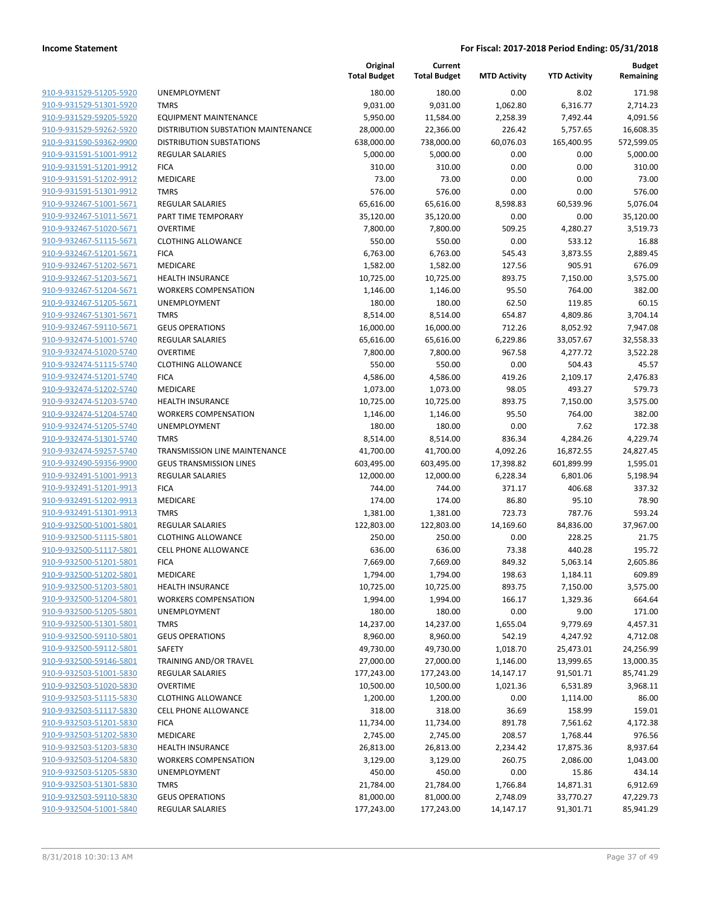| 910-9-931529-51205-5920                            | <b>UNEN</b>       |
|----------------------------------------------------|-------------------|
| 910-9-931529-51301-5920                            | TMR <sub>3</sub>  |
| 910-9-931529-59205-5920                            | EQUI              |
| 910-9-931529-59262-5920                            | <b>DISTF</b>      |
| 910-9-931590-59362-9900                            | <b>DISTF</b>      |
| 910-9-931591-51001-9912                            | REGL              |
| 910-9-931591-51201-9912                            | <b>FICA</b>       |
| 910-9-931591-51202-9912                            | <b>MED</b>        |
| 910-9-931591-51301-9912                            | TMR <sub>3</sub>  |
| 910-9-932467-51001-5671                            | REGL              |
| 910-9-932467-51011-5671                            | <b>PART</b>       |
| 910-9-932467-51020-5671                            | <b>OVEF</b>       |
| 910-9-932467-51115-5671                            | <b>CLOT</b>       |
| 910-9-932467-51201-5671                            | <b>FICA</b>       |
| 910-9-932467-51202-5671                            | <b>MED</b>        |
| 910-9-932467-51203-5671                            | HEAL              |
| 910-9-932467-51204-5671                            | <b>WOR</b>        |
| 910-9-932467-51205-5671                            | <b>UNEN</b>       |
| 910-9-932467-51301-5671                            | TMR <sub>3</sub>  |
| 910-9-932467-59110-5671                            | <b>GEUS</b>       |
| 910-9-932474-51001-5740                            | REGL              |
| 910-9-932474-51020-5740                            | <b>OVEF</b>       |
| 910-9-932474-51115-5740                            | <b>CLOT</b>       |
| 910-9-932474-51201-5740                            | <b>FICA</b>       |
| 910-9-932474-51202-5740                            | <b>MED</b>        |
| 910-9-932474-51203-5740                            | <b>HEAL</b>       |
| 910-9-932474-51204-5740                            | <b>WOR</b>        |
| 910-9-932474-51205-5740                            | <b>UNEN</b>       |
| 910-9-932474-51301-5740                            | TMR <sub>3</sub>  |
| 910-9-932474-59257-5740                            | TRAN              |
| 910-9-932490-59356-9900                            | <b>GEUS</b>       |
| 910-9-932491-51001-9913                            | REGL              |
| 910-9-932491-51201-9913                            | <b>FICA</b>       |
| 910-9-932491-51202-9913                            | <b>MED</b>        |
| 910-9-932491-51301-9913                            | TMR!              |
| 910-9-932500-51001-5801                            | REGL              |
| 910-9-932500-51115-5801                            | <b>CLOT</b>       |
| 910-9-932500-51117-5801                            | <b>CELL</b>       |
| 910-9-932500-51201-5801                            | <b>FICA</b>       |
| 910-9-932500-51202-5801                            | <b>MED</b>        |
| 910-9-932500-51203-5801                            | HEAL              |
| 910-9-932500-51204-5801                            | WOR               |
| 910-9-932500-51205-5801                            | UNEN              |
| 910-9-932500-51301-5801                            | TMR!              |
| 910-9-932500-59110-5801                            | GEUS              |
| 910-9-932500-59112-5801                            | SAFE <sup>®</sup> |
| 910-9-932500-59146-5801                            | TRAII             |
| 910-9-932503-51001-5830                            | REGL              |
| 910-9-932503-51020-5830                            | <b>OVEF</b>       |
| 910-9-932503-51115-5830                            | CLOT              |
| 910-9-932503-51117-5830                            | <b>CELL</b>       |
| 910-9-932503-51201-5830                            | <b>FICA</b>       |
| 910-9-932503-51202-5830                            | <b>MED</b>        |
| 910-9-932503-51203-5830                            | <b>HEAL</b>       |
| 910-9-932503-51204-5830                            | WOR               |
| 910-9-932503-51205-5830                            | UNEN              |
| 910-9-932503-51301-5830                            | TMR!              |
| 910-9-932503-59110-5830<br>910-9-932504-51001-5840 | <b>GEUS</b>       |
|                                                    | REGL              |

|                         |                                     | Original<br><b>Total Budget</b> | Current<br><b>Total Budget</b> | <b>MTD Activity</b> | <b>YTD Activity</b> | <b>Budget</b><br>Remaining |
|-------------------------|-------------------------------------|---------------------------------|--------------------------------|---------------------|---------------------|----------------------------|
| 910-9-931529-51205-5920 | <b>UNEMPLOYMENT</b>                 | 180.00                          | 180.00                         | 0.00                | 8.02                | 171.98                     |
| 910-9-931529-51301-5920 | <b>TMRS</b>                         | 9,031.00                        | 9,031.00                       | 1,062.80            | 6,316.77            | 2,714.23                   |
| 910-9-931529-59205-5920 | <b>EQUIPMENT MAINTENANCE</b>        | 5,950.00                        | 11,584.00                      | 2,258.39            | 7,492.44            | 4,091.56                   |
| 910-9-931529-59262-5920 | DISTRIBUTION SUBSTATION MAINTENANCE | 28,000.00                       | 22,366.00                      | 226.42              | 5,757.65            | 16,608.35                  |
| 910-9-931590-59362-9900 | <b>DISTRIBUTION SUBSTATIONS</b>     | 638,000.00                      | 738,000.00                     | 60,076.03           | 165,400.95          | 572,599.05                 |
| 910-9-931591-51001-9912 | <b>REGULAR SALARIES</b>             | 5,000.00                        | 5,000.00                       | 0.00                | 0.00                | 5,000.00                   |
| 910-9-931591-51201-9912 | <b>FICA</b>                         | 310.00                          | 310.00                         | 0.00                | 0.00                | 310.00                     |
| 910-9-931591-51202-9912 | MEDICARE                            | 73.00                           | 73.00                          | 0.00                | 0.00                | 73.00                      |
| 910-9-931591-51301-9912 | <b>TMRS</b>                         | 576.00                          | 576.00                         | 0.00                | 0.00                | 576.00                     |
| 910-9-932467-51001-5671 | <b>REGULAR SALARIES</b>             | 65,616.00                       | 65,616.00                      | 8,598.83            | 60,539.96           | 5,076.04                   |
| 910-9-932467-51011-5671 | PART TIME TEMPORARY                 | 35,120.00                       | 35,120.00                      | 0.00                | 0.00                | 35,120.00                  |
| 910-9-932467-51020-5671 | <b>OVERTIME</b>                     | 7,800.00                        | 7,800.00                       | 509.25              | 4,280.27            | 3,519.73                   |
| 910-9-932467-51115-5671 | <b>CLOTHING ALLOWANCE</b>           | 550.00                          | 550.00                         | 0.00                | 533.12              | 16.88                      |
| 910-9-932467-51201-5671 | <b>FICA</b>                         | 6,763.00                        | 6,763.00                       | 545.43              | 3,873.55            | 2,889.45                   |
| 910-9-932467-51202-5671 | MEDICARE                            | 1,582.00                        | 1,582.00                       | 127.56              | 905.91              | 676.09                     |
| 910-9-932467-51203-5671 | <b>HEALTH INSURANCE</b>             | 10,725.00                       | 10,725.00                      | 893.75              | 7,150.00            | 3,575.00                   |
| 910-9-932467-51204-5671 | <b>WORKERS COMPENSATION</b>         | 1,146.00                        | 1,146.00                       | 95.50               | 764.00              | 382.00                     |
| 910-9-932467-51205-5671 | UNEMPLOYMENT                        | 180.00                          | 180.00                         | 62.50               | 119.85              | 60.15                      |
| 910-9-932467-51301-5671 | <b>TMRS</b>                         | 8,514.00                        | 8,514.00                       | 654.87              | 4,809.86            | 3,704.14                   |
| 910-9-932467-59110-5671 | <b>GEUS OPERATIONS</b>              | 16,000.00                       | 16,000.00                      | 712.26              | 8,052.92            | 7,947.08                   |
| 910-9-932474-51001-5740 | REGULAR SALARIES                    | 65,616.00                       | 65,616.00                      | 6,229.86            | 33,057.67           | 32,558.33                  |
| 910-9-932474-51020-5740 | <b>OVERTIME</b>                     | 7,800.00                        | 7,800.00                       | 967.58              | 4,277.72            | 3,522.28                   |
| 910-9-932474-51115-5740 | <b>CLOTHING ALLOWANCE</b>           | 550.00                          | 550.00                         | 0.00                | 504.43              | 45.57                      |
| 910-9-932474-51201-5740 | <b>FICA</b>                         | 4,586.00                        | 4,586.00                       | 419.26              | 2,109.17            | 2,476.83                   |
| 910-9-932474-51202-5740 | MEDICARE                            | 1,073.00                        | 1,073.00                       | 98.05               | 493.27              | 579.73                     |
| 910-9-932474-51203-5740 | <b>HEALTH INSURANCE</b>             | 10,725.00                       | 10,725.00                      | 893.75              | 7,150.00            | 3,575.00                   |
| 910-9-932474-51204-5740 | <b>WORKERS COMPENSATION</b>         | 1,146.00                        | 1,146.00                       | 95.50               | 764.00              | 382.00                     |
| 910-9-932474-51205-5740 | UNEMPLOYMENT                        | 180.00                          | 180.00                         | 0.00                | 7.62                | 172.38                     |
| 910-9-932474-51301-5740 | <b>TMRS</b>                         | 8,514.00                        | 8,514.00                       | 836.34              | 4,284.26            | 4,229.74                   |
| 910-9-932474-59257-5740 | TRANSMISSION LINE MAINTENANCE       | 41,700.00                       | 41,700.00                      | 4,092.26            | 16,872.55           | 24,827.45                  |
| 910-9-932490-59356-9900 | <b>GEUS TRANSMISSION LINES</b>      | 603,495.00                      | 603,495.00                     | 17,398.82           | 601,899.99          | 1,595.01                   |
| 910-9-932491-51001-9913 | REGULAR SALARIES                    | 12,000.00                       | 12,000.00                      | 6,228.34            | 6,801.06            | 5,198.94                   |
| 910-9-932491-51201-9913 | <b>FICA</b>                         | 744.00                          | 744.00                         | 371.17              | 406.68              | 337.32                     |
| 910-9-932491-51202-9913 | MEDICARE                            | 174.00                          | 174.00                         | 86.80               | 95.10               | 78.90                      |
| 910-9-932491-51301-9913 | <b>TMRS</b>                         | 1,381.00                        | 1,381.00                       | 723.73              | 787.76              | 593.24                     |
| 910-9-932500-51001-5801 | <b>REGULAR SALARIES</b>             | 122,803.00                      | 122,803.00                     | 14,169.60           | 84,836.00           | 37,967.00                  |
| 910-9-932500-51115-5801 | <b>CLOTHING ALLOWANCE</b>           | 250.00                          | 250.00                         | 0.00                | 228.25              | 21.75                      |
| 910-9-932500-51117-5801 | <b>CELL PHONE ALLOWANCE</b>         | 636.00                          | 636.00                         | 73.38               | 440.28              | 195.72                     |
| 910-9-932500-51201-5801 | <b>FICA</b>                         | 7,669.00                        | 7,669.00                       | 849.32              | 5,063.14            | 2,605.86                   |
| 910-9-932500-51202-5801 | <b>MEDICARE</b>                     | 1,794.00                        | 1,794.00                       | 198.63              | 1,184.11            | 609.89                     |
| 910-9-932500-51203-5801 | <b>HEALTH INSURANCE</b>             | 10,725.00                       | 10,725.00                      | 893.75              | 7,150.00            | 3,575.00                   |
| 910-9-932500-51204-5801 | <b>WORKERS COMPENSATION</b>         | 1,994.00                        | 1,994.00                       | 166.17              | 1,329.36            | 664.64                     |
| 910-9-932500-51205-5801 | <b>UNEMPLOYMENT</b>                 | 180.00                          | 180.00                         | 0.00                | 9.00                | 171.00                     |
| 910-9-932500-51301-5801 | <b>TMRS</b>                         | 14,237.00                       | 14,237.00                      | 1,655.04            | 9,779.69            | 4,457.31                   |
| 910-9-932500-59110-5801 | <b>GEUS OPERATIONS</b>              | 8,960.00                        | 8,960.00                       | 542.19              | 4,247.92            | 4,712.08                   |
| 910-9-932500-59112-5801 | SAFETY                              | 49,730.00                       | 49,730.00                      | 1,018.70            | 25,473.01           | 24,256.99                  |
| 910-9-932500-59146-5801 | TRAINING AND/OR TRAVEL              | 27,000.00                       | 27,000.00                      | 1,146.00            | 13,999.65           | 13,000.35                  |
| 910-9-932503-51001-5830 | REGULAR SALARIES                    | 177,243.00                      | 177,243.00                     | 14,147.17           | 91,501.71           | 85,741.29                  |
| 910-9-932503-51020-5830 | <b>OVERTIME</b>                     | 10,500.00                       | 10,500.00                      | 1,021.36            | 6,531.89            | 3,968.11                   |
| 910-9-932503-51115-5830 | <b>CLOTHING ALLOWANCE</b>           | 1,200.00                        | 1,200.00                       | 0.00                | 1,114.00            | 86.00                      |
| 910-9-932503-51117-5830 | <b>CELL PHONE ALLOWANCE</b>         | 318.00                          | 318.00                         | 36.69               | 158.99              | 159.01                     |
| 910-9-932503-51201-5830 | <b>FICA</b>                         | 11,734.00                       | 11,734.00                      | 891.78              | 7,561.62            | 4,172.38                   |
| 910-9-932503-51202-5830 | MEDICARE                            | 2,745.00                        | 2,745.00                       | 208.57              | 1,768.44            | 976.56                     |
| 910-9-932503-51203-5830 | <b>HEALTH INSURANCE</b>             | 26,813.00                       | 26,813.00                      | 2,234.42            | 17,875.36           | 8,937.64                   |
| 910-9-932503-51204-5830 | <b>WORKERS COMPENSATION</b>         | 3,129.00                        | 3,129.00                       | 260.75              | 2,086.00            | 1,043.00                   |
| 910-9-932503-51205-5830 | UNEMPLOYMENT                        | 450.00                          | 450.00                         | 0.00                | 15.86               | 434.14                     |
| 910-9-932503-51301-5830 | <b>TMRS</b>                         | 21,784.00                       | 21,784.00                      | 1,766.84            | 14,871.31           | 6,912.69                   |
| 910-9-932503-59110-5830 | <b>GEUS OPERATIONS</b>              | 81,000.00                       | 81,000.00                      | 2,748.09            | 33,770.27           | 47,229.73                  |
| 910-9-932504-51001-5840 | REGULAR SALARIES                    | 177,243.00                      | 177,243.00                     | 14,147.17           | 91,301.71           | 85,941.29                  |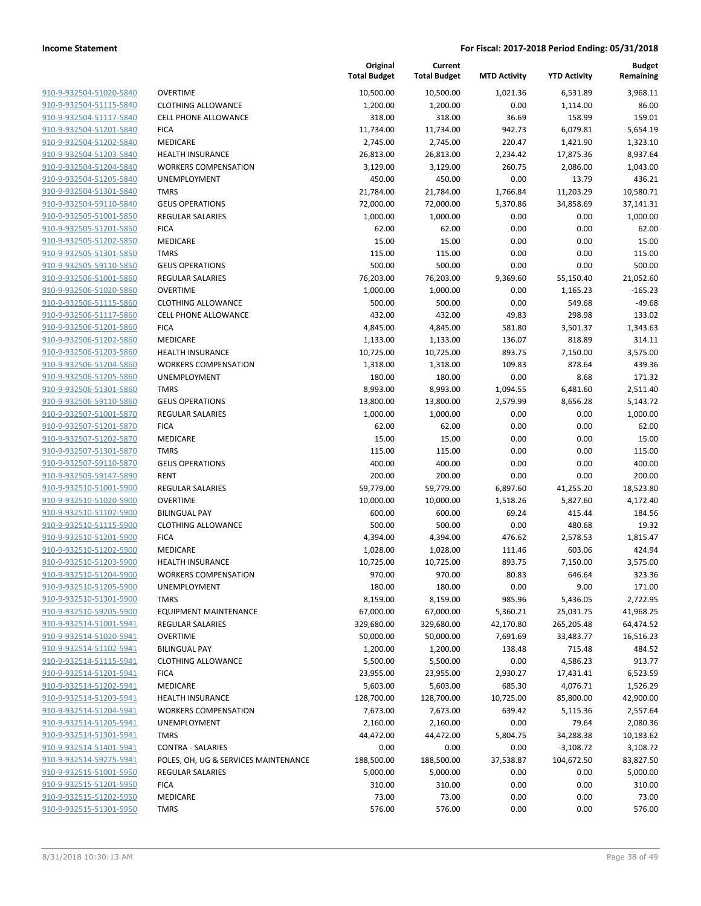| 910-9-932504-51020-5840        |
|--------------------------------|
| 910-9-932504-51115-5840        |
| 910-9-932504-51117-5840        |
| 910-9-932504-51201-5840        |
| 910-9-932504-51202-5840        |
| 910-9-932504-51203-5840        |
| 910-9-932504-51204-5840        |
| 910-9-932504-51205-5840        |
| 910-9-932504-51301-5840        |
| 910-9-932504-59110-5840        |
| 910-9-932505-51001-5850        |
| 910-9-932505-51201-5850        |
| 910-9-932505-51202-5850        |
| 910-9-932505-51301-5850        |
| 910-9-932505-59110-5850        |
| 910-9-932506-51001-5860        |
| <u>910-9-932506-51020-5860</u> |
| 910-9-932506-51115-5860        |
| 910-9-932506-51117-5860        |
| 910-9-932506-51201-5860        |
| 910-9-932506-51202-5860        |
| <u>910-9-932506-51203-5860</u> |
| 910-9-932506-51204-5860        |
| 910-9-932506-51205-5860        |
| 910-9-932506-51301-5860        |
| 910-9-932506-59110-5860        |
| <u>910-9-932507-51001-5870</u> |
| 910-9-932507-51201-5870        |
| 910-9-932507-51202-5870        |
| 910-9-932507-51301-5870        |
| 910-9-932507-59110-5870        |
| 910-9-932509-59147-5890        |
| 910-9-932510-51001-5900        |
| 910-9-932510-51020-5900        |
| 910-9-932510-51102-5900        |
| 910-9-932510-51115-5900        |
| 910-9-932510-51201-5900        |
| 910-9-932510-51202-5900        |
| 910-9-932510-51203-5900        |
| 910-9-932510-51204-5900        |
| 910-9-932510-51205-5900        |
| 910-9-932510-51301-5900        |
| 910-9-932510-59205-5900        |
| 910-9-932514-51001-5941        |
| 910-9-932514-51020-5941        |
| 910-9-932514-51102-5941        |
| 910-9-932514-51115-5941        |
| 910-9-932514-51201-5941        |
| 910-9-932514-51202-5941        |
| 910-9-932514-51203-5941        |
| 910-9-932514-51204-5941        |
| 910-9-932514-51205-5941        |
| 910-9-932514-51301-5941        |
| 910-9-932514-51401-5941        |
| 910-9-932514-59275-5941        |
| 910-9-932515-51001-5950        |
| 910-9-932515-51201-5950        |
| 910-9-932515-51202-5950        |
| 910-9-932515-51301-5950        |
|                                |

|                         |                                      | Original<br><b>Total Budget</b> | Current<br><b>Total Budget</b> | <b>MTD Activity</b> | <b>YTD Activity</b> | <b>Budget</b><br>Remaining |
|-------------------------|--------------------------------------|---------------------------------|--------------------------------|---------------------|---------------------|----------------------------|
| 910-9-932504-51020-5840 | <b>OVERTIME</b>                      | 10,500.00                       | 10,500.00                      | 1,021.36            | 6,531.89            | 3,968.11                   |
| 910-9-932504-51115-5840 | <b>CLOTHING ALLOWANCE</b>            | 1,200.00                        | 1,200.00                       | 0.00                | 1,114.00            | 86.00                      |
| 910-9-932504-51117-5840 | <b>CELL PHONE ALLOWANCE</b>          | 318.00                          | 318.00                         | 36.69               | 158.99              | 159.01                     |
| 910-9-932504-51201-5840 | <b>FICA</b>                          | 11,734.00                       | 11,734.00                      | 942.73              | 6,079.81            | 5,654.19                   |
| 910-9-932504-51202-5840 | MEDICARE                             | 2,745.00                        | 2,745.00                       | 220.47              | 1,421.90            | 1,323.10                   |
| 910-9-932504-51203-5840 | HEALTH INSURANCE                     | 26,813.00                       | 26,813.00                      | 2,234.42            | 17,875.36           | 8,937.64                   |
| 910-9-932504-51204-5840 | <b>WORKERS COMPENSATION</b>          | 3,129.00                        | 3,129.00                       | 260.75              | 2,086.00            | 1,043.00                   |
| 910-9-932504-51205-5840 | UNEMPLOYMENT                         | 450.00                          | 450.00                         | 0.00                | 13.79               | 436.21                     |
| 910-9-932504-51301-5840 | <b>TMRS</b>                          | 21,784.00                       | 21,784.00                      | 1,766.84            | 11,203.29           | 10,580.71                  |
| 910-9-932504-59110-5840 | <b>GEUS OPERATIONS</b>               | 72,000.00                       | 72,000.00                      | 5,370.86            | 34,858.69           | 37,141.31                  |
| 910-9-932505-51001-5850 | <b>REGULAR SALARIES</b>              | 1,000.00                        | 1,000.00                       | 0.00                | 0.00                | 1,000.00                   |
| 910-9-932505-51201-5850 | <b>FICA</b>                          | 62.00                           | 62.00                          | 0.00                | 0.00                | 62.00                      |
| 910-9-932505-51202-5850 | MEDICARE                             | 15.00                           | 15.00                          | 0.00                | 0.00                | 15.00                      |
| 910-9-932505-51301-5850 | <b>TMRS</b>                          | 115.00                          | 115.00                         | 0.00                | 0.00                | 115.00                     |
| 910-9-932505-59110-5850 | <b>GEUS OPERATIONS</b>               | 500.00                          | 500.00                         | 0.00                | 0.00                | 500.00                     |
| 910-9-932506-51001-5860 | REGULAR SALARIES                     | 76,203.00                       | 76,203.00                      | 9,369.60            | 55,150.40           | 21,052.60                  |
| 910-9-932506-51020-5860 | <b>OVERTIME</b>                      | 1,000.00                        | 1,000.00                       | 0.00                | 1,165.23            | $-165.23$                  |
| 910-9-932506-51115-5860 | <b>CLOTHING ALLOWANCE</b>            | 500.00                          | 500.00                         | 0.00                | 549.68              | $-49.68$                   |
| 910-9-932506-51117-5860 | <b>CELL PHONE ALLOWANCE</b>          | 432.00                          | 432.00                         | 49.83               | 298.98              | 133.02                     |
| 910-9-932506-51201-5860 | <b>FICA</b>                          | 4,845.00                        | 4,845.00                       | 581.80              | 3,501.37            | 1,343.63                   |
| 910-9-932506-51202-5860 | MEDICARE                             | 1,133.00                        | 1,133.00                       | 136.07              | 818.89              | 314.11                     |
| 910-9-932506-51203-5860 | <b>HEALTH INSURANCE</b>              | 10,725.00                       | 10,725.00                      | 893.75              | 7,150.00            | 3,575.00                   |
| 910-9-932506-51204-5860 | <b>WORKERS COMPENSATION</b>          | 1,318.00                        | 1,318.00                       | 109.83              | 878.64              | 439.36                     |
| 910-9-932506-51205-5860 | UNEMPLOYMENT                         | 180.00                          | 180.00                         | 0.00                | 8.68                | 171.32                     |
| 910-9-932506-51301-5860 | <b>TMRS</b>                          | 8,993.00                        | 8,993.00                       | 1,094.55            | 6,481.60            | 2,511.40                   |
| 910-9-932506-59110-5860 | <b>GEUS OPERATIONS</b>               | 13,800.00                       | 13,800.00                      | 2,579.99            | 8,656.28            | 5,143.72                   |
| 910-9-932507-51001-5870 | <b>REGULAR SALARIES</b>              | 1,000.00                        | 1,000.00                       | 0.00                | 0.00                | 1,000.00                   |
| 910-9-932507-51201-5870 | <b>FICA</b>                          | 62.00                           | 62.00                          | 0.00                | 0.00                | 62.00                      |
| 910-9-932507-51202-5870 | MEDICARE                             | 15.00                           | 15.00                          | 0.00                | 0.00                | 15.00                      |
| 910-9-932507-51301-5870 | <b>TMRS</b>                          | 115.00                          | 115.00                         | 0.00                | 0.00                | 115.00                     |
| 910-9-932507-59110-5870 | <b>GEUS OPERATIONS</b>               | 400.00                          | 400.00                         | 0.00                | 0.00                | 400.00                     |
| 910-9-932509-59147-5890 | <b>RENT</b>                          | 200.00                          | 200.00                         | 0.00                | 0.00                | 200.00                     |
| 910-9-932510-51001-5900 | <b>REGULAR SALARIES</b>              | 59,779.00                       | 59,779.00                      | 6,897.60            | 41,255.20           | 18,523.80                  |
| 910-9-932510-51020-5900 | <b>OVERTIME</b>                      | 10,000.00                       | 10,000.00                      | 1,518.26            | 5,827.60            | 4,172.40                   |
| 910-9-932510-51102-5900 | <b>BILINGUAL PAY</b>                 | 600.00                          | 600.00                         | 69.24               | 415.44              | 184.56                     |
| 910-9-932510-51115-5900 | <b>CLOTHING ALLOWANCE</b>            | 500.00                          | 500.00                         | 0.00                | 480.68              | 19.32                      |
| 910-9-932510-51201-5900 | <b>FICA</b>                          | 4,394.00                        | 4,394.00                       | 476.62              | 2,578.53            | 1,815.47                   |
| 910-9-932510-51202-5900 | MEDICARE                             | 1,028.00                        | 1,028.00                       | 111.46              | 603.06              | 424.94                     |
| 910-9-932510-51203-5900 | <b>HEALTH INSURANCE</b>              | 10,725.00                       | 10,725.00                      | 893.75              | 7,150.00            | 3,575.00                   |
| 910-9-932510-51204-5900 | <b>WORKERS COMPENSATION</b>          | 970.00                          | 970.00                         | 80.83               | 646.64              | 323.36                     |
| 910-9-932510-51205-5900 | UNEMPLOYMENT                         | 180.00                          | 180.00                         | 0.00                | 9.00                | 171.00                     |
| 910-9-932510-51301-5900 | <b>TMRS</b>                          | 8,159.00                        | 8,159.00                       | 985.96              | 5,436.05            | 2,722.95                   |
| 910-9-932510-59205-5900 | <b>EQUIPMENT MAINTENANCE</b>         | 67,000.00                       | 67,000.00                      | 5,360.21            | 25,031.75           | 41,968.25                  |
| 910-9-932514-51001-5941 | REGULAR SALARIES                     | 329,680.00                      | 329,680.00                     | 42,170.80           | 265,205.48          | 64,474.52                  |
| 910-9-932514-51020-5941 | <b>OVERTIME</b>                      | 50,000.00                       | 50,000.00                      | 7,691.69            | 33,483.77           | 16,516.23                  |
| 910-9-932514-51102-5941 | <b>BILINGUAL PAY</b>                 | 1,200.00                        | 1,200.00                       | 138.48              | 715.48              | 484.52                     |
| 910-9-932514-51115-5941 | <b>CLOTHING ALLOWANCE</b>            | 5,500.00                        | 5,500.00                       | 0.00                | 4,586.23            | 913.77                     |
| 910-9-932514-51201-5941 | <b>FICA</b>                          | 23,955.00                       | 23,955.00                      | 2,930.27            | 17,431.41           | 6,523.59                   |
| 910-9-932514-51202-5941 | MEDICARE                             | 5,603.00                        | 5,603.00                       | 685.30              | 4,076.71            | 1,526.29                   |
| 910-9-932514-51203-5941 | <b>HEALTH INSURANCE</b>              | 128,700.00                      | 128,700.00                     | 10,725.00           | 85,800.00           | 42,900.00                  |
| 910-9-932514-51204-5941 | <b>WORKERS COMPENSATION</b>          | 7,673.00                        | 7,673.00                       | 639.42              | 5,115.36            | 2,557.64                   |
| 910-9-932514-51205-5941 | UNEMPLOYMENT                         | 2,160.00                        | 2,160.00                       | 0.00                | 79.64               | 2,080.36                   |
| 910-9-932514-51301-5941 | <b>TMRS</b>                          | 44,472.00                       | 44,472.00                      | 5,804.75            | 34,288.38           | 10,183.62                  |
| 910-9-932514-51401-5941 | <b>CONTRA - SALARIES</b>             | 0.00                            | 0.00                           | 0.00                | $-3,108.72$         | 3,108.72                   |
| 910-9-932514-59275-5941 | POLES, OH, UG & SERVICES MAINTENANCE | 188,500.00                      | 188,500.00                     | 37,538.87           | 104,672.50          | 83,827.50                  |
| 910-9-932515-51001-5950 | <b>REGULAR SALARIES</b>              | 5,000.00                        | 5,000.00                       | 0.00                | 0.00                | 5,000.00                   |
| 910-9-932515-51201-5950 | <b>FICA</b>                          | 310.00                          | 310.00                         | 0.00                | 0.00                | 310.00                     |
| 910-9-932515-51202-5950 | MEDICARE                             | 73.00                           | 73.00                          | 0.00                | 0.00                | 73.00                      |
| 910-9-932515-51301-5950 | <b>TMRS</b>                          | 576.00                          | 576.00                         | 0.00                | 0.00                | 576.00                     |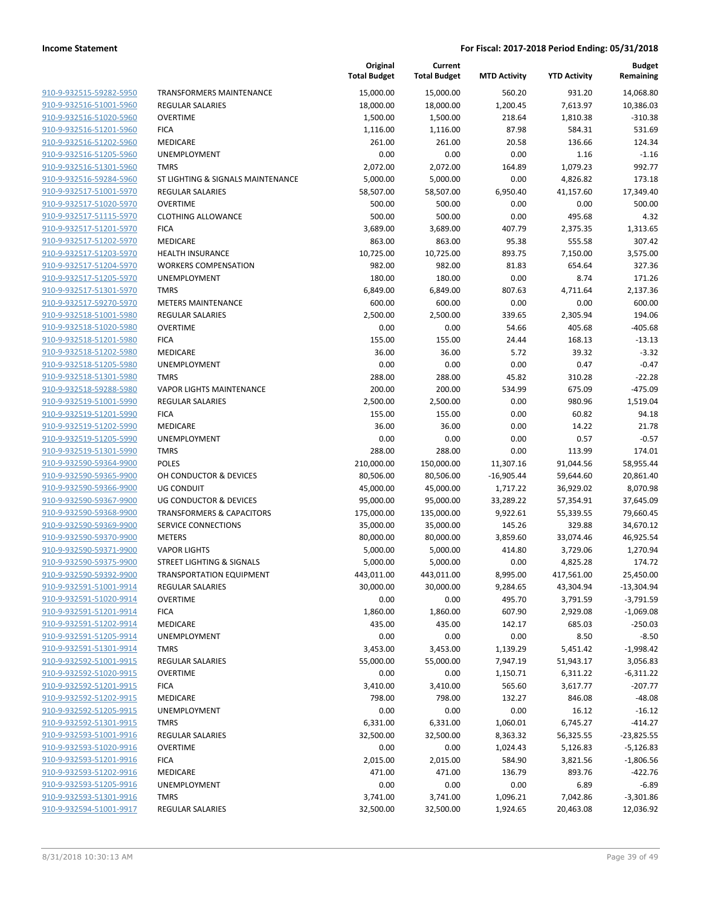| 910-9-932515-59282-5950        | Т |
|--------------------------------|---|
| 910-9-932516-51001-5960        | R |
|                                | C |
| 910-9-932516-51020-5960        |   |
| 910-9-932516-51201-5960        | F |
| 910-9-932516-51202-5960        | Ν |
| 910-9-932516-51205-5960        | U |
| 910-9-932516-51301-5960        | T |
| 910-9-932516-59284-5960        | S |
| 910-9-932517-51001-5970        | R |
| 910-9-932517-51020-5970        | C |
| 910-9-932517-51115-5970        | C |
| 910-9-932517-51201-5970        | F |
| 910-9-932517-51202-5970        | Ν |
| 910-9-932517-51203-5970        | Н |
| 910-9-932517-51204-5970        | ۷ |
| 910-9-932517-51205-5970        | U |
| 910-9-932517-51301-5970        | T |
|                                | N |
| 910-9-932517-59270-5970        |   |
| 910-9-932518-51001-5980        | R |
| 910-9-932518-51020-5980        | C |
| 910-9-932518-51201-5980        | F |
| 910-9-932518-51202-5980        | Ν |
| 910-9-932518-51205-5980        | U |
| 910-9-932518-51301-5980        | т |
| 910-9-932518-59288-5980        | ٧ |
| 910-9-932519-51001-5990        | R |
| 910-9-932519-51201-5990        | F |
| 910-9-932519-51202-5990        | Ν |
| 910-9-932519-51205-5990        | U |
| 910-9-932519-51301-5990        | Т |
| 910-9-932590-59364-9900        | P |
| 910-9-932590-59365-9900        | C |
| 910-9-932590-59366-9900        | U |
| 910-9-932590-59367-9900        | U |
| 910-9-932590-59368-9900        | Т |
| 910-9-932590-59369-9900        | S |
| 910-9-932590-59370-9900        | Ν |
| 910-9-932590-59371-9900        | ٧ |
| 910-9-932590-59375-9900        | S |
|                                | т |
| 910-9-932590-59392-9900        |   |
| 910-9-932591-51001-9914        | R |
| <u>910-9-932591-51020-9914</u> | C |
| 910-9-932591-51201-9914        | F |
| 910-9-932591-51202-9914        | Ν |
| 910-9-932591-51205-9914        | U |
| 910-9-932591-51301-9914        | т |
| <u>910-9-932592-51001-9915</u> | R |
| 910-9-932592-51020-9915        | C |
| 910-9-932592-51201-9915        | F |
| 910-9-932592-51202-9915        | Ν |
| 910-9-932592-51205-9915        | U |
| <u>910-9-932592-51301-9915</u> | Т |
| 910-9-932593-51001-9916        | R |
| 910-9-932593-51020-9916        | C |
| 910-9-932593-51201-9916        | F |
| 910-9-932593-51202-9916        | Ν |
| <u>910-9-932593-51205-9916</u> | U |
|                                | т |
| <u>910-9-932593-51301-9916</u> |   |
| 910-9-932594-51001-9917        | R |
|                                |   |

|                         |                                      | Original<br><b>Total Budget</b> | Current<br><b>Total Budget</b> | <b>MTD Activity</b> | <b>YTD Activity</b> | <b>Budget</b><br>Remaining |
|-------------------------|--------------------------------------|---------------------------------|--------------------------------|---------------------|---------------------|----------------------------|
| 910-9-932515-59282-5950 | TRANSFORMERS MAINTENANCE             | 15,000.00                       | 15,000.00                      | 560.20              | 931.20              | 14,068.80                  |
| 910-9-932516-51001-5960 | <b>REGULAR SALARIES</b>              | 18,000.00                       | 18,000.00                      | 1,200.45            | 7,613.97            | 10,386.03                  |
| 910-9-932516-51020-5960 | <b>OVERTIME</b>                      | 1,500.00                        | 1,500.00                       | 218.64              | 1,810.38            | $-310.38$                  |
| 910-9-932516-51201-5960 | <b>FICA</b>                          | 1,116.00                        | 1,116.00                       | 87.98               | 584.31              | 531.69                     |
| 910-9-932516-51202-5960 | MEDICARE                             | 261.00                          | 261.00                         | 20.58               | 136.66              | 124.34                     |
| 910-9-932516-51205-5960 | UNEMPLOYMENT                         | 0.00                            | 0.00                           | 0.00                | 1.16                | $-1.16$                    |
| 910-9-932516-51301-5960 | <b>TMRS</b>                          | 2,072.00                        | 2,072.00                       | 164.89              | 1,079.23            | 992.77                     |
| 910-9-932516-59284-5960 | ST LIGHTING & SIGNALS MAINTENANCE    | 5,000.00                        | 5,000.00                       | 0.00                | 4,826.82            | 173.18                     |
| 910-9-932517-51001-5970 | <b>REGULAR SALARIES</b>              | 58,507.00                       | 58,507.00                      | 6,950.40            | 41,157.60           | 17,349.40                  |
| 910-9-932517-51020-5970 | <b>OVERTIME</b>                      | 500.00                          | 500.00                         | 0.00                | 0.00                | 500.00                     |
| 910-9-932517-51115-5970 | <b>CLOTHING ALLOWANCE</b>            | 500.00                          | 500.00                         | 0.00                | 495.68              | 4.32                       |
| 910-9-932517-51201-5970 | <b>FICA</b>                          | 3,689.00                        | 3,689.00                       | 407.79              | 2,375.35            | 1,313.65                   |
| 910-9-932517-51202-5970 | MEDICARE                             | 863.00                          | 863.00                         | 95.38               | 555.58              | 307.42                     |
| 910-9-932517-51203-5970 | <b>HEALTH INSURANCE</b>              | 10,725.00                       | 10,725.00                      | 893.75              | 7,150.00            | 3,575.00                   |
| 910-9-932517-51204-5970 | <b>WORKERS COMPENSATION</b>          | 982.00                          | 982.00                         | 81.83               | 654.64              | 327.36                     |
| 910-9-932517-51205-5970 | <b>UNEMPLOYMENT</b>                  | 180.00                          | 180.00                         | 0.00                | 8.74                | 171.26                     |
| 910-9-932517-51301-5970 | <b>TMRS</b>                          | 6,849.00                        | 6,849.00                       | 807.63              | 4,711.64            | 2,137.36                   |
| 910-9-932517-59270-5970 | <b>METERS MAINTENANCE</b>            | 600.00                          | 600.00                         | 0.00                | 0.00                | 600.00                     |
| 910-9-932518-51001-5980 | <b>REGULAR SALARIES</b>              | 2,500.00                        | 2,500.00                       | 339.65              | 2,305.94            | 194.06                     |
| 910-9-932518-51020-5980 | <b>OVERTIME</b>                      | 0.00                            | 0.00                           | 54.66               | 405.68              | $-405.68$                  |
| 910-9-932518-51201-5980 | <b>FICA</b>                          | 155.00                          | 155.00                         | 24.44               | 168.13              | $-13.13$                   |
| 910-9-932518-51202-5980 | MEDICARE                             | 36.00                           | 36.00                          | 5.72                | 39.32               | $-3.32$                    |
| 910-9-932518-51205-5980 | UNEMPLOYMENT                         | 0.00                            | 0.00                           | 0.00                | 0.47                | $-0.47$                    |
| 910-9-932518-51301-5980 | <b>TMRS</b>                          | 288.00                          | 288.00                         | 45.82               | 310.28              | $-22.28$                   |
| 910-9-932518-59288-5980 | <b>VAPOR LIGHTS MAINTENANCE</b>      | 200.00                          | 200.00                         | 534.99              | 675.09              | $-475.09$                  |
| 910-9-932519-51001-5990 | <b>REGULAR SALARIES</b>              | 2,500.00                        | 2,500.00                       | 0.00                | 980.96              | 1,519.04                   |
| 910-9-932519-51201-5990 | <b>FICA</b>                          | 155.00                          | 155.00                         | 0.00                | 60.82               | 94.18                      |
| 910-9-932519-51202-5990 | MEDICARE                             | 36.00                           | 36.00                          | 0.00                | 14.22               | 21.78                      |
| 910-9-932519-51205-5990 | UNEMPLOYMENT                         | 0.00                            | 0.00                           | 0.00                | 0.57                | $-0.57$                    |
| 910-9-932519-51301-5990 | <b>TMRS</b>                          | 288.00                          | 288.00                         | 0.00                | 113.99              | 174.01                     |
| 910-9-932590-59364-9900 | <b>POLES</b>                         | 210,000.00                      | 150,000.00                     | 11,307.16           | 91,044.56           | 58,955.44                  |
| 910-9-932590-59365-9900 | OH CONDUCTOR & DEVICES               | 80,506.00                       | 80,506.00                      | $-16,905.44$        | 59,644.60           | 20,861.40                  |
| 910-9-932590-59366-9900 | <b>UG CONDUIT</b>                    | 45,000.00                       | 45,000.00                      | 1,717.22            | 36,929.02           | 8,070.98                   |
| 910-9-932590-59367-9900 | <b>UG CONDUCTOR &amp; DEVICES</b>    | 95,000.00                       | 95,000.00                      | 33,289.22           | 57,354.91           | 37,645.09                  |
| 910-9-932590-59368-9900 | <b>TRANSFORMERS &amp; CAPACITORS</b> | 175,000.00                      | 135,000.00                     | 9,922.61            | 55,339.55           | 79,660.45                  |
| 910-9-932590-59369-9900 | <b>SERVICE CONNECTIONS</b>           | 35,000.00                       | 35,000.00                      | 145.26              | 329.88              | 34,670.12                  |
| 910-9-932590-59370-9900 | <b>METERS</b>                        | 80,000.00                       | 80,000.00                      | 3,859.60            | 33,074.46           | 46,925.54                  |
| 910-9-932590-59371-9900 | <b>VAPOR LIGHTS</b>                  | 5,000.00                        | 5,000.00                       | 414.80              | 3,729.06            | 1,270.94                   |
| 910-9-932590-59375-9900 | <b>STREET LIGHTING &amp; SIGNALS</b> | 5,000.00                        | 5,000.00                       | 0.00                | 4,825.28            | 174.72                     |
| 910-9-932590-59392-9900 | TRANSPORTATION EQUIPMENT             | 443,011.00                      | 443,011.00                     | 8,995.00            | 417,561.00          | 25,450.00                  |
| 910-9-932591-51001-9914 | REGULAR SALARIES                     | 30,000.00                       | 30,000.00                      | 9,284.65            | 43,304.94           | $-13,304.94$               |
| 910-9-932591-51020-9914 | <b>OVERTIME</b>                      | 0.00                            | 0.00                           | 495.70              | 3,791.59            | $-3,791.59$                |
| 910-9-932591-51201-9914 | <b>FICA</b>                          | 1,860.00                        | 1,860.00                       | 607.90              | 2,929.08            | $-1,069.08$                |
| 910-9-932591-51202-9914 | MEDICARE                             | 435.00                          | 435.00                         | 142.17              | 685.03              | $-250.03$                  |
| 910-9-932591-51205-9914 | <b>UNEMPLOYMENT</b>                  | 0.00                            | 0.00                           | 0.00                | 8.50                | $-8.50$                    |
| 910-9-932591-51301-9914 | <b>TMRS</b>                          | 3,453.00                        | 3,453.00                       | 1,139.29            | 5,451.42            | $-1,998.42$                |
| 910-9-932592-51001-9915 | <b>REGULAR SALARIES</b>              | 55,000.00                       | 55,000.00                      | 7,947.19            | 51,943.17           | 3,056.83                   |
| 910-9-932592-51020-9915 | <b>OVERTIME</b>                      | 0.00                            | 0.00                           | 1,150.71            | 6,311.22            | $-6,311.22$                |
| 910-9-932592-51201-9915 | <b>FICA</b>                          | 3,410.00                        | 3,410.00                       | 565.60              | 3,617.77            | $-207.77$                  |
| 910-9-932592-51202-9915 | MEDICARE                             | 798.00                          | 798.00                         | 132.27              | 846.08              | $-48.08$                   |
| 910-9-932592-51205-9915 | UNEMPLOYMENT                         | 0.00                            | 0.00                           | 0.00                | 16.12               | $-16.12$                   |
| 910-9-932592-51301-9915 | <b>TMRS</b>                          | 6,331.00                        | 6,331.00                       | 1,060.01            | 6,745.27            | $-414.27$                  |
| 910-9-932593-51001-9916 | <b>REGULAR SALARIES</b>              | 32,500.00                       | 32,500.00                      | 8,363.32            | 56,325.55           | $-23,825.55$               |
| 910-9-932593-51020-9916 | <b>OVERTIME</b>                      | 0.00                            | 0.00                           | 1,024.43            | 5,126.83            | $-5,126.83$                |
| 910-9-932593-51201-9916 | <b>FICA</b>                          | 2,015.00                        | 2,015.00                       | 584.90              | 3,821.56            | $-1,806.56$                |
| 910-9-932593-51202-9916 | MEDICARE                             | 471.00                          | 471.00                         | 136.79              | 893.76              | $-422.76$                  |
| 910-9-932593-51205-9916 | UNEMPLOYMENT                         | 0.00                            | 0.00                           | 0.00                | 6.89                | $-6.89$                    |
| 910-9-932593-51301-9916 | <b>TMRS</b>                          | 3,741.00                        | 3,741.00                       | 1,096.21            | 7,042.86            | $-3,301.86$                |
| 910-9-932594-51001-9917 | <b>REGULAR SALARIES</b>              | 32,500.00                       | 32,500.00                      | 1,924.65            | 20,463.08           | 12,036.92                  |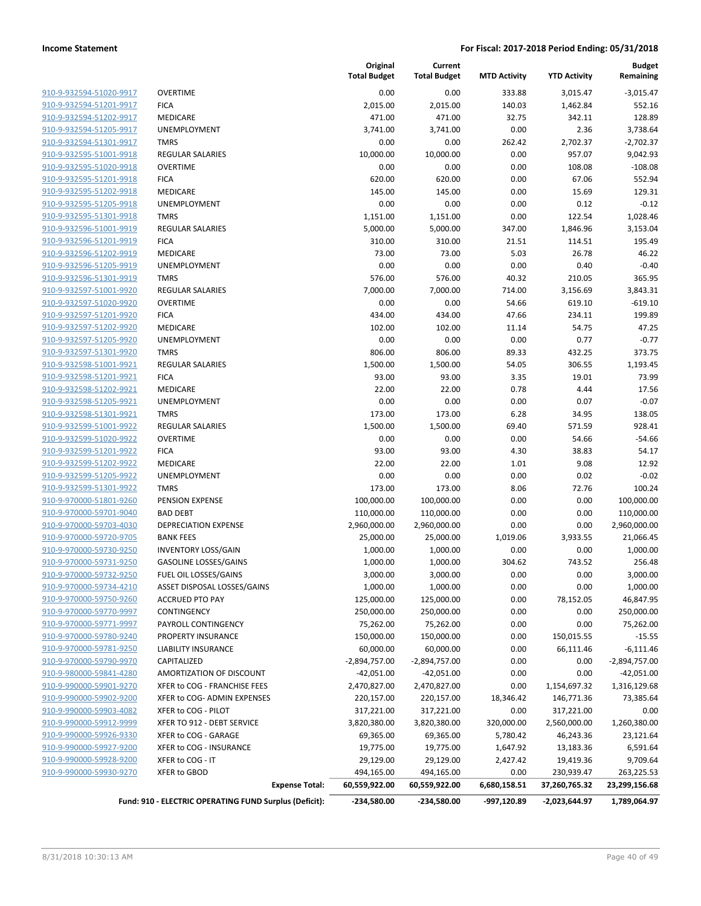| 910-9-932594-51020-9917                                   |
|-----------------------------------------------------------|
| 910-9-932594-51201-9917                                   |
| 910-9-932594-51202-9917                                   |
| 910-9-932594-51205-9917                                   |
| 910-9-932594-51301-9917                                   |
| 910-9-932595-51001-9918                                   |
| <u>910-9-932595-51020-9918</u>                            |
| 910-9-932595-51201-9918                                   |
| 910-9-932595-51202-9918                                   |
| 910-9-932595-51205-9918                                   |
| 910-9-932595-51301-9918                                   |
| 910-9-932596-51001-9919                                   |
| 910-9-932596-51201-9919                                   |
| 910-9-932596-51202-9919                                   |
| 910-9-932596-51205-9919                                   |
| 910-9-932596-51301-9919                                   |
| <u>910-9-932597-51001-9920</u>                            |
| <u>910-9-932597-51020-9920</u>                            |
| 910-9-932597-51201-9920                                   |
| 910-9-932597-51202-9920                                   |
| 910-9-932597-51205-9920                                   |
| <u>910-9-932597-51301-9920</u>                            |
| 910-9-932598-51001-9921                                   |
| 910-9-932598-51201-9921                                   |
| 910-9-932598-51202-9921                                   |
| 910-9-932598-51205-9921                                   |
| <u>910-9-932598-51301-9921</u>                            |
| 910-9-932599-51001-9922                                   |
| 910-9-932599-51020-9922                                   |
| 910-9-932599-51201-9922                                   |
| 910-9-932599-51202-9922                                   |
|                                                           |
| <u>910-9-932599-51205-9922</u><br>910-9-932599-51301-9922 |
|                                                           |
| 910-9-970000-51801-9260                                   |
| 910-9-970000-59701-9040                                   |
| 910-9-970000-59703-4030                                   |
| <u>910-9-970000-59720-9705</u>                            |
| 910-9-970000-59730-9250                                   |
| 910-9-970000-59731-9250                                   |
| 910-9-970000-59732-9250                                   |
| <u>910-9-970000-59734-4210</u>                            |
| 910-9-970000-59750-9260                                   |
| 910-9-970000-59770-9997                                   |
| 910-9-970000-59771-9997                                   |
| 910-9-970000-59780-9240                                   |
| 910-9-970000-59781-9250                                   |
| 910-9-970000-59790-9970                                   |
| 910-9-980000-59841-4280                                   |
| 910-9-990000-59901-9270                                   |
| 910-9-990000-59902-9200                                   |
| 910-9-990000-59903-4082                                   |
| 910-9-990000-59912-9999                                   |
| 910-9-990000-59926-9330                                   |
| 910-9-990000-59927-9200                                   |
| 910-9-990000-59928-9200                                   |
| 910-9-990000-59930-9270                                   |
|                                                           |

|                         |                                                        | Original<br><b>Total Budget</b> | Current<br><b>Total Budget</b> | <b>MTD Activity</b> | <b>YTD Activity</b> | <b>Budget</b><br>Remaining |
|-------------------------|--------------------------------------------------------|---------------------------------|--------------------------------|---------------------|---------------------|----------------------------|
| 910-9-932594-51020-9917 | <b>OVERTIME</b>                                        | 0.00                            | 0.00                           | 333.88              | 3,015.47            | $-3,015.47$                |
| 910-9-932594-51201-9917 | <b>FICA</b>                                            | 2,015.00                        | 2,015.00                       | 140.03              | 1,462.84            | 552.16                     |
| 910-9-932594-51202-9917 | MEDICARE                                               | 471.00                          | 471.00                         | 32.75               | 342.11              | 128.89                     |
| 910-9-932594-51205-9917 | UNEMPLOYMENT                                           | 3,741.00                        | 3,741.00                       | 0.00                | 2.36                | 3,738.64                   |
| 910-9-932594-51301-9917 | <b>TMRS</b>                                            | 0.00                            | 0.00                           | 262.42              | 2,702.37            | $-2,702.37$                |
| 910-9-932595-51001-9918 | <b>REGULAR SALARIES</b>                                | 10,000.00                       | 10,000.00                      | 0.00                | 957.07              | 9,042.93                   |
| 910-9-932595-51020-9918 | <b>OVERTIME</b>                                        | 0.00                            | 0.00                           | 0.00                | 108.08              | $-108.08$                  |
| 910-9-932595-51201-9918 | <b>FICA</b>                                            | 620.00                          | 620.00                         | 0.00                | 67.06               | 552.94                     |
| 910-9-932595-51202-9918 | MEDICARE                                               | 145.00                          | 145.00                         | 0.00                | 15.69               | 129.31                     |
| 910-9-932595-51205-9918 | <b>UNEMPLOYMENT</b>                                    | 0.00                            | 0.00                           | 0.00                | 0.12                | $-0.12$                    |
| 910-9-932595-51301-9918 | <b>TMRS</b>                                            | 1,151.00                        | 1,151.00                       | 0.00                | 122.54              | 1,028.46                   |
| 910-9-932596-51001-9919 | <b>REGULAR SALARIES</b>                                | 5,000.00                        | 5,000.00                       | 347.00              | 1,846.96            | 3,153.04                   |
| 910-9-932596-51201-9919 | <b>FICA</b>                                            | 310.00                          | 310.00                         | 21.51               | 114.51              | 195.49                     |
| 910-9-932596-51202-9919 | MEDICARE                                               | 73.00                           | 73.00                          | 5.03                | 26.78               | 46.22                      |
| 910-9-932596-51205-9919 | UNEMPLOYMENT                                           | 0.00                            | 0.00                           | 0.00                | 0.40                | $-0.40$                    |
| 910-9-932596-51301-9919 | <b>TMRS</b>                                            | 576.00                          | 576.00                         | 40.32               | 210.05              | 365.95                     |
| 910-9-932597-51001-9920 | <b>REGULAR SALARIES</b>                                | 7,000.00                        | 7,000.00                       | 714.00              | 3,156.69            | 3,843.31                   |
| 910-9-932597-51020-9920 | <b>OVERTIME</b>                                        | 0.00                            | 0.00                           | 54.66               | 619.10              | $-619.10$                  |
| 910-9-932597-51201-9920 | <b>FICA</b>                                            | 434.00                          | 434.00                         | 47.66               | 234.11              | 199.89                     |
| 910-9-932597-51202-9920 | MEDICARE                                               | 102.00                          | 102.00                         | 11.14               | 54.75               | 47.25                      |
| 910-9-932597-51205-9920 | UNEMPLOYMENT                                           | 0.00                            | 0.00                           | 0.00                | 0.77                | $-0.77$                    |
| 910-9-932597-51301-9920 | <b>TMRS</b>                                            | 806.00                          | 806.00                         | 89.33               | 432.25              | 373.75                     |
| 910-9-932598-51001-9921 | <b>REGULAR SALARIES</b>                                | 1,500.00                        | 1,500.00                       | 54.05               | 306.55              | 1,193.45                   |
| 910-9-932598-51201-9921 | <b>FICA</b>                                            | 93.00                           | 93.00                          | 3.35                | 19.01               | 73.99                      |
| 910-9-932598-51202-9921 | MEDICARE                                               | 22.00                           | 22.00                          | 0.78                | 4.44                | 17.56                      |
| 910-9-932598-51205-9921 | UNEMPLOYMENT                                           | 0.00                            | 0.00                           | 0.00                | 0.07                | $-0.07$                    |
| 910-9-932598-51301-9921 | <b>TMRS</b>                                            | 173.00                          | 173.00                         | 6.28                | 34.95               | 138.05                     |
| 910-9-932599-51001-9922 | <b>REGULAR SALARIES</b>                                | 1,500.00                        | 1,500.00                       | 69.40               | 571.59              | 928.41                     |
| 910-9-932599-51020-9922 | <b>OVERTIME</b>                                        | 0.00                            | 0.00                           | 0.00                | 54.66               | $-54.66$                   |
| 910-9-932599-51201-9922 | <b>FICA</b>                                            | 93.00                           | 93.00                          | 4.30                | 38.83               | 54.17                      |
| 910-9-932599-51202-9922 | MEDICARE                                               | 22.00                           | 22.00                          | 1.01                | 9.08                | 12.92                      |
| 910-9-932599-51205-9922 | UNEMPLOYMENT                                           | 0.00                            | 0.00                           | 0.00                | 0.02                | $-0.02$                    |
| 910-9-932599-51301-9922 | <b>TMRS</b>                                            | 173.00                          | 173.00                         | 8.06                | 72.76               | 100.24                     |
| 910-9-970000-51801-9260 | PENSION EXPENSE                                        | 100,000.00                      | 100,000.00                     | 0.00                | 0.00                | 100,000.00                 |
| 910-9-970000-59701-9040 | <b>BAD DEBT</b>                                        | 110,000.00                      | 110,000.00                     | 0.00                | 0.00                | 110,000.00                 |
| 910-9-970000-59703-4030 | DEPRECIATION EXPENSE                                   | 2,960,000.00                    | 2,960,000.00                   | 0.00                | 0.00                | 2,960,000.00               |
| 910-9-970000-59720-9705 | <b>BANK FEES</b>                                       | 25,000.00                       | 25,000.00                      | 1,019.06            | 3,933.55            | 21,066.45                  |
| 910-9-970000-59730-9250 | <b>INVENTORY LOSS/GAIN</b>                             | 1,000.00                        | 1,000.00                       | 0.00                | 0.00                | 1,000.00                   |
| 910-9-970000-59731-9250 | <b>GASOLINE LOSSES/GAINS</b>                           | 1,000.00                        | 1,000.00                       | 304.62              | 743.52              | 256.48                     |
| 910-9-970000-59732-9250 | FUEL OIL LOSSES/GAINS                                  | 3,000.00                        | 3,000.00                       | 0.00                | 0.00                | 3,000.00                   |
| 910-9-970000-59734-4210 | ASSET DISPOSAL LOSSES/GAINS                            | 1,000.00                        | 1,000.00                       | 0.00                | 0.00                | 1,000.00                   |
| 910-9-970000-59750-9260 | <b>ACCRUED PTO PAY</b>                                 | 125,000.00                      | 125,000.00                     | 0.00                | 78,152.05           | 46,847.95                  |
| 910-9-970000-59770-9997 | CONTINGENCY                                            | 250,000.00                      | 250,000.00                     | 0.00                | 0.00                | 250,000.00                 |
| 910-9-970000-59771-9997 | PAYROLL CONTINGENCY                                    | 75,262.00                       | 75,262.00                      | 0.00                | 0.00                | 75,262.00                  |
| 910-9-970000-59780-9240 | PROPERTY INSURANCE                                     | 150,000.00                      | 150,000.00                     | 0.00                | 150,015.55          | $-15.55$                   |
| 910-9-970000-59781-9250 | <b>LIABILITY INSURANCE</b>                             | 60,000.00                       | 60,000.00                      | 0.00                | 66,111.46           | $-6,111.46$                |
| 910-9-970000-59790-9970 | CAPITALIZED                                            | $-2,894,757.00$                 | $-2,894,757.00$                | 0.00                | 0.00                | $-2,894,757.00$            |
| 910-9-980000-59841-4280 | AMORTIZATION OF DISCOUNT                               | $-42,051.00$                    | $-42,051.00$                   | 0.00                | 0.00                | $-42,051.00$               |
| 910-9-990000-59901-9270 | XFER to COG - FRANCHISE FEES                           | 2,470,827.00                    | 2,470,827.00                   | 0.00                | 1,154,697.32        | 1,316,129.68               |
| 910-9-990000-59902-9200 | XFER to COG- ADMIN EXPENSES                            | 220,157.00                      | 220,157.00                     | 18,346.42           | 146,771.36          | 73,385.64                  |
| 910-9-990000-59903-4082 | XFER to COG - PILOT                                    | 317,221.00                      | 317,221.00                     | 0.00                | 317,221.00          | 0.00                       |
| 910-9-990000-59912-9999 | XFER TO 912 - DEBT SERVICE                             | 3,820,380.00                    | 3,820,380.00                   | 320,000.00          | 2,560,000.00        | 1,260,380.00               |
| 910-9-990000-59926-9330 | XFER to COG - GARAGE                                   | 69,365.00                       | 69,365.00                      | 5,780.42            | 46,243.36           | 23,121.64                  |
| 910-9-990000-59927-9200 | XFER to COG - INSURANCE                                | 19,775.00                       | 19,775.00                      | 1,647.92            | 13,183.36           | 6,591.64                   |
| 910-9-990000-59928-9200 | XFER to COG - IT                                       | 29,129.00                       | 29,129.00                      | 2,427.42            | 19,419.36           | 9,709.64                   |
| 910-9-990000-59930-9270 | XFER to GBOD                                           | 494,165.00                      | 494,165.00                     | 0.00                | 230,939.47          | 263,225.53                 |
|                         | <b>Expense Total:</b>                                  | 60,559,922.00                   | 60,559,922.00                  | 6,680,158.51        | 37,260,765.32       | 23,299,156.68              |
|                         | Fund: 910 - ELECTRIC OPERATING FUND Surplus (Deficit): | $-234,580.00$                   | -234,580.00                    | -997,120.89         | $-2,023,644.97$     | 1,789,064.97               |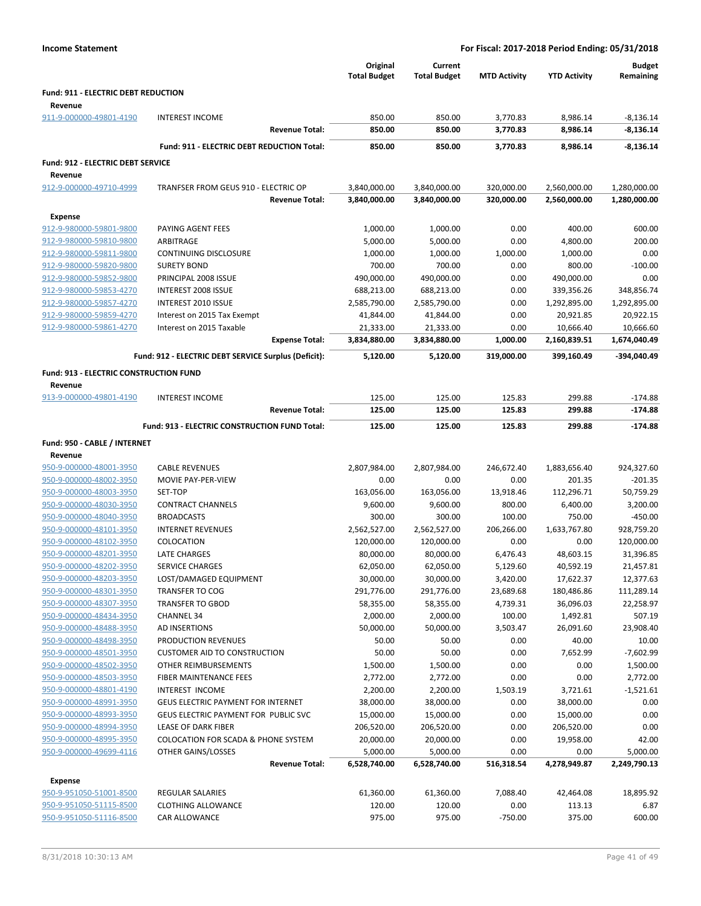| <b>Income Statement</b>                        |                                                      |                                 | For Fiscal: 2017-2018 Period Ending: 05/31/2018 |                     |                     |                            |  |  |
|------------------------------------------------|------------------------------------------------------|---------------------------------|-------------------------------------------------|---------------------|---------------------|----------------------------|--|--|
|                                                |                                                      | Original<br><b>Total Budget</b> | Current<br><b>Total Budget</b>                  | <b>MTD Activity</b> | <b>YTD Activity</b> | <b>Budget</b><br>Remaining |  |  |
| Fund: 911 - ELECTRIC DEBT REDUCTION<br>Revenue |                                                      |                                 |                                                 |                     |                     |                            |  |  |
| 911-9-000000-49801-4190                        | <b>INTEREST INCOME</b>                               | 850.00                          | 850.00                                          | 3,770.83            | 8,986.14            | $-8,136.14$                |  |  |
|                                                | <b>Revenue Total:</b>                                | 850.00                          | 850.00                                          | 3,770.83            | 8,986.14            | $-8,136.14$                |  |  |
|                                                | Fund: 911 - ELECTRIC DEBT REDUCTION Total:           | 850.00                          | 850.00                                          | 3,770.83            | 8,986.14            | $-8,136.14$                |  |  |
| <b>Fund: 912 - ELECTRIC DEBT SERVICE</b>       |                                                      |                                 |                                                 |                     |                     |                            |  |  |
| Revenue                                        |                                                      |                                 |                                                 |                     |                     |                            |  |  |
| 912-9-000000-49710-4999                        | TRANFSER FROM GEUS 910 - ELECTRIC OP                 | 3,840,000.00                    | 3,840,000.00                                    | 320,000.00          | 2,560,000.00        | 1,280,000.00               |  |  |
|                                                | <b>Revenue Total:</b>                                | 3,840,000.00                    | 3,840,000.00                                    | 320,000.00          | 2,560,000.00        | 1,280,000.00               |  |  |
| Expense                                        |                                                      |                                 |                                                 |                     |                     |                            |  |  |
| 912-9-980000-59801-9800                        | PAYING AGENT FEES                                    | 1,000.00                        | 1,000.00                                        | 0.00                | 400.00              | 600.00                     |  |  |
| 912-9-980000-59810-9800                        | ARBITRAGE                                            | 5,000.00                        | 5,000.00                                        | 0.00                | 4,800.00            | 200.00                     |  |  |
| 912-9-980000-59811-9800                        | <b>CONTINUING DISCLOSURE</b>                         | 1,000.00                        | 1,000.00                                        | 1,000.00            | 1,000.00            | 0.00                       |  |  |
| 912-9-980000-59820-9800                        | <b>SURETY BOND</b>                                   | 700.00                          | 700.00                                          | 0.00                | 800.00              | $-100.00$                  |  |  |
| 912-9-980000-59852-9800                        | PRINCIPAL 2008 ISSUE                                 | 490,000.00                      | 490,000.00                                      | 0.00                | 490,000.00          | 0.00                       |  |  |
| 912-9-980000-59853-4270                        | <b>INTEREST 2008 ISSUE</b>                           | 688,213.00                      | 688,213.00                                      | 0.00                | 339,356.26          | 348,856.74                 |  |  |
| 912-9-980000-59857-4270                        | <b>INTEREST 2010 ISSUE</b>                           | 2,585,790.00                    | 2,585,790.00                                    | 0.00                | 1,292,895.00        | 1,292,895.00               |  |  |
| 912-9-980000-59859-4270                        | Interest on 2015 Tax Exempt                          | 41,844.00                       | 41,844.00                                       | 0.00                | 20,921.85           | 20,922.15                  |  |  |
| 912-9-980000-59861-4270                        | Interest on 2015 Taxable                             | 21,333.00                       | 21,333.00                                       | 0.00                | 10,666.40           | 10,666.60                  |  |  |
|                                                | <b>Expense Total:</b>                                | 3,834,880.00                    | 3,834,880.00                                    | 1,000.00            | 2,160,839.51        | 1,674,040.49               |  |  |
|                                                | Fund: 912 - ELECTRIC DEBT SERVICE Surplus (Deficit): | 5,120.00                        | 5,120.00                                        | 319,000.00          | 399,160.49          | -394,040.49                |  |  |
| Fund: 913 - ELECTRIC CONSTRUCTION FUND         |                                                      |                                 |                                                 |                     |                     |                            |  |  |
| Revenue                                        |                                                      |                                 |                                                 |                     |                     |                            |  |  |
| 913-9-000000-49801-4190                        | <b>INTEREST INCOME</b>                               | 125.00                          | 125.00                                          | 125.83              | 299.88              | $-174.88$                  |  |  |
|                                                | <b>Revenue Total:</b>                                | 125.00                          | 125.00                                          | 125.83              | 299.88              | $-174.88$                  |  |  |
|                                                | <b>Fund: 913 - ELECTRIC CONSTRUCTION FUND Total:</b> | 125.00                          | 125.00                                          | 125.83              | 299.88              | $-174.88$                  |  |  |
|                                                |                                                      |                                 |                                                 |                     |                     |                            |  |  |
| Fund: 950 - CABLE / INTERNET<br>Revenue        |                                                      |                                 |                                                 |                     |                     |                            |  |  |
| 950-9-000000-48001-3950                        | <b>CABLE REVENUES</b>                                | 2,807,984.00                    | 2,807,984.00                                    | 246,672.40          | 1,883,656.40        | 924,327.60                 |  |  |
| 950-9-000000-48002-3950                        | MOVIE PAY-PER-VIEW                                   | 0.00                            | 0.00                                            | 0.00                | 201.35              | $-201.35$                  |  |  |
| 950-9-000000-48003-3950                        | SET-TOP                                              | 163,056.00                      | 163,056.00                                      | 13,918.46           | 112,296.71          | 50,759.29                  |  |  |
| 950-9-000000-48030-3950                        | <b>CONTRACT CHANNELS</b>                             | 9,600.00                        | 9,600.00                                        | 800.00              | 6,400.00            | 3,200.00                   |  |  |
| 950-9-000000-48040-3950                        | <b>BROADCASTS</b>                                    | 300.00                          | 300.00                                          | 100.00              | 750.00              | $-450.00$                  |  |  |
| 950-9-000000-48101-3950                        | <b>INTERNET REVENUES</b>                             | 2,562,527.00                    | 2,562,527.00                                    | 206,266.00          | 1,633,767.80        | 928,759.20                 |  |  |
| 950-9-000000-48102-3950                        | COLOCATION                                           | 120,000.00                      | 120,000.00                                      | 0.00                | 0.00                | 120,000.00                 |  |  |
| 950-9-000000-48201-3950                        | LATE CHARGES                                         | 80,000.00                       | 80,000.00                                       | 6,476.43            | 48,603.15           | 31,396.85                  |  |  |
| 950-9-000000-48202-3950                        | SERVICE CHARGES                                      | 62,050.00                       | 62,050.00                                       | 5,129.60            | 40,592.19           | 21,457.81                  |  |  |
| 950-9-000000-48203-3950                        | LOST/DAMAGED EQUIPMENT                               | 30,000.00                       | 30,000.00                                       | 3,420.00            | 17,622.37           | 12,377.63                  |  |  |
| 950-9-000000-48301-3950                        | <b>TRANSFER TO COG</b>                               | 291,776.00                      | 291,776.00                                      | 23,689.68           | 180,486.86          | 111,289.14                 |  |  |
| 950-9-000000-48307-3950                        | <b>TRANSFER TO GBOD</b>                              | 58,355.00                       | 58,355.00                                       | 4,739.31            | 36,096.03           | 22,258.97                  |  |  |
| 950-9-000000-48434-3950                        | <b>CHANNEL 34</b>                                    | 2,000.00                        | 2,000.00                                        | 100.00              | 1,492.81            | 507.19                     |  |  |
| 950-9-000000-48488-3950                        | AD INSERTIONS                                        | 50,000.00                       | 50,000.00                                       | 3,503.47            | 26,091.60           | 23,908.40                  |  |  |
| 950-9-000000-48498-3950                        | PRODUCTION REVENUES                                  | 50.00                           | 50.00                                           | 0.00                | 40.00               | 10.00                      |  |  |
| 950-9-000000-48501-3950                        | <b>CUSTOMER AID TO CONSTRUCTION</b>                  | 50.00                           | 50.00                                           | 0.00                | 7,652.99            | $-7,602.99$                |  |  |
| 950-9-000000-48502-3950                        | OTHER REIMBURSEMENTS                                 | 1,500.00                        | 1,500.00                                        | 0.00                | 0.00                | 1,500.00                   |  |  |
| 950-9-000000-48503-3950                        | FIBER MAINTENANCE FEES                               | 2,772.00                        | 2,772.00                                        | 0.00                | 0.00                | 2,772.00                   |  |  |
| 950-9-000000-48801-4190                        | INTEREST INCOME                                      | 2,200.00                        | 2,200.00                                        | 1,503.19            | 3,721.61            | $-1,521.61$                |  |  |
| 950-9-000000-48991-3950                        | GEUS ELECTRIC PAYMENT FOR INTERNET                   | 38,000.00                       | 38,000.00                                       | 0.00                | 38,000.00           | 0.00                       |  |  |
| 950-9-000000-48993-3950                        | GEUS ELECTRIC PAYMENT FOR PUBLIC SVC                 | 15,000.00                       | 15,000.00                                       | 0.00                | 15,000.00           | 0.00                       |  |  |
| 950-9-000000-48994-3950                        | LEASE OF DARK FIBER                                  | 206,520.00                      | 206,520.00                                      | 0.00                | 206,520.00          | 0.00                       |  |  |
| 950-9-000000-48995-3950                        | COLOCATION FOR SCADA & PHONE SYSTEM                  | 20,000.00                       | 20,000.00                                       | 0.00                | 19,958.00           | 42.00                      |  |  |
| 950-9-000000-49699-4116                        | OTHER GAINS/LOSSES                                   | 5.000.00                        | 5.000.00                                        | 0.00                | 0.00                | 5.000.00                   |  |  |

| 950-9-000000-49699-4116 | OTHER GAINS/LOSSES      |                       | 5.000.00     | 5.000.00     | 0.00       | 0.00         | 5,000.00     |
|-------------------------|-------------------------|-----------------------|--------------|--------------|------------|--------------|--------------|
|                         |                         | <b>Revenue Total:</b> | 6.528.740.00 | 6.528.740.00 | 516.318.54 | 4.278.949.87 | 2,249,790.13 |
| Expense                 |                         |                       |              |              |            |              |              |
| 950-9-951050-51001-8500 | <b>REGULAR SALARIES</b> |                       | 61.360.00    | 61,360.00    | 7.088.40   | 42.464.08    | 18,895.92    |
| 950-9-951050-51115-8500 | CLOTHING ALLOWANCE      |                       | 120.00       | 120.00       | 0.00       | 113.13       | 6.87         |
| 950-9-951050-51116-8500 | <b>CAR ALLOWANCE</b>    |                       | 975.00       | 975.00       | $-750.00$  | 375.00       | 600.00       |
|                         |                         |                       |              |              |            |              |              |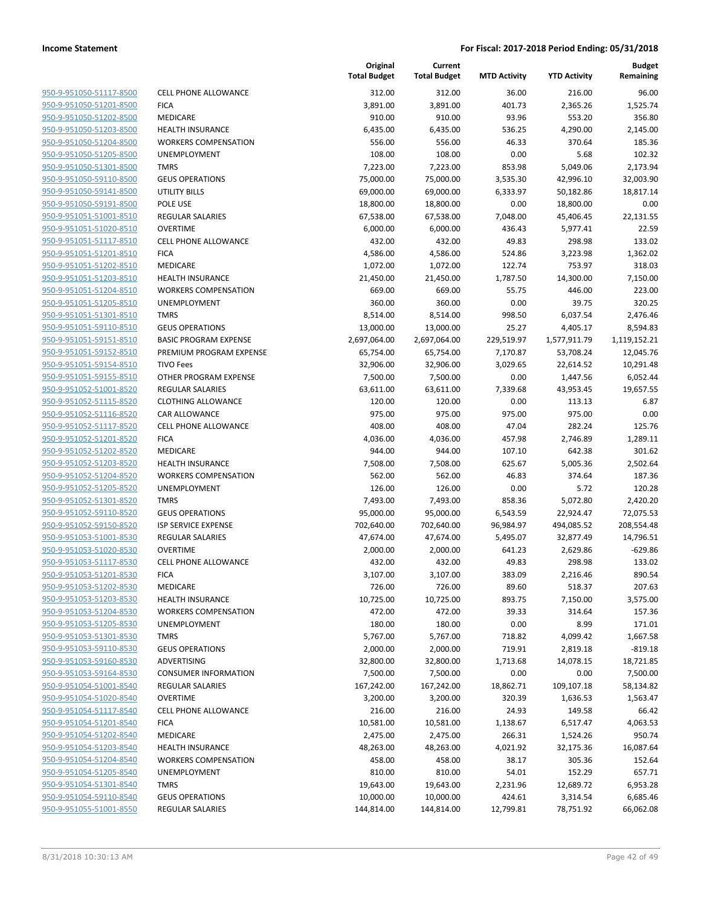| 950-9-951050-51117-8500        |
|--------------------------------|
| 950-9-951050-51201-8500        |
| 950-9-951050-51202-8500        |
| 950-9-951050-51203-8500        |
| <u>950-9-951050-51204-8500</u> |
| 950-9-951050-51205-8500        |
| 950-9-951050-51301-8500        |
| 950-9-951050-59110-8500        |
| 950-9-951050-59141-8500        |
| 950-9-951050-59191-8500        |
| 950-9-951051-51001-8510        |
| 950-9-951051-51020-8510        |
| 950-9-951051-51117-8510        |
| 950-9-951051-51201-8510        |
| <u>950-9-951051-51202-8510</u> |
| 950-9-951051-51203-8510        |
| 950-9-951051-51204-8510        |
| 950-9-951051-51205-8510        |
| 950-9-951051-51301-8510        |
| 950-9-951051-59110-8510        |
| 950-9-951051-59151-8510        |
|                                |
| 950-9-951051-59152-8510        |
| 950-9-951051-59154-8510        |
| 950-9-951051-59155-8510        |
| <u>950-9-951052-51001-8520</u> |
| 950-9-951052-51115-8520        |
| 950-9-951052-51116-8520        |
| 950-9-951052-51117-8520        |
| 950-9-951052-51201-8520        |
| 950-9-951052-51202-8520        |
| 950-9-951052-51203-8520        |
| 950-9-951052-51204-8520        |
| 950-9-951052-51205-8520        |
| 950-9-951052-51301-8520        |
| <u>950-9-951052-59110-8520</u> |
| 950-9-951052-59150-8520        |
| 950-9-951053-51001-8530        |
| 950-9-951053-51020-8530        |
| 950-9-951053-51117-8530        |
| 950-9-951053-51201-8530        |
| 950-9-951053-51202-8530        |
| <u>950-9-951053-51203-8530</u> |
| 950-9-951053-51204-8530        |
| 950-9-951053-51205-8530        |
| 950-9-951053-51301-8530        |
| 950-9-951053-59110-8530        |
| 950-9-951053-59160-8530        |
| 950-9-951053-59164-8530        |
| 950-9-951054-51001-8540        |
| <u>950-9-951054-51020-8540</u> |
| <u>950-9-951054-51117-8540</u> |
| 950-9-951054-51201-8540        |
| 950-9-951054-51202-8540        |
| 950-9-951054-51203-8540        |
| 950-9-951054-51204-8540        |
|                                |
| 950-9-951054-51205-8540        |
| 950-9-951054-51301-8540        |
| 950-9-951054-59110-8540        |
| 950-9-951055-51001-8550        |

|                         |                              | Original<br><b>Total Budget</b> | Current<br><b>Total Budget</b> | <b>MTD Activity</b> | <b>YTD Activity</b>   | Budget<br>Remaining   |
|-------------------------|------------------------------|---------------------------------|--------------------------------|---------------------|-----------------------|-----------------------|
| 950-9-951050-51117-8500 | <b>CELL PHONE ALLOWANCE</b>  | 312.00                          | 312.00                         | 36.00               | 216.00                | 96.00                 |
| 950-9-951050-51201-8500 | <b>FICA</b>                  | 3,891.00                        | 3,891.00                       | 401.73              | 2,365.26              | 1,525.74              |
| 950-9-951050-51202-8500 | MEDICARE                     | 910.00                          | 910.00                         | 93.96               | 553.20                | 356.80                |
| 950-9-951050-51203-8500 | <b>HEALTH INSURANCE</b>      | 6,435.00                        | 6,435.00                       | 536.25              | 4,290.00              | 2,145.00              |
| 950-9-951050-51204-8500 | <b>WORKERS COMPENSATION</b>  | 556.00                          | 556.00                         | 46.33               | 370.64                | 185.36                |
| 950-9-951050-51205-8500 | UNEMPLOYMENT                 | 108.00                          | 108.00                         | 0.00                | 5.68                  | 102.32                |
| 950-9-951050-51301-8500 | <b>TMRS</b>                  | 7,223.00                        | 7,223.00                       | 853.98              | 5,049.06              | 2,173.94              |
| 950-9-951050-59110-8500 | <b>GEUS OPERATIONS</b>       | 75,000.00                       | 75,000.00                      | 3,535.30            | 42,996.10             | 32,003.90             |
| 950-9-951050-59141-8500 | <b>UTILITY BILLS</b>         | 69,000.00                       | 69,000.00                      | 6,333.97            | 50,182.86             | 18,817.14             |
| 950-9-951050-59191-8500 | POLE USE                     | 18,800.00                       | 18,800.00                      | 0.00                | 18,800.00             | 0.00                  |
| 950-9-951051-51001-8510 | <b>REGULAR SALARIES</b>      | 67,538.00                       | 67,538.00                      | 7,048.00            | 45,406.45             | 22,131.55             |
| 950-9-951051-51020-8510 | <b>OVERTIME</b>              | 6,000.00                        | 6,000.00                       | 436.43              | 5,977.41              | 22.59                 |
| 950-9-951051-51117-8510 | <b>CELL PHONE ALLOWANCE</b>  | 432.00                          | 432.00                         | 49.83               | 298.98                | 133.02                |
| 950-9-951051-51201-8510 | <b>FICA</b>                  | 4,586.00                        | 4,586.00                       | 524.86              | 3,223.98              | 1,362.02              |
| 950-9-951051-51202-8510 | MEDICARE                     | 1,072.00                        | 1,072.00                       | 122.74              | 753.97                | 318.03                |
| 950-9-951051-51203-8510 | <b>HEALTH INSURANCE</b>      | 21,450.00                       | 21,450.00                      | 1,787.50            | 14,300.00             | 7,150.00              |
| 950-9-951051-51204-8510 | <b>WORKERS COMPENSATION</b>  | 669.00                          | 669.00                         | 55.75               | 446.00                | 223.00                |
| 950-9-951051-51205-8510 | <b>UNEMPLOYMENT</b>          | 360.00                          | 360.00                         | 0.00                | 39.75                 | 320.25                |
| 950-9-951051-51301-8510 | <b>TMRS</b>                  | 8,514.00                        | 8,514.00                       | 998.50              | 6,037.54              | 2,476.46              |
| 950-9-951051-59110-8510 | <b>GEUS OPERATIONS</b>       | 13,000.00                       | 13,000.00                      | 25.27               | 4,405.17              | 8,594.83              |
| 950-9-951051-59151-8510 | <b>BASIC PROGRAM EXPENSE</b> | 2,697,064.00                    | 2,697,064.00                   | 229,519.97          | 1,577,911.79          | 1,119,152.21          |
| 950-9-951051-59152-8510 | PREMIUM PROGRAM EXPENSE      | 65,754.00                       | 65,754.00                      | 7,170.87            | 53,708.24             | 12,045.76             |
| 950-9-951051-59154-8510 | <b>TIVO Fees</b>             | 32,906.00                       | 32,906.00                      | 3,029.65            | 22,614.52             | 10,291.48             |
| 950-9-951051-59155-8510 | OTHER PROGRAM EXPENSE        | 7,500.00                        | 7,500.00                       | 0.00                | 1,447.56              | 6,052.44              |
| 950-9-951052-51001-8520 | <b>REGULAR SALARIES</b>      | 63,611.00                       | 63,611.00                      | 7,339.68            | 43,953.45             | 19,657.55             |
| 950-9-951052-51115-8520 | <b>CLOTHING ALLOWANCE</b>    | 120.00                          | 120.00                         | 0.00                | 113.13                | 6.87                  |
| 950-9-951052-51116-8520 | CAR ALLOWANCE                | 975.00                          | 975.00                         | 975.00              | 975.00                | 0.00                  |
| 950-9-951052-51117-8520 | CELL PHONE ALLOWANCE         | 408.00                          | 408.00                         | 47.04               | 282.24                | 125.76                |
| 950-9-951052-51201-8520 | <b>FICA</b>                  | 4,036.00                        | 4,036.00                       | 457.98              | 2,746.89              | 1,289.11              |
| 950-9-951052-51202-8520 | MEDICARE                     | 944.00                          | 944.00                         | 107.10              | 642.38                | 301.62                |
| 950-9-951052-51203-8520 | <b>HEALTH INSURANCE</b>      | 7,508.00                        | 7,508.00                       | 625.67              | 5,005.36              | 2,502.64              |
| 950-9-951052-51204-8520 | <b>WORKERS COMPENSATION</b>  | 562.00                          | 562.00                         | 46.83               | 374.64                | 187.36                |
| 950-9-951052-51205-8520 | UNEMPLOYMENT                 | 126.00                          | 126.00                         | 0.00                | 5.72                  | 120.28                |
| 950-9-951052-51301-8520 | <b>TMRS</b>                  | 7,493.00                        | 7,493.00                       | 858.36              | 5,072.80              | 2,420.20              |
| 950-9-951052-59110-8520 | <b>GEUS OPERATIONS</b>       | 95,000.00                       | 95,000.00                      | 6,543.59            | 22,924.47             | 72,075.53             |
| 950-9-951052-59150-8520 | <b>ISP SERVICE EXPENSE</b>   | 702,640.00                      | 702,640.00                     | 96,984.97           | 494,085.52            | 208,554.48            |
| 950-9-951053-51001-8530 | <b>REGULAR SALARIES</b>      | 47,674.00                       | 47,674.00                      | 5,495.07            | 32,877.49             | 14,796.51             |
| 950-9-951053-51020-8530 | <b>OVERTIME</b>              | 2,000.00                        | 2,000.00                       | 641.23              | 2,629.86              | $-629.86$             |
| 950-9-951053-51117-8530 | <b>CELL PHONE ALLOWANCE</b>  | 432.00                          | 432.00                         | 49.83               | 298.98                | 133.02                |
| 950-9-951053-51201-8530 | <b>FICA</b>                  | 3,107.00                        | 3,107.00                       | 383.09              | 2,216.46              | 890.54                |
| 950-9-951053-51202-8530 | MEDICARE                     | 726.00                          | 726.00                         | 89.60               | 518.37                | 207.63                |
| 950-9-951053-51203-8530 | <b>HEALTH INSURANCE</b>      | 10,725.00                       | 10,725.00                      | 893.75              | 7,150.00              | 3,575.00              |
| 950-9-951053-51204-8530 | <b>WORKERS COMPENSATION</b>  | 472.00                          | 472.00                         | 39.33               | 314.64                | 157.36                |
| 950-9-951053-51205-8530 | <b>UNEMPLOYMENT</b>          | 180.00                          | 180.00                         | 0.00                | 8.99                  | 171.01                |
| 950-9-951053-51301-8530 | <b>TMRS</b>                  | 5,767.00                        | 5,767.00                       | 718.82              | 4,099.42              | 1,667.58              |
| 950-9-951053-59110-8530 | <b>GEUS OPERATIONS</b>       | 2,000.00                        | 2,000.00                       | 719.91              | 2,819.18              | $-819.18$             |
| 950-9-951053-59160-8530 | ADVERTISING                  | 32,800.00                       | 32,800.00                      | 1,713.68            | 14,078.15             | 18,721.85             |
| 950-9-951053-59164-8530 | <b>CONSUMER INFORMATION</b>  | 7,500.00                        | 7,500.00                       | 0.00                | 0.00                  | 7,500.00              |
| 950-9-951054-51001-8540 | <b>REGULAR SALARIES</b>      | 167,242.00                      | 167,242.00                     | 18,862.71           | 109,107.18            | 58,134.82             |
| 950-9-951054-51020-8540 | <b>OVERTIME</b>              | 3,200.00                        | 3,200.00                       | 320.39              | 1,636.53              | 1,563.47              |
| 950-9-951054-51117-8540 | <b>CELL PHONE ALLOWANCE</b>  | 216.00                          | 216.00                         | 24.93               | 149.58                | 66.42                 |
| 950-9-951054-51201-8540 | <b>FICA</b>                  | 10,581.00                       | 10,581.00                      | 1,138.67            | 6,517.47              | 4,063.53              |
| 950-9-951054-51202-8540 | MEDICARE                     | 2,475.00                        | 2,475.00                       | 266.31              | 1,524.26              | 950.74                |
| 950-9-951054-51203-8540 | <b>HEALTH INSURANCE</b>      | 48,263.00                       | 48,263.00                      | 4,021.92            | 32,175.36             | 16,087.64             |
| 950-9-951054-51204-8540 | <b>WORKERS COMPENSATION</b>  | 458.00                          | 458.00                         | 38.17               | 305.36                | 152.64                |
| 950-9-951054-51205-8540 | UNEMPLOYMENT                 | 810.00                          | 810.00                         | 54.01               | 152.29                | 657.71                |
| 950-9-951054-51301-8540 | <b>TMRS</b>                  | 19,643.00                       |                                |                     |                       |                       |
| 950-9-951054-59110-8540 | <b>GEUS OPERATIONS</b>       | 10,000.00                       | 19,643.00                      | 2,231.96            | 12,689.72             | 6,953.28              |
| 950-9-951055-51001-8550 | REGULAR SALARIES             | 144,814.00                      | 10,000.00<br>144,814.00        | 424.61<br>12,799.81 | 3,314.54<br>78,751.92 | 6,685.46<br>66,062.08 |
|                         |                              |                                 |                                |                     |                       |                       |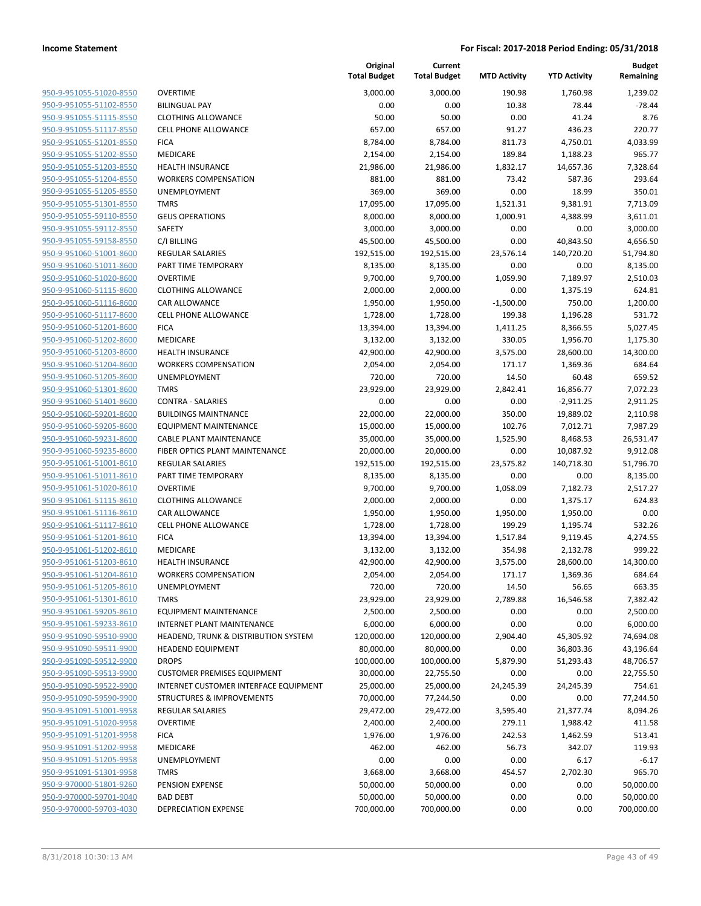| 950-9-951055-51020-8550        | I                        |
|--------------------------------|--------------------------|
| 950-9-951055-51102-8550        | I                        |
| 950-9-951055-51115-8550        | I                        |
| 950-9-951055-51117-8550        |                          |
| 950-9-951055-51201-8550        | ı                        |
| 950-9-951055-51202-8550        | I                        |
| 950-9-951055-51203-8550        | I                        |
| 950-9-951055-51204-8550        | ľ                        |
| 950-9-951055-51205-8550        | l                        |
| <u>950-9-951055-51301-8550</u> |                          |
| 950-9-951055-59110-8550        | $\overline{\phantom{a}}$ |
| 950-9-951055-59112-8550        | :                        |
| 950-9-951055-59158-8550        | I                        |
| 950-9-951060-51001-8600        | ı                        |
| <u>950-9-951060-51011-8600</u> | I                        |
| <u>950-9-951060-51020-8600</u> | $\overline{\phantom{a}}$ |
| 950-9-951060-51115-8600        | I                        |
| 950-9-951060-51116-8600        | (                        |
| 950-9-951060-51117-8600        |                          |
|                                | ı                        |
| <u>950-9-951060-51201-8600</u> | I                        |
| 950-9-951060-51202-8600        |                          |
| 950-9-951060-51203-8600        | I                        |
| 950-9-951060-51204-8600        | ľ                        |
| 950-9-951060-51205-8600        | l                        |
| <u>950-9-951060-51301-8600</u> |                          |
| 950-9-951060-51401-8600        | $\overline{\phantom{a}}$ |
| 950-9-951060-59201-8600        | I                        |
| 950-9-951060-59205-8600        | I                        |
| <u>950-9-951060-59231-8600</u> |                          |
| <u>950-9-951060-59235-8600</u> | ı                        |
| 950-9-951061-51001-8610        | I                        |
| 950-9-951061-51011-8610        | I                        |
| 950-9-951061-51020-8610        | I                        |
| 950-9-951061-51115-8610        | (                        |
| <u>950-9-951061-51116-8610</u> |                          |
| 950-9-951061-51117-8610        | I                        |
| 950-9-951061-51201-8610        | I                        |
| 950-9-951061-51202-8610        | I                        |
| 950-9-951061-51203-8610        | I                        |
| <u>950-9-951061-51204-8610</u> | ľ                        |
| 950-9-951061-51205-8610        | l                        |
| 950-9-951061-51301-8610        |                          |
| 950-9-951061-59205-8610        | I                        |
| 950-9-951061-59233-8610        |                          |
| 950-9-951090-59510-9900        | I                        |
| <u>950-9-951090-59511-9900</u> | I                        |
| 950-9-951090-59512-9900        | I                        |
| 950-9-951090-59513-9900        | I                        |
| 950-9-951090-59522-9900        | ı                        |
| <u>950-9-951090-59590-9900</u> | :                        |
| <u>950-9-951091-51001-9958</u> | I                        |
| 950-9-951091-51020-9958        | I                        |
| 950-9-951091-51201-9958        | I                        |
| 950-9-951091-51202-9958        | I                        |
| <u>950-9-951091-51205-9958</u> | l                        |
| <u>950-9-951091-51301-9958</u> |                          |
| 950-9-970000-51801-9260        | I                        |
| 950-9-970000-59701-9040        | Į                        |
| 950-9-970000-59703-4030        | I                        |
|                                |                          |

|                                                    |                                                 | Original<br><b>Total Budget</b> | Current<br><b>Total Budget</b> | <b>MTD Activity</b> | <b>YTD Activity</b>  | <b>Budget</b><br>Remaining |
|----------------------------------------------------|-------------------------------------------------|---------------------------------|--------------------------------|---------------------|----------------------|----------------------------|
| 950-9-951055-51020-8550                            | <b>OVERTIME</b>                                 | 3,000.00                        | 3,000.00                       | 190.98              | 1,760.98             | 1,239.02                   |
| 950-9-951055-51102-8550                            | <b>BILINGUAL PAY</b>                            | 0.00                            | 0.00                           | 10.38               | 78.44                | $-78.44$                   |
| 950-9-951055-51115-8550                            | <b>CLOTHING ALLOWANCE</b>                       | 50.00                           | 50.00                          | 0.00                | 41.24                | 8.76                       |
| 950-9-951055-51117-8550                            | <b>CELL PHONE ALLOWANCE</b>                     | 657.00                          | 657.00                         | 91.27               | 436.23               | 220.77                     |
| 950-9-951055-51201-8550                            | <b>FICA</b>                                     | 8,784.00                        | 8,784.00                       | 811.73              | 4,750.01             | 4,033.99                   |
| 950-9-951055-51202-8550                            | <b>MEDICARE</b>                                 | 2,154.00                        | 2,154.00                       | 189.84              | 1,188.23             | 965.77                     |
| 950-9-951055-51203-8550                            | <b>HEALTH INSURANCE</b>                         | 21,986.00                       | 21,986.00                      | 1,832.17            | 14,657.36            | 7,328.64                   |
| 950-9-951055-51204-8550                            | <b>WORKERS COMPENSATION</b>                     | 881.00                          | 881.00                         | 73.42               | 587.36               | 293.64                     |
| 950-9-951055-51205-8550                            | <b>UNEMPLOYMENT</b>                             | 369.00                          | 369.00                         | 0.00                | 18.99                | 350.01                     |
| 950-9-951055-51301-8550                            | <b>TMRS</b>                                     | 17,095.00                       | 17,095.00                      | 1,521.31            | 9,381.91             | 7,713.09                   |
| 950-9-951055-59110-8550                            | <b>GEUS OPERATIONS</b>                          | 8,000.00                        | 8,000.00                       | 1,000.91            | 4,388.99             | 3,611.01                   |
| 950-9-951055-59112-8550                            | SAFETY                                          | 3,000.00                        | 3,000.00                       | 0.00                | 0.00                 | 3,000.00                   |
| 950-9-951055-59158-8550                            | C/I BILLING                                     | 45,500.00                       | 45,500.00                      | 0.00                | 40,843.50            | 4,656.50                   |
| 950-9-951060-51001-8600                            | <b>REGULAR SALARIES</b>                         | 192,515.00                      | 192,515.00                     | 23,576.14           | 140,720.20           | 51,794.80                  |
| 950-9-951060-51011-8600                            | PART TIME TEMPORARY                             | 8,135.00                        | 8,135.00                       | 0.00                | 0.00                 | 8,135.00                   |
| 950-9-951060-51020-8600                            | <b>OVERTIME</b>                                 | 9,700.00                        | 9,700.00                       | 1,059.90            | 7,189.97             | 2,510.03                   |
| 950-9-951060-51115-8600                            | <b>CLOTHING ALLOWANCE</b>                       | 2,000.00                        | 2,000.00                       | 0.00                | 1,375.19             | 624.81                     |
| 950-9-951060-51116-8600                            | CAR ALLOWANCE                                   | 1,950.00                        | 1,950.00                       | $-1,500.00$         | 750.00               | 1,200.00                   |
| 950-9-951060-51117-8600                            | <b>CELL PHONE ALLOWANCE</b>                     | 1,728.00                        | 1,728.00                       | 199.38              | 1,196.28             | 531.72                     |
| 950-9-951060-51201-8600                            | <b>FICA</b>                                     | 13,394.00                       | 13,394.00                      | 1,411.25            | 8,366.55             | 5,027.45                   |
| 950-9-951060-51202-8600                            | <b>MEDICARE</b>                                 | 3,132.00                        | 3,132.00                       | 330.05              | 1,956.70             | 1,175.30                   |
| 950-9-951060-51203-8600                            | <b>HEALTH INSURANCE</b>                         | 42,900.00                       | 42,900.00                      | 3,575.00            | 28,600.00            | 14,300.00                  |
| 950-9-951060-51204-8600                            | <b>WORKERS COMPENSATION</b>                     | 2,054.00                        | 2,054.00                       | 171.17              | 1,369.36             | 684.64                     |
| 950-9-951060-51205-8600                            | UNEMPLOYMENT                                    | 720.00                          | 720.00                         | 14.50               | 60.48                | 659.52                     |
| 950-9-951060-51301-8600                            | <b>TMRS</b>                                     | 23,929.00                       | 23,929.00                      | 2,842.41            | 16,856.77            | 7,072.23                   |
| 950-9-951060-51401-8600                            | <b>CONTRA - SALARIES</b>                        | 0.00                            | 0.00                           | 0.00                | $-2,911.25$          | 2,911.25                   |
| 950-9-951060-59201-8600                            | <b>BUILDINGS MAINTNANCE</b>                     | 22,000.00                       | 22,000.00                      | 350.00              | 19,889.02            | 2,110.98                   |
| 950-9-951060-59205-8600                            | <b>EQUIPMENT MAINTENANCE</b>                    | 15,000.00                       | 15,000.00                      | 102.76              | 7,012.71             | 7,987.29                   |
| 950-9-951060-59231-8600                            | <b>CABLE PLANT MAINTENANCE</b>                  | 35,000.00                       | 35,000.00                      | 1,525.90            | 8,468.53             | 26,531.47                  |
| 950-9-951060-59235-8600                            | FIBER OPTICS PLANT MAINTENANCE                  | 20,000.00                       | 20,000.00                      | 0.00                | 10,087.92            | 9,912.08                   |
| 950-9-951061-51001-8610<br>950-9-951061-51011-8610 | <b>REGULAR SALARIES</b>                         | 192,515.00                      | 192,515.00                     | 23,575.82           | 140,718.30           | 51,796.70                  |
| 950-9-951061-51020-8610                            | PART TIME TEMPORARY<br><b>OVERTIME</b>          | 8,135.00                        | 8,135.00                       | 0.00                | 0.00                 | 8,135.00                   |
| 950-9-951061-51115-8610                            | <b>CLOTHING ALLOWANCE</b>                       | 9,700.00<br>2,000.00            | 9,700.00<br>2,000.00           | 1,058.09<br>0.00    | 7,182.73<br>1,375.17 | 2,517.27<br>624.83         |
| 950-9-951061-51116-8610                            | <b>CAR ALLOWANCE</b>                            | 1,950.00                        | 1,950.00                       | 1,950.00            | 1,950.00             | 0.00                       |
| 950-9-951061-51117-8610                            | <b>CELL PHONE ALLOWANCE</b>                     | 1,728.00                        | 1,728.00                       | 199.29              | 1,195.74             | 532.26                     |
| 950-9-951061-51201-8610                            | <b>FICA</b>                                     | 13,394.00                       | 13,394.00                      | 1,517.84            | 9,119.45             | 4,274.55                   |
| 950-9-951061-51202-8610                            | MEDICARE                                        | 3,132.00                        | 3,132.00                       | 354.98              | 2,132.78             | 999.22                     |
| 950-9-951061-51203-8610                            | <b>HEALTH INSURANCE</b>                         | 42,900.00                       | 42,900.00                      | 3,575.00            | 28,600.00            | 14,300.00                  |
| 950-9-951061-51204-8610                            | <b>WORKERS COMPENSATION</b>                     | 2,054.00                        | 2,054.00                       | 171.17              | 1,369.36             | 684.64                     |
| 950-9-951061-51205-8610                            | <b>UNEMPLOYMENT</b>                             | 720.00                          | 720.00                         | 14.50               | 56.65                | 663.35                     |
| 950-9-951061-51301-8610                            | <b>TMRS</b>                                     | 23,929.00                       | 23,929.00                      | 2,789.88            | 16,546.58            | 7,382.42                   |
| 950-9-951061-59205-8610                            | <b>EQUIPMENT MAINTENANCE</b>                    | 2,500.00                        | 2,500.00                       | 0.00                | 0.00                 | 2,500.00                   |
| 950-9-951061-59233-8610                            | INTERNET PLANT MAINTENANCE                      | 6,000.00                        | 6,000.00                       | 0.00                | 0.00                 | 6,000.00                   |
| 950-9-951090-59510-9900                            | <b>HEADEND, TRUNK &amp; DISTRIBUTION SYSTEM</b> | 120,000.00                      | 120,000.00                     | 2,904.40            | 45,305.92            | 74,694.08                  |
| 950-9-951090-59511-9900                            | <b>HEADEND EQUIPMENT</b>                        | 80,000.00                       | 80,000.00                      | 0.00                | 36,803.36            | 43,196.64                  |
| 950-9-951090-59512-9900                            | <b>DROPS</b>                                    | 100,000.00                      | 100,000.00                     | 5,879.90            | 51,293.43            | 48,706.57                  |
| 950-9-951090-59513-9900                            | <b>CUSTOMER PREMISES EQUIPMENT</b>              | 30,000.00                       | 22,755.50                      | 0.00                | 0.00                 | 22,755.50                  |
| 950-9-951090-59522-9900                            | INTERNET CUSTOMER INTERFACE EQUIPMENT           | 25,000.00                       | 25,000.00                      | 24,245.39           | 24,245.39            | 754.61                     |
| 950-9-951090-59590-9900                            | <b>STRUCTURES &amp; IMPROVEMENTS</b>            | 70,000.00                       | 77,244.50                      | 0.00                | 0.00                 | 77,244.50                  |
| 950-9-951091-51001-9958                            | <b>REGULAR SALARIES</b>                         | 29,472.00                       | 29,472.00                      | 3,595.40            | 21,377.74            | 8,094.26                   |
| 950-9-951091-51020-9958                            | <b>OVERTIME</b>                                 | 2,400.00                        | 2,400.00                       | 279.11              | 1,988.42             | 411.58                     |
| 950-9-951091-51201-9958                            | <b>FICA</b>                                     | 1,976.00                        | 1,976.00                       | 242.53              | 1,462.59             | 513.41                     |
| 950-9-951091-51202-9958                            | MEDICARE                                        | 462.00                          | 462.00                         | 56.73               | 342.07               | 119.93                     |
| 950-9-951091-51205-9958                            | UNEMPLOYMENT                                    | 0.00                            | 0.00                           | 0.00                | 6.17                 | $-6.17$                    |
| 950-9-951091-51301-9958                            | <b>TMRS</b>                                     | 3,668.00                        | 3,668.00                       | 454.57              | 2,702.30             | 965.70                     |
| 950-9-970000-51801-9260                            | PENSION EXPENSE                                 | 50,000.00                       | 50,000.00                      | 0.00                | 0.00                 | 50,000.00                  |
| 950-9-970000-59701-9040                            | <b>BAD DEBT</b>                                 | 50,000.00                       | 50,000.00                      | 0.00                | 0.00                 | 50,000.00                  |
| 950-9-970000-59703-4030                            | DEPRECIATION EXPENSE                            | 700,000.00                      | 700,000.00                     | 0.00                | 0.00                 | 700,000.00                 |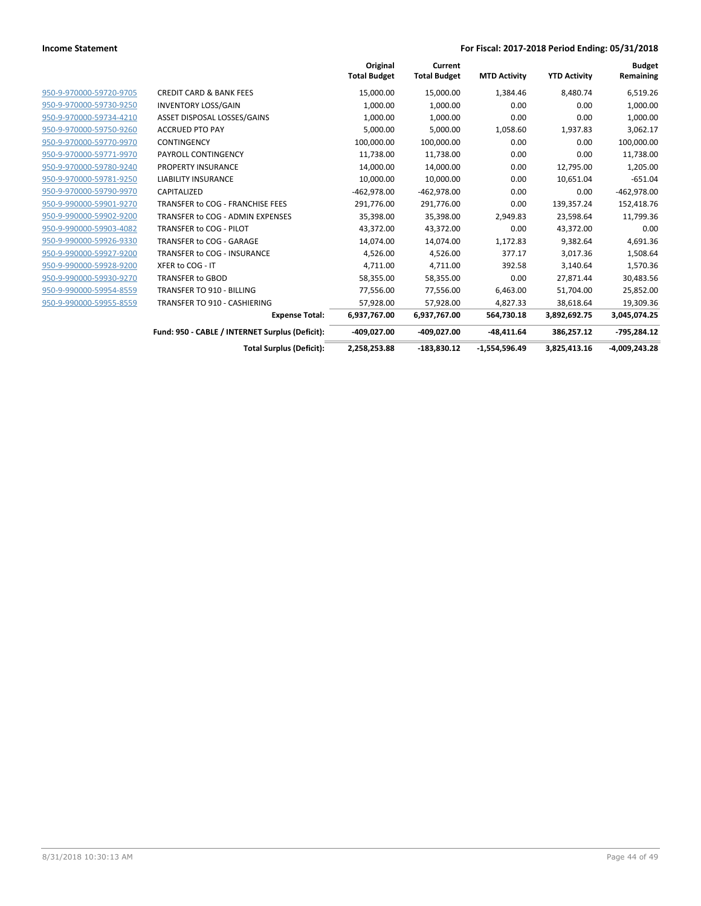|                         |                                                 | Original<br><b>Total Budget</b> | Current<br><b>Total Budget</b> | <b>MTD Activity</b> | <b>YTD Activity</b> | <b>Budget</b><br>Remaining |
|-------------------------|-------------------------------------------------|---------------------------------|--------------------------------|---------------------|---------------------|----------------------------|
| 950-9-970000-59720-9705 | <b>CREDIT CARD &amp; BANK FEES</b>              | 15,000.00                       | 15,000.00                      | 1,384.46            | 8,480.74            | 6,519.26                   |
| 950-9-970000-59730-9250 | <b>INVENTORY LOSS/GAIN</b>                      | 1,000.00                        | 1,000.00                       | 0.00                | 0.00                | 1,000.00                   |
| 950-9-970000-59734-4210 | ASSET DISPOSAL LOSSES/GAINS                     | 1,000.00                        | 1,000.00                       | 0.00                | 0.00                | 1,000.00                   |
| 950-9-970000-59750-9260 | <b>ACCRUED PTO PAY</b>                          | 5.000.00                        | 5.000.00                       | 1.058.60            | 1,937.83            | 3,062.17                   |
| 950-9-970000-59770-9970 | <b>CONTINGENCY</b>                              | 100,000.00                      | 100,000.00                     | 0.00                | 0.00                | 100,000.00                 |
| 950-9-970000-59771-9970 | PAYROLL CONTINGENCY                             | 11.738.00                       | 11,738.00                      | 0.00                | 0.00                | 11,738.00                  |
| 950-9-970000-59780-9240 | <b>PROPERTY INSURANCE</b>                       | 14,000.00                       | 14,000.00                      | 0.00                | 12,795.00           | 1,205.00                   |
| 950-9-970000-59781-9250 | <b>LIABILITY INSURANCE</b>                      | 10,000.00                       | 10,000.00                      | 0.00                | 10,651.04           | $-651.04$                  |
| 950-9-970000-59790-9970 | CAPITALIZED                                     | $-462,978.00$                   | $-462,978.00$                  | 0.00                | 0.00                | $-462,978.00$              |
| 950-9-990000-59901-9270 | TRANSFER to COG - FRANCHISE FEES                | 291,776.00                      | 291,776.00                     | 0.00                | 139,357.24          | 152,418.76                 |
| 950-9-990000-59902-9200 | TRANSFER to COG - ADMIN EXPENSES                | 35,398.00                       | 35,398.00                      | 2,949.83            | 23,598.64           | 11,799.36                  |
| 950-9-990000-59903-4082 | TRANSFER to COG - PILOT                         | 43,372.00                       | 43,372.00                      | 0.00                | 43,372.00           | 0.00                       |
| 950-9-990000-59926-9330 | TRANSFER to COG - GARAGE                        | 14,074.00                       | 14,074.00                      | 1,172.83            | 9,382.64            | 4,691.36                   |
| 950-9-990000-59927-9200 | TRANSFER to COG - INSURANCE                     | 4.526.00                        | 4,526.00                       | 377.17              | 3,017.36            | 1,508.64                   |
| 950-9-990000-59928-9200 | XFER to COG - IT                                | 4,711.00                        | 4,711.00                       | 392.58              | 3,140.64            | 1,570.36                   |
| 950-9-990000-59930-9270 | <b>TRANSFER to GBOD</b>                         | 58,355.00                       | 58,355.00                      | 0.00                | 27,871.44           | 30,483.56                  |
| 950-9-990000-59954-8559 | TRANSFER TO 910 - BILLING                       | 77,556.00                       | 77,556.00                      | 6,463.00            | 51.704.00           | 25,852.00                  |
| 950-9-990000-59955-8559 | <b>TRANSFER TO 910 - CASHIERING</b>             | 57,928.00                       | 57,928.00                      | 4,827.33            | 38,618.64           | 19,309.36                  |
|                         | <b>Expense Total:</b>                           | 6,937,767.00                    | 6,937,767.00                   | 564,730.18          | 3,892,692.75        | 3,045,074.25               |
|                         | Fund: 950 - CABLE / INTERNET Surplus (Deficit): | -409,027.00                     | -409,027.00                    | $-48,411.64$        | 386,257.12          | -795,284.12                |
|                         | <b>Total Surplus (Deficit):</b>                 | 2,258,253.88                    | $-183,830.12$                  | $-1,554,596.49$     | 3,825,413.16        | $-4,009,243.28$            |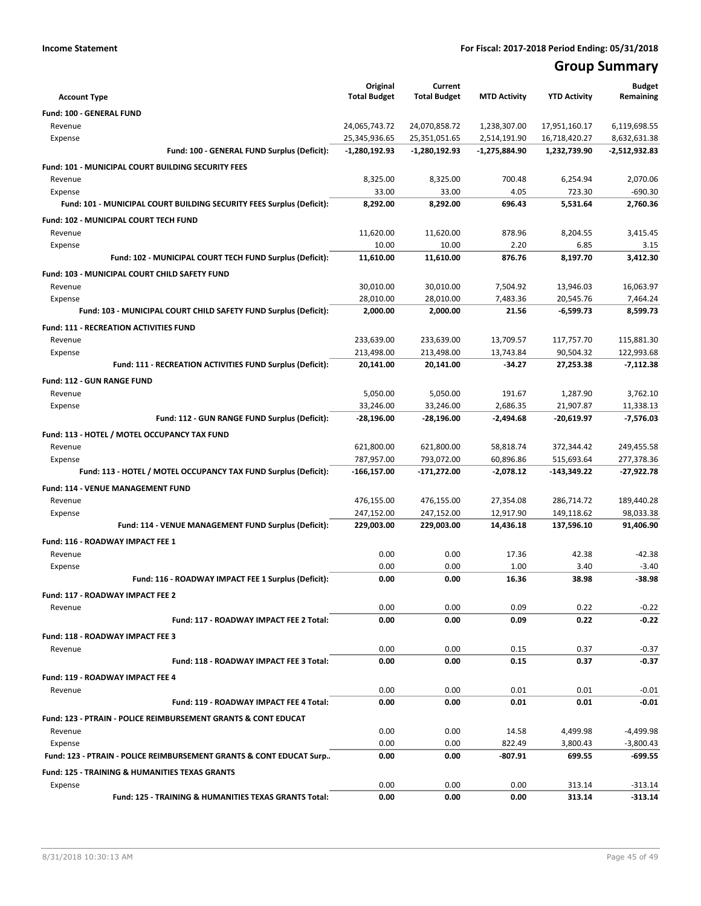## **Group Summary**

| <b>Account Type</b>                                                       | Original<br><b>Total Budget</b> | Current<br><b>Total Budget</b> | <b>MTD Activity</b> | <b>YTD Activity</b> | <b>Budget</b><br>Remaining |
|---------------------------------------------------------------------------|---------------------------------|--------------------------------|---------------------|---------------------|----------------------------|
| Fund: 100 - GENERAL FUND                                                  |                                 |                                |                     |                     |                            |
| Revenue                                                                   | 24,065,743.72                   | 24,070,858.72                  | 1,238,307.00        | 17,951,160.17       | 6,119,698.55               |
| Expense                                                                   | 25,345,936.65                   | 25,351,051.65                  | 2,514,191.90        | 16,718,420.27       | 8,632,631.38               |
| Fund: 100 - GENERAL FUND Surplus (Deficit):                               | $-1,280,192.93$                 | $-1,280,192.93$                | $-1,275,884.90$     | 1,232,739.90        | -2,512,932.83              |
| Fund: 101 - MUNICIPAL COURT BUILDING SECURITY FEES                        |                                 |                                |                     |                     |                            |
| Revenue                                                                   | 8,325.00                        | 8,325.00                       | 700.48              | 6,254.94            | 2,070.06                   |
| Expense                                                                   | 33.00                           | 33.00                          | 4.05                | 723.30              | $-690.30$                  |
| Fund: 101 - MUNICIPAL COURT BUILDING SECURITY FEES Surplus (Deficit):     | 8,292.00                        | 8,292.00                       | 696.43              | 5,531.64            | 2,760.36                   |
| Fund: 102 - MUNICIPAL COURT TECH FUND                                     |                                 |                                |                     |                     |                            |
| Revenue                                                                   | 11,620.00                       | 11,620.00                      | 878.96              | 8,204.55            | 3,415.45                   |
| Expense                                                                   | 10.00                           | 10.00                          | 2.20                | 6.85                | 3.15                       |
| Fund: 102 - MUNICIPAL COURT TECH FUND Surplus (Deficit):                  | 11,610.00                       | 11,610.00                      | 876.76              | 8,197.70            | 3,412.30                   |
| Fund: 103 - MUNICIPAL COURT CHILD SAFETY FUND                             |                                 |                                |                     |                     |                            |
| Revenue                                                                   | 30,010.00                       | 30,010.00                      | 7,504.92            | 13,946.03           | 16,063.97                  |
| Expense                                                                   | 28.010.00                       | 28,010.00                      | 7,483.36            | 20,545.76           | 7,464.24                   |
| Fund: 103 - MUNICIPAL COURT CHILD SAFETY FUND Surplus (Deficit):          | 2,000.00                        | 2,000.00                       | 21.56               | $-6,599.73$         | 8,599.73                   |
| <b>Fund: 111 - RECREATION ACTIVITIES FUND</b>                             |                                 |                                |                     |                     |                            |
| Revenue                                                                   | 233,639.00                      | 233,639.00                     | 13,709.57           | 117,757.70          | 115,881.30                 |
| Expense                                                                   | 213,498.00                      | 213,498.00                     | 13,743.84           | 90,504.32           | 122,993.68                 |
| Fund: 111 - RECREATION ACTIVITIES FUND Surplus (Deficit):                 | 20,141.00                       | 20,141.00                      | -34.27              | 27,253.38           | $-7,112.38$                |
| <b>Fund: 112 - GUN RANGE FUND</b>                                         |                                 |                                |                     |                     |                            |
| Revenue                                                                   | 5,050.00                        | 5,050.00                       | 191.67              | 1.287.90            | 3,762.10                   |
| Expense                                                                   | 33.246.00                       | 33,246.00                      | 2,686.35            | 21,907.87           | 11,338.13                  |
| Fund: 112 - GUN RANGE FUND Surplus (Deficit):                             | -28,196.00                      | -28,196.00                     | $-2,494.68$         | $-20,619.97$        | $-7,576.03$                |
| Fund: 113 - HOTEL / MOTEL OCCUPANCY TAX FUND                              |                                 |                                |                     |                     |                            |
| Revenue                                                                   | 621,800.00                      | 621,800.00                     | 58,818.74           | 372,344.42          | 249,455.58                 |
| Expense                                                                   | 787,957.00                      | 793,072.00                     | 60,896.86           | 515,693.64          | 277,378.36                 |
| Fund: 113 - HOTEL / MOTEL OCCUPANCY TAX FUND Surplus (Deficit):           | -166,157.00                     | -171,272.00                    | $-2,078.12$         | -143,349.22         | -27,922.78                 |
| Fund: 114 - VENUE MANAGEMENT FUND                                         |                                 |                                |                     |                     |                            |
| Revenue                                                                   | 476,155.00                      | 476,155.00                     | 27,354.08           | 286,714.72          | 189,440.28                 |
| Expense                                                                   | 247,152.00                      | 247,152.00                     | 12,917.90           | 149,118.62          | 98,033.38                  |
| Fund: 114 - VENUE MANAGEMENT FUND Surplus (Deficit):                      | 229,003.00                      | 229,003.00                     | 14,436.18           | 137,596.10          | 91,406.90                  |
| Fund: 116 - ROADWAY IMPACT FEE 1                                          |                                 |                                |                     |                     |                            |
| Revenue                                                                   | 0.00                            | 0.00                           | 17.36               | 42.38               | $-42.38$                   |
| Expense<br>Fund: 116 - ROADWAY IMPACT FEE 1 Surplus (Deficit):            | 0.00                            | 0.00<br>0.00                   | 1.00<br>16.36       | 3.40<br>38.98       | $-3.40$<br>-38.98          |
|                                                                           | 0.00                            |                                |                     |                     |                            |
| Fund: 117 - ROADWAY IMPACT FEE 2                                          |                                 |                                |                     |                     |                            |
| Revenue                                                                   | 0.00<br>0.00                    | 0.00<br>0.00                   | 0.09<br>0.09        | 0.22<br>0.22        | $-0.22$<br>$-0.22$         |
| Fund: 117 - ROADWAY IMPACT FEE 2 Total:                                   |                                 |                                |                     |                     |                            |
| Fund: 118 - ROADWAY IMPACT FEE 3                                          |                                 |                                |                     |                     |                            |
| Revenue                                                                   | 0.00                            | 0.00                           | 0.15                | 0.37                | $-0.37$                    |
| Fund: 118 - ROADWAY IMPACT FEE 3 Total:                                   | 0.00                            | 0.00                           | 0.15                | 0.37                | $-0.37$                    |
| Fund: 119 - ROADWAY IMPACT FEE 4                                          |                                 |                                |                     |                     |                            |
| Revenue                                                                   | 0.00                            | 0.00                           | 0.01                | 0.01                | $-0.01$                    |
| Fund: 119 - ROADWAY IMPACT FEE 4 Total:                                   | 0.00                            | 0.00                           | 0.01                | 0.01                | $-0.01$                    |
| <b>Fund: 123 - PTRAIN - POLICE REIMBURSEMENT GRANTS &amp; CONT EDUCAT</b> |                                 |                                |                     |                     |                            |
| Revenue                                                                   | 0.00                            | 0.00                           | 14.58               | 4,499.98            | $-4,499.98$                |
| Expense                                                                   | 0.00                            | 0.00                           | 822.49              | 3,800.43            | $-3,800.43$                |
| Fund: 123 - PTRAIN - POLICE REIMBURSEMENT GRANTS & CONT EDUCAT Surp       | 0.00                            | 0.00                           | -807.91             | 699.55              | $-699.55$                  |
| <b>Fund: 125 - TRAINING &amp; HUMANITIES TEXAS GRANTS</b>                 |                                 |                                |                     |                     |                            |
| Expense                                                                   | 0.00                            | 0.00                           | 0.00                | 313.14              | $-313.14$                  |
| Fund: 125 - TRAINING & HUMANITIES TEXAS GRANTS Total:                     | 0.00                            | 0.00                           | 0.00                | 313.14              | $-313.14$                  |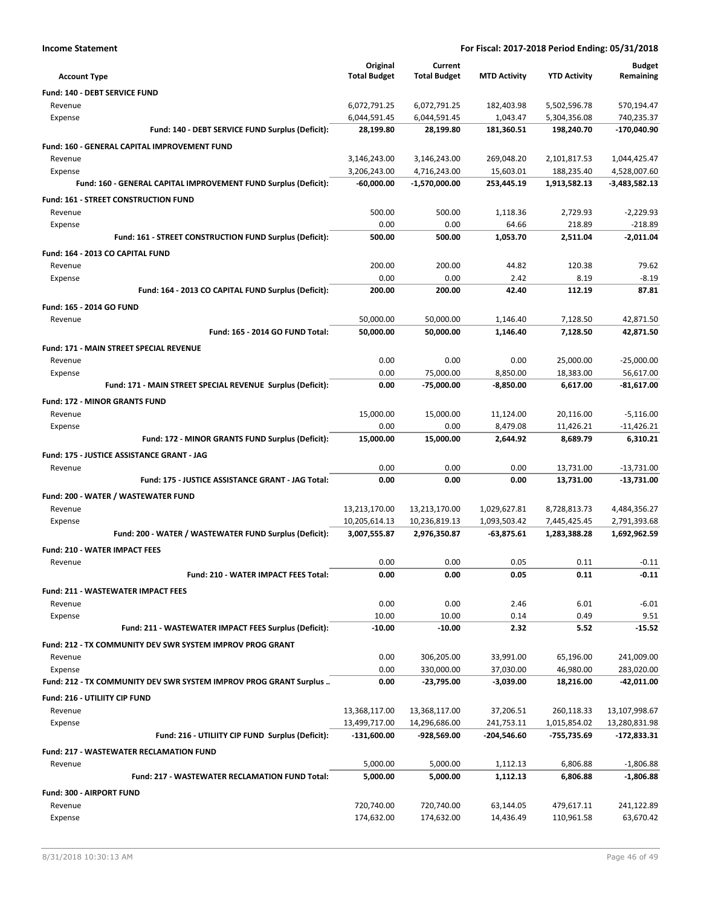| <b>Income Statement</b>                                            | For Fiscal: 2017-2018 Period Ending: 05/31/2018 |                              |                           |                             |                                |
|--------------------------------------------------------------------|-------------------------------------------------|------------------------------|---------------------------|-----------------------------|--------------------------------|
|                                                                    | Original                                        | Current                      |                           |                             | <b>Budget</b>                  |
| <b>Account Type</b>                                                | <b>Total Budget</b>                             | <b>Total Budget</b>          | <b>MTD Activity</b>       | <b>YTD Activity</b>         | Remaining                      |
| Fund: 140 - DEBT SERVICE FUND                                      |                                                 |                              |                           |                             |                                |
| Revenue                                                            | 6,072,791.25                                    | 6,072,791.25                 | 182,403.98                | 5,502,596.78                | 570,194.47                     |
| Expense                                                            | 6,044,591.45                                    | 6,044,591.45                 | 1,043.47                  | 5,304,356.08                | 740,235.37                     |
| Fund: 140 - DEBT SERVICE FUND Surplus (Deficit):                   | 28,199.80                                       | 28,199.80                    | 181,360.51                | 198,240.70                  | -170,040.90                    |
| Fund: 160 - GENERAL CAPITAL IMPROVEMENT FUND                       |                                                 |                              |                           |                             |                                |
| Revenue                                                            | 3,146,243.00                                    | 3,146,243.00                 | 269,048.20                | 2,101,817.53                | 1,044,425.47                   |
| Expense                                                            | 3,206,243.00                                    | 4,716,243.00                 | 15,603.01                 | 188,235.40                  | 4,528,007.60                   |
| Fund: 160 - GENERAL CAPITAL IMPROVEMENT FUND Surplus (Deficit):    | $-60.000.00$                                    | $-1,570,000.00$              | 253,445.19                | 1,913,582.13                | $-3,483,582.13$                |
| Fund: 161 - STREET CONSTRUCTION FUND                               |                                                 |                              |                           |                             |                                |
| Revenue                                                            | 500.00<br>0.00                                  | 500.00<br>0.00               | 1,118.36<br>64.66         | 2,729.93<br>218.89          | $-2,229.93$<br>$-218.89$       |
| Expense<br>Fund: 161 - STREET CONSTRUCTION FUND Surplus (Deficit): | 500.00                                          | 500.00                       | 1,053.70                  | 2,511.04                    | $-2,011.04$                    |
|                                                                    |                                                 |                              |                           |                             |                                |
| Fund: 164 - 2013 CO CAPITAL FUND<br>Revenue                        | 200.00                                          | 200.00                       | 44.82                     | 120.38                      | 79.62                          |
| Expense                                                            | 0.00                                            | 0.00                         | 2.42                      | 8.19                        | $-8.19$                        |
| Fund: 164 - 2013 CO CAPITAL FUND Surplus (Deficit):                | 200.00                                          | 200.00                       | 42.40                     | 112.19                      | 87.81                          |
| Fund: 165 - 2014 GO FUND                                           |                                                 |                              |                           |                             |                                |
| Revenue                                                            | 50,000.00                                       | 50,000.00                    | 1,146.40                  | 7,128.50                    | 42,871.50                      |
| Fund: 165 - 2014 GO FUND Total:                                    | 50,000.00                                       | 50,000.00                    | 1,146.40                  | 7,128.50                    | 42,871.50                      |
| Fund: 171 - MAIN STREET SPECIAL REVENUE                            |                                                 |                              |                           |                             |                                |
| Revenue                                                            | 0.00                                            | 0.00                         | 0.00                      | 25,000.00                   | $-25,000.00$                   |
| Expense                                                            | 0.00                                            | 75,000.00                    | 8,850.00                  | 18,383.00                   | 56,617.00                      |
| Fund: 171 - MAIN STREET SPECIAL REVENUE Surplus (Deficit):         | 0.00                                            | -75,000.00                   | $-8,850.00$               | 6,617.00                    | -81,617.00                     |
| <b>Fund: 172 - MINOR GRANTS FUND</b>                               |                                                 |                              |                           |                             |                                |
| Revenue                                                            | 15,000.00                                       | 15,000.00                    | 11,124.00                 | 20,116.00                   | $-5,116.00$                    |
| Expense                                                            | 0.00                                            | 0.00                         | 8,479.08                  | 11,426.21                   | $-11,426.21$                   |
| Fund: 172 - MINOR GRANTS FUND Surplus (Deficit):                   | 15,000.00                                       | 15,000.00                    | 2,644.92                  | 8,689.79                    | 6,310.21                       |
| Fund: 175 - JUSTICE ASSISTANCE GRANT - JAG                         |                                                 |                              |                           |                             |                                |
| Revenue                                                            | 0.00                                            | 0.00                         | 0.00                      | 13,731.00                   | $-13,731.00$                   |
| Fund: 175 - JUSTICE ASSISTANCE GRANT - JAG Total:                  | 0.00                                            | 0.00                         | 0.00                      | 13,731.00                   | -13,731.00                     |
| Fund: 200 - WATER / WASTEWATER FUND                                |                                                 |                              |                           |                             |                                |
| Revenue                                                            | 13,213,170.00                                   | 13,213,170.00                | 1,029,627.81              | 8,728,813.73                | 4,484,356.27                   |
| Expense                                                            | 10,205,614.13                                   | 10,236,819.13                | 1,093,503.42              | 7,445,425.45                | 2,791,393.68                   |
| Fund: 200 - WATER / WASTEWATER FUND Surplus (Deficit):             | 3,007,555.87                                    | 2,976,350.87                 | -63,875.61                | 1,283,388.28                | 1,692,962.59                   |
| Fund: 210 - WATER IMPACT FEES                                      |                                                 |                              |                           |                             |                                |
| Revenue                                                            | 0.00                                            | 0.00                         | 0.05                      | 0.11                        | $-0.11$                        |
| Fund: 210 - WATER IMPACT FEES Total:                               | 0.00                                            | 0.00                         | 0.05                      | 0.11                        | $-0.11$                        |
| <b>Fund: 211 - WASTEWATER IMPACT FEES</b>                          |                                                 |                              |                           |                             |                                |
| Revenue                                                            | 0.00                                            | 0.00                         | 2.46                      | 6.01                        | $-6.01$                        |
| Expense                                                            | 10.00                                           | 10.00                        | 0.14                      | 0.49                        | 9.51                           |
| Fund: 211 - WASTEWATER IMPACT FEES Surplus (Deficit):              | $-10.00$                                        | $-10.00$                     | 2.32                      | 5.52                        | $-15.52$                       |
| Fund: 212 - TX COMMUNITY DEV SWR SYSTEM IMPROV PROG GRANT          |                                                 |                              |                           |                             |                                |
| Revenue                                                            | 0.00                                            | 306,205.00                   | 33,991.00                 | 65,196.00                   | 241,009.00                     |
| Expense                                                            | 0.00                                            | 330,000.00                   | 37,030.00                 | 46,980.00                   | 283,020.00                     |
| Fund: 212 - TX COMMUNITY DEV SWR SYSTEM IMPROV PROG GRANT Surplus  | 0.00                                            | $-23,795.00$                 | $-3,039.00$               | 18,216.00                   | $-42,011.00$                   |
| Fund: 216 - UTILIITY CIP FUND                                      |                                                 |                              |                           |                             |                                |
| Revenue                                                            | 13,368,117.00                                   | 13,368,117.00                | 37,206.51                 | 260,118.33                  | 13,107,998.67                  |
| Expense<br>Fund: 216 - UTILIITY CIP FUND Surplus (Deficit):        | 13,499,717.00<br>-131,600.00                    | 14,296,686.00<br>-928,569.00 | 241,753.11<br>-204,546.60 | 1,015,854.02<br>-755,735.69 | 13,280,831.98<br>$-172,833.31$ |
|                                                                    |                                                 |                              |                           |                             |                                |
| <b>Fund: 217 - WASTEWATER RECLAMATION FUND</b><br>Revenue          | 5,000.00                                        | 5,000.00                     | 1,112.13                  | 6,806.88                    | $-1,806.88$                    |
| Fund: 217 - WASTEWATER RECLAMATION FUND Total:                     | 5,000.00                                        | 5,000.00                     | 1,112.13                  | 6,806.88                    | $-1,806.88$                    |
|                                                                    |                                                 |                              |                           |                             |                                |
| Fund: 300 - AIRPORT FUND                                           |                                                 |                              |                           |                             |                                |
| Revenue<br>Expense                                                 | 720,740.00<br>174,632.00                        | 720,740.00<br>174,632.00     | 63,144.05<br>14,436.49    | 479,617.11<br>110,961.58    | 241,122.89<br>63,670.42        |
|                                                                    |                                                 |                              |                           |                             |                                |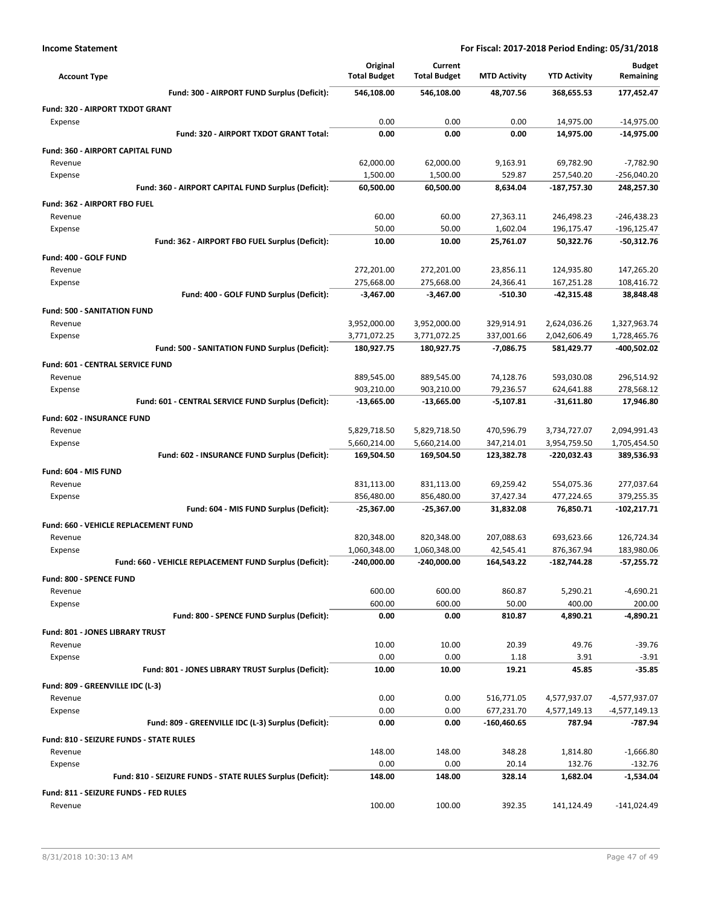| <b>Account Type</b>                                            | Original<br><b>Total Budget</b> | Current<br><b>Total Budget</b> | <b>MTD Activity</b>    | <b>YTD Activity</b>      | <b>Budget</b><br>Remaining |
|----------------------------------------------------------------|---------------------------------|--------------------------------|------------------------|--------------------------|----------------------------|
| Fund: 300 - AIRPORT FUND Surplus (Deficit):                    | 546,108.00                      | 546,108.00                     | 48,707.56              | 368,655.53               | 177,452.47                 |
| Fund: 320 - AIRPORT TXDOT GRANT                                |                                 |                                |                        |                          |                            |
| Expense                                                        | 0.00                            | 0.00                           | 0.00                   | 14,975.00                | $-14,975.00$               |
| Fund: 320 - AIRPORT TXDOT GRANT Total:                         | 0.00                            | 0.00                           | 0.00                   | 14,975.00                | -14,975.00                 |
| Fund: 360 - AIRPORT CAPITAL FUND                               |                                 |                                |                        |                          |                            |
| Revenue                                                        | 62,000.00                       | 62,000.00                      | 9,163.91               | 69,782.90                | $-7,782.90$                |
| Expense                                                        | 1,500.00                        | 1,500.00                       | 529.87                 | 257,540.20               | $-256,040.20$              |
| Fund: 360 - AIRPORT CAPITAL FUND Surplus (Deficit):            | 60,500.00                       | 60,500.00                      | 8,634.04               | -187,757.30              | 248,257.30                 |
| Fund: 362 - AIRPORT FBO FUEL                                   |                                 |                                |                        |                          |                            |
| Revenue                                                        | 60.00                           | 60.00                          | 27,363.11              | 246,498.23               | -246,438.23                |
| Expense                                                        | 50.00                           | 50.00                          | 1,602.04               | 196,175.47               | -196,125.47                |
| Fund: 362 - AIRPORT FBO FUEL Surplus (Deficit):                | 10.00                           | 10.00                          | 25,761.07              | 50,322.76                | $-50,312.76$               |
| Fund: 400 - GOLF FUND                                          |                                 |                                |                        |                          |                            |
| Revenue                                                        | 272,201.00<br>275,668.00        | 272,201.00                     | 23,856.11              | 124,935.80               | 147,265.20                 |
| Expense<br>Fund: 400 - GOLF FUND Surplus (Deficit):            | $-3,467.00$                     | 275,668.00<br>$-3.467.00$      | 24,366.41<br>$-510.30$ | 167,251.28<br>-42,315.48 | 108,416.72<br>38,848.48    |
|                                                                |                                 |                                |                        |                          |                            |
| <b>Fund: 500 - SANITATION FUND</b><br>Revenue                  | 3,952,000.00                    | 3,952,000.00                   | 329,914.91             | 2,624,036.26             | 1,327,963.74               |
| Expense                                                        | 3,771,072.25                    | 3,771,072.25                   | 337,001.66             | 2,042,606.49             | 1,728,465.76               |
| Fund: 500 - SANITATION FUND Surplus (Deficit):                 | 180,927.75                      | 180,927.75                     | $-7,086.75$            | 581,429.77               | -400,502.02                |
| Fund: 601 - CENTRAL SERVICE FUND                               |                                 |                                |                        |                          |                            |
| Revenue                                                        | 889,545.00                      | 889,545.00                     | 74,128.76              | 593,030.08               | 296,514.92                 |
| Expense                                                        | 903,210.00                      | 903,210.00                     | 79,236.57              | 624,641.88               | 278,568.12                 |
| Fund: 601 - CENTRAL SERVICE FUND Surplus (Deficit):            | $-13,665.00$                    | $-13,665.00$                   | $-5,107.81$            | $-31,611.80$             | 17,946.80                  |
| Fund: 602 - INSURANCE FUND                                     |                                 |                                |                        |                          |                            |
| Revenue                                                        | 5,829,718.50                    | 5,829,718.50                   | 470,596.79             | 3,734,727.07             | 2,094,991.43               |
| Expense                                                        | 5,660,214.00                    | 5,660,214.00                   | 347,214.01             | 3,954,759.50             | 1,705,454.50               |
| Fund: 602 - INSURANCE FUND Surplus (Deficit):                  | 169,504.50                      | 169,504.50                     | 123,382.78             | -220,032.43              | 389,536.93                 |
| Fund: 604 - MIS FUND                                           |                                 |                                |                        |                          |                            |
| Revenue                                                        | 831,113.00                      | 831,113.00                     | 69,259.42              | 554,075.36               | 277,037.64                 |
| Expense                                                        | 856,480.00                      | 856,480.00                     | 37,427.34              | 477,224.65               | 379,255.35                 |
| Fund: 604 - MIS FUND Surplus (Deficit):                        | -25,367.00                      | $-25,367.00$                   | 31,832.08              | 76,850.71                | $-102,217.71$              |
| Fund: 660 - VEHICLE REPLACEMENT FUND                           |                                 |                                |                        |                          |                            |
| Revenue                                                        | 820,348.00                      | 820,348.00                     | 207,088.63             | 693,623.66               | 126,724.34                 |
| Expense                                                        | 1,060,348.00                    | 1,060,348.00                   | 42,545.41              | 876,367.94               | 183,980.06                 |
| Fund: 660 - VEHICLE REPLACEMENT FUND Surplus (Deficit):        | $-240,000.00$                   | -240,000.00                    | 164,543.22             | -182,744.28              | $-57,255.72$               |
| Fund: 800 - SPENCE FUND                                        |                                 |                                |                        |                          |                            |
| Revenue                                                        | 600.00                          | 600.00                         | 860.87                 | 5,290.21                 | $-4,690.21$                |
| Expense                                                        | 600.00                          | 600.00                         | 50.00                  | 400.00                   | 200.00                     |
| Fund: 800 - SPENCE FUND Surplus (Deficit):                     | 0.00                            | 0.00                           | 810.87                 | 4,890.21                 | $-4,890.21$                |
| Fund: 801 - JONES LIBRARY TRUST                                |                                 |                                |                        |                          |                            |
| Revenue                                                        | 10.00                           | 10.00                          | 20.39                  | 49.76                    | $-39.76$                   |
| Expense                                                        | 0.00                            | 0.00                           | 1.18                   | 3.91                     | $-3.91$                    |
| Fund: 801 - JONES LIBRARY TRUST Surplus (Deficit):             | 10.00                           | 10.00                          | 19.21                  | 45.85                    | $-35.85$                   |
| Fund: 809 - GREENVILLE IDC (L-3)                               |                                 |                                |                        |                          |                            |
| Revenue                                                        | 0.00                            | 0.00                           | 516,771.05             | 4,577,937.07             | -4,577,937.07              |
| Expense<br>Fund: 809 - GREENVILLE IDC (L-3) Surplus (Deficit): | 0.00<br>0.00                    | 0.00<br>0.00                   | 677,231.70             | 4,577,149.13             | $-4,577,149.13$<br>-787.94 |
|                                                                |                                 |                                | -160,460.65            | 787.94                   |                            |
| Fund: 810 - SEIZURE FUNDS - STATE RULES                        |                                 |                                |                        |                          |                            |
| Revenue<br>Expense                                             | 148.00<br>0.00                  | 148.00<br>0.00                 | 348.28<br>20.14        | 1,814.80<br>132.76       | $-1,666.80$<br>$-132.76$   |
| Fund: 810 - SEIZURE FUNDS - STATE RULES Surplus (Deficit):     | 148.00                          | 148.00                         | 328.14                 | 1,682.04                 | -1,534.04                  |
| Fund: 811 - SEIZURE FUNDS - FED RULES                          |                                 |                                |                        |                          |                            |
| Revenue                                                        | 100.00                          | 100.00                         | 392.35                 | 141,124.49               | $-141,024.49$              |
|                                                                |                                 |                                |                        |                          |                            |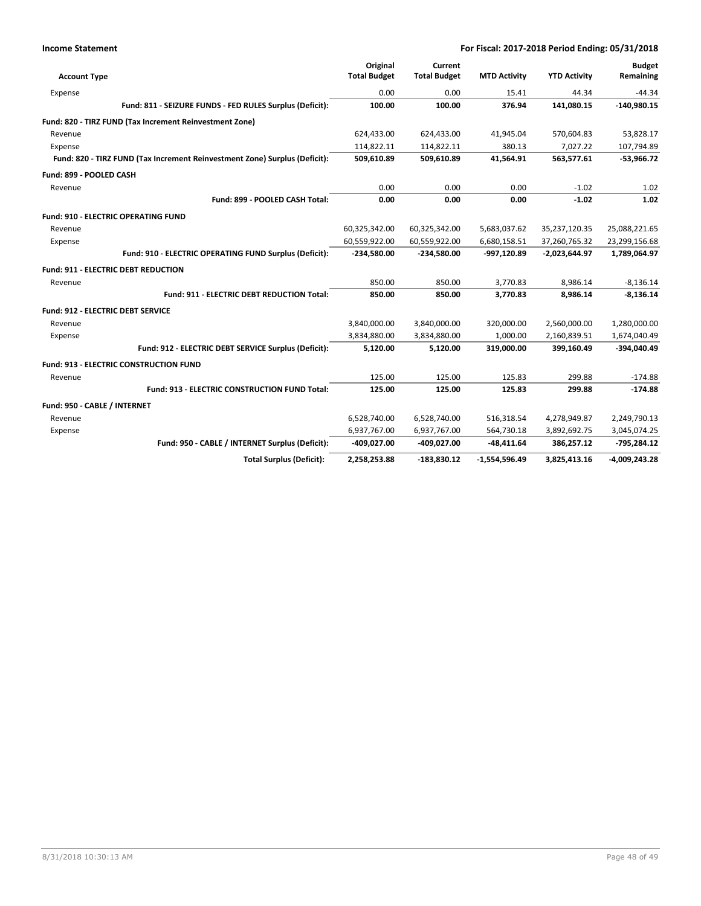| <b>Account Type</b>               |                                                                            | Original<br><b>Total Budget</b> | Current<br><b>Total Budget</b> | <b>MTD Activity</b> | <b>YTD Activity</b> | <b>Budget</b><br>Remaining |
|-----------------------------------|----------------------------------------------------------------------------|---------------------------------|--------------------------------|---------------------|---------------------|----------------------------|
|                                   |                                                                            |                                 |                                |                     |                     |                            |
| Expense                           |                                                                            | 0.00                            | 0.00                           | 15.41               | 44.34               | $-44.34$                   |
|                                   | Fund: 811 - SEIZURE FUNDS - FED RULES Surplus (Deficit):                   | 100.00                          | 100.00                         | 376.94              | 141,080.15          | $-140,980.15$              |
|                                   | Fund: 820 - TIRZ FUND (Tax Increment Reinvestment Zone)                    |                                 |                                |                     |                     |                            |
| Revenue                           |                                                                            | 624,433.00                      | 624,433.00                     | 41,945.04           | 570,604.83          | 53,828.17                  |
| Expense                           |                                                                            | 114,822.11                      | 114,822.11                     | 380.13              | 7,027.22            | 107,794.89                 |
|                                   | Fund: 820 - TIRZ FUND (Tax Increment Reinvestment Zone) Surplus (Deficit): | 509,610.89                      | 509,610.89                     | 41,564.91           | 563,577.61          | $-53,966.72$               |
| Fund: 899 - POOLED CASH           |                                                                            |                                 |                                |                     |                     |                            |
| Revenue                           |                                                                            | 0.00                            | 0.00                           | 0.00                | $-1.02$             | 1.02                       |
|                                   | Fund: 899 - POOLED CASH Total:                                             | 0.00                            | 0.00                           | 0.00                | $-1.02$             | 1.02                       |
|                                   | Fund: 910 - ELECTRIC OPERATING FUND                                        |                                 |                                |                     |                     |                            |
| Revenue                           |                                                                            | 60,325,342.00                   | 60,325,342.00                  | 5,683,037.62        | 35,237,120.35       | 25,088,221.65              |
| Expense                           |                                                                            | 60,559,922.00                   | 60,559,922.00                  | 6,680,158.51        | 37,260,765.32       | 23,299,156.68              |
|                                   | Fund: 910 - ELECTRIC OPERATING FUND Surplus (Deficit):                     | $-234,580.00$                   | $-234,580.00$                  | -997,120.89         | $-2,023,644.97$     | 1,789,064.97               |
|                                   | <b>Fund: 911 - ELECTRIC DEBT REDUCTION</b>                                 |                                 |                                |                     |                     |                            |
| Revenue                           |                                                                            | 850.00                          | 850.00                         | 3,770.83            | 8,986.14            | $-8,136.14$                |
|                                   | Fund: 911 - ELECTRIC DEBT REDUCTION Total:                                 | 850.00                          | 850.00                         | 3,770.83            | 8,986.14            | $-8,136.14$                |
| Fund: 912 - ELECTRIC DEBT SERVICE |                                                                            |                                 |                                |                     |                     |                            |
| Revenue                           |                                                                            | 3,840,000.00                    | 3,840,000.00                   | 320,000.00          | 2,560,000.00        | 1,280,000.00               |
| Expense                           |                                                                            | 3,834,880.00                    | 3,834,880.00                   | 1,000.00            | 2,160,839.51        | 1,674,040.49               |
|                                   | Fund: 912 - ELECTRIC DEBT SERVICE Surplus (Deficit):                       | 5,120.00                        | 5,120.00                       | 319,000.00          | 399,160.49          | -394,040.49                |
|                                   | <b>Fund: 913 - ELECTRIC CONSTRUCTION FUND</b>                              |                                 |                                |                     |                     |                            |
| Revenue                           |                                                                            | 125.00                          | 125.00                         | 125.83              | 299.88              | $-174.88$                  |
|                                   | Fund: 913 - ELECTRIC CONSTRUCTION FUND Total:                              | 125.00                          | 125.00                         | 125.83              | 299.88              | $-174.88$                  |
| Fund: 950 - CABLE / INTERNET      |                                                                            |                                 |                                |                     |                     |                            |
| Revenue                           |                                                                            | 6,528,740.00                    | 6,528,740.00                   | 516,318.54          | 4,278,949.87        | 2,249,790.13               |
| Expense                           |                                                                            | 6,937,767.00                    | 6,937,767.00                   | 564,730.18          | 3,892,692.75        | 3,045,074.25               |
|                                   | Fund: 950 - CABLE / INTERNET Surplus (Deficit):                            | -409,027.00                     | -409,027.00                    | $-48,411.64$        | 386,257.12          | $-795,284.12$              |
|                                   | <b>Total Surplus (Deficit):</b>                                            | 2,258,253.88                    | $-183,830.12$                  | $-1,554,596.49$     | 3,825,413.16        | $-4,009,243.28$            |